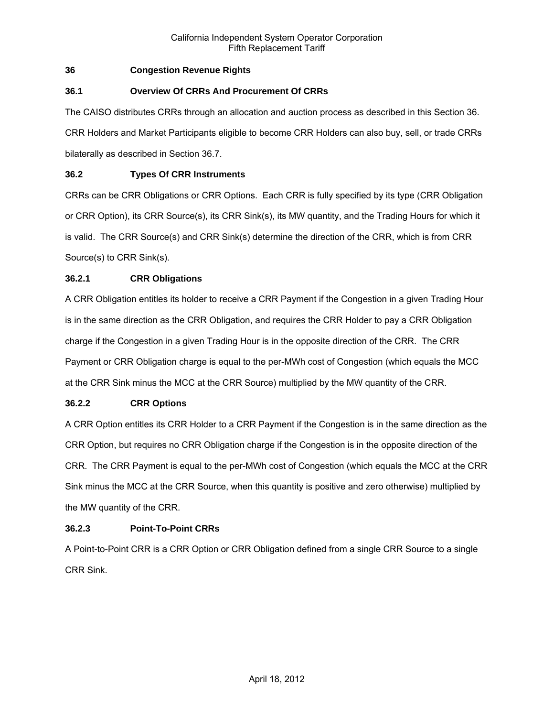# **36 Congestion Revenue Rights**

# **36.1 Overview Of CRRs And Procurement Of CRRs**

The CAISO distributes CRRs through an allocation and auction process as described in this Section 36. CRR Holders and Market Participants eligible to become CRR Holders can also buy, sell, or trade CRRs bilaterally as described in Section 36.7.

# **36.2 Types Of CRR Instruments**

CRRs can be CRR Obligations or CRR Options. Each CRR is fully specified by its type (CRR Obligation or CRR Option), its CRR Source(s), its CRR Sink(s), its MW quantity, and the Trading Hours for which it is valid. The CRR Source(s) and CRR Sink(s) determine the direction of the CRR, which is from CRR Source(s) to CRR Sink(s).

# **36.2.1 CRR Obligations**

A CRR Obligation entitles its holder to receive a CRR Payment if the Congestion in a given Trading Hour is in the same direction as the CRR Obligation, and requires the CRR Holder to pay a CRR Obligation charge if the Congestion in a given Trading Hour is in the opposite direction of the CRR. The CRR Payment or CRR Obligation charge is equal to the per-MWh cost of Congestion (which equals the MCC at the CRR Sink minus the MCC at the CRR Source) multiplied by the MW quantity of the CRR.

# **36.2.2 CRR Options**

A CRR Option entitles its CRR Holder to a CRR Payment if the Congestion is in the same direction as the CRR Option, but requires no CRR Obligation charge if the Congestion is in the opposite direction of the CRR. The CRR Payment is equal to the per-MWh cost of Congestion (which equals the MCC at the CRR Sink minus the MCC at the CRR Source, when this quantity is positive and zero otherwise) multiplied by the MW quantity of the CRR.

# **36.2.3 Point-To-Point CRRs**

A Point-to-Point CRR is a CRR Option or CRR Obligation defined from a single CRR Source to a single CRR Sink.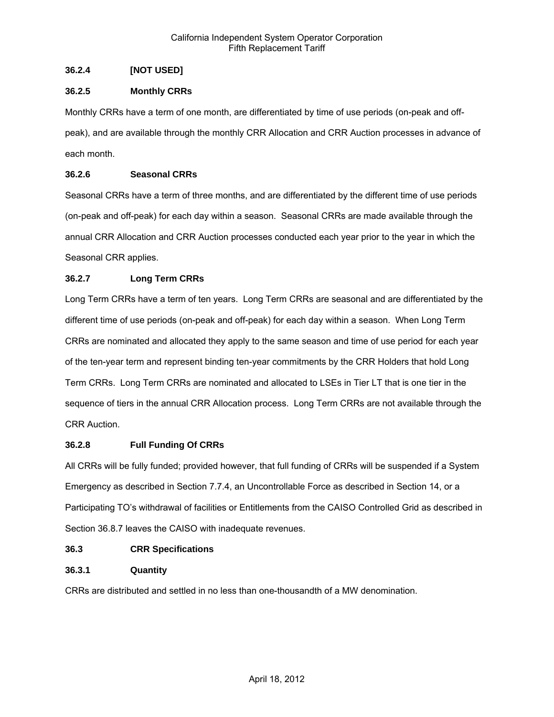# **36.2.4 [NOT USED]**

# **36.2.5 Monthly CRRs**

Monthly CRRs have a term of one month, are differentiated by time of use periods (on-peak and offpeak), and are available through the monthly CRR Allocation and CRR Auction processes in advance of each month.

### **36.2.6 Seasonal CRRs**

Seasonal CRRs have a term of three months, and are differentiated by the different time of use periods (on-peak and off-peak) for each day within a season. Seasonal CRRs are made available through the annual CRR Allocation and CRR Auction processes conducted each year prior to the year in which the Seasonal CRR applies.

# **36.2.7 Long Term CRRs**

Long Term CRRs have a term of ten years. Long Term CRRs are seasonal and are differentiated by the different time of use periods (on-peak and off-peak) for each day within a season. When Long Term CRRs are nominated and allocated they apply to the same season and time of use period for each year of the ten-year term and represent binding ten-year commitments by the CRR Holders that hold Long Term CRRs. Long Term CRRs are nominated and allocated to LSEs in Tier LT that is one tier in the sequence of tiers in the annual CRR Allocation process. Long Term CRRs are not available through the CRR Auction.

# **36.2.8 Full Funding Of CRRs**

All CRRs will be fully funded; provided however, that full funding of CRRs will be suspended if a System Emergency as described in Section 7.7.4, an Uncontrollable Force as described in Section 14, or a Participating TO's withdrawal of facilities or Entitlements from the CAISO Controlled Grid as described in Section 36.8.7 leaves the CAISO with inadequate revenues.

# **36.3 CRR Specifications**

# **36.3.1 Quantity**

CRRs are distributed and settled in no less than one-thousandth of a MW denomination.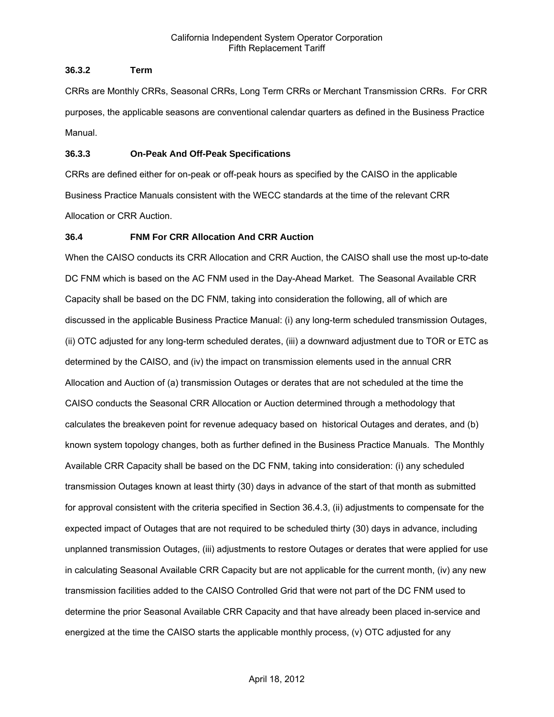### **36.3.2 Term**

CRRs are Monthly CRRs, Seasonal CRRs, Long Term CRRs or Merchant Transmission CRRs. For CRR purposes, the applicable seasons are conventional calendar quarters as defined in the Business Practice Manual.

### **36.3.3 On-Peak And Off-Peak Specifications**

CRRs are defined either for on-peak or off-peak hours as specified by the CAISO in the applicable Business Practice Manuals consistent with the WECC standards at the time of the relevant CRR Allocation or CRR Auction.

# **36.4 FNM For CRR Allocation And CRR Auction**

When the CAISO conducts its CRR Allocation and CRR Auction, the CAISO shall use the most up-to-date DC FNM which is based on the AC FNM used in the Day-Ahead Market. The Seasonal Available CRR Capacity shall be based on the DC FNM, taking into consideration the following, all of which are discussed in the applicable Business Practice Manual: (i) any long-term scheduled transmission Outages, (ii) OTC adjusted for any long-term scheduled derates, (iii) a downward adjustment due to TOR or ETC as determined by the CAISO, and (iv) the impact on transmission elements used in the annual CRR Allocation and Auction of (a) transmission Outages or derates that are not scheduled at the time the CAISO conducts the Seasonal CRR Allocation or Auction determined through a methodology that calculates the breakeven point for revenue adequacy based on historical Outages and derates, and (b) known system topology changes, both as further defined in the Business Practice Manuals. The Monthly Available CRR Capacity shall be based on the DC FNM, taking into consideration: (i) any scheduled transmission Outages known at least thirty (30) days in advance of the start of that month as submitted for approval consistent with the criteria specified in Section 36.4.3, (ii) adjustments to compensate for the expected impact of Outages that are not required to be scheduled thirty (30) days in advance, including unplanned transmission Outages, (iii) adjustments to restore Outages or derates that were applied for use in calculating Seasonal Available CRR Capacity but are not applicable for the current month, (iv) any new transmission facilities added to the CAISO Controlled Grid that were not part of the DC FNM used to determine the prior Seasonal Available CRR Capacity and that have already been placed in-service and energized at the time the CAISO starts the applicable monthly process, (v) OTC adjusted for any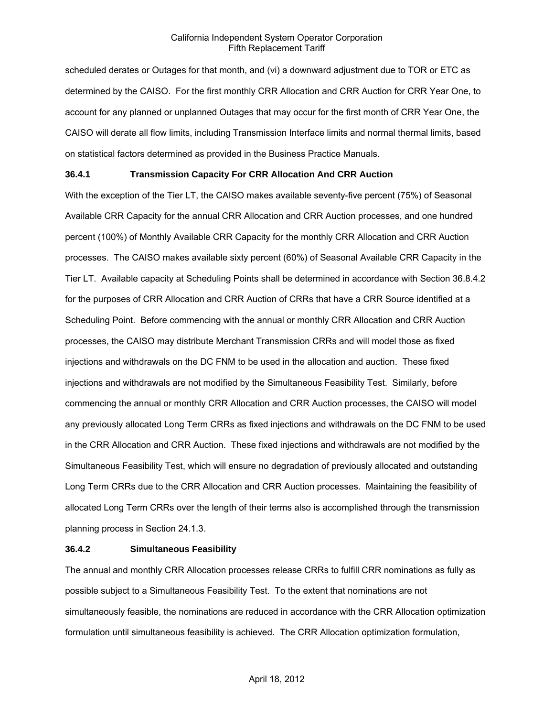scheduled derates or Outages for that month, and (vi) a downward adjustment due to TOR or ETC as determined by the CAISO. For the first monthly CRR Allocation and CRR Auction for CRR Year One, to account for any planned or unplanned Outages that may occur for the first month of CRR Year One, the CAISO will derate all flow limits, including Transmission Interface limits and normal thermal limits, based on statistical factors determined as provided in the Business Practice Manuals.

### **36.4.1 Transmission Capacity For CRR Allocation And CRR Auction**

With the exception of the Tier LT, the CAISO makes available seventy-five percent (75%) of Seasonal Available CRR Capacity for the annual CRR Allocation and CRR Auction processes, and one hundred percent (100%) of Monthly Available CRR Capacity for the monthly CRR Allocation and CRR Auction processes. The CAISO makes available sixty percent (60%) of Seasonal Available CRR Capacity in the Tier LT. Available capacity at Scheduling Points shall be determined in accordance with Section 36.8.4.2 for the purposes of CRR Allocation and CRR Auction of CRRs that have a CRR Source identified at a Scheduling Point. Before commencing with the annual or monthly CRR Allocation and CRR Auction processes, the CAISO may distribute Merchant Transmission CRRs and will model those as fixed injections and withdrawals on the DC FNM to be used in the allocation and auction. These fixed injections and withdrawals are not modified by the Simultaneous Feasibility Test. Similarly, before commencing the annual or monthly CRR Allocation and CRR Auction processes, the CAISO will model any previously allocated Long Term CRRs as fixed injections and withdrawals on the DC FNM to be used in the CRR Allocation and CRR Auction. These fixed injections and withdrawals are not modified by the Simultaneous Feasibility Test, which will ensure no degradation of previously allocated and outstanding Long Term CRRs due to the CRR Allocation and CRR Auction processes. Maintaining the feasibility of allocated Long Term CRRs over the length of their terms also is accomplished through the transmission planning process in Section 24.1.3.

### **36.4.2 Simultaneous Feasibility**

The annual and monthly CRR Allocation processes release CRRs to fulfill CRR nominations as fully as possible subject to a Simultaneous Feasibility Test. To the extent that nominations are not simultaneously feasible, the nominations are reduced in accordance with the CRR Allocation optimization formulation until simultaneous feasibility is achieved. The CRR Allocation optimization formulation,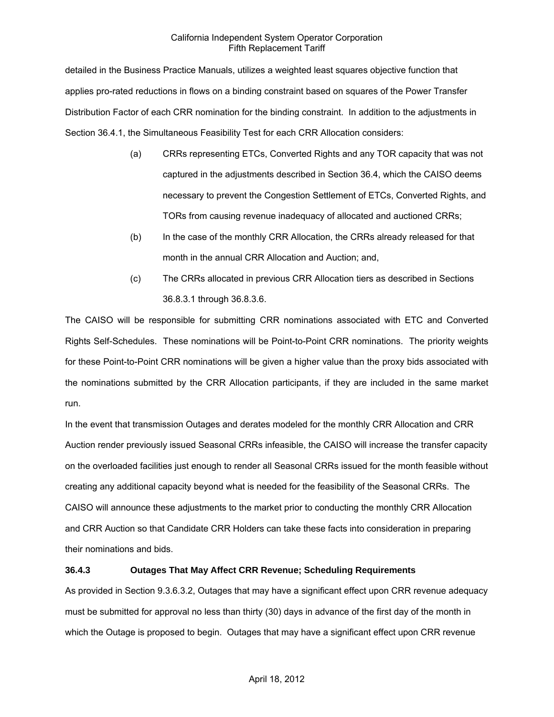detailed in the Business Practice Manuals, utilizes a weighted least squares objective function that applies pro-rated reductions in flows on a binding constraint based on squares of the Power Transfer Distribution Factor of each CRR nomination for the binding constraint. In addition to the adjustments in Section 36.4.1, the Simultaneous Feasibility Test for each CRR Allocation considers:

- (a) CRRs representing ETCs, Converted Rights and any TOR capacity that was not captured in the adjustments described in Section 36.4, which the CAISO deems necessary to prevent the Congestion Settlement of ETCs, Converted Rights, and TORs from causing revenue inadequacy of allocated and auctioned CRRs;
- (b) In the case of the monthly CRR Allocation, the CRRs already released for that month in the annual CRR Allocation and Auction; and,
- (c) The CRRs allocated in previous CRR Allocation tiers as described in Sections 36.8.3.1 through 36.8.3.6.

The CAISO will be responsible for submitting CRR nominations associated with ETC and Converted Rights Self-Schedules. These nominations will be Point-to-Point CRR nominations. The priority weights for these Point-to-Point CRR nominations will be given a higher value than the proxy bids associated with the nominations submitted by the CRR Allocation participants, if they are included in the same market run.

In the event that transmission Outages and derates modeled for the monthly CRR Allocation and CRR Auction render previously issued Seasonal CRRs infeasible, the CAISO will increase the transfer capacity on the overloaded facilities just enough to render all Seasonal CRRs issued for the month feasible without creating any additional capacity beyond what is needed for the feasibility of the Seasonal CRRs. The CAISO will announce these adjustments to the market prior to conducting the monthly CRR Allocation and CRR Auction so that Candidate CRR Holders can take these facts into consideration in preparing their nominations and bids.

# **36.4.3 Outages That May Affect CRR Revenue; Scheduling Requirements**

As provided in Section 9.3.6.3.2, Outages that may have a significant effect upon CRR revenue adequacy must be submitted for approval no less than thirty (30) days in advance of the first day of the month in which the Outage is proposed to begin. Outages that may have a significant effect upon CRR revenue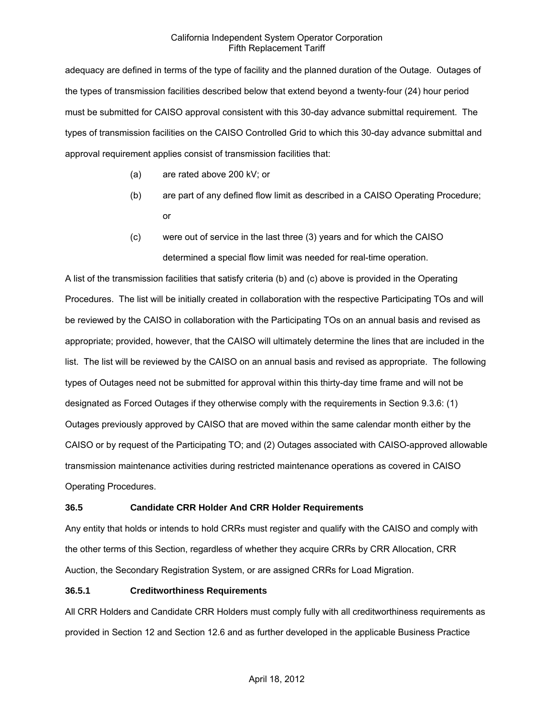adequacy are defined in terms of the type of facility and the planned duration of the Outage. Outages of the types of transmission facilities described below that extend beyond a twenty-four (24) hour period must be submitted for CAISO approval consistent with this 30-day advance submittal requirement. The types of transmission facilities on the CAISO Controlled Grid to which this 30-day advance submittal and approval requirement applies consist of transmission facilities that:

- (a) are rated above 200 kV; or
- (b) are part of any defined flow limit as described in a CAISO Operating Procedure; or
- (c) were out of service in the last three (3) years and for which the CAISO determined a special flow limit was needed for real-time operation.

A list of the transmission facilities that satisfy criteria (b) and (c) above is provided in the Operating Procedures. The list will be initially created in collaboration with the respective Participating TOs and will be reviewed by the CAISO in collaboration with the Participating TOs on an annual basis and revised as appropriate; provided, however, that the CAISO will ultimately determine the lines that are included in the list. The list will be reviewed by the CAISO on an annual basis and revised as appropriate. The following types of Outages need not be submitted for approval within this thirty-day time frame and will not be designated as Forced Outages if they otherwise comply with the requirements in Section 9.3.6: (1) Outages previously approved by CAISO that are moved within the same calendar month either by the CAISO or by request of the Participating TO; and (2) Outages associated with CAISO-approved allowable transmission maintenance activities during restricted maintenance operations as covered in CAISO Operating Procedures.

# **36.5 Candidate CRR Holder And CRR Holder Requirements**

Any entity that holds or intends to hold CRRs must register and qualify with the CAISO and comply with the other terms of this Section, regardless of whether they acquire CRRs by CRR Allocation, CRR Auction, the Secondary Registration System, or are assigned CRRs for Load Migration.

### **36.5.1 Creditworthiness Requirements**

All CRR Holders and Candidate CRR Holders must comply fully with all creditworthiness requirements as provided in Section 12 and Section 12.6 and as further developed in the applicable Business Practice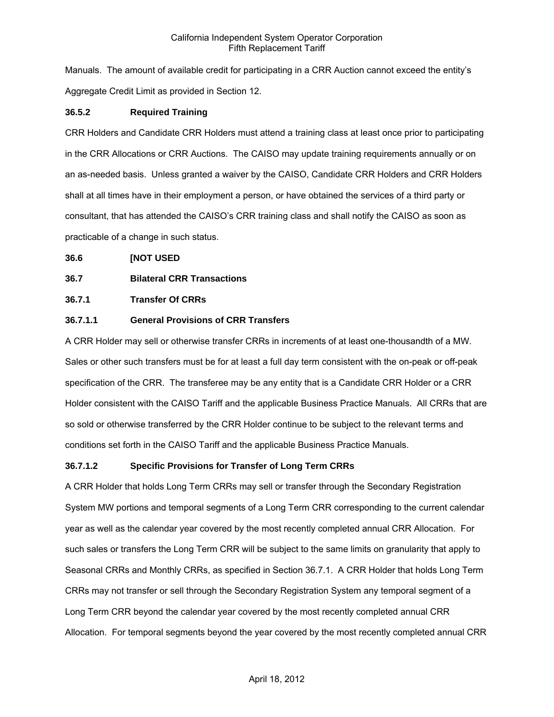Manuals. The amount of available credit for participating in a CRR Auction cannot exceed the entity's Aggregate Credit Limit as provided in Section 12.

### **36.5.2 Required Training**

CRR Holders and Candidate CRR Holders must attend a training class at least once prior to participating in the CRR Allocations or CRR Auctions. The CAISO may update training requirements annually or on an as-needed basis. Unless granted a waiver by the CAISO, Candidate CRR Holders and CRR Holders shall at all times have in their employment a person, or have obtained the services of a third party or consultant, that has attended the CAISO's CRR training class and shall notify the CAISO as soon as practicable of a change in such status.

**36.6 [NOT USED** 

# **36.7 Bilateral CRR Transactions**

### **36.7.1 Transfer Of CRRs**

# **36.7.1.1 General Provisions of CRR Transfers**

A CRR Holder may sell or otherwise transfer CRRs in increments of at least one-thousandth of a MW. Sales or other such transfers must be for at least a full day term consistent with the on-peak or off-peak specification of the CRR. The transferee may be any entity that is a Candidate CRR Holder or a CRR Holder consistent with the CAISO Tariff and the applicable Business Practice Manuals. All CRRs that are so sold or otherwise transferred by the CRR Holder continue to be subject to the relevant terms and conditions set forth in the CAISO Tariff and the applicable Business Practice Manuals.

# **36.7.1.2 Specific Provisions for Transfer of Long Term CRRs**

A CRR Holder that holds Long Term CRRs may sell or transfer through the Secondary Registration System MW portions and temporal segments of a Long Term CRR corresponding to the current calendar year as well as the calendar year covered by the most recently completed annual CRR Allocation. For such sales or transfers the Long Term CRR will be subject to the same limits on granularity that apply to Seasonal CRRs and Monthly CRRs, as specified in Section 36.7.1. A CRR Holder that holds Long Term CRRs may not transfer or sell through the Secondary Registration System any temporal segment of a Long Term CRR beyond the calendar year covered by the most recently completed annual CRR Allocation. For temporal segments beyond the year covered by the most recently completed annual CRR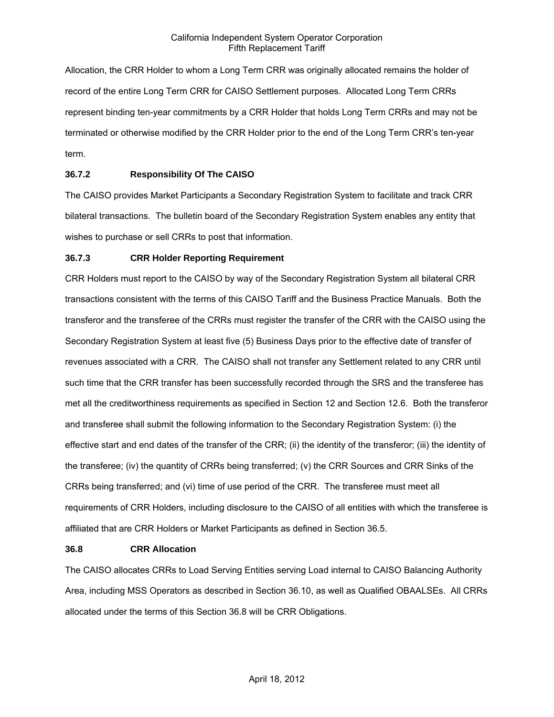Allocation, the CRR Holder to whom a Long Term CRR was originally allocated remains the holder of record of the entire Long Term CRR for CAISO Settlement purposes. Allocated Long Term CRRs represent binding ten-year commitments by a CRR Holder that holds Long Term CRRs and may not be terminated or otherwise modified by the CRR Holder prior to the end of the Long Term CRR's ten-year term.

# **36.7.2 Responsibility Of The CAISO**

The CAISO provides Market Participants a Secondary Registration System to facilitate and track CRR bilateral transactions. The bulletin board of the Secondary Registration System enables any entity that wishes to purchase or sell CRRs to post that information.

### **36.7.3 CRR Holder Reporting Requirement**

CRR Holders must report to the CAISO by way of the Secondary Registration System all bilateral CRR transactions consistent with the terms of this CAISO Tariff and the Business Practice Manuals. Both the transferor and the transferee of the CRRs must register the transfer of the CRR with the CAISO using the Secondary Registration System at least five (5) Business Days prior to the effective date of transfer of revenues associated with a CRR. The CAISO shall not transfer any Settlement related to any CRR until such time that the CRR transfer has been successfully recorded through the SRS and the transferee has met all the creditworthiness requirements as specified in Section 12 and Section 12.6. Both the transferor and transferee shall submit the following information to the Secondary Registration System: (i) the effective start and end dates of the transfer of the CRR; (ii) the identity of the transferor; (iii) the identity of the transferee; (iv) the quantity of CRRs being transferred; (v) the CRR Sources and CRR Sinks of the CRRs being transferred; and (vi) time of use period of the CRR. The transferee must meet all requirements of CRR Holders, including disclosure to the CAISO of all entities with which the transferee is affiliated that are CRR Holders or Market Participants as defined in Section 36.5.

### **36.8 CRR Allocation**

The CAISO allocates CRRs to Load Serving Entities serving Load internal to CAISO Balancing Authority Area, including MSS Operators as described in Section 36.10, as well as Qualified OBAALSEs. All CRRs allocated under the terms of this Section 36.8 will be CRR Obligations.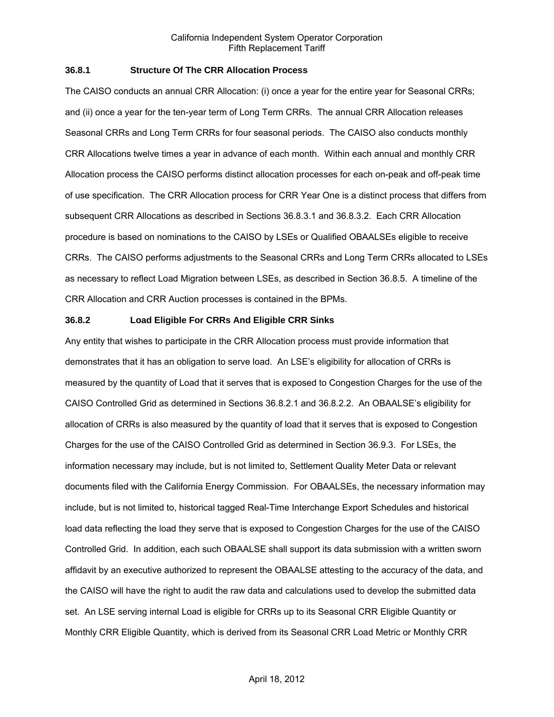### **36.8.1 Structure Of The CRR Allocation Process**

The CAISO conducts an annual CRR Allocation: (i) once a year for the entire year for Seasonal CRRs; and (ii) once a year for the ten-year term of Long Term CRRs. The annual CRR Allocation releases Seasonal CRRs and Long Term CRRs for four seasonal periods. The CAISO also conducts monthly CRR Allocations twelve times a year in advance of each month. Within each annual and monthly CRR Allocation process the CAISO performs distinct allocation processes for each on-peak and off-peak time of use specification. The CRR Allocation process for CRR Year One is a distinct process that differs from subsequent CRR Allocations as described in Sections 36.8.3.1 and 36.8.3.2. Each CRR Allocation procedure is based on nominations to the CAISO by LSEs or Qualified OBAALSEs eligible to receive CRRs. The CAISO performs adjustments to the Seasonal CRRs and Long Term CRRs allocated to LSEs as necessary to reflect Load Migration between LSEs, as described in Section 36.8.5. A timeline of the CRR Allocation and CRR Auction processes is contained in the BPMs.

#### **36.8.2 Load Eligible For CRRs And Eligible CRR Sinks**

Any entity that wishes to participate in the CRR Allocation process must provide information that demonstrates that it has an obligation to serve load. An LSE's eligibility for allocation of CRRs is measured by the quantity of Load that it serves that is exposed to Congestion Charges for the use of the CAISO Controlled Grid as determined in Sections 36.8.2.1 and 36.8.2.2. An OBAALSE's eligibility for allocation of CRRs is also measured by the quantity of load that it serves that is exposed to Congestion Charges for the use of the CAISO Controlled Grid as determined in Section 36.9.3. For LSEs, the information necessary may include, but is not limited to, Settlement Quality Meter Data or relevant documents filed with the California Energy Commission. For OBAALSEs, the necessary information may include, but is not limited to, historical tagged Real-Time Interchange Export Schedules and historical load data reflecting the load they serve that is exposed to Congestion Charges for the use of the CAISO Controlled Grid. In addition, each such OBAALSE shall support its data submission with a written sworn affidavit by an executive authorized to represent the OBAALSE attesting to the accuracy of the data, and the CAISO will have the right to audit the raw data and calculations used to develop the submitted data set. An LSE serving internal Load is eligible for CRRs up to its Seasonal CRR Eligible Quantity or Monthly CRR Eligible Quantity, which is derived from its Seasonal CRR Load Metric or Monthly CRR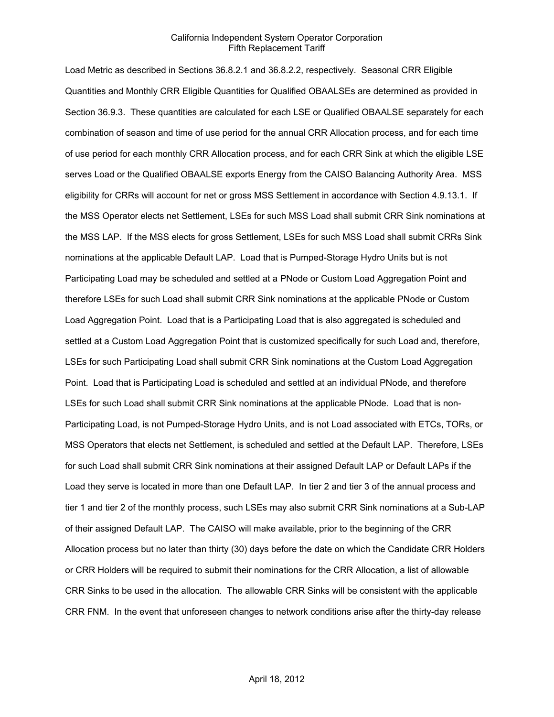Load Metric as described in Sections 36.8.2.1 and 36.8.2.2, respectively. Seasonal CRR Eligible Quantities and Monthly CRR Eligible Quantities for Qualified OBAALSEs are determined as provided in Section 36.9.3. These quantities are calculated for each LSE or Qualified OBAALSE separately for each combination of season and time of use period for the annual CRR Allocation process, and for each time of use period for each monthly CRR Allocation process, and for each CRR Sink at which the eligible LSE serves Load or the Qualified OBAALSE exports Energy from the CAISO Balancing Authority Area. MSS eligibility for CRRs will account for net or gross MSS Settlement in accordance with Section 4.9.13.1. If the MSS Operator elects net Settlement, LSEs for such MSS Load shall submit CRR Sink nominations at the MSS LAP. If the MSS elects for gross Settlement, LSEs for such MSS Load shall submit CRRs Sink nominations at the applicable Default LAP. Load that is Pumped-Storage Hydro Units but is not Participating Load may be scheduled and settled at a PNode or Custom Load Aggregation Point and therefore LSEs for such Load shall submit CRR Sink nominations at the applicable PNode or Custom Load Aggregation Point. Load that is a Participating Load that is also aggregated is scheduled and settled at a Custom Load Aggregation Point that is customized specifically for such Load and, therefore, LSEs for such Participating Load shall submit CRR Sink nominations at the Custom Load Aggregation Point. Load that is Participating Load is scheduled and settled at an individual PNode, and therefore LSEs for such Load shall submit CRR Sink nominations at the applicable PNode. Load that is non-Participating Load, is not Pumped-Storage Hydro Units, and is not Load associated with ETCs, TORs, or MSS Operators that elects net Settlement, is scheduled and settled at the Default LAP. Therefore, LSEs for such Load shall submit CRR Sink nominations at their assigned Default LAP or Default LAPs if the Load they serve is located in more than one Default LAP. In tier 2 and tier 3 of the annual process and tier 1 and tier 2 of the monthly process, such LSEs may also submit CRR Sink nominations at a Sub-LAP of their assigned Default LAP. The CAISO will make available, prior to the beginning of the CRR Allocation process but no later than thirty (30) days before the date on which the Candidate CRR Holders or CRR Holders will be required to submit their nominations for the CRR Allocation, a list of allowable CRR Sinks to be used in the allocation. The allowable CRR Sinks will be consistent with the applicable CRR FNM. In the event that unforeseen changes to network conditions arise after the thirty-day release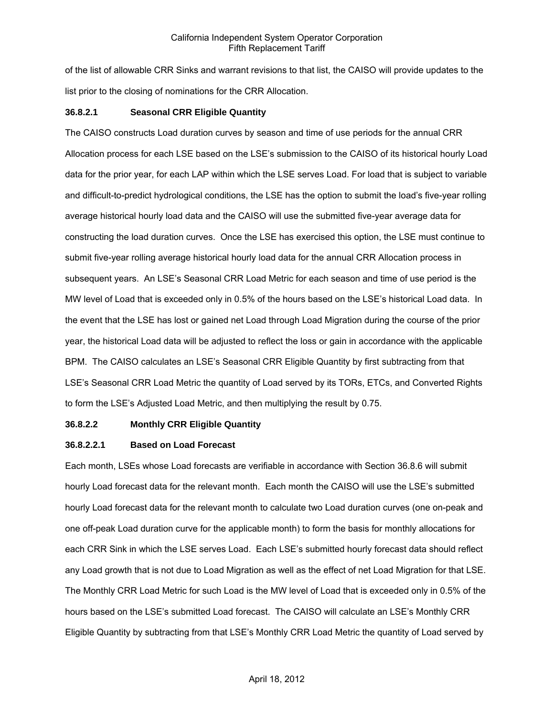of the list of allowable CRR Sinks and warrant revisions to that list, the CAISO will provide updates to the list prior to the closing of nominations for the CRR Allocation.

### **36.8.2.1 Seasonal CRR Eligible Quantity**

The CAISO constructs Load duration curves by season and time of use periods for the annual CRR Allocation process for each LSE based on the LSE's submission to the CAISO of its historical hourly Load data for the prior year, for each LAP within which the LSE serves Load. For load that is subject to variable and difficult-to-predict hydrological conditions, the LSE has the option to submit the load's five-year rolling average historical hourly load data and the CAISO will use the submitted five-year average data for constructing the load duration curves. Once the LSE has exercised this option, the LSE must continue to submit five-year rolling average historical hourly load data for the annual CRR Allocation process in subsequent years. An LSE's Seasonal CRR Load Metric for each season and time of use period is the MW level of Load that is exceeded only in 0.5% of the hours based on the LSE's historical Load data. In the event that the LSE has lost or gained net Load through Load Migration during the course of the prior year, the historical Load data will be adjusted to reflect the loss or gain in accordance with the applicable BPM. The CAISO calculates an LSE's Seasonal CRR Eligible Quantity by first subtracting from that LSE's Seasonal CRR Load Metric the quantity of Load served by its TORs, ETCs, and Converted Rights to form the LSE's Adjusted Load Metric, and then multiplying the result by 0.75.

### **36.8.2.2 Monthly CRR Eligible Quantity**

### **36.8.2.2.1 Based on Load Forecast**

Each month, LSEs whose Load forecasts are verifiable in accordance with Section 36.8.6 will submit hourly Load forecast data for the relevant month. Each month the CAISO will use the LSE's submitted hourly Load forecast data for the relevant month to calculate two Load duration curves (one on-peak and one off-peak Load duration curve for the applicable month) to form the basis for monthly allocations for each CRR Sink in which the LSE serves Load. Each LSE's submitted hourly forecast data should reflect any Load growth that is not due to Load Migration as well as the effect of net Load Migration for that LSE. The Monthly CRR Load Metric for such Load is the MW level of Load that is exceeded only in 0.5% of the hours based on the LSE's submitted Load forecast. The CAISO will calculate an LSE's Monthly CRR Eligible Quantity by subtracting from that LSE's Monthly CRR Load Metric the quantity of Load served by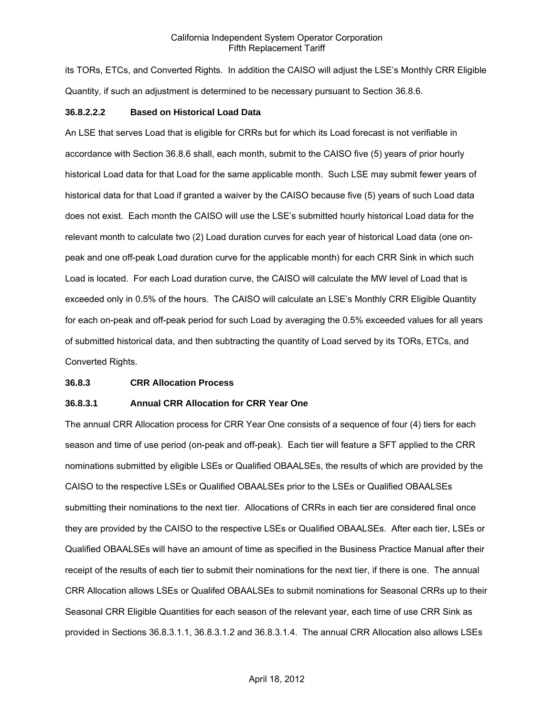its TORs, ETCs, and Converted Rights. In addition the CAISO will adjust the LSE's Monthly CRR Eligible Quantity, if such an adjustment is determined to be necessary pursuant to Section 36.8.6.

#### **36.8.2.2.2 Based on Historical Load Data**

An LSE that serves Load that is eligible for CRRs but for which its Load forecast is not verifiable in accordance with Section 36.8.6 shall, each month, submit to the CAISO five (5) years of prior hourly historical Load data for that Load for the same applicable month. Such LSE may submit fewer years of historical data for that Load if granted a waiver by the CAISO because five (5) years of such Load data does not exist. Each month the CAISO will use the LSE's submitted hourly historical Load data for the relevant month to calculate two (2) Load duration curves for each year of historical Load data (one onpeak and one off-peak Load duration curve for the applicable month) for each CRR Sink in which such Load is located. For each Load duration curve, the CAISO will calculate the MW level of Load that is exceeded only in 0.5% of the hours. The CAISO will calculate an LSE's Monthly CRR Eligible Quantity for each on-peak and off-peak period for such Load by averaging the 0.5% exceeded values for all years of submitted historical data, and then subtracting the quantity of Load served by its TORs, ETCs, and Converted Rights.

#### **36.8.3 CRR Allocation Process**

#### **36.8.3.1 Annual CRR Allocation for CRR Year One**

The annual CRR Allocation process for CRR Year One consists of a sequence of four (4) tiers for each season and time of use period (on-peak and off-peak). Each tier will feature a SFT applied to the CRR nominations submitted by eligible LSEs or Qualified OBAALSEs, the results of which are provided by the CAISO to the respective LSEs or Qualified OBAALSEs prior to the LSEs or Qualified OBAALSEs submitting their nominations to the next tier. Allocations of CRRs in each tier are considered final once they are provided by the CAISO to the respective LSEs or Qualified OBAALSEs. After each tier, LSEs or Qualified OBAALSEs will have an amount of time as specified in the Business Practice Manual after their receipt of the results of each tier to submit their nominations for the next tier, if there is one. The annual CRR Allocation allows LSEs or Qualifed OBAALSEs to submit nominations for Seasonal CRRs up to their Seasonal CRR Eligible Quantities for each season of the relevant year, each time of use CRR Sink as provided in Sections 36.8.3.1.1, 36.8.3.1.2 and 36.8.3.1.4. The annual CRR Allocation also allows LSEs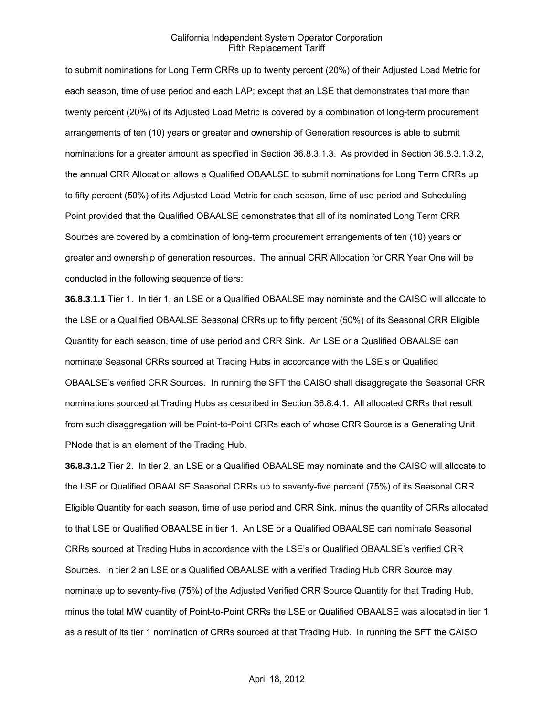to submit nominations for Long Term CRRs up to twenty percent (20%) of their Adjusted Load Metric for each season, time of use period and each LAP; except that an LSE that demonstrates that more than twenty percent (20%) of its Adjusted Load Metric is covered by a combination of long-term procurement arrangements of ten (10) years or greater and ownership of Generation resources is able to submit nominations for a greater amount as specified in Section 36.8.3.1.3. As provided in Section 36.8.3.1.3.2, the annual CRR Allocation allows a Qualified OBAALSE to submit nominations for Long Term CRRs up to fifty percent (50%) of its Adjusted Load Metric for each season, time of use period and Scheduling Point provided that the Qualified OBAALSE demonstrates that all of its nominated Long Term CRR Sources are covered by a combination of long-term procurement arrangements of ten (10) years or greater and ownership of generation resources. The annual CRR Allocation for CRR Year One will be conducted in the following sequence of tiers:

**36.8.3.1.1** Tier 1. In tier 1, an LSE or a Qualified OBAALSE may nominate and the CAISO will allocate to the LSE or a Qualified OBAALSE Seasonal CRRs up to fifty percent (50%) of its Seasonal CRR Eligible Quantity for each season, time of use period and CRR Sink. An LSE or a Qualified OBAALSE can nominate Seasonal CRRs sourced at Trading Hubs in accordance with the LSE's or Qualified OBAALSE's verified CRR Sources. In running the SFT the CAISO shall disaggregate the Seasonal CRR nominations sourced at Trading Hubs as described in Section 36.8.4.1. All allocated CRRs that result from such disaggregation will be Point-to-Point CRRs each of whose CRR Source is a Generating Unit PNode that is an element of the Trading Hub.

**36.8.3.1.2** Tier 2. In tier 2, an LSE or a Qualified OBAALSE may nominate and the CAISO will allocate to the LSE or Qualified OBAALSE Seasonal CRRs up to seventy-five percent (75%) of its Seasonal CRR Eligible Quantity for each season, time of use period and CRR Sink, minus the quantity of CRRs allocated to that LSE or Qualified OBAALSE in tier 1. An LSE or a Qualified OBAALSE can nominate Seasonal CRRs sourced at Trading Hubs in accordance with the LSE's or Qualified OBAALSE's verified CRR Sources. In tier 2 an LSE or a Qualified OBAALSE with a verified Trading Hub CRR Source may nominate up to seventy-five (75%) of the Adjusted Verified CRR Source Quantity for that Trading Hub, minus the total MW quantity of Point-to-Point CRRs the LSE or Qualified OBAALSE was allocated in tier 1 as a result of its tier 1 nomination of CRRs sourced at that Trading Hub. In running the SFT the CAISO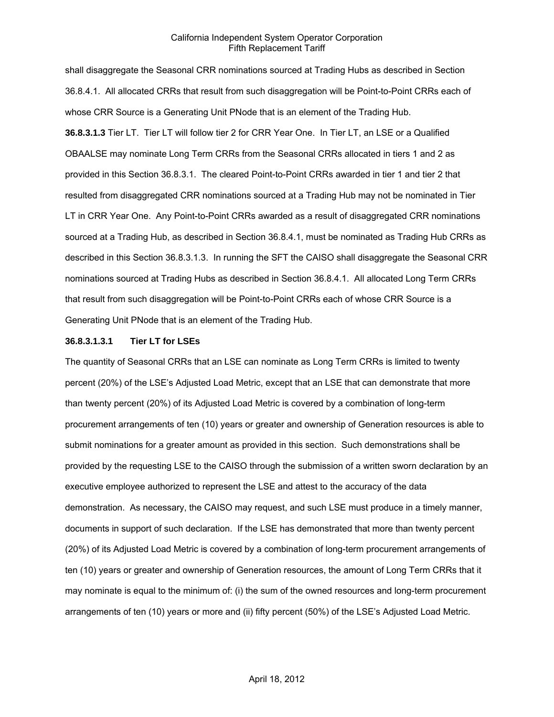shall disaggregate the Seasonal CRR nominations sourced at Trading Hubs as described in Section 36.8.4.1. All allocated CRRs that result from such disaggregation will be Point-to-Point CRRs each of whose CRR Source is a Generating Unit PNode that is an element of the Trading Hub. **36.8.3.1.3** Tier LT. Tier LT will follow tier 2 for CRR Year One. In Tier LT, an LSE or a Qualified OBAALSE may nominate Long Term CRRs from the Seasonal CRRs allocated in tiers 1 and 2 as provided in this Section 36.8.3.1. The cleared Point-to-Point CRRs awarded in tier 1 and tier 2 that resulted from disaggregated CRR nominations sourced at a Trading Hub may not be nominated in Tier LT in CRR Year One. Any Point-to-Point CRRs awarded as a result of disaggregated CRR nominations sourced at a Trading Hub, as described in Section 36.8.4.1, must be nominated as Trading Hub CRRs as described in this Section 36.8.3.1.3. In running the SFT the CAISO shall disaggregate the Seasonal CRR nominations sourced at Trading Hubs as described in Section 36.8.4.1. All allocated Long Term CRRs that result from such disaggregation will be Point-to-Point CRRs each of whose CRR Source is a Generating Unit PNode that is an element of the Trading Hub.

#### **36.8.3.1.3.1 Tier LT for LSEs**

The quantity of Seasonal CRRs that an LSE can nominate as Long Term CRRs is limited to twenty percent (20%) of the LSE's Adjusted Load Metric, except that an LSE that can demonstrate that more than twenty percent (20%) of its Adjusted Load Metric is covered by a combination of long-term procurement arrangements of ten (10) years or greater and ownership of Generation resources is able to submit nominations for a greater amount as provided in this section. Such demonstrations shall be provided by the requesting LSE to the CAISO through the submission of a written sworn declaration by an executive employee authorized to represent the LSE and attest to the accuracy of the data demonstration. As necessary, the CAISO may request, and such LSE must produce in a timely manner, documents in support of such declaration. If the LSE has demonstrated that more than twenty percent (20%) of its Adjusted Load Metric is covered by a combination of long-term procurement arrangements of ten (10) years or greater and ownership of Generation resources, the amount of Long Term CRRs that it may nominate is equal to the minimum of: (i) the sum of the owned resources and long-term procurement arrangements of ten (10) years or more and (ii) fifty percent (50%) of the LSE's Adjusted Load Metric.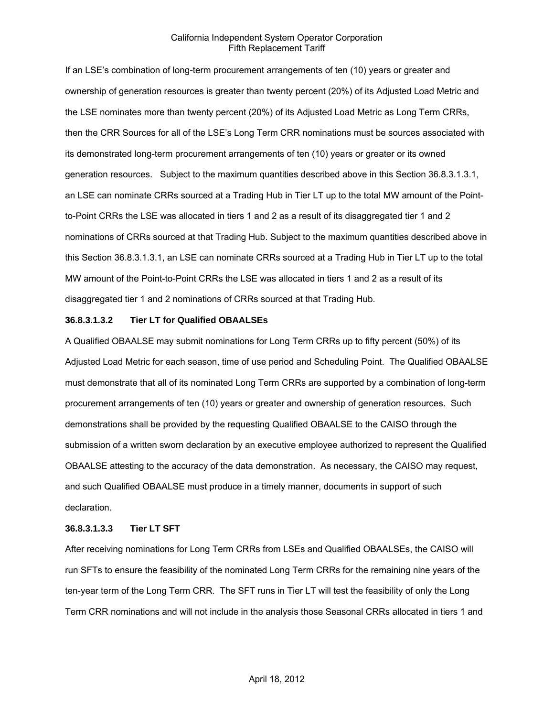If an LSE's combination of long-term procurement arrangements of ten (10) years or greater and ownership of generation resources is greater than twenty percent (20%) of its Adjusted Load Metric and the LSE nominates more than twenty percent (20%) of its Adjusted Load Metric as Long Term CRRs, then the CRR Sources for all of the LSE's Long Term CRR nominations must be sources associated with its demonstrated long-term procurement arrangements of ten (10) years or greater or its owned generation resources. Subject to the maximum quantities described above in this Section 36.8.3.1.3.1, an LSE can nominate CRRs sourced at a Trading Hub in Tier LT up to the total MW amount of the Pointto-Point CRRs the LSE was allocated in tiers 1 and 2 as a result of its disaggregated tier 1 and 2 nominations of CRRs sourced at that Trading Hub. Subject to the maximum quantities described above in this Section 36.8.3.1.3.1, an LSE can nominate CRRs sourced at a Trading Hub in Tier LT up to the total MW amount of the Point-to-Point CRRs the LSE was allocated in tiers 1 and 2 as a result of its disaggregated tier 1 and 2 nominations of CRRs sourced at that Trading Hub.

#### **36.8.3.1.3.2 Tier LT for Qualified OBAALSEs**

A Qualified OBAALSE may submit nominations for Long Term CRRs up to fifty percent (50%) of its Adjusted Load Metric for each season, time of use period and Scheduling Point. The Qualified OBAALSE must demonstrate that all of its nominated Long Term CRRs are supported by a combination of long-term procurement arrangements of ten (10) years or greater and ownership of generation resources. Such demonstrations shall be provided by the requesting Qualified OBAALSE to the CAISO through the submission of a written sworn declaration by an executive employee authorized to represent the Qualified OBAALSE attesting to the accuracy of the data demonstration. As necessary, the CAISO may request, and such Qualified OBAALSE must produce in a timely manner, documents in support of such declaration.

#### **36.8.3.1.3.3 Tier LT SFT**

After receiving nominations for Long Term CRRs from LSEs and Qualified OBAALSEs, the CAISO will run SFTs to ensure the feasibility of the nominated Long Term CRRs for the remaining nine years of the ten-year term of the Long Term CRR. The SFT runs in Tier LT will test the feasibility of only the Long Term CRR nominations and will not include in the analysis those Seasonal CRRs allocated in tiers 1 and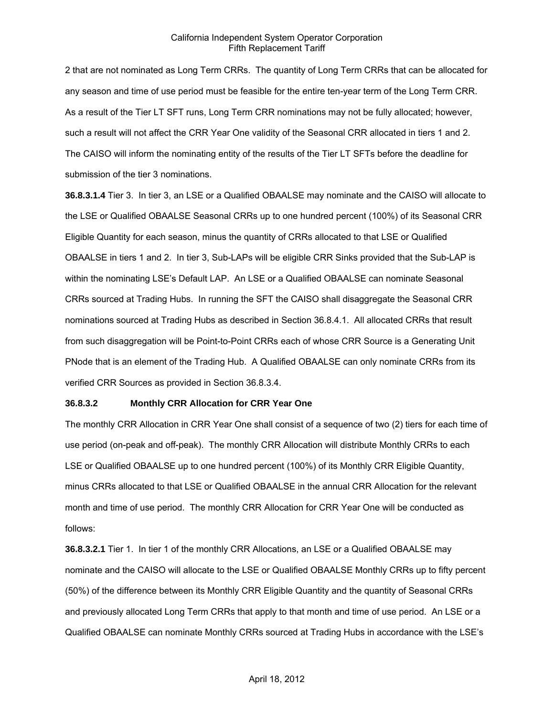2 that are not nominated as Long Term CRRs. The quantity of Long Term CRRs that can be allocated for any season and time of use period must be feasible for the entire ten-year term of the Long Term CRR. As a result of the Tier LT SFT runs, Long Term CRR nominations may not be fully allocated; however, such a result will not affect the CRR Year One validity of the Seasonal CRR allocated in tiers 1 and 2. The CAISO will inform the nominating entity of the results of the Tier LT SFTs before the deadline for submission of the tier 3 nominations.

**36.8.3.1.4** Tier 3. In tier 3, an LSE or a Qualified OBAALSE may nominate and the CAISO will allocate to the LSE or Qualified OBAALSE Seasonal CRRs up to one hundred percent (100%) of its Seasonal CRR Eligible Quantity for each season, minus the quantity of CRRs allocated to that LSE or Qualified OBAALSE in tiers 1 and 2. In tier 3, Sub-LAPs will be eligible CRR Sinks provided that the Sub-LAP is within the nominating LSE's Default LAP. An LSE or a Qualified OBAALSE can nominate Seasonal CRRs sourced at Trading Hubs. In running the SFT the CAISO shall disaggregate the Seasonal CRR nominations sourced at Trading Hubs as described in Section 36.8.4.1. All allocated CRRs that result from such disaggregation will be Point-to-Point CRRs each of whose CRR Source is a Generating Unit PNode that is an element of the Trading Hub. A Qualified OBAALSE can only nominate CRRs from its verified CRR Sources as provided in Section 36.8.3.4.

### **36.8.3.2 Monthly CRR Allocation for CRR Year One**

The monthly CRR Allocation in CRR Year One shall consist of a sequence of two (2) tiers for each time of use period (on-peak and off-peak). The monthly CRR Allocation will distribute Monthly CRRs to each LSE or Qualified OBAALSE up to one hundred percent (100%) of its Monthly CRR Eligible Quantity, minus CRRs allocated to that LSE or Qualified OBAALSE in the annual CRR Allocation for the relevant month and time of use period. The monthly CRR Allocation for CRR Year One will be conducted as follows:

**36.8.3.2.1** Tier 1. In tier 1 of the monthly CRR Allocations, an LSE or a Qualified OBAALSE may nominate and the CAISO will allocate to the LSE or Qualified OBAALSE Monthly CRRs up to fifty percent (50%) of the difference between its Monthly CRR Eligible Quantity and the quantity of Seasonal CRRs and previously allocated Long Term CRRs that apply to that month and time of use period. An LSE or a Qualified OBAALSE can nominate Monthly CRRs sourced at Trading Hubs in accordance with the LSE's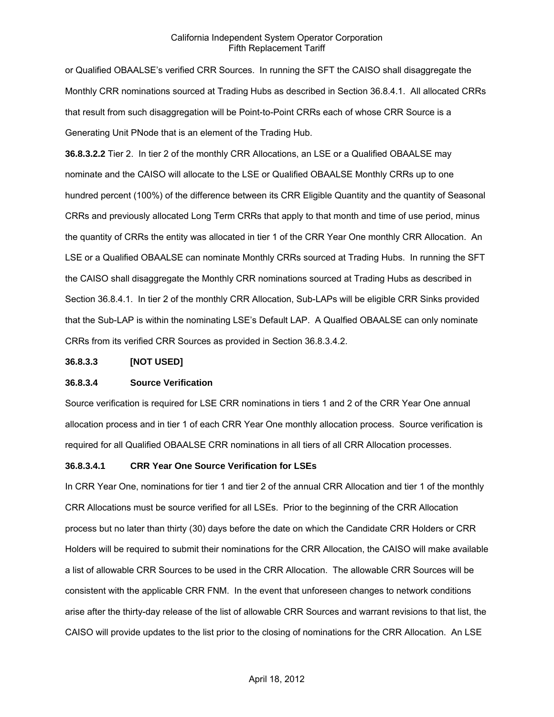or Qualified OBAALSE's verified CRR Sources. In running the SFT the CAISO shall disaggregate the Monthly CRR nominations sourced at Trading Hubs as described in Section 36.8.4.1. All allocated CRRs that result from such disaggregation will be Point-to-Point CRRs each of whose CRR Source is a Generating Unit PNode that is an element of the Trading Hub.

**36.8.3.2.2** Tier 2. In tier 2 of the monthly CRR Allocations, an LSE or a Qualified OBAALSE may nominate and the CAISO will allocate to the LSE or Qualified OBAALSE Monthly CRRs up to one hundred percent (100%) of the difference between its CRR Eligible Quantity and the quantity of Seasonal CRRs and previously allocated Long Term CRRs that apply to that month and time of use period, minus the quantity of CRRs the entity was allocated in tier 1 of the CRR Year One monthly CRR Allocation. An LSE or a Qualified OBAALSE can nominate Monthly CRRs sourced at Trading Hubs. In running the SFT the CAISO shall disaggregate the Monthly CRR nominations sourced at Trading Hubs as described in Section 36.8.4.1. In tier 2 of the monthly CRR Allocation, Sub-LAPs will be eligible CRR Sinks provided that the Sub-LAP is within the nominating LSE's Default LAP. A Qualfied OBAALSE can only nominate CRRs from its verified CRR Sources as provided in Section 36.8.3.4.2.

#### **36.8.3.3 [NOT USED]**

### **36.8.3.4 Source Verification**

Source verification is required for LSE CRR nominations in tiers 1 and 2 of the CRR Year One annual allocation process and in tier 1 of each CRR Year One monthly allocation process. Source verification is required for all Qualified OBAALSE CRR nominations in all tiers of all CRR Allocation processes.

### **36.8.3.4.1 CRR Year One Source Verification for LSEs**

In CRR Year One, nominations for tier 1 and tier 2 of the annual CRR Allocation and tier 1 of the monthly CRR Allocations must be source verified for all LSEs. Prior to the beginning of the CRR Allocation process but no later than thirty (30) days before the date on which the Candidate CRR Holders or CRR Holders will be required to submit their nominations for the CRR Allocation, the CAISO will make available a list of allowable CRR Sources to be used in the CRR Allocation. The allowable CRR Sources will be consistent with the applicable CRR FNM. In the event that unforeseen changes to network conditions arise after the thirty-day release of the list of allowable CRR Sources and warrant revisions to that list, the CAISO will provide updates to the list prior to the closing of nominations for the CRR Allocation. An LSE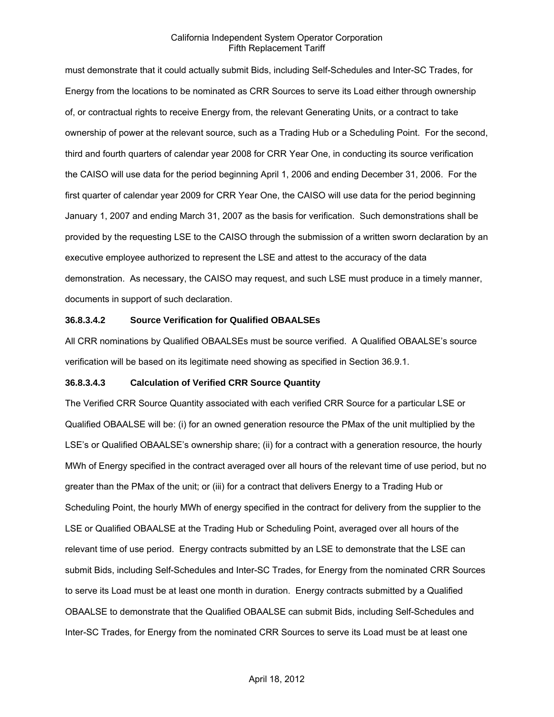must demonstrate that it could actually submit Bids, including Self-Schedules and Inter-SC Trades, for Energy from the locations to be nominated as CRR Sources to serve its Load either through ownership of, or contractual rights to receive Energy from, the relevant Generating Units, or a contract to take ownership of power at the relevant source, such as a Trading Hub or a Scheduling Point. For the second, third and fourth quarters of calendar year 2008 for CRR Year One, in conducting its source verification the CAISO will use data for the period beginning April 1, 2006 and ending December 31, 2006. For the first quarter of calendar year 2009 for CRR Year One, the CAISO will use data for the period beginning January 1, 2007 and ending March 31, 2007 as the basis for verification. Such demonstrations shall be provided by the requesting LSE to the CAISO through the submission of a written sworn declaration by an executive employee authorized to represent the LSE and attest to the accuracy of the data demonstration. As necessary, the CAISO may request, and such LSE must produce in a timely manner, documents in support of such declaration.

### **36.8.3.4.2 Source Verification for Qualified OBAALSEs**

All CRR nominations by Qualified OBAALSEs must be source verified. A Qualified OBAALSE's source verification will be based on its legitimate need showing as specified in Section 36.9.1.

### **36.8.3.4.3 Calculation of Verified CRR Source Quantity**

The Verified CRR Source Quantity associated with each verified CRR Source for a particular LSE or Qualified OBAALSE will be: (i) for an owned generation resource the PMax of the unit multiplied by the LSE's or Qualified OBAALSE's ownership share; (ii) for a contract with a generation resource, the hourly MWh of Energy specified in the contract averaged over all hours of the relevant time of use period, but no greater than the PMax of the unit; or (iii) for a contract that delivers Energy to a Trading Hub or Scheduling Point, the hourly MWh of energy specified in the contract for delivery from the supplier to the LSE or Qualified OBAALSE at the Trading Hub or Scheduling Point, averaged over all hours of the relevant time of use period. Energy contracts submitted by an LSE to demonstrate that the LSE can submit Bids, including Self-Schedules and Inter-SC Trades, for Energy from the nominated CRR Sources to serve its Load must be at least one month in duration. Energy contracts submitted by a Qualified OBAALSE to demonstrate that the Qualified OBAALSE can submit Bids, including Self-Schedules and Inter-SC Trades, for Energy from the nominated CRR Sources to serve its Load must be at least one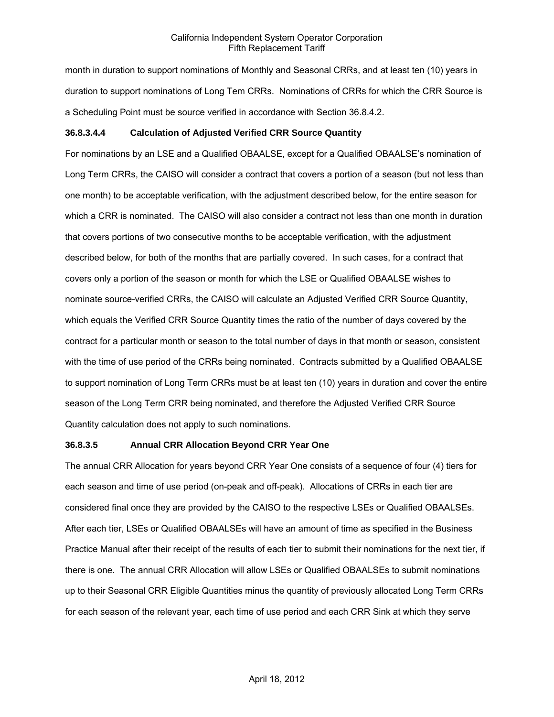month in duration to support nominations of Monthly and Seasonal CRRs, and at least ten (10) years in duration to support nominations of Long Tem CRRs. Nominations of CRRs for which the CRR Source is a Scheduling Point must be source verified in accordance with Section 36.8.4.2.

### **36.8.3.4.4 Calculation of Adjusted Verified CRR Source Quantity**

For nominations by an LSE and a Qualified OBAALSE, except for a Qualified OBAALSE's nomination of Long Term CRRs, the CAISO will consider a contract that covers a portion of a season (but not less than one month) to be acceptable verification, with the adjustment described below, for the entire season for which a CRR is nominated. The CAISO will also consider a contract not less than one month in duration that covers portions of two consecutive months to be acceptable verification, with the adjustment described below, for both of the months that are partially covered. In such cases, for a contract that covers only a portion of the season or month for which the LSE or Qualified OBAALSE wishes to nominate source-verified CRRs, the CAISO will calculate an Adjusted Verified CRR Source Quantity, which equals the Verified CRR Source Quantity times the ratio of the number of days covered by the contract for a particular month or season to the total number of days in that month or season, consistent with the time of use period of the CRRs being nominated. Contracts submitted by a Qualified OBAALSE to support nomination of Long Term CRRs must be at least ten (10) years in duration and cover the entire season of the Long Term CRR being nominated, and therefore the Adjusted Verified CRR Source Quantity calculation does not apply to such nominations.

### **36.8.3.5 Annual CRR Allocation Beyond CRR Year One**

The annual CRR Allocation for years beyond CRR Year One consists of a sequence of four (4) tiers for each season and time of use period (on-peak and off-peak). Allocations of CRRs in each tier are considered final once they are provided by the CAISO to the respective LSEs or Qualified OBAALSEs. After each tier, LSEs or Qualified OBAALSEs will have an amount of time as specified in the Business Practice Manual after their receipt of the results of each tier to submit their nominations for the next tier, if there is one. The annual CRR Allocation will allow LSEs or Qualified OBAALSEs to submit nominations up to their Seasonal CRR Eligible Quantities minus the quantity of previously allocated Long Term CRRs for each season of the relevant year, each time of use period and each CRR Sink at which they serve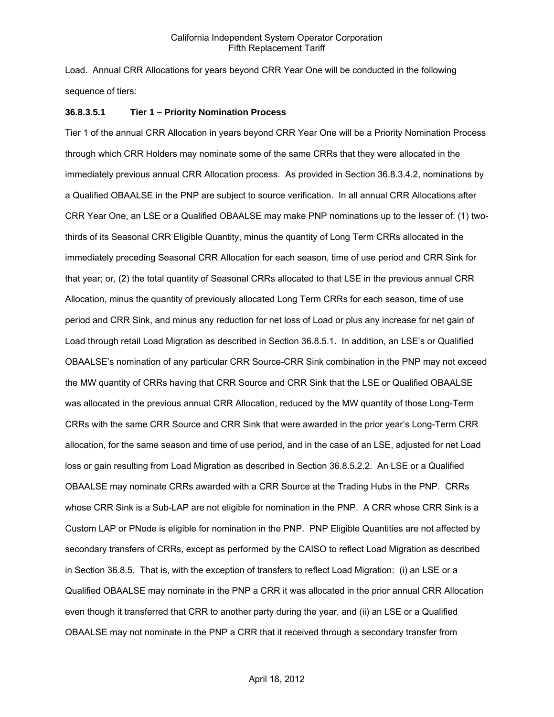Load. Annual CRR Allocations for years beyond CRR Year One will be conducted in the following sequence of tiers:

#### **36.8.3.5.1 Tier 1 – Priority Nomination Process**

Tier 1 of the annual CRR Allocation in years beyond CRR Year One will be a Priority Nomination Process through which CRR Holders may nominate some of the same CRRs that they were allocated in the immediately previous annual CRR Allocation process. As provided in Section 36.8.3.4.2, nominations by a Qualified OBAALSE in the PNP are subject to source verification. In all annual CRR Allocations after CRR Year One, an LSE or a Qualified OBAALSE may make PNP nominations up to the lesser of: (1) twothirds of its Seasonal CRR Eligible Quantity, minus the quantity of Long Term CRRs allocated in the immediately preceding Seasonal CRR Allocation for each season, time of use period and CRR Sink for that year; or, (2) the total quantity of Seasonal CRRs allocated to that LSE in the previous annual CRR Allocation, minus the quantity of previously allocated Long Term CRRs for each season, time of use period and CRR Sink, and minus any reduction for net loss of Load or plus any increase for net gain of Load through retail Load Migration as described in Section 36.8.5.1. In addition, an LSE's or Qualified OBAALSE's nomination of any particular CRR Source-CRR Sink combination in the PNP may not exceed the MW quantity of CRRs having that CRR Source and CRR Sink that the LSE or Qualified OBAALSE was allocated in the previous annual CRR Allocation, reduced by the MW quantity of those Long-Term CRRs with the same CRR Source and CRR Sink that were awarded in the prior year's Long-Term CRR allocation, for the same season and time of use period, and in the case of an LSE, adjusted for net Load loss or gain resulting from Load Migration as described in Section 36.8.5.2.2. An LSE or a Qualified OBAALSE may nominate CRRs awarded with a CRR Source at the Trading Hubs in the PNP. CRRs whose CRR Sink is a Sub-LAP are not eligible for nomination in the PNP. A CRR whose CRR Sink is a Custom LAP or PNode is eligible for nomination in the PNP. PNP Eligible Quantities are not affected by secondary transfers of CRRs, except as performed by the CAISO to reflect Load Migration as described in Section 36.8.5. That is, with the exception of transfers to reflect Load Migration: (i) an LSE or a Qualified OBAALSE may nominate in the PNP a CRR it was allocated in the prior annual CRR Allocation even though it transferred that CRR to another party during the year, and (ii) an LSE or a Qualified OBAALSE may not nominate in the PNP a CRR that it received through a secondary transfer from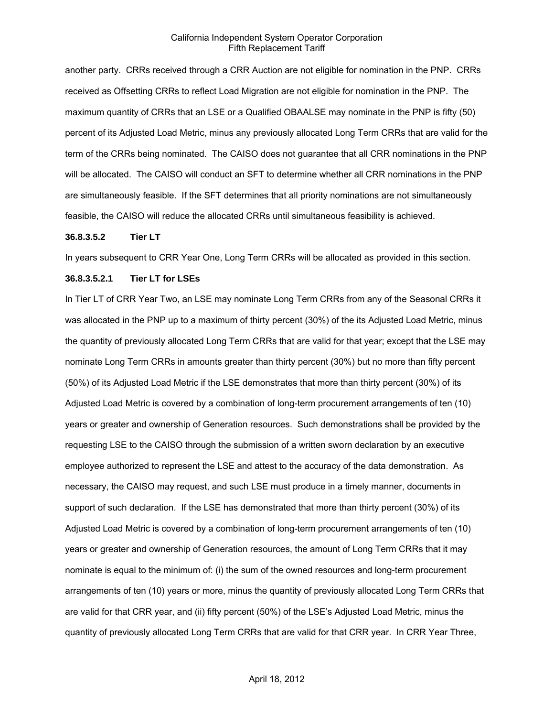another party. CRRs received through a CRR Auction are not eligible for nomination in the PNP. CRRs received as Offsetting CRRs to reflect Load Migration are not eligible for nomination in the PNP. The maximum quantity of CRRs that an LSE or a Qualified OBAALSE may nominate in the PNP is fifty (50) percent of its Adjusted Load Metric, minus any previously allocated Long Term CRRs that are valid for the term of the CRRs being nominated. The CAISO does not guarantee that all CRR nominations in the PNP will be allocated. The CAISO will conduct an SFT to determine whether all CRR nominations in the PNP are simultaneously feasible. If the SFT determines that all priority nominations are not simultaneously feasible, the CAISO will reduce the allocated CRRs until simultaneous feasibility is achieved.

#### **36.8.3.5.2 Tier LT**

In years subsequent to CRR Year One, Long Term CRRs will be allocated as provided in this section.

### **36.8.3.5.2.1 Tier LT for LSEs**

In Tier LT of CRR Year Two, an LSE may nominate Long Term CRRs from any of the Seasonal CRRs it was allocated in the PNP up to a maximum of thirty percent (30%) of the its Adjusted Load Metric, minus the quantity of previously allocated Long Term CRRs that are valid for that year; except that the LSE may nominate Long Term CRRs in amounts greater than thirty percent (30%) but no more than fifty percent (50%) of its Adjusted Load Metric if the LSE demonstrates that more than thirty percent (30%) of its Adjusted Load Metric is covered by a combination of long-term procurement arrangements of ten (10) years or greater and ownership of Generation resources. Such demonstrations shall be provided by the requesting LSE to the CAISO through the submission of a written sworn declaration by an executive employee authorized to represent the LSE and attest to the accuracy of the data demonstration. As necessary, the CAISO may request, and such LSE must produce in a timely manner, documents in support of such declaration. If the LSE has demonstrated that more than thirty percent (30%) of its Adjusted Load Metric is covered by a combination of long-term procurement arrangements of ten (10) years or greater and ownership of Generation resources, the amount of Long Term CRRs that it may nominate is equal to the minimum of: (i) the sum of the owned resources and long-term procurement arrangements of ten (10) years or more, minus the quantity of previously allocated Long Term CRRs that are valid for that CRR year, and (ii) fifty percent (50%) of the LSE's Adjusted Load Metric, minus the quantity of previously allocated Long Term CRRs that are valid for that CRR year. In CRR Year Three,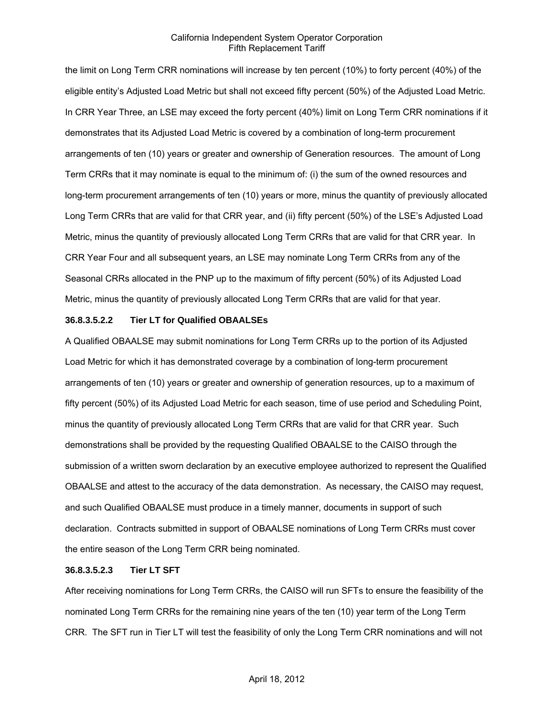the limit on Long Term CRR nominations will increase by ten percent (10%) to forty percent (40%) of the eligible entity's Adjusted Load Metric but shall not exceed fifty percent (50%) of the Adjusted Load Metric. In CRR Year Three, an LSE may exceed the forty percent (40%) limit on Long Term CRR nominations if it demonstrates that its Adjusted Load Metric is covered by a combination of long-term procurement arrangements of ten (10) years or greater and ownership of Generation resources. The amount of Long Term CRRs that it may nominate is equal to the minimum of: (i) the sum of the owned resources and long-term procurement arrangements of ten (10) years or more, minus the quantity of previously allocated Long Term CRRs that are valid for that CRR year, and (ii) fifty percent (50%) of the LSE's Adjusted Load Metric, minus the quantity of previously allocated Long Term CRRs that are valid for that CRR year. In CRR Year Four and all subsequent years, an LSE may nominate Long Term CRRs from any of the Seasonal CRRs allocated in the PNP up to the maximum of fifty percent (50%) of its Adjusted Load Metric, minus the quantity of previously allocated Long Term CRRs that are valid for that year.

### **36.8.3.5.2.2 Tier LT for Qualified OBAALSEs**

A Qualified OBAALSE may submit nominations for Long Term CRRs up to the portion of its Adjusted Load Metric for which it has demonstrated coverage by a combination of long-term procurement arrangements of ten (10) years or greater and ownership of generation resources, up to a maximum of fifty percent (50%) of its Adjusted Load Metric for each season, time of use period and Scheduling Point, minus the quantity of previously allocated Long Term CRRs that are valid for that CRR year. Such demonstrations shall be provided by the requesting Qualified OBAALSE to the CAISO through the submission of a written sworn declaration by an executive employee authorized to represent the Qualified OBAALSE and attest to the accuracy of the data demonstration. As necessary, the CAISO may request, and such Qualified OBAALSE must produce in a timely manner, documents in support of such declaration. Contracts submitted in support of OBAALSE nominations of Long Term CRRs must cover the entire season of the Long Term CRR being nominated.

#### **36.8.3.5.2.3 Tier LT SFT**

After receiving nominations for Long Term CRRs, the CAISO will run SFTs to ensure the feasibility of the nominated Long Term CRRs for the remaining nine years of the ten (10) year term of the Long Term CRR. The SFT run in Tier LT will test the feasibility of only the Long Term CRR nominations and will not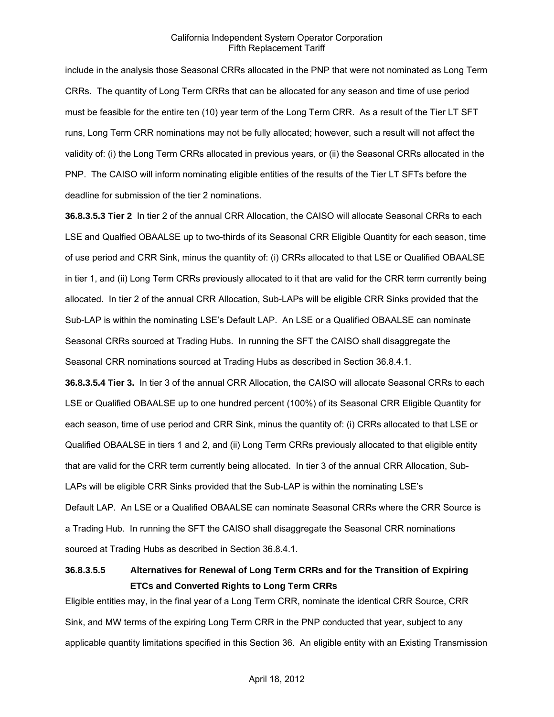include in the analysis those Seasonal CRRs allocated in the PNP that were not nominated as Long Term CRRs. The quantity of Long Term CRRs that can be allocated for any season and time of use period must be feasible for the entire ten (10) year term of the Long Term CRR. As a result of the Tier LT SFT runs, Long Term CRR nominations may not be fully allocated; however, such a result will not affect the validity of: (i) the Long Term CRRs allocated in previous years, or (ii) the Seasonal CRRs allocated in the PNP. The CAISO will inform nominating eligible entities of the results of the Tier LT SFTs before the deadline for submission of the tier 2 nominations.

**36.8.3.5.3 Tier 2** In tier 2 of the annual CRR Allocation, the CAISO will allocate Seasonal CRRs to each LSE and Qualfied OBAALSE up to two-thirds of its Seasonal CRR Eligible Quantity for each season, time of use period and CRR Sink, minus the quantity of: (i) CRRs allocated to that LSE or Qualified OBAALSE in tier 1, and (ii) Long Term CRRs previously allocated to it that are valid for the CRR term currently being allocated. In tier 2 of the annual CRR Allocation, Sub-LAPs will be eligible CRR Sinks provided that the Sub-LAP is within the nominating LSE's Default LAP. An LSE or a Qualified OBAALSE can nominate Seasonal CRRs sourced at Trading Hubs. In running the SFT the CAISO shall disaggregate the Seasonal CRR nominations sourced at Trading Hubs as described in Section 36.8.4.1.

**36.8.3.5.4 Tier 3.** In tier 3 of the annual CRR Allocation, the CAISO will allocate Seasonal CRRs to each LSE or Qualified OBAALSE up to one hundred percent (100%) of its Seasonal CRR Eligible Quantity for each season, time of use period and CRR Sink, minus the quantity of: (i) CRRs allocated to that LSE or Qualified OBAALSE in tiers 1 and 2, and (ii) Long Term CRRs previously allocated to that eligible entity that are valid for the CRR term currently being allocated. In tier 3 of the annual CRR Allocation, Sub-LAPs will be eligible CRR Sinks provided that the Sub-LAP is within the nominating LSE's Default LAP. An LSE or a Qualified OBAALSE can nominate Seasonal CRRs where the CRR Source is a Trading Hub. In running the SFT the CAISO shall disaggregate the Seasonal CRR nominations sourced at Trading Hubs as described in Section 36.8.4.1.

# **36.8.3.5.5 Alternatives for Renewal of Long Term CRRs and for the Transition of Expiring ETCs and Converted Rights to Long Term CRRs**

Eligible entities may, in the final year of a Long Term CRR, nominate the identical CRR Source, CRR Sink, and MW terms of the expiring Long Term CRR in the PNP conducted that year, subject to any applicable quantity limitations specified in this Section 36. An eligible entity with an Existing Transmission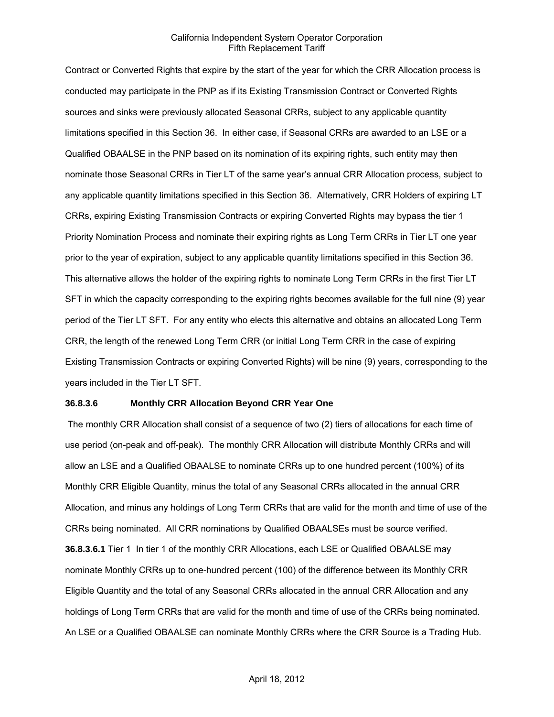Contract or Converted Rights that expire by the start of the year for which the CRR Allocation process is conducted may participate in the PNP as if its Existing Transmission Contract or Converted Rights sources and sinks were previously allocated Seasonal CRRs, subject to any applicable quantity limitations specified in this Section 36. In either case, if Seasonal CRRs are awarded to an LSE or a Qualified OBAALSE in the PNP based on its nomination of its expiring rights, such entity may then nominate those Seasonal CRRs in Tier LT of the same year's annual CRR Allocation process, subject to any applicable quantity limitations specified in this Section 36. Alternatively, CRR Holders of expiring LT CRRs, expiring Existing Transmission Contracts or expiring Converted Rights may bypass the tier 1 Priority Nomination Process and nominate their expiring rights as Long Term CRRs in Tier LT one year prior to the year of expiration, subject to any applicable quantity limitations specified in this Section 36. This alternative allows the holder of the expiring rights to nominate Long Term CRRs in the first Tier LT SFT in which the capacity corresponding to the expiring rights becomes available for the full nine (9) year period of the Tier LT SFT. For any entity who elects this alternative and obtains an allocated Long Term CRR, the length of the renewed Long Term CRR (or initial Long Term CRR in the case of expiring Existing Transmission Contracts or expiring Converted Rights) will be nine (9) years, corresponding to the years included in the Tier LT SFT.

#### **36.8.3.6 Monthly CRR Allocation Beyond CRR Year One**

 The monthly CRR Allocation shall consist of a sequence of two (2) tiers of allocations for each time of use period (on-peak and off-peak). The monthly CRR Allocation will distribute Monthly CRRs and will allow an LSE and a Qualified OBAALSE to nominate CRRs up to one hundred percent (100%) of its Monthly CRR Eligible Quantity, minus the total of any Seasonal CRRs allocated in the annual CRR Allocation, and minus any holdings of Long Term CRRs that are valid for the month and time of use of the CRRs being nominated. All CRR nominations by Qualified OBAALSEs must be source verified. **36.8.3.6.1** Tier 1 In tier 1 of the monthly CRR Allocations, each LSE or Qualified OBAALSE may nominate Monthly CRRs up to one-hundred percent (100) of the difference between its Monthly CRR Eligible Quantity and the total of any Seasonal CRRs allocated in the annual CRR Allocation and any holdings of Long Term CRRs that are valid for the month and time of use of the CRRs being nominated. An LSE or a Qualified OBAALSE can nominate Monthly CRRs where the CRR Source is a Trading Hub.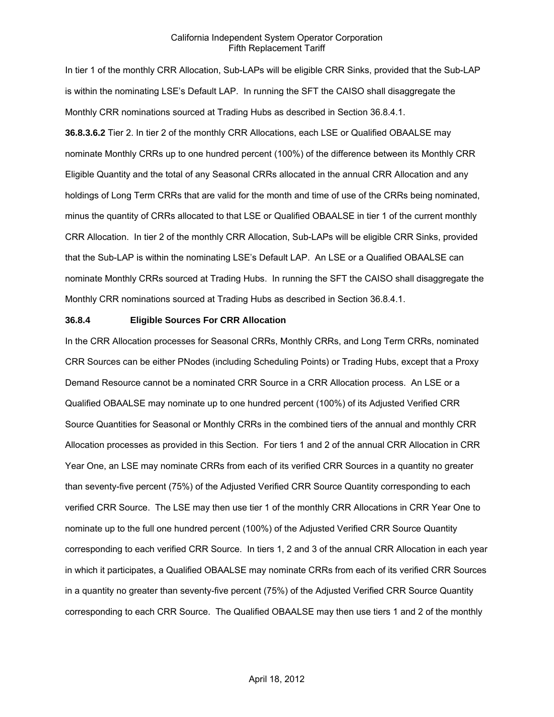In tier 1 of the monthly CRR Allocation, Sub-LAPs will be eligible CRR Sinks, provided that the Sub-LAP is within the nominating LSE's Default LAP. In running the SFT the CAISO shall disaggregate the Monthly CRR nominations sourced at Trading Hubs as described in Section 36.8.4.1. **36.8.3.6.2** Tier 2. In tier 2 of the monthly CRR Allocations, each LSE or Qualified OBAALSE may nominate Monthly CRRs up to one hundred percent (100%) of the difference between its Monthly CRR Eligible Quantity and the total of any Seasonal CRRs allocated in the annual CRR Allocation and any holdings of Long Term CRRs that are valid for the month and time of use of the CRRs being nominated, minus the quantity of CRRs allocated to that LSE or Qualified OBAALSE in tier 1 of the current monthly CRR Allocation. In tier 2 of the monthly CRR Allocation, Sub-LAPs will be eligible CRR Sinks, provided that the Sub-LAP is within the nominating LSE's Default LAP. An LSE or a Qualified OBAALSE can nominate Monthly CRRs sourced at Trading Hubs. In running the SFT the CAISO shall disaggregate the Monthly CRR nominations sourced at Trading Hubs as described in Section 36.8.4.1.

#### **36.8.4 Eligible Sources For CRR Allocation**

In the CRR Allocation processes for Seasonal CRRs, Monthly CRRs, and Long Term CRRs, nominated CRR Sources can be either PNodes (including Scheduling Points) or Trading Hubs, except that a Proxy Demand Resource cannot be a nominated CRR Source in a CRR Allocation process. An LSE or a Qualified OBAALSE may nominate up to one hundred percent (100%) of its Adjusted Verified CRR Source Quantities for Seasonal or Monthly CRRs in the combined tiers of the annual and monthly CRR Allocation processes as provided in this Section. For tiers 1 and 2 of the annual CRR Allocation in CRR Year One, an LSE may nominate CRRs from each of its verified CRR Sources in a quantity no greater than seventy-five percent (75%) of the Adjusted Verified CRR Source Quantity corresponding to each verified CRR Source. The LSE may then use tier 1 of the monthly CRR Allocations in CRR Year One to nominate up to the full one hundred percent (100%) of the Adjusted Verified CRR Source Quantity corresponding to each verified CRR Source. In tiers 1, 2 and 3 of the annual CRR Allocation in each year in which it participates, a Qualified OBAALSE may nominate CRRs from each of its verified CRR Sources in a quantity no greater than seventy-five percent (75%) of the Adjusted Verified CRR Source Quantity corresponding to each CRR Source. The Qualified OBAALSE may then use tiers 1 and 2 of the monthly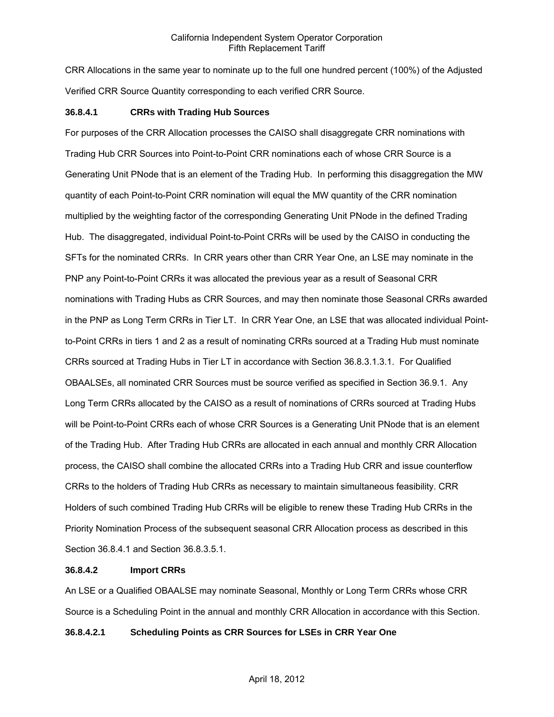CRR Allocations in the same year to nominate up to the full one hundred percent (100%) of the Adjusted Verified CRR Source Quantity corresponding to each verified CRR Source.

### **36.8.4.1 CRRs with Trading Hub Sources**

For purposes of the CRR Allocation processes the CAISO shall disaggregate CRR nominations with Trading Hub CRR Sources into Point-to-Point CRR nominations each of whose CRR Source is a Generating Unit PNode that is an element of the Trading Hub. In performing this disaggregation the MW quantity of each Point-to-Point CRR nomination will equal the MW quantity of the CRR nomination multiplied by the weighting factor of the corresponding Generating Unit PNode in the defined Trading Hub. The disaggregated, individual Point-to-Point CRRs will be used by the CAISO in conducting the SFTs for the nominated CRRs. In CRR years other than CRR Year One, an LSE may nominate in the PNP any Point-to-Point CRRs it was allocated the previous year as a result of Seasonal CRR nominations with Trading Hubs as CRR Sources, and may then nominate those Seasonal CRRs awarded in the PNP as Long Term CRRs in Tier LT. In CRR Year One, an LSE that was allocated individual Pointto-Point CRRs in tiers 1 and 2 as a result of nominating CRRs sourced at a Trading Hub must nominate CRRs sourced at Trading Hubs in Tier LT in accordance with Section 36.8.3.1.3.1. For Qualified OBAALSEs, all nominated CRR Sources must be source verified as specified in Section 36.9.1. Any Long Term CRRs allocated by the CAISO as a result of nominations of CRRs sourced at Trading Hubs will be Point-to-Point CRRs each of whose CRR Sources is a Generating Unit PNode that is an element of the Trading Hub. After Trading Hub CRRs are allocated in each annual and monthly CRR Allocation process, the CAISO shall combine the allocated CRRs into a Trading Hub CRR and issue counterflow CRRs to the holders of Trading Hub CRRs as necessary to maintain simultaneous feasibility. CRR Holders of such combined Trading Hub CRRs will be eligible to renew these Trading Hub CRRs in the Priority Nomination Process of the subsequent seasonal CRR Allocation process as described in this Section 36.8.4.1 and Section 36.8.3.5.1.

#### **36.8.4.2 Import CRRs**

An LSE or a Qualified OBAALSE may nominate Seasonal, Monthly or Long Term CRRs whose CRR Source is a Scheduling Point in the annual and monthly CRR Allocation in accordance with this Section.

### **36.8.4.2.1 Scheduling Points as CRR Sources for LSEs in CRR Year One**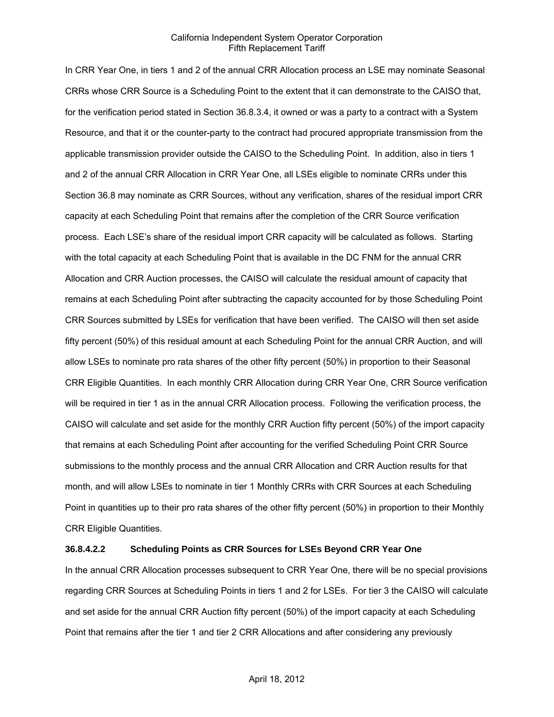In CRR Year One, in tiers 1 and 2 of the annual CRR Allocation process an LSE may nominate Seasonal CRRs whose CRR Source is a Scheduling Point to the extent that it can demonstrate to the CAISO that, for the verification period stated in Section 36.8.3.4, it owned or was a party to a contract with a System Resource, and that it or the counter-party to the contract had procured appropriate transmission from the applicable transmission provider outside the CAISO to the Scheduling Point. In addition, also in tiers 1 and 2 of the annual CRR Allocation in CRR Year One, all LSEs eligible to nominate CRRs under this Section 36.8 may nominate as CRR Sources, without any verification, shares of the residual import CRR capacity at each Scheduling Point that remains after the completion of the CRR Source verification process. Each LSE's share of the residual import CRR capacity will be calculated as follows. Starting with the total capacity at each Scheduling Point that is available in the DC FNM for the annual CRR Allocation and CRR Auction processes, the CAISO will calculate the residual amount of capacity that remains at each Scheduling Point after subtracting the capacity accounted for by those Scheduling Point CRR Sources submitted by LSEs for verification that have been verified. The CAISO will then set aside fifty percent (50%) of this residual amount at each Scheduling Point for the annual CRR Auction, and will allow LSEs to nominate pro rata shares of the other fifty percent (50%) in proportion to their Seasonal CRR Eligible Quantities. In each monthly CRR Allocation during CRR Year One, CRR Source verification will be required in tier 1 as in the annual CRR Allocation process. Following the verification process, the CAISO will calculate and set aside for the monthly CRR Auction fifty percent (50%) of the import capacity that remains at each Scheduling Point after accounting for the verified Scheduling Point CRR Source submissions to the monthly process and the annual CRR Allocation and CRR Auction results for that month, and will allow LSEs to nominate in tier 1 Monthly CRRs with CRR Sources at each Scheduling Point in quantities up to their pro rata shares of the other fifty percent (50%) in proportion to their Monthly CRR Eligible Quantities.

#### **36.8.4.2.2 Scheduling Points as CRR Sources for LSEs Beyond CRR Year One**

In the annual CRR Allocation processes subsequent to CRR Year One, there will be no special provisions regarding CRR Sources at Scheduling Points in tiers 1 and 2 for LSEs. For tier 3 the CAISO will calculate and set aside for the annual CRR Auction fifty percent (50%) of the import capacity at each Scheduling Point that remains after the tier 1 and tier 2 CRR Allocations and after considering any previously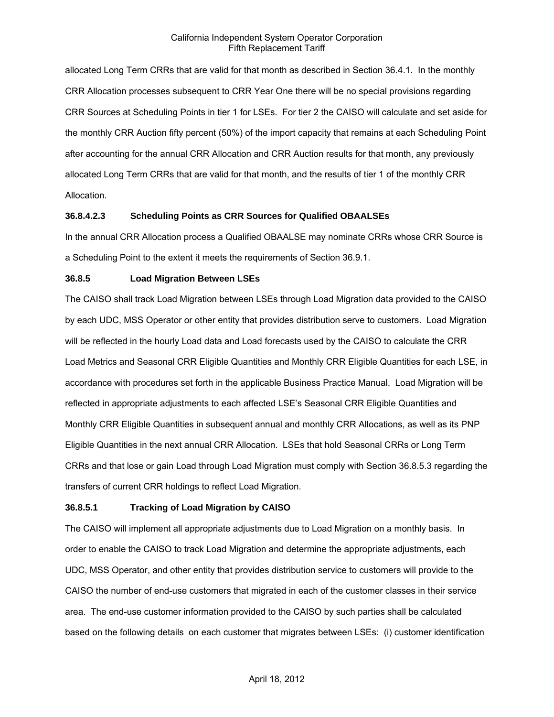allocated Long Term CRRs that are valid for that month as described in Section 36.4.1. In the monthly CRR Allocation processes subsequent to CRR Year One there will be no special provisions regarding CRR Sources at Scheduling Points in tier 1 for LSEs. For tier 2 the CAISO will calculate and set aside for the monthly CRR Auction fifty percent (50%) of the import capacity that remains at each Scheduling Point after accounting for the annual CRR Allocation and CRR Auction results for that month, any previously allocated Long Term CRRs that are valid for that month, and the results of tier 1 of the monthly CRR Allocation.

### **36.8.4.2.3 Scheduling Points as CRR Sources for Qualified OBAALSEs**

In the annual CRR Allocation process a Qualified OBAALSE may nominate CRRs whose CRR Source is a Scheduling Point to the extent it meets the requirements of Section 36.9.1.

### **36.8.5 Load Migration Between LSEs**

The CAISO shall track Load Migration between LSEs through Load Migration data provided to the CAISO by each UDC, MSS Operator or other entity that provides distribution serve to customers. Load Migration will be reflected in the hourly Load data and Load forecasts used by the CAISO to calculate the CRR Load Metrics and Seasonal CRR Eligible Quantities and Monthly CRR Eligible Quantities for each LSE, in accordance with procedures set forth in the applicable Business Practice Manual. Load Migration will be reflected in appropriate adjustments to each affected LSE's Seasonal CRR Eligible Quantities and Monthly CRR Eligible Quantities in subsequent annual and monthly CRR Allocations, as well as its PNP Eligible Quantities in the next annual CRR Allocation. LSEs that hold Seasonal CRRs or Long Term CRRs and that lose or gain Load through Load Migration must comply with Section 36.8.5.3 regarding the transfers of current CRR holdings to reflect Load Migration.

### **36.8.5.1 Tracking of Load Migration by CAISO**

The CAISO will implement all appropriate adjustments due to Load Migration on a monthly basis. In order to enable the CAISO to track Load Migration and determine the appropriate adjustments, each UDC, MSS Operator, and other entity that provides distribution service to customers will provide to the CAISO the number of end-use customers that migrated in each of the customer classes in their service area. The end-use customer information provided to the CAISO by such parties shall be calculated based on the following details on each customer that migrates between LSEs: (i) customer identification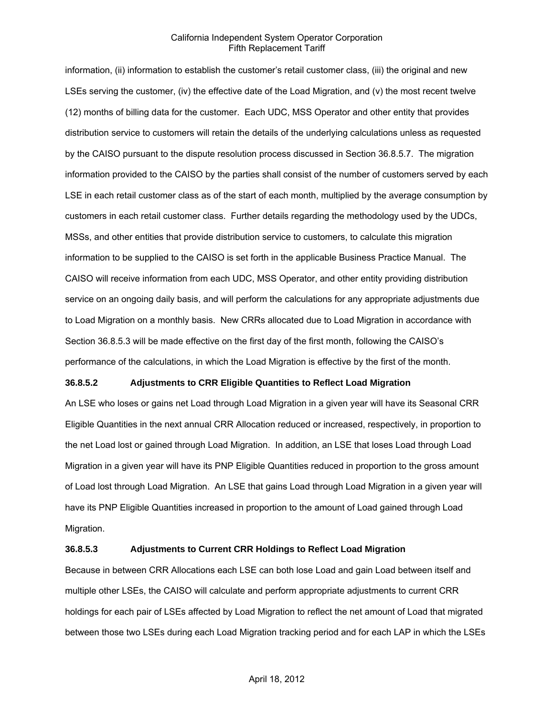information, (ii) information to establish the customer's retail customer class, (iii) the original and new LSEs serving the customer, (iv) the effective date of the Load Migration, and (v) the most recent twelve (12) months of billing data for the customer. Each UDC, MSS Operator and other entity that provides distribution service to customers will retain the details of the underlying calculations unless as requested by the CAISO pursuant to the dispute resolution process discussed in Section 36.8.5.7. The migration information provided to the CAISO by the parties shall consist of the number of customers served by each LSE in each retail customer class as of the start of each month, multiplied by the average consumption by customers in each retail customer class. Further details regarding the methodology used by the UDCs, MSSs, and other entities that provide distribution service to customers, to calculate this migration information to be supplied to the CAISO is set forth in the applicable Business Practice Manual. The CAISO will receive information from each UDC, MSS Operator, and other entity providing distribution service on an ongoing daily basis, and will perform the calculations for any appropriate adjustments due to Load Migration on a monthly basis. New CRRs allocated due to Load Migration in accordance with Section 36.8.5.3 will be made effective on the first day of the first month, following the CAISO's performance of the calculations, in which the Load Migration is effective by the first of the month.

### **36.8.5.2 Adjustments to CRR Eligible Quantities to Reflect Load Migration**

An LSE who loses or gains net Load through Load Migration in a given year will have its Seasonal CRR Eligible Quantities in the next annual CRR Allocation reduced or increased, respectively, in proportion to the net Load lost or gained through Load Migration. In addition, an LSE that loses Load through Load Migration in a given year will have its PNP Eligible Quantities reduced in proportion to the gross amount of Load lost through Load Migration. An LSE that gains Load through Load Migration in a given year will have its PNP Eligible Quantities increased in proportion to the amount of Load gained through Load Migration.

### **36.8.5.3 Adjustments to Current CRR Holdings to Reflect Load Migration**

Because in between CRR Allocations each LSE can both lose Load and gain Load between itself and multiple other LSEs, the CAISO will calculate and perform appropriate adjustments to current CRR holdings for each pair of LSEs affected by Load Migration to reflect the net amount of Load that migrated between those two LSEs during each Load Migration tracking period and for each LAP in which the LSEs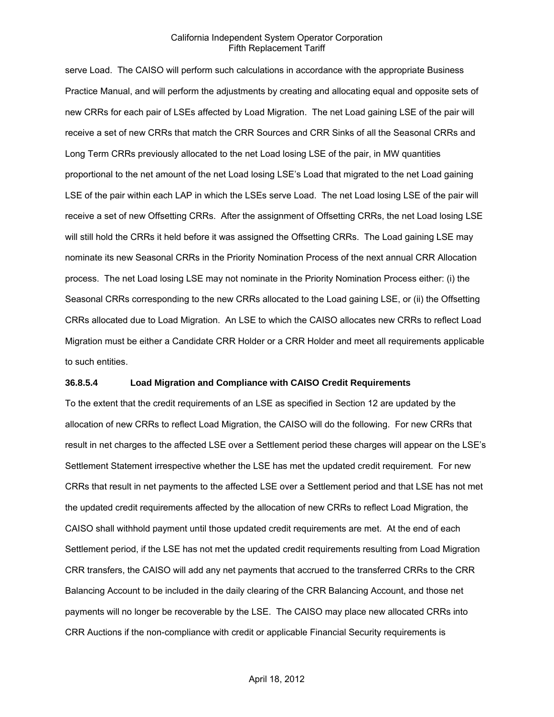serve Load. The CAISO will perform such calculations in accordance with the appropriate Business Practice Manual, and will perform the adjustments by creating and allocating equal and opposite sets of new CRRs for each pair of LSEs affected by Load Migration. The net Load gaining LSE of the pair will receive a set of new CRRs that match the CRR Sources and CRR Sinks of all the Seasonal CRRs and Long Term CRRs previously allocated to the net Load losing LSE of the pair, in MW quantities proportional to the net amount of the net Load losing LSE's Load that migrated to the net Load gaining LSE of the pair within each LAP in which the LSEs serve Load. The net Load losing LSE of the pair will receive a set of new Offsetting CRRs. After the assignment of Offsetting CRRs, the net Load losing LSE will still hold the CRRs it held before it was assigned the Offsetting CRRs. The Load gaining LSE may nominate its new Seasonal CRRs in the Priority Nomination Process of the next annual CRR Allocation process. The net Load losing LSE may not nominate in the Priority Nomination Process either: (i) the Seasonal CRRs corresponding to the new CRRs allocated to the Load gaining LSE, or (ii) the Offsetting CRRs allocated due to Load Migration. An LSE to which the CAISO allocates new CRRs to reflect Load Migration must be either a Candidate CRR Holder or a CRR Holder and meet all requirements applicable to such entities.

#### **36.8.5.4 Load Migration and Compliance with CAISO Credit Requirements**

To the extent that the credit requirements of an LSE as specified in Section 12 are updated by the allocation of new CRRs to reflect Load Migration, the CAISO will do the following. For new CRRs that result in net charges to the affected LSE over a Settlement period these charges will appear on the LSE's Settlement Statement irrespective whether the LSE has met the updated credit requirement. For new CRRs that result in net payments to the affected LSE over a Settlement period and that LSE has not met the updated credit requirements affected by the allocation of new CRRs to reflect Load Migration, the CAISO shall withhold payment until those updated credit requirements are met. At the end of each Settlement period, if the LSE has not met the updated credit requirements resulting from Load Migration CRR transfers, the CAISO will add any net payments that accrued to the transferred CRRs to the CRR Balancing Account to be included in the daily clearing of the CRR Balancing Account, and those net payments will no longer be recoverable by the LSE. The CAISO may place new allocated CRRs into CRR Auctions if the non-compliance with credit or applicable Financial Security requirements is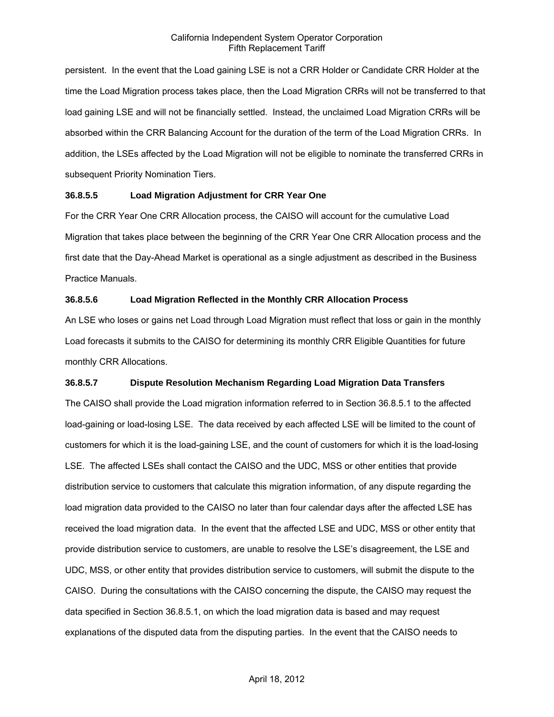persistent. In the event that the Load gaining LSE is not a CRR Holder or Candidate CRR Holder at the time the Load Migration process takes place, then the Load Migration CRRs will not be transferred to that load gaining LSE and will not be financially settled. Instead, the unclaimed Load Migration CRRs will be absorbed within the CRR Balancing Account for the duration of the term of the Load Migration CRRs. In addition, the LSEs affected by the Load Migration will not be eligible to nominate the transferred CRRs in subsequent Priority Nomination Tiers.

### **36.8.5.5 Load Migration Adjustment for CRR Year One**

For the CRR Year One CRR Allocation process, the CAISO will account for the cumulative Load Migration that takes place between the beginning of the CRR Year One CRR Allocation process and the first date that the Day-Ahead Market is operational as a single adjustment as described in the Business Practice Manuals.

# **36.8.5.6 Load Migration Reflected in the Monthly CRR Allocation Process**

An LSE who loses or gains net Load through Load Migration must reflect that loss or gain in the monthly Load forecasts it submits to the CAISO for determining its monthly CRR Eligible Quantities for future monthly CRR Allocations.

# **36.8.5.7 Dispute Resolution Mechanism Regarding Load Migration Data Transfers**

The CAISO shall provide the Load migration information referred to in Section 36.8.5.1 to the affected load-gaining or load-losing LSE. The data received by each affected LSE will be limited to the count of customers for which it is the load-gaining LSE, and the count of customers for which it is the load-losing LSE. The affected LSEs shall contact the CAISO and the UDC, MSS or other entities that provide distribution service to customers that calculate this migration information, of any dispute regarding the load migration data provided to the CAISO no later than four calendar days after the affected LSE has received the load migration data. In the event that the affected LSE and UDC, MSS or other entity that provide distribution service to customers, are unable to resolve the LSE's disagreement, the LSE and UDC, MSS, or other entity that provides distribution service to customers, will submit the dispute to the CAISO. During the consultations with the CAISO concerning the dispute, the CAISO may request the data specified in Section 36.8.5.1, on which the load migration data is based and may request explanations of the disputed data from the disputing parties. In the event that the CAISO needs to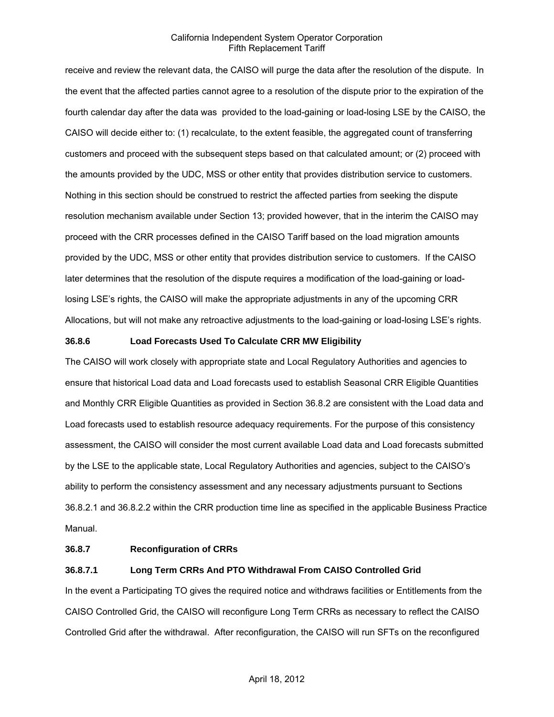receive and review the relevant data, the CAISO will purge the data after the resolution of the dispute. In the event that the affected parties cannot agree to a resolution of the dispute prior to the expiration of the fourth calendar day after the data was provided to the load-gaining or load-losing LSE by the CAISO, the CAISO will decide either to: (1) recalculate, to the extent feasible, the aggregated count of transferring customers and proceed with the subsequent steps based on that calculated amount; or (2) proceed with the amounts provided by the UDC, MSS or other entity that provides distribution service to customers. Nothing in this section should be construed to restrict the affected parties from seeking the dispute resolution mechanism available under Section 13; provided however, that in the interim the CAISO may proceed with the CRR processes defined in the CAISO Tariff based on the load migration amounts provided by the UDC, MSS or other entity that provides distribution service to customers. If the CAISO later determines that the resolution of the dispute requires a modification of the load-gaining or loadlosing LSE's rights, the CAISO will make the appropriate adjustments in any of the upcoming CRR Allocations, but will not make any retroactive adjustments to the load-gaining or load-losing LSE's rights.

#### **36.8.6 Load Forecasts Used To Calculate CRR MW Eligibility**

The CAISO will work closely with appropriate state and Local Regulatory Authorities and agencies to ensure that historical Load data and Load forecasts used to establish Seasonal CRR Eligible Quantities and Monthly CRR Eligible Quantities as provided in Section 36.8.2 are consistent with the Load data and Load forecasts used to establish resource adequacy requirements. For the purpose of this consistency assessment, the CAISO will consider the most current available Load data and Load forecasts submitted by the LSE to the applicable state, Local Regulatory Authorities and agencies, subject to the CAISO's ability to perform the consistency assessment and any necessary adjustments pursuant to Sections 36.8.2.1 and 36.8.2.2 within the CRR production time line as specified in the applicable Business Practice Manual.

#### **36.8.7 Reconfiguration of CRRs**

#### **36.8.7.1 Long Term CRRs And PTO Withdrawal From CAISO Controlled Grid**

In the event a Participating TO gives the required notice and withdraws facilities or Entitlements from the CAISO Controlled Grid, the CAISO will reconfigure Long Term CRRs as necessary to reflect the CAISO Controlled Grid after the withdrawal. After reconfiguration, the CAISO will run SFTs on the reconfigured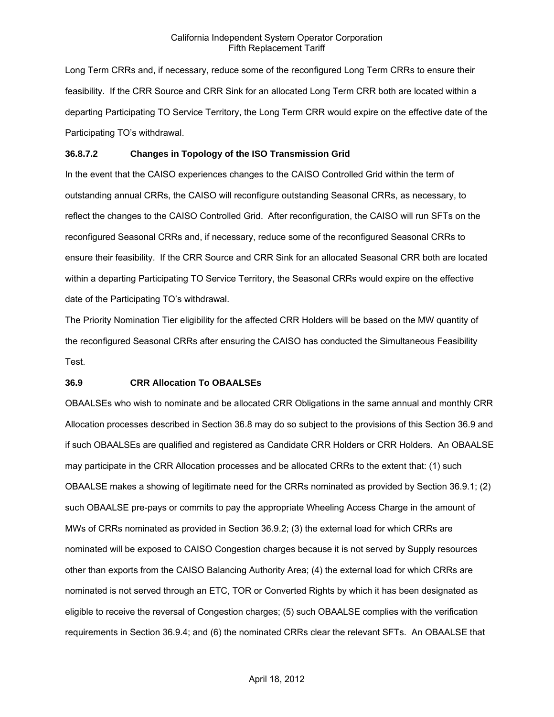Long Term CRRs and, if necessary, reduce some of the reconfigured Long Term CRRs to ensure their feasibility. If the CRR Source and CRR Sink for an allocated Long Term CRR both are located within a departing Participating TO Service Territory, the Long Term CRR would expire on the effective date of the Participating TO's withdrawal.

#### **36.8.7.2 Changes in Topology of the ISO Transmission Grid**

In the event that the CAISO experiences changes to the CAISO Controlled Grid within the term of outstanding annual CRRs, the CAISO will reconfigure outstanding Seasonal CRRs, as necessary, to reflect the changes to the CAISO Controlled Grid. After reconfiguration, the CAISO will run SFTs on the reconfigured Seasonal CRRs and, if necessary, reduce some of the reconfigured Seasonal CRRs to ensure their feasibility. If the CRR Source and CRR Sink for an allocated Seasonal CRR both are located within a departing Participating TO Service Territory, the Seasonal CRRs would expire on the effective date of the Participating TO's withdrawal.

The Priority Nomination Tier eligibility for the affected CRR Holders will be based on the MW quantity of the reconfigured Seasonal CRRs after ensuring the CAISO has conducted the Simultaneous Feasibility Test.

### **36.9 CRR Allocation To OBAALSEs**

OBAALSEs who wish to nominate and be allocated CRR Obligations in the same annual and monthly CRR Allocation processes described in Section 36.8 may do so subject to the provisions of this Section 36.9 and if such OBAALSEs are qualified and registered as Candidate CRR Holders or CRR Holders. An OBAALSE may participate in the CRR Allocation processes and be allocated CRRs to the extent that: (1) such OBAALSE makes a showing of legitimate need for the CRRs nominated as provided by Section 36.9.1; (2) such OBAALSE pre-pays or commits to pay the appropriate Wheeling Access Charge in the amount of MWs of CRRs nominated as provided in Section 36.9.2; (3) the external load for which CRRs are nominated will be exposed to CAISO Congestion charges because it is not served by Supply resources other than exports from the CAISO Balancing Authority Area; (4) the external load for which CRRs are nominated is not served through an ETC, TOR or Converted Rights by which it has been designated as eligible to receive the reversal of Congestion charges; (5) such OBAALSE complies with the verification requirements in Section 36.9.4; and (6) the nominated CRRs clear the relevant SFTs. An OBAALSE that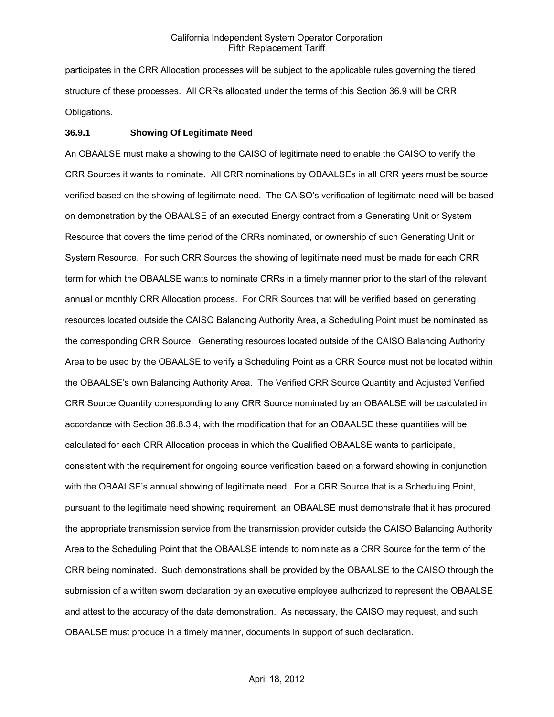participates in the CRR Allocation processes will be subject to the applicable rules governing the tiered structure of these processes. All CRRs allocated under the terms of this Section 36.9 will be CRR Obligations.

#### **36.9.1 Showing Of Legitimate Need**

An OBAALSE must make a showing to the CAISO of legitimate need to enable the CAISO to verify the CRR Sources it wants to nominate. All CRR nominations by OBAALSEs in all CRR years must be source verified based on the showing of legitimate need. The CAISO's verification of legitimate need will be based on demonstration by the OBAALSE of an executed Energy contract from a Generating Unit or System Resource that covers the time period of the CRRs nominated, or ownership of such Generating Unit or System Resource. For such CRR Sources the showing of legitimate need must be made for each CRR term for which the OBAALSE wants to nominate CRRs in a timely manner prior to the start of the relevant annual or monthly CRR Allocation process. For CRR Sources that will be verified based on generating resources located outside the CAISO Balancing Authority Area, a Scheduling Point must be nominated as the corresponding CRR Source. Generating resources located outside of the CAISO Balancing Authority Area to be used by the OBAALSE to verify a Scheduling Point as a CRR Source must not be located within the OBAALSE's own Balancing Authority Area. The Verified CRR Source Quantity and Adjusted Verified CRR Source Quantity corresponding to any CRR Source nominated by an OBAALSE will be calculated in accordance with Section 36.8.3.4, with the modification that for an OBAALSE these quantities will be calculated for each CRR Allocation process in which the Qualified OBAALSE wants to participate, consistent with the requirement for ongoing source verification based on a forward showing in conjunction with the OBAALSE's annual showing of legitimate need. For a CRR Source that is a Scheduling Point, pursuant to the legitimate need showing requirement, an OBAALSE must demonstrate that it has procured the appropriate transmission service from the transmission provider outside the CAISO Balancing Authority Area to the Scheduling Point that the OBAALSE intends to nominate as a CRR Source for the term of the CRR being nominated. Such demonstrations shall be provided by the OBAALSE to the CAISO through the submission of a written sworn declaration by an executive employee authorized to represent the OBAALSE and attest to the accuracy of the data demonstration. As necessary, the CAISO may request, and such OBAALSE must produce in a timely manner, documents in support of such declaration.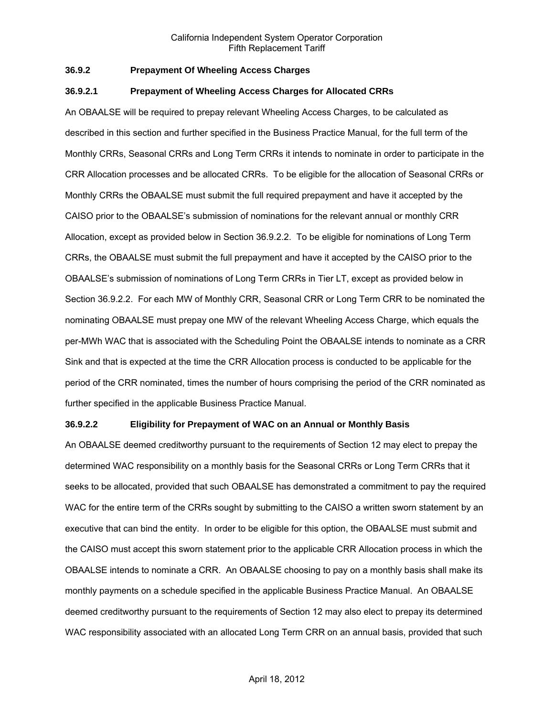### **36.9.2 Prepayment Of Wheeling Access Charges**

#### **36.9.2.1 Prepayment of Wheeling Access Charges for Allocated CRRs**

An OBAALSE will be required to prepay relevant Wheeling Access Charges, to be calculated as described in this section and further specified in the Business Practice Manual, for the full term of the Monthly CRRs, Seasonal CRRs and Long Term CRRs it intends to nominate in order to participate in the CRR Allocation processes and be allocated CRRs. To be eligible for the allocation of Seasonal CRRs or Monthly CRRs the OBAALSE must submit the full required prepayment and have it accepted by the CAISO prior to the OBAALSE's submission of nominations for the relevant annual or monthly CRR Allocation, except as provided below in Section 36.9.2.2. To be eligible for nominations of Long Term CRRs, the OBAALSE must submit the full prepayment and have it accepted by the CAISO prior to the OBAALSE's submission of nominations of Long Term CRRs in Tier LT, except as provided below in Section 36.9.2.2. For each MW of Monthly CRR, Seasonal CRR or Long Term CRR to be nominated the nominating OBAALSE must prepay one MW of the relevant Wheeling Access Charge, which equals the per-MWh WAC that is associated with the Scheduling Point the OBAALSE intends to nominate as a CRR Sink and that is expected at the time the CRR Allocation process is conducted to be applicable for the period of the CRR nominated, times the number of hours comprising the period of the CRR nominated as further specified in the applicable Business Practice Manual.

#### **36.9.2.2 Eligibility for Prepayment of WAC on an Annual or Monthly Basis**

An OBAALSE deemed creditworthy pursuant to the requirements of Section 12 may elect to prepay the determined WAC responsibility on a monthly basis for the Seasonal CRRs or Long Term CRRs that it seeks to be allocated, provided that such OBAALSE has demonstrated a commitment to pay the required WAC for the entire term of the CRRs sought by submitting to the CAISO a written sworn statement by an executive that can bind the entity. In order to be eligible for this option, the OBAALSE must submit and the CAISO must accept this sworn statement prior to the applicable CRR Allocation process in which the OBAALSE intends to nominate a CRR. An OBAALSE choosing to pay on a monthly basis shall make its monthly payments on a schedule specified in the applicable Business Practice Manual. An OBAALSE deemed creditworthy pursuant to the requirements of Section 12 may also elect to prepay its determined WAC responsibility associated with an allocated Long Term CRR on an annual basis, provided that such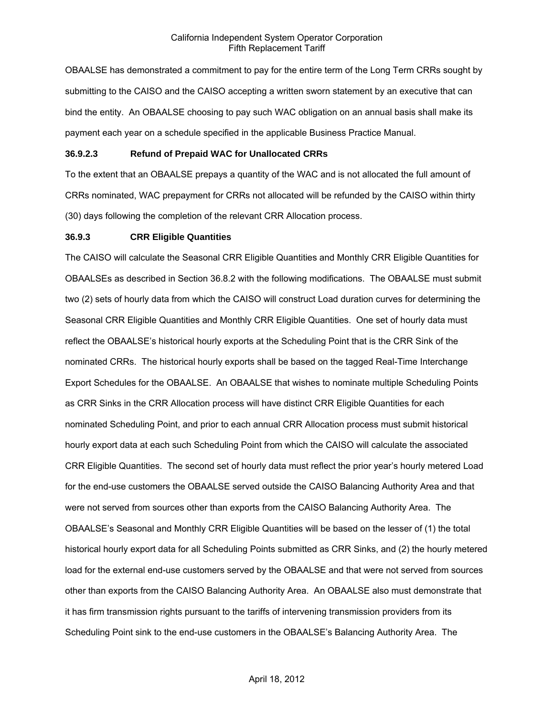OBAALSE has demonstrated a commitment to pay for the entire term of the Long Term CRRs sought by submitting to the CAISO and the CAISO accepting a written sworn statement by an executive that can bind the entity. An OBAALSE choosing to pay such WAC obligation on an annual basis shall make its payment each year on a schedule specified in the applicable Business Practice Manual.

### **36.9.2.3 Refund of Prepaid WAC for Unallocated CRRs**

To the extent that an OBAALSE prepays a quantity of the WAC and is not allocated the full amount of CRRs nominated, WAC prepayment for CRRs not allocated will be refunded by the CAISO within thirty (30) days following the completion of the relevant CRR Allocation process.

#### **36.9.3 CRR Eligible Quantities**

The CAISO will calculate the Seasonal CRR Eligible Quantities and Monthly CRR Eligible Quantities for OBAALSEs as described in Section 36.8.2 with the following modifications. The OBAALSE must submit two (2) sets of hourly data from which the CAISO will construct Load duration curves for determining the Seasonal CRR Eligible Quantities and Monthly CRR Eligible Quantities. One set of hourly data must reflect the OBAALSE's historical hourly exports at the Scheduling Point that is the CRR Sink of the nominated CRRs. The historical hourly exports shall be based on the tagged Real-Time Interchange Export Schedules for the OBAALSE. An OBAALSE that wishes to nominate multiple Scheduling Points as CRR Sinks in the CRR Allocation process will have distinct CRR Eligible Quantities for each nominated Scheduling Point, and prior to each annual CRR Allocation process must submit historical hourly export data at each such Scheduling Point from which the CAISO will calculate the associated CRR Eligible Quantities. The second set of hourly data must reflect the prior year's hourly metered Load for the end-use customers the OBAALSE served outside the CAISO Balancing Authority Area and that were not served from sources other than exports from the CAISO Balancing Authority Area. The OBAALSE's Seasonal and Monthly CRR Eligible Quantities will be based on the lesser of (1) the total historical hourly export data for all Scheduling Points submitted as CRR Sinks, and (2) the hourly metered load for the external end-use customers served by the OBAALSE and that were not served from sources other than exports from the CAISO Balancing Authority Area. An OBAALSE also must demonstrate that it has firm transmission rights pursuant to the tariffs of intervening transmission providers from its Scheduling Point sink to the end-use customers in the OBAALSE's Balancing Authority Area. The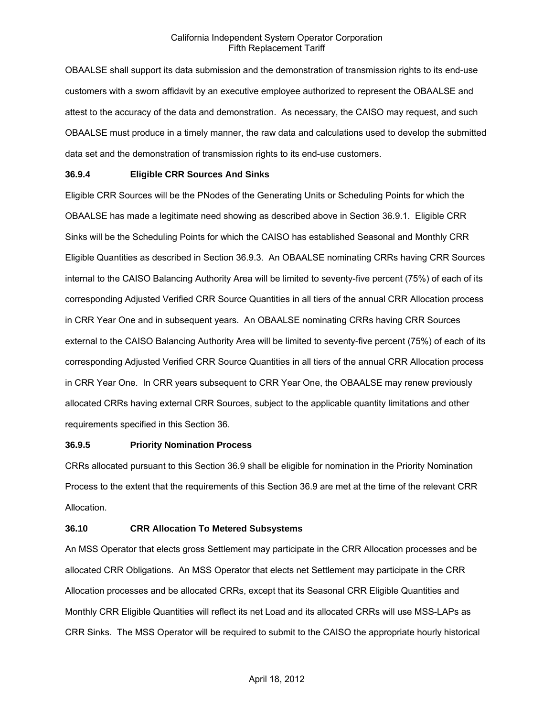OBAALSE shall support its data submission and the demonstration of transmission rights to its end-use customers with a sworn affidavit by an executive employee authorized to represent the OBAALSE and attest to the accuracy of the data and demonstration. As necessary, the CAISO may request, and such OBAALSE must produce in a timely manner, the raw data and calculations used to develop the submitted data set and the demonstration of transmission rights to its end-use customers.

### **36.9.4 Eligible CRR Sources And Sinks**

Eligible CRR Sources will be the PNodes of the Generating Units or Scheduling Points for which the OBAALSE has made a legitimate need showing as described above in Section 36.9.1. Eligible CRR Sinks will be the Scheduling Points for which the CAISO has established Seasonal and Monthly CRR Eligible Quantities as described in Section 36.9.3. An OBAALSE nominating CRRs having CRR Sources internal to the CAISO Balancing Authority Area will be limited to seventy-five percent (75%) of each of its corresponding Adjusted Verified CRR Source Quantities in all tiers of the annual CRR Allocation process in CRR Year One and in subsequent years. An OBAALSE nominating CRRs having CRR Sources external to the CAISO Balancing Authority Area will be limited to seventy-five percent (75%) of each of its corresponding Adjusted Verified CRR Source Quantities in all tiers of the annual CRR Allocation process in CRR Year One. In CRR years subsequent to CRR Year One, the OBAALSE may renew previously allocated CRRs having external CRR Sources, subject to the applicable quantity limitations and other requirements specified in this Section 36.

#### **36.9.5 Priority Nomination Process**

CRRs allocated pursuant to this Section 36.9 shall be eligible for nomination in the Priority Nomination Process to the extent that the requirements of this Section 36.9 are met at the time of the relevant CRR Allocation.

## **36.10 CRR Allocation To Metered Subsystems**

An MSS Operator that elects gross Settlement may participate in the CRR Allocation processes and be allocated CRR Obligations. An MSS Operator that elects net Settlement may participate in the CRR Allocation processes and be allocated CRRs, except that its Seasonal CRR Eligible Quantities and Monthly CRR Eligible Quantities will reflect its net Load and its allocated CRRs will use MSS-LAPs as CRR Sinks. The MSS Operator will be required to submit to the CAISO the appropriate hourly historical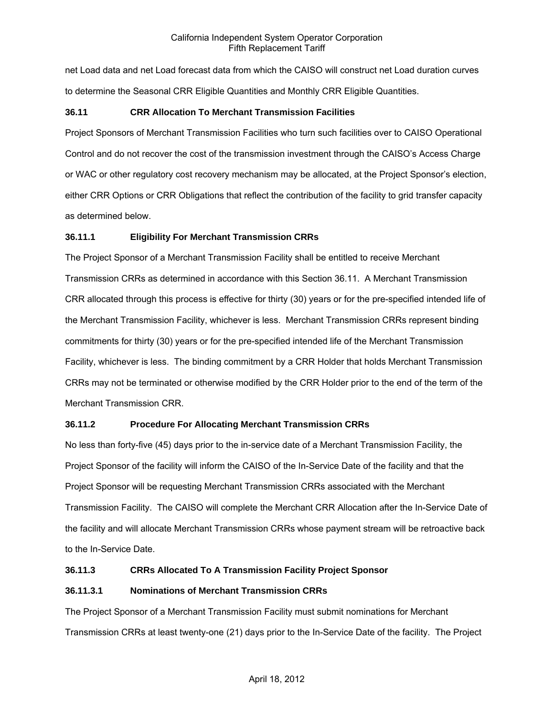net Load data and net Load forecast data from which the CAISO will construct net Load duration curves to determine the Seasonal CRR Eligible Quantities and Monthly CRR Eligible Quantities.

## **36.11 CRR Allocation To Merchant Transmission Facilities**

Project Sponsors of Merchant Transmission Facilities who turn such facilities over to CAISO Operational Control and do not recover the cost of the transmission investment through the CAISO's Access Charge or WAC or other regulatory cost recovery mechanism may be allocated, at the Project Sponsor's election, either CRR Options or CRR Obligations that reflect the contribution of the facility to grid transfer capacity as determined below.

## **36.11.1 Eligibility For Merchant Transmission CRRs**

The Project Sponsor of a Merchant Transmission Facility shall be entitled to receive Merchant Transmission CRRs as determined in accordance with this Section 36.11. A Merchant Transmission CRR allocated through this process is effective for thirty (30) years or for the pre-specified intended life of the Merchant Transmission Facility, whichever is less. Merchant Transmission CRRs represent binding commitments for thirty (30) years or for the pre-specified intended life of the Merchant Transmission Facility, whichever is less. The binding commitment by a CRR Holder that holds Merchant Transmission CRRs may not be terminated or otherwise modified by the CRR Holder prior to the end of the term of the Merchant Transmission CRR.

## **36.11.2 Procedure For Allocating Merchant Transmission CRRs**

No less than forty-five (45) days prior to the in-service date of a Merchant Transmission Facility, the Project Sponsor of the facility will inform the CAISO of the In-Service Date of the facility and that the Project Sponsor will be requesting Merchant Transmission CRRs associated with the Merchant Transmission Facility. The CAISO will complete the Merchant CRR Allocation after the In-Service Date of the facility and will allocate Merchant Transmission CRRs whose payment stream will be retroactive back to the In-Service Date.

## **36.11.3 CRRs Allocated To A Transmission Facility Project Sponsor**

## **36.11.3.1 Nominations of Merchant Transmission CRRs**

The Project Sponsor of a Merchant Transmission Facility must submit nominations for Merchant Transmission CRRs at least twenty-one (21) days prior to the In-Service Date of the facility. The Project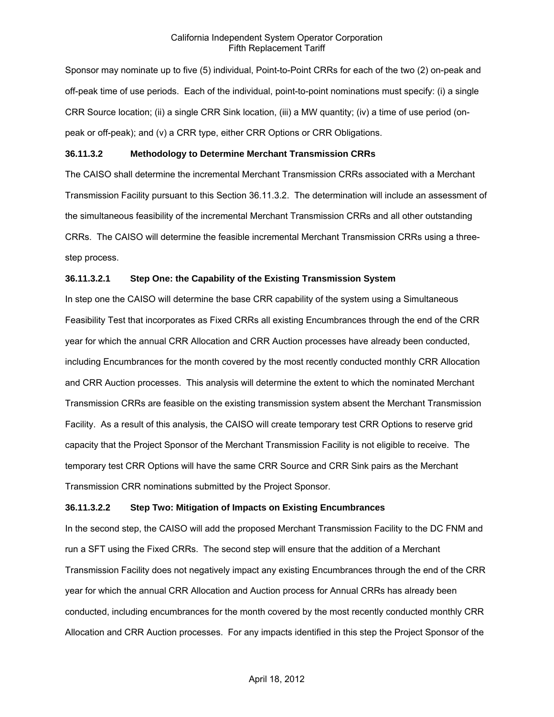Sponsor may nominate up to five (5) individual, Point-to-Point CRRs for each of the two (2) on-peak and off-peak time of use periods. Each of the individual, point-to-point nominations must specify: (i) a single CRR Source location; (ii) a single CRR Sink location, (iii) a MW quantity; (iv) a time of use period (onpeak or off-peak); and (v) a CRR type, either CRR Options or CRR Obligations.

#### **36.11.3.2 Methodology to Determine Merchant Transmission CRRs**

The CAISO shall determine the incremental Merchant Transmission CRRs associated with a Merchant Transmission Facility pursuant to this Section 36.11.3.2. The determination will include an assessment of the simultaneous feasibility of the incremental Merchant Transmission CRRs and all other outstanding CRRs. The CAISO will determine the feasible incremental Merchant Transmission CRRs using a threestep process.

#### **36.11.3.2.1 Step One: the Capability of the Existing Transmission System**

In step one the CAISO will determine the base CRR capability of the system using a Simultaneous Feasibility Test that incorporates as Fixed CRRs all existing Encumbrances through the end of the CRR year for which the annual CRR Allocation and CRR Auction processes have already been conducted, including Encumbrances for the month covered by the most recently conducted monthly CRR Allocation and CRR Auction processes. This analysis will determine the extent to which the nominated Merchant Transmission CRRs are feasible on the existing transmission system absent the Merchant Transmission Facility. As a result of this analysis, the CAISO will create temporary test CRR Options to reserve grid capacity that the Project Sponsor of the Merchant Transmission Facility is not eligible to receive. The temporary test CRR Options will have the same CRR Source and CRR Sink pairs as the Merchant Transmission CRR nominations submitted by the Project Sponsor.

#### **36.11.3.2.2 Step Two: Mitigation of Impacts on Existing Encumbrances**

In the second step, the CAISO will add the proposed Merchant Transmission Facility to the DC FNM and run a SFT using the Fixed CRRs. The second step will ensure that the addition of a Merchant Transmission Facility does not negatively impact any existing Encumbrances through the end of the CRR year for which the annual CRR Allocation and Auction process for Annual CRRs has already been conducted, including encumbrances for the month covered by the most recently conducted monthly CRR Allocation and CRR Auction processes. For any impacts identified in this step the Project Sponsor of the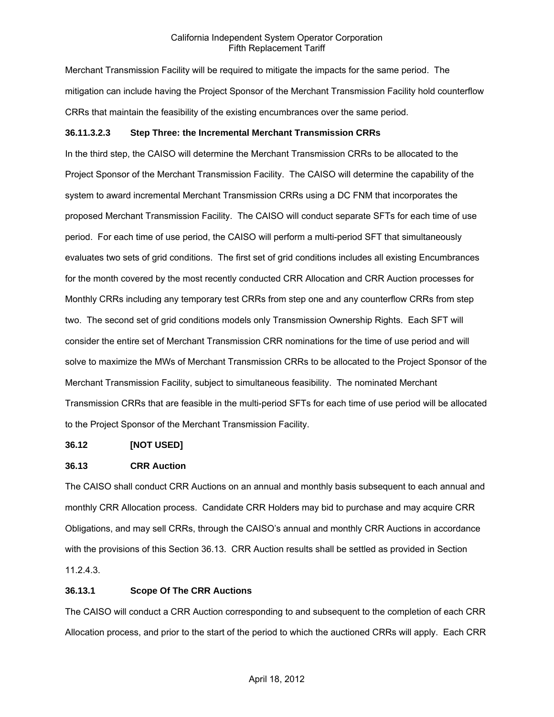Merchant Transmission Facility will be required to mitigate the impacts for the same period. The mitigation can include having the Project Sponsor of the Merchant Transmission Facility hold counterflow CRRs that maintain the feasibility of the existing encumbrances over the same period.

### **36.11.3.2.3 Step Three: the Incremental Merchant Transmission CRRs**

In the third step, the CAISO will determine the Merchant Transmission CRRs to be allocated to the Project Sponsor of the Merchant Transmission Facility. The CAISO will determine the capability of the system to award incremental Merchant Transmission CRRs using a DC FNM that incorporates the proposed Merchant Transmission Facility. The CAISO will conduct separate SFTs for each time of use period. For each time of use period, the CAISO will perform a multi-period SFT that simultaneously evaluates two sets of grid conditions. The first set of grid conditions includes all existing Encumbrances for the month covered by the most recently conducted CRR Allocation and CRR Auction processes for Monthly CRRs including any temporary test CRRs from step one and any counterflow CRRs from step two. The second set of grid conditions models only Transmission Ownership Rights. Each SFT will consider the entire set of Merchant Transmission CRR nominations for the time of use period and will solve to maximize the MWs of Merchant Transmission CRRs to be allocated to the Project Sponsor of the Merchant Transmission Facility, subject to simultaneous feasibility. The nominated Merchant Transmission CRRs that are feasible in the multi-period SFTs for each time of use period will be allocated to the Project Sponsor of the Merchant Transmission Facility.

#### **36.12 [NOT USED]**

#### **36.13 CRR Auction**

The CAISO shall conduct CRR Auctions on an annual and monthly basis subsequent to each annual and monthly CRR Allocation process. Candidate CRR Holders may bid to purchase and may acquire CRR Obligations, and may sell CRRs, through the CAISO's annual and monthly CRR Auctions in accordance with the provisions of this Section 36.13. CRR Auction results shall be settled as provided in Section 11.2.4.3.

#### **36.13.1 Scope Of The CRR Auctions**

The CAISO will conduct a CRR Auction corresponding to and subsequent to the completion of each CRR Allocation process, and prior to the start of the period to which the auctioned CRRs will apply. Each CRR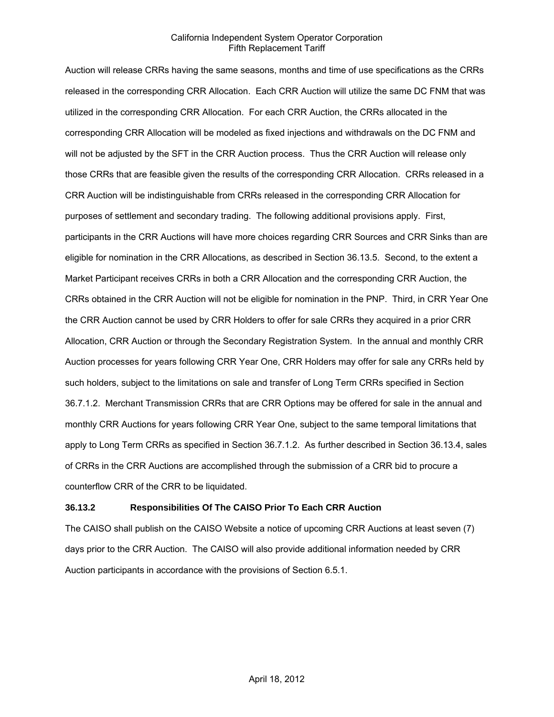Auction will release CRRs having the same seasons, months and time of use specifications as the CRRs released in the corresponding CRR Allocation. Each CRR Auction will utilize the same DC FNM that was utilized in the corresponding CRR Allocation. For each CRR Auction, the CRRs allocated in the corresponding CRR Allocation will be modeled as fixed injections and withdrawals on the DC FNM and will not be adjusted by the SFT in the CRR Auction process. Thus the CRR Auction will release only those CRRs that are feasible given the results of the corresponding CRR Allocation. CRRs released in a CRR Auction will be indistinguishable from CRRs released in the corresponding CRR Allocation for purposes of settlement and secondary trading. The following additional provisions apply. First, participants in the CRR Auctions will have more choices regarding CRR Sources and CRR Sinks than are eligible for nomination in the CRR Allocations, as described in Section 36.13.5. Second, to the extent a Market Participant receives CRRs in both a CRR Allocation and the corresponding CRR Auction, the CRRs obtained in the CRR Auction will not be eligible for nomination in the PNP. Third, in CRR Year One the CRR Auction cannot be used by CRR Holders to offer for sale CRRs they acquired in a prior CRR Allocation, CRR Auction or through the Secondary Registration System. In the annual and monthly CRR Auction processes for years following CRR Year One, CRR Holders may offer for sale any CRRs held by such holders, subject to the limitations on sale and transfer of Long Term CRRs specified in Section 36.7.1.2. Merchant Transmission CRRs that are CRR Options may be offered for sale in the annual and monthly CRR Auctions for years following CRR Year One, subject to the same temporal limitations that apply to Long Term CRRs as specified in Section 36.7.1.2. As further described in Section 36.13.4, sales of CRRs in the CRR Auctions are accomplished through the submission of a CRR bid to procure a counterflow CRR of the CRR to be liquidated.

#### **36.13.2 Responsibilities Of The CAISO Prior To Each CRR Auction**

The CAISO shall publish on the CAISO Website a notice of upcoming CRR Auctions at least seven (7) days prior to the CRR Auction. The CAISO will also provide additional information needed by CRR Auction participants in accordance with the provisions of Section 6.5.1.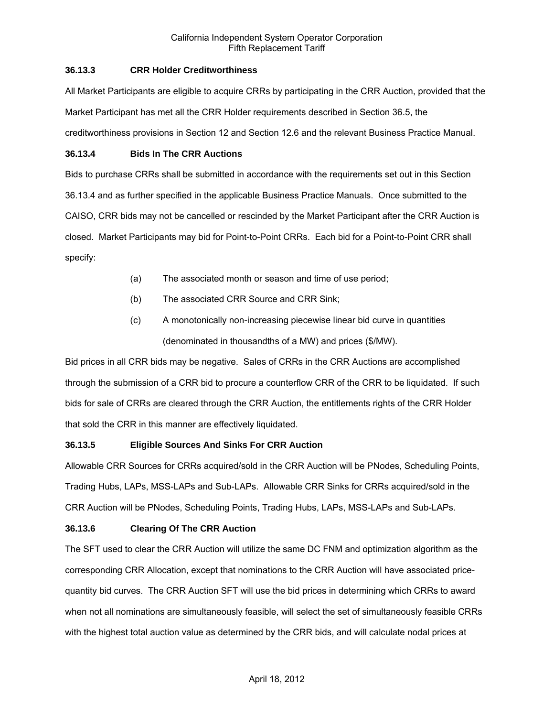## **36.13.3 CRR Holder Creditworthiness**

All Market Participants are eligible to acquire CRRs by participating in the CRR Auction, provided that the Market Participant has met all the CRR Holder requirements described in Section 36.5, the creditworthiness provisions in Section 12 and Section 12.6 and the relevant Business Practice Manual.

### **36.13.4 Bids In The CRR Auctions**

Bids to purchase CRRs shall be submitted in accordance with the requirements set out in this Section 36.13.4 and as further specified in the applicable Business Practice Manuals. Once submitted to the CAISO, CRR bids may not be cancelled or rescinded by the Market Participant after the CRR Auction is closed. Market Participants may bid for Point-to-Point CRRs. Each bid for a Point-to-Point CRR shall specify:

- (a) The associated month or season and time of use period;
- (b) The associated CRR Source and CRR Sink;
- (c) A monotonically non-increasing piecewise linear bid curve in quantities (denominated in thousandths of a MW) and prices (\$/MW).

Bid prices in all CRR bids may be negative. Sales of CRRs in the CRR Auctions are accomplished through the submission of a CRR bid to procure a counterflow CRR of the CRR to be liquidated. If such bids for sale of CRRs are cleared through the CRR Auction, the entitlements rights of the CRR Holder that sold the CRR in this manner are effectively liquidated.

## **36.13.5 Eligible Sources And Sinks For CRR Auction**

Allowable CRR Sources for CRRs acquired/sold in the CRR Auction will be PNodes, Scheduling Points, Trading Hubs, LAPs, MSS-LAPs and Sub-LAPs. Allowable CRR Sinks for CRRs acquired/sold in the CRR Auction will be PNodes, Scheduling Points, Trading Hubs, LAPs, MSS-LAPs and Sub-LAPs.

## **36.13.6 Clearing Of The CRR Auction**

The SFT used to clear the CRR Auction will utilize the same DC FNM and optimization algorithm as the corresponding CRR Allocation, except that nominations to the CRR Auction will have associated pricequantity bid curves. The CRR Auction SFT will use the bid prices in determining which CRRs to award when not all nominations are simultaneously feasible, will select the set of simultaneously feasible CRRs with the highest total auction value as determined by the CRR bids, and will calculate nodal prices at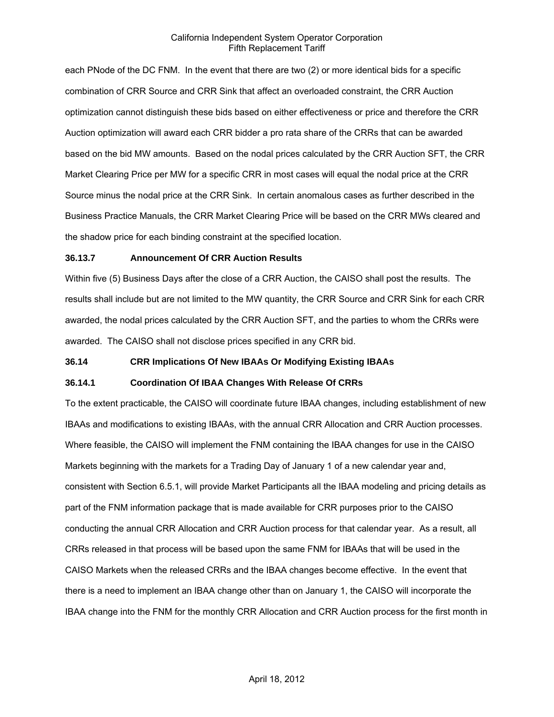each PNode of the DC FNM. In the event that there are two (2) or more identical bids for a specific combination of CRR Source and CRR Sink that affect an overloaded constraint, the CRR Auction optimization cannot distinguish these bids based on either effectiveness or price and therefore the CRR Auction optimization will award each CRR bidder a pro rata share of the CRRs that can be awarded based on the bid MW amounts. Based on the nodal prices calculated by the CRR Auction SFT, the CRR Market Clearing Price per MW for a specific CRR in most cases will equal the nodal price at the CRR Source minus the nodal price at the CRR Sink. In certain anomalous cases as further described in the Business Practice Manuals, the CRR Market Clearing Price will be based on the CRR MWs cleared and the shadow price for each binding constraint at the specified location.

#### **36.13.7 Announcement Of CRR Auction Results**

Within five (5) Business Days after the close of a CRR Auction, the CAISO shall post the results. The results shall include but are not limited to the MW quantity, the CRR Source and CRR Sink for each CRR awarded, the nodal prices calculated by the CRR Auction SFT, and the parties to whom the CRRs were awarded. The CAISO shall not disclose prices specified in any CRR bid.

#### **36.14 CRR Implications Of New IBAAs Or Modifying Existing IBAAs**

#### **36.14.1 Coordination Of IBAA Changes With Release Of CRRs**

To the extent practicable, the CAISO will coordinate future IBAA changes, including establishment of new IBAAs and modifications to existing IBAAs, with the annual CRR Allocation and CRR Auction processes. Where feasible, the CAISO will implement the FNM containing the IBAA changes for use in the CAISO Markets beginning with the markets for a Trading Day of January 1 of a new calendar year and, consistent with Section 6.5.1, will provide Market Participants all the IBAA modeling and pricing details as part of the FNM information package that is made available for CRR purposes prior to the CAISO conducting the annual CRR Allocation and CRR Auction process for that calendar year. As a result, all CRRs released in that process will be based upon the same FNM for IBAAs that will be used in the CAISO Markets when the released CRRs and the IBAA changes become effective. In the event that there is a need to implement an IBAA change other than on January 1, the CAISO will incorporate the IBAA change into the FNM for the monthly CRR Allocation and CRR Auction process for the first month in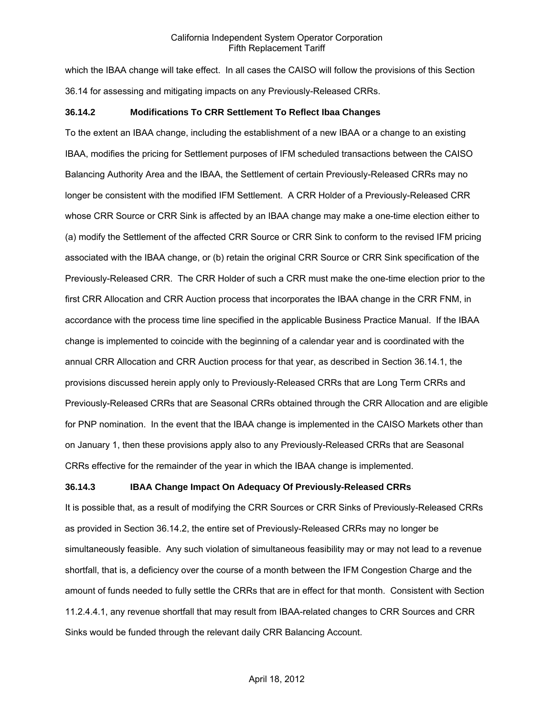which the IBAA change will take effect. In all cases the CAISO will follow the provisions of this Section 36.14 for assessing and mitigating impacts on any Previously-Released CRRs.

#### **36.14.2 Modifications To CRR Settlement To Reflect Ibaa Changes**

To the extent an IBAA change, including the establishment of a new IBAA or a change to an existing IBAA, modifies the pricing for Settlement purposes of IFM scheduled transactions between the CAISO Balancing Authority Area and the IBAA, the Settlement of certain Previously-Released CRRs may no longer be consistent with the modified IFM Settlement. A CRR Holder of a Previously-Released CRR whose CRR Source or CRR Sink is affected by an IBAA change may make a one-time election either to (a) modify the Settlement of the affected CRR Source or CRR Sink to conform to the revised IFM pricing associated with the IBAA change, or (b) retain the original CRR Source or CRR Sink specification of the Previously-Released CRR. The CRR Holder of such a CRR must make the one-time election prior to the first CRR Allocation and CRR Auction process that incorporates the IBAA change in the CRR FNM, in accordance with the process time line specified in the applicable Business Practice Manual. If the IBAA change is implemented to coincide with the beginning of a calendar year and is coordinated with the annual CRR Allocation and CRR Auction process for that year, as described in Section 36.14.1, the provisions discussed herein apply only to Previously-Released CRRs that are Long Term CRRs and Previously-Released CRRs that are Seasonal CRRs obtained through the CRR Allocation and are eligible for PNP nomination. In the event that the IBAA change is implemented in the CAISO Markets other than on January 1, then these provisions apply also to any Previously-Released CRRs that are Seasonal CRRs effective for the remainder of the year in which the IBAA change is implemented.

## **36.14.3 IBAA Change Impact On Adequacy Of Previously-Released CRRs**

It is possible that, as a result of modifying the CRR Sources or CRR Sinks of Previously-Released CRRs as provided in Section 36.14.2, the entire set of Previously-Released CRRs may no longer be simultaneously feasible. Any such violation of simultaneous feasibility may or may not lead to a revenue shortfall, that is, a deficiency over the course of a month between the IFM Congestion Charge and the amount of funds needed to fully settle the CRRs that are in effect for that month. Consistent with Section 11.2.4.4.1, any revenue shortfall that may result from IBAA-related changes to CRR Sources and CRR Sinks would be funded through the relevant daily CRR Balancing Account.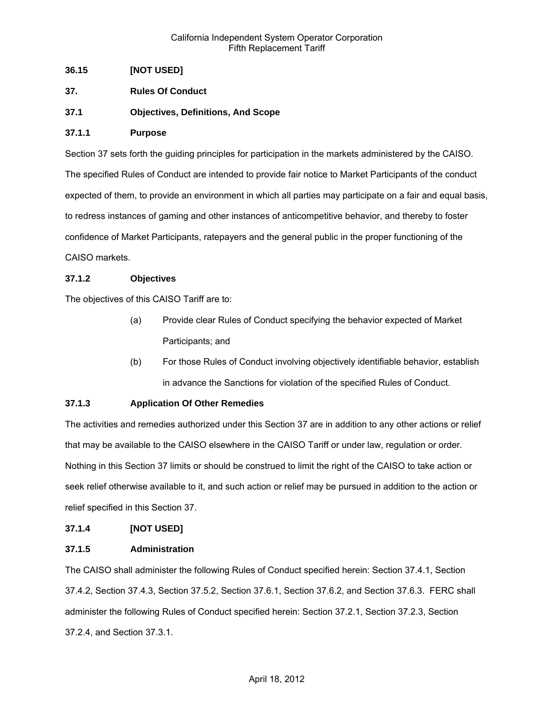## **36.15 [NOT USED]**

- **37. Rules Of Conduct**
- **37.1 Objectives, Definitions, And Scope**

#### **37.1.1 Purpose**

Section 37 sets forth the guiding principles for participation in the markets administered by the CAISO. The specified Rules of Conduct are intended to provide fair notice to Market Participants of the conduct expected of them, to provide an environment in which all parties may participate on a fair and equal basis, to redress instances of gaming and other instances of anticompetitive behavior, and thereby to foster confidence of Market Participants, ratepayers and the general public in the proper functioning of the CAISO markets.

### **37.1.2 Objectives**

The objectives of this CAISO Tariff are to:

- (a) Provide clear Rules of Conduct specifying the behavior expected of Market Participants; and
- (b) For those Rules of Conduct involving objectively identifiable behavior, establish in advance the Sanctions for violation of the specified Rules of Conduct.

## **37.1.3 Application Of Other Remedies**

The activities and remedies authorized under this Section 37 are in addition to any other actions or relief that may be available to the CAISO elsewhere in the CAISO Tariff or under law, regulation or order. Nothing in this Section 37 limits or should be construed to limit the right of the CAISO to take action or seek relief otherwise available to it, and such action or relief may be pursued in addition to the action or relief specified in this Section 37.

#### **37.1.4 [NOT USED]**

#### **37.1.5 Administration**

The CAISO shall administer the following Rules of Conduct specified herein: Section 37.4.1, Section 37.4.2, Section 37.4.3, Section 37.5.2, Section 37.6.1, Section 37.6.2, and Section 37.6.3. FERC shall administer the following Rules of Conduct specified herein: Section 37.2.1, Section 37.2.3, Section 37.2.4, and Section 37.3.1.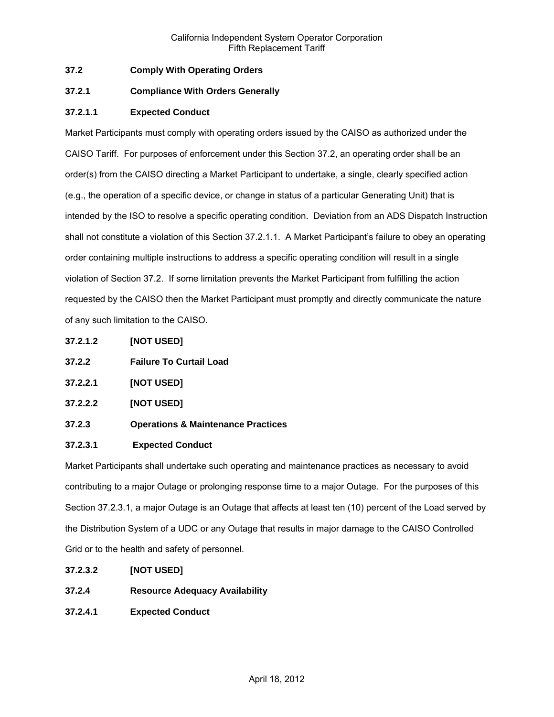## **37.2 Comply With Operating Orders**

## **37.2.1 Compliance With Orders Generally**

## **37.2.1.1 Expected Conduct**

Market Participants must comply with operating orders issued by the CAISO as authorized under the CAISO Tariff. For purposes of enforcement under this Section 37.2, an operating order shall be an order(s) from the CAISO directing a Market Participant to undertake, a single, clearly specified action (e.g., the operation of a specific device, or change in status of a particular Generating Unit) that is intended by the ISO to resolve a specific operating condition. Deviation from an ADS Dispatch Instruction shall not constitute a violation of this Section 37.2.1.1. A Market Participant's failure to obey an operating order containing multiple instructions to address a specific operating condition will result in a single violation of Section 37.2. If some limitation prevents the Market Participant from fulfilling the action requested by the CAISO then the Market Participant must promptly and directly communicate the nature of any such limitation to the CAISO.

- **37.2.1.2 [NOT USED]**
- **37.2.2 Failure To Curtail Load**
- **37.2.2.1 [NOT USED]**
- **37.2.2.2 [NOT USED]**
- **37.2.3 Operations & Maintenance Practices**

## **37.2.3.1 Expected Conduct**

Market Participants shall undertake such operating and maintenance practices as necessary to avoid contributing to a major Outage or prolonging response time to a major Outage. For the purposes of this Section 37.2.3.1, a major Outage is an Outage that affects at least ten (10) percent of the Load served by the Distribution System of a UDC or any Outage that results in major damage to the CAISO Controlled Grid or to the health and safety of personnel.

- **37.2.3.2 [NOT USED]**
- **37.2.4 Resource Adequacy Availability**
- **37.2.4.1 Expected Conduct**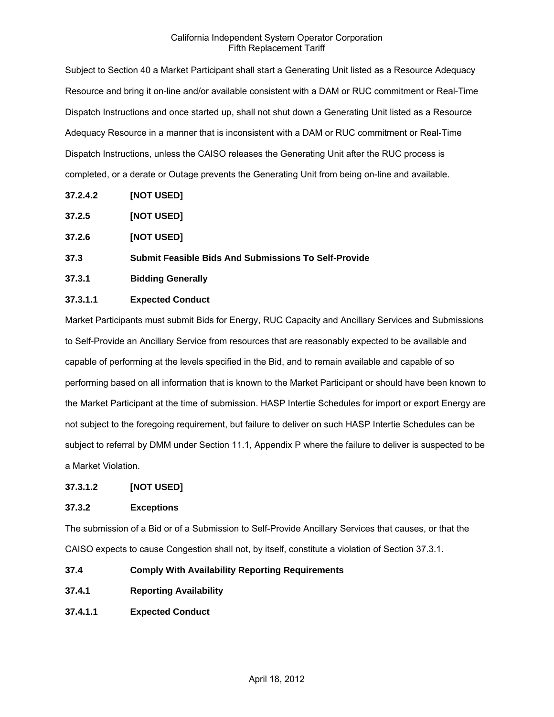Subject to Section 40 a Market Participant shall start a Generating Unit listed as a Resource Adequacy Resource and bring it on-line and/or available consistent with a DAM or RUC commitment or Real-Time Dispatch Instructions and once started up, shall not shut down a Generating Unit listed as a Resource Adequacy Resource in a manner that is inconsistent with a DAM or RUC commitment or Real-Time Dispatch Instructions, unless the CAISO releases the Generating Unit after the RUC process is completed, or a derate or Outage prevents the Generating Unit from being on-line and available.

- **37.2.4.2 [NOT USED]**
- **37.2.5 [NOT USED]**
- **37.2.6 [NOT USED]**
- **37.3 Submit Feasible Bids And Submissions To Self-Provide**
- **37.3.1 Bidding Generally**

## **37.3.1.1 Expected Conduct**

Market Participants must submit Bids for Energy, RUC Capacity and Ancillary Services and Submissions to Self-Provide an Ancillary Service from resources that are reasonably expected to be available and capable of performing at the levels specified in the Bid, and to remain available and capable of so performing based on all information that is known to the Market Participant or should have been known to the Market Participant at the time of submission. HASP Intertie Schedules for import or export Energy are not subject to the foregoing requirement, but failure to deliver on such HASP Intertie Schedules can be subject to referral by DMM under Section 11.1, Appendix P where the failure to deliver is suspected to be a Market Violation.

#### **37.3.1.2 [NOT USED]**

## **37.3.2 Exceptions**

The submission of a Bid or of a Submission to Self-Provide Ancillary Services that causes, or that the CAISO expects to cause Congestion shall not, by itself, constitute a violation of Section 37.3.1.

- **37.4 Comply With Availability Reporting Requirements**
- **37.4.1 Reporting Availability**
- **37.4.1.1 Expected Conduct**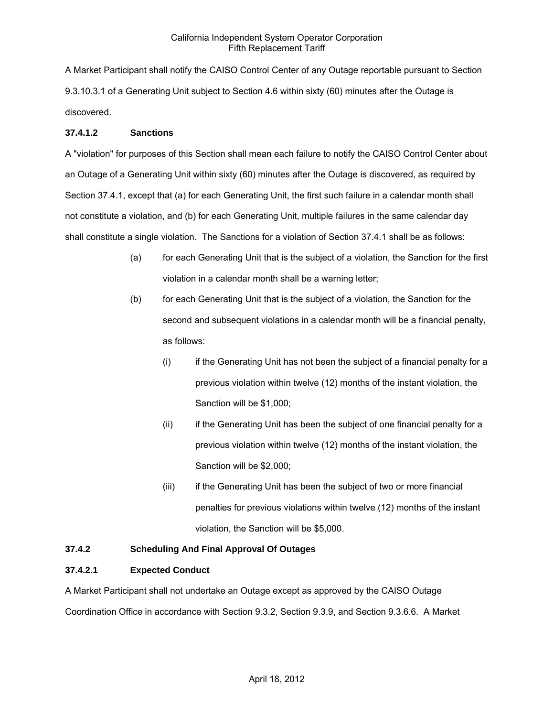A Market Participant shall notify the CAISO Control Center of any Outage reportable pursuant to Section 9.3.10.3.1 of a Generating Unit subject to Section 4.6 within sixty (60) minutes after the Outage is discovered.

## **37.4.1.2 Sanctions**

A "violation" for purposes of this Section shall mean each failure to notify the CAISO Control Center about an Outage of a Generating Unit within sixty (60) minutes after the Outage is discovered, as required by Section 37.4.1, except that (a) for each Generating Unit, the first such failure in a calendar month shall not constitute a violation, and (b) for each Generating Unit, multiple failures in the same calendar day shall constitute a single violation. The Sanctions for a violation of Section 37.4.1 shall be as follows:

- (a) for each Generating Unit that is the subject of a violation, the Sanction for the first violation in a calendar month shall be a warning letter;
- (b) for each Generating Unit that is the subject of a violation, the Sanction for the second and subsequent violations in a calendar month will be a financial penalty, as follows:
	- (i) if the Generating Unit has not been the subject of a financial penalty for a previous violation within twelve (12) months of the instant violation, the Sanction will be \$1,000;
	- (ii) if the Generating Unit has been the subject of one financial penalty for a previous violation within twelve (12) months of the instant violation, the Sanction will be \$2,000;
	- (iii) if the Generating Unit has been the subject of two or more financial penalties for previous violations within twelve (12) months of the instant violation, the Sanction will be \$5,000.

# **37.4.2 Scheduling And Final Approval Of Outages**

## **37.4.2.1 Expected Conduct**

A Market Participant shall not undertake an Outage except as approved by the CAISO Outage Coordination Office in accordance with Section 9.3.2, Section 9.3.9, and Section 9.3.6.6. A Market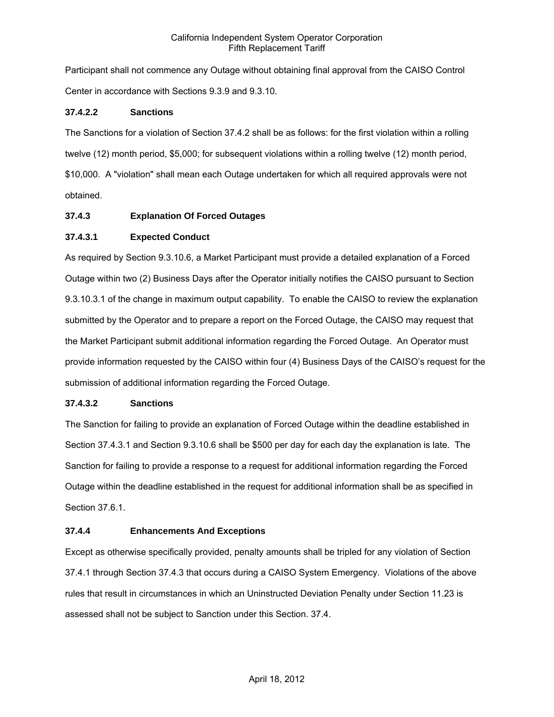Participant shall not commence any Outage without obtaining final approval from the CAISO Control Center in accordance with Sections 9.3.9 and 9.3.10.

### **37.4.2.2 Sanctions**

The Sanctions for a violation of Section 37.4.2 shall be as follows: for the first violation within a rolling twelve (12) month period, \$5,000; for subsequent violations within a rolling twelve (12) month period, \$10,000. A "violation" shall mean each Outage undertaken for which all required approvals were not obtained.

### **37.4.3 Explanation Of Forced Outages**

### **37.4.3.1 Expected Conduct**

As required by Section 9.3.10.6, a Market Participant must provide a detailed explanation of a Forced Outage within two (2) Business Days after the Operator initially notifies the CAISO pursuant to Section 9.3.10.3.1 of the change in maximum output capability. To enable the CAISO to review the explanation submitted by the Operator and to prepare a report on the Forced Outage, the CAISO may request that the Market Participant submit additional information regarding the Forced Outage. An Operator must provide information requested by the CAISO within four (4) Business Days of the CAISO's request for the submission of additional information regarding the Forced Outage.

#### **37.4.3.2 Sanctions**

The Sanction for failing to provide an explanation of Forced Outage within the deadline established in Section 37.4.3.1 and Section 9.3.10.6 shall be \$500 per day for each day the explanation is late. The Sanction for failing to provide a response to a request for additional information regarding the Forced Outage within the deadline established in the request for additional information shall be as specified in Section 37.6.1.

#### **37.4.4 Enhancements And Exceptions**

Except as otherwise specifically provided, penalty amounts shall be tripled for any violation of Section 37.4.1 through Section 37.4.3 that occurs during a CAISO System Emergency. Violations of the above rules that result in circumstances in which an Uninstructed Deviation Penalty under Section 11.23 is assessed shall not be subject to Sanction under this Section. 37.4.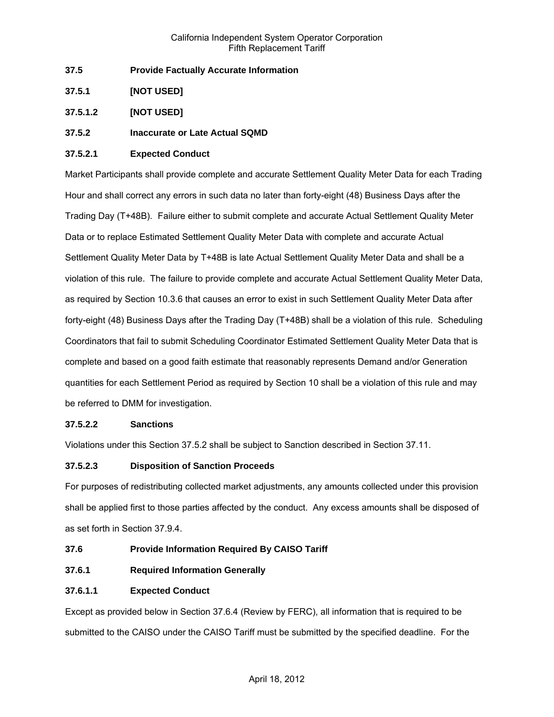- **37.5 Provide Factually Accurate Information**
- **37.5.1 [NOT USED]**
- **37.5.1.2 [NOT USED]**
- **37.5.2 Inaccurate or Late Actual SQMD**

### **37.5.2.1 Expected Conduct**

Market Participants shall provide complete and accurate Settlement Quality Meter Data for each Trading Hour and shall correct any errors in such data no later than forty-eight (48) Business Days after the Trading Day (T+48B). Failure either to submit complete and accurate Actual Settlement Quality Meter Data or to replace Estimated Settlement Quality Meter Data with complete and accurate Actual Settlement Quality Meter Data by T+48B is late Actual Settlement Quality Meter Data and shall be a violation of this rule. The failure to provide complete and accurate Actual Settlement Quality Meter Data, as required by Section 10.3.6 that causes an error to exist in such Settlement Quality Meter Data after forty-eight (48) Business Days after the Trading Day (T+48B) shall be a violation of this rule. Scheduling Coordinators that fail to submit Scheduling Coordinator Estimated Settlement Quality Meter Data that is complete and based on a good faith estimate that reasonably represents Demand and/or Generation quantities for each Settlement Period as required by Section 10 shall be a violation of this rule and may be referred to DMM for investigation.

## **37.5.2.2 Sanctions**

Violations under this Section 37.5.2 shall be subject to Sanction described in Section 37.11.

## **37.5.2.3 Disposition of Sanction Proceeds**

For purposes of redistributing collected market adjustments, any amounts collected under this provision shall be applied first to those parties affected by the conduct. Any excess amounts shall be disposed of as set forth in Section 37.9.4.

- **37.6 Provide Information Required By CAISO Tariff**
- **37.6.1 Required Information Generally**

## **37.6.1.1 Expected Conduct**

Except as provided below in Section 37.6.4 (Review by FERC), all information that is required to be submitted to the CAISO under the CAISO Tariff must be submitted by the specified deadline. For the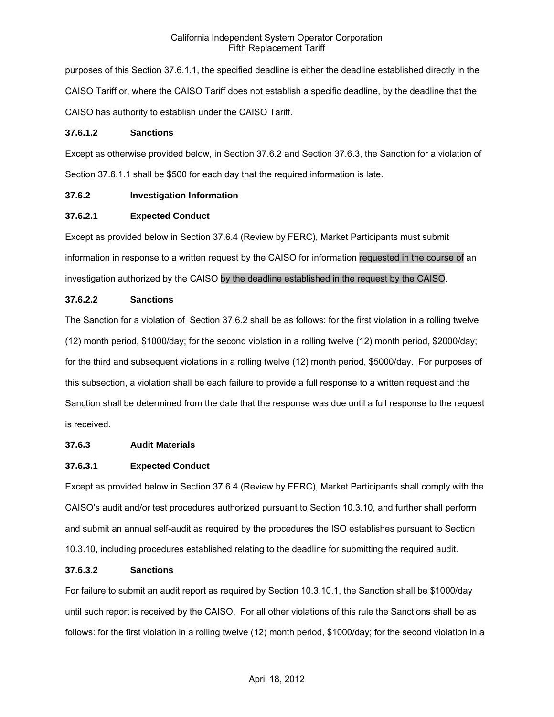purposes of this Section 37.6.1.1, the specified deadline is either the deadline established directly in the CAISO Tariff or, where the CAISO Tariff does not establish a specific deadline, by the deadline that the CAISO has authority to establish under the CAISO Tariff.

### **37.6.1.2 Sanctions**

Except as otherwise provided below, in Section 37.6.2 and Section 37.6.3, the Sanction for a violation of Section 37.6.1.1 shall be \$500 for each day that the required information is late.

## **37.6.2 Investigation Information**

## **37.6.2.1 Expected Conduct**

Except as provided below in Section 37.6.4 (Review by FERC), Market Participants must submit information in response to a written request by the CAISO for information requested in the course of an investigation authorized by the CAISO by the deadline established in the request by the CAISO.

# **37.6.2.2 Sanctions**

The Sanction for a violation of Section 37.6.2 shall be as follows: for the first violation in a rolling twelve (12) month period, \$1000/day; for the second violation in a rolling twelve (12) month period, \$2000/day; for the third and subsequent violations in a rolling twelve (12) month period, \$5000/day. For purposes of this subsection, a violation shall be each failure to provide a full response to a written request and the Sanction shall be determined from the date that the response was due until a full response to the request is received.

## **37.6.3 Audit Materials**

## **37.6.3.1 Expected Conduct**

Except as provided below in Section 37.6.4 (Review by FERC), Market Participants shall comply with the CAISO's audit and/or test procedures authorized pursuant to Section 10.3.10, and further shall perform and submit an annual self-audit as required by the procedures the ISO establishes pursuant to Section 10.3.10, including procedures established relating to the deadline for submitting the required audit.

## **37.6.3.2 Sanctions**

For failure to submit an audit report as required by Section 10.3.10.1, the Sanction shall be \$1000/day until such report is received by the CAISO. For all other violations of this rule the Sanctions shall be as follows: for the first violation in a rolling twelve (12) month period, \$1000/day; for the second violation in a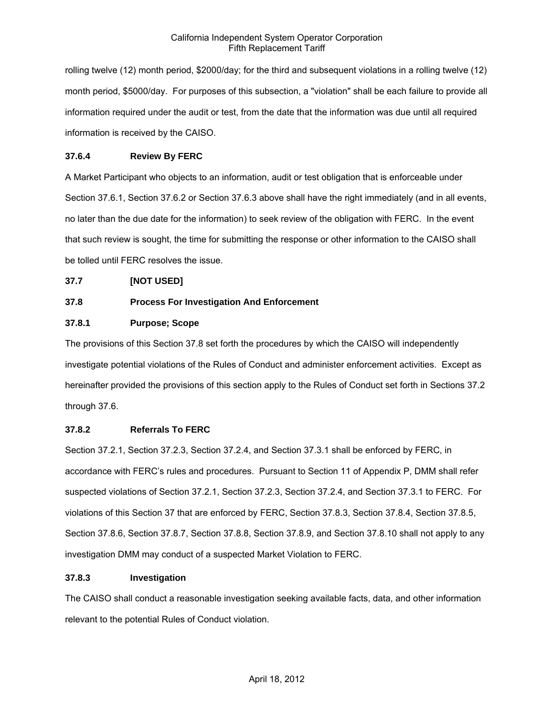rolling twelve (12) month period, \$2000/day; for the third and subsequent violations in a rolling twelve (12) month period, \$5000/day. For purposes of this subsection, a "violation" shall be each failure to provide all information required under the audit or test, from the date that the information was due until all required information is received by the CAISO.

## **37.6.4 Review By FERC**

A Market Participant who objects to an information, audit or test obligation that is enforceable under Section 37.6.1, Section 37.6.2 or Section 37.6.3 above shall have the right immediately (and in all events, no later than the due date for the information) to seek review of the obligation with FERC. In the event that such review is sought, the time for submitting the response or other information to the CAISO shall be tolled until FERC resolves the issue.

## **37.7 [NOT USED]**

## **37.8 Process For Investigation And Enforcement**

## **37.8.1 Purpose; Scope**

The provisions of this Section 37.8 set forth the procedures by which the CAISO will independently investigate potential violations of the Rules of Conduct and administer enforcement activities. Except as hereinafter provided the provisions of this section apply to the Rules of Conduct set forth in Sections 37.2 through 37.6.

## **37.8.2 Referrals To FERC**

Section 37.2.1, Section 37.2.3, Section 37.2.4, and Section 37.3.1 shall be enforced by FERC, in accordance with FERC's rules and procedures. Pursuant to Section 11 of Appendix P, DMM shall refer suspected violations of Section 37.2.1, Section 37.2.3, Section 37.2.4, and Section 37.3.1 to FERC. For violations of this Section 37 that are enforced by FERC, Section 37.8.3, Section 37.8.4, Section 37.8.5, Section 37.8.6, Section 37.8.7, Section 37.8.8, Section 37.8.9, and Section 37.8.10 shall not apply to any investigation DMM may conduct of a suspected Market Violation to FERC.

## **37.8.3 Investigation**

The CAISO shall conduct a reasonable investigation seeking available facts, data, and other information relevant to the potential Rules of Conduct violation.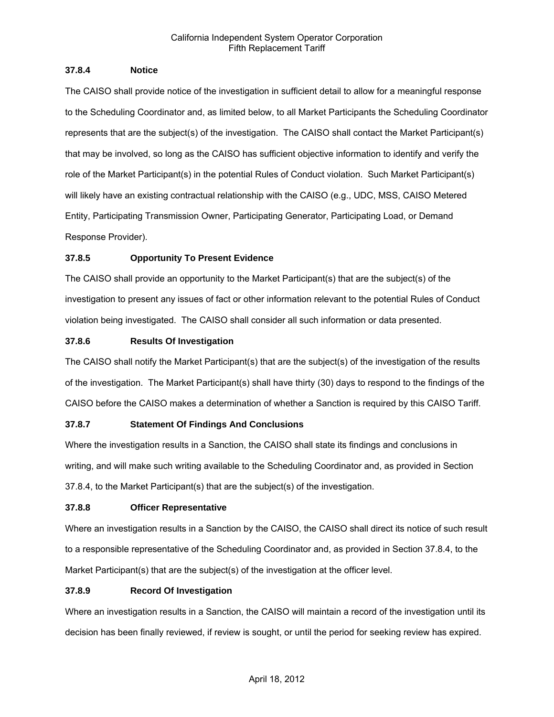### **37.8.4 Notice**

The CAISO shall provide notice of the investigation in sufficient detail to allow for a meaningful response to the Scheduling Coordinator and, as limited below, to all Market Participants the Scheduling Coordinator represents that are the subject(s) of the investigation. The CAISO shall contact the Market Participant(s) that may be involved, so long as the CAISO has sufficient objective information to identify and verify the role of the Market Participant(s) in the potential Rules of Conduct violation. Such Market Participant(s) will likely have an existing contractual relationship with the CAISO (e.g., UDC, MSS, CAISO Metered Entity, Participating Transmission Owner, Participating Generator, Participating Load, or Demand Response Provider).

## **37.8.5 Opportunity To Present Evidence**

The CAISO shall provide an opportunity to the Market Participant(s) that are the subject(s) of the investigation to present any issues of fact or other information relevant to the potential Rules of Conduct violation being investigated. The CAISO shall consider all such information or data presented.

## **37.8.6 Results Of Investigation**

The CAISO shall notify the Market Participant(s) that are the subject(s) of the investigation of the results of the investigation. The Market Participant(s) shall have thirty (30) days to respond to the findings of the CAISO before the CAISO makes a determination of whether a Sanction is required by this CAISO Tariff.

## **37.8.7 Statement Of Findings And Conclusions**

Where the investigation results in a Sanction, the CAISO shall state its findings and conclusions in writing, and will make such writing available to the Scheduling Coordinator and, as provided in Section 37.8.4, to the Market Participant(s) that are the subject(s) of the investigation.

## **37.8.8 Officer Representative**

Where an investigation results in a Sanction by the CAISO, the CAISO shall direct its notice of such result to a responsible representative of the Scheduling Coordinator and, as provided in Section 37.8.4, to the Market Participant(s) that are the subject(s) of the investigation at the officer level.

## **37.8.9 Record Of Investigation**

Where an investigation results in a Sanction, the CAISO will maintain a record of the investigation until its decision has been finally reviewed, if review is sought, or until the period for seeking review has expired.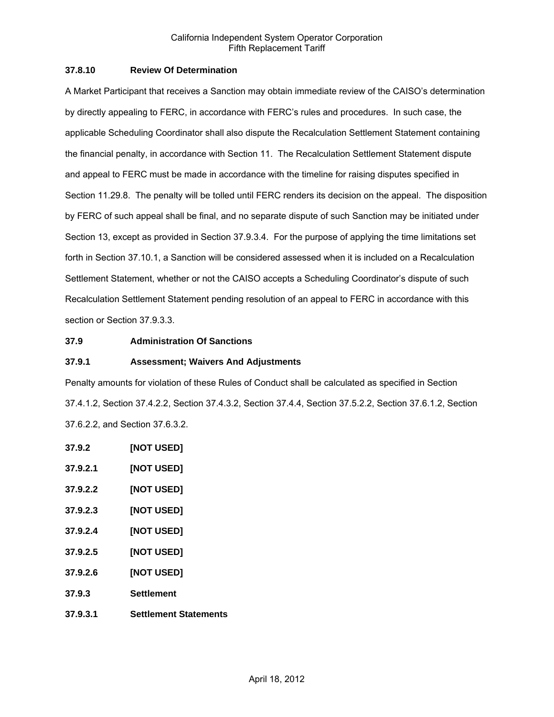### **37.8.10 Review Of Determination**

A Market Participant that receives a Sanction may obtain immediate review of the CAISO's determination by directly appealing to FERC, in accordance with FERC's rules and procedures. In such case, the applicable Scheduling Coordinator shall also dispute the Recalculation Settlement Statement containing the financial penalty, in accordance with Section 11. The Recalculation Settlement Statement dispute and appeal to FERC must be made in accordance with the timeline for raising disputes specified in Section 11.29.8. The penalty will be tolled until FERC renders its decision on the appeal. The disposition by FERC of such appeal shall be final, and no separate dispute of such Sanction may be initiated under Section 13, except as provided in Section 37.9.3.4. For the purpose of applying the time limitations set forth in Section 37.10.1, a Sanction will be considered assessed when it is included on a Recalculation Settlement Statement, whether or not the CAISO accepts a Scheduling Coordinator's dispute of such Recalculation Settlement Statement pending resolution of an appeal to FERC in accordance with this section or Section 37.9.3.3.

### **37.9 Administration Of Sanctions**

#### **37.9.1 Assessment; Waivers And Adjustments**

Penalty amounts for violation of these Rules of Conduct shall be calculated as specified in Section 37.4.1.2, Section 37.4.2.2, Section 37.4.3.2, Section 37.4.4, Section 37.5.2.2, Section 37.6.1.2, Section 37.6.2.2, and Section 37.6.3.2.

- **37.9.2 [NOT USED]**
- **37.9.2.1 [NOT USED]**
- **37.9.2.2 [NOT USED]**
- **37.9.2.3 [NOT USED]**
- **37.9.2.4 [NOT USED]**
- **37.9.2.5 [NOT USED]**
- **37.9.2.6 [NOT USED]**
- **37.9.3 Settlement**
- **37.9.3.1 Settlement Statements**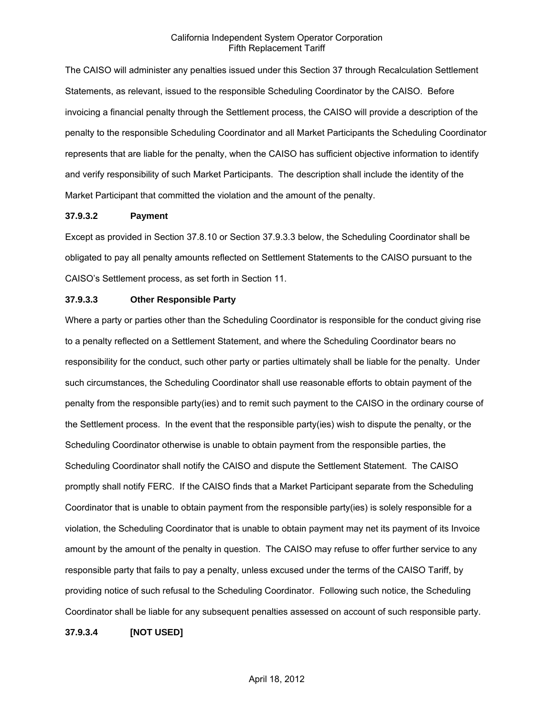The CAISO will administer any penalties issued under this Section 37 through Recalculation Settlement Statements, as relevant, issued to the responsible Scheduling Coordinator by the CAISO. Before invoicing a financial penalty through the Settlement process, the CAISO will provide a description of the penalty to the responsible Scheduling Coordinator and all Market Participants the Scheduling Coordinator represents that are liable for the penalty, when the CAISO has sufficient objective information to identify and verify responsibility of such Market Participants. The description shall include the identity of the Market Participant that committed the violation and the amount of the penalty.

#### **37.9.3.2 Payment**

Except as provided in Section 37.8.10 or Section 37.9.3.3 below, the Scheduling Coordinator shall be obligated to pay all penalty amounts reflected on Settlement Statements to the CAISO pursuant to the CAISO's Settlement process, as set forth in Section 11.

#### **37.9.3.3 Other Responsible Party**

Where a party or parties other than the Scheduling Coordinator is responsible for the conduct giving rise to a penalty reflected on a Settlement Statement, and where the Scheduling Coordinator bears no responsibility for the conduct, such other party or parties ultimately shall be liable for the penalty. Under such circumstances, the Scheduling Coordinator shall use reasonable efforts to obtain payment of the penalty from the responsible party(ies) and to remit such payment to the CAISO in the ordinary course of the Settlement process. In the event that the responsible party(ies) wish to dispute the penalty, or the Scheduling Coordinator otherwise is unable to obtain payment from the responsible parties, the Scheduling Coordinator shall notify the CAISO and dispute the Settlement Statement. The CAISO promptly shall notify FERC. If the CAISO finds that a Market Participant separate from the Scheduling Coordinator that is unable to obtain payment from the responsible party(ies) is solely responsible for a violation, the Scheduling Coordinator that is unable to obtain payment may net its payment of its Invoice amount by the amount of the penalty in question. The CAISO may refuse to offer further service to any responsible party that fails to pay a penalty, unless excused under the terms of the CAISO Tariff, by providing notice of such refusal to the Scheduling Coordinator. Following such notice, the Scheduling Coordinator shall be liable for any subsequent penalties assessed on account of such responsible party.

**37.9.3.4 [NOT USED]**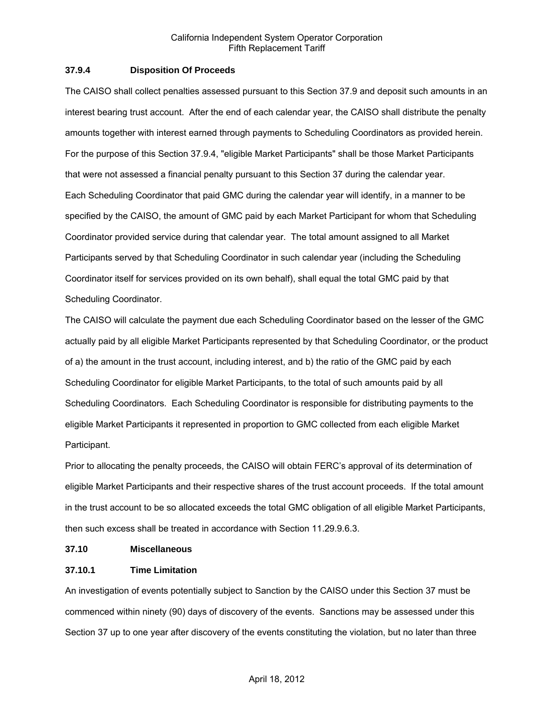### **37.9.4 Disposition Of Proceeds**

The CAISO shall collect penalties assessed pursuant to this Section 37.9 and deposit such amounts in an interest bearing trust account. After the end of each calendar year, the CAISO shall distribute the penalty amounts together with interest earned through payments to Scheduling Coordinators as provided herein. For the purpose of this Section 37.9.4, "eligible Market Participants" shall be those Market Participants that were not assessed a financial penalty pursuant to this Section 37 during the calendar year. Each Scheduling Coordinator that paid GMC during the calendar year will identify, in a manner to be specified by the CAISO, the amount of GMC paid by each Market Participant for whom that Scheduling Coordinator provided service during that calendar year. The total amount assigned to all Market Participants served by that Scheduling Coordinator in such calendar year (including the Scheduling Coordinator itself for services provided on its own behalf), shall equal the total GMC paid by that Scheduling Coordinator.

The CAISO will calculate the payment due each Scheduling Coordinator based on the lesser of the GMC actually paid by all eligible Market Participants represented by that Scheduling Coordinator, or the product of a) the amount in the trust account, including interest, and b) the ratio of the GMC paid by each Scheduling Coordinator for eligible Market Participants, to the total of such amounts paid by all Scheduling Coordinators. Each Scheduling Coordinator is responsible for distributing payments to the eligible Market Participants it represented in proportion to GMC collected from each eligible Market Participant.

Prior to allocating the penalty proceeds, the CAISO will obtain FERC's approval of its determination of eligible Market Participants and their respective shares of the trust account proceeds. If the total amount in the trust account to be so allocated exceeds the total GMC obligation of all eligible Market Participants, then such excess shall be treated in accordance with Section 11.29.9.6.3.

#### **37.10 Miscellaneous**

## **37.10.1 Time Limitation**

An investigation of events potentially subject to Sanction by the CAISO under this Section 37 must be commenced within ninety (90) days of discovery of the events. Sanctions may be assessed under this Section 37 up to one year after discovery of the events constituting the violation, but no later than three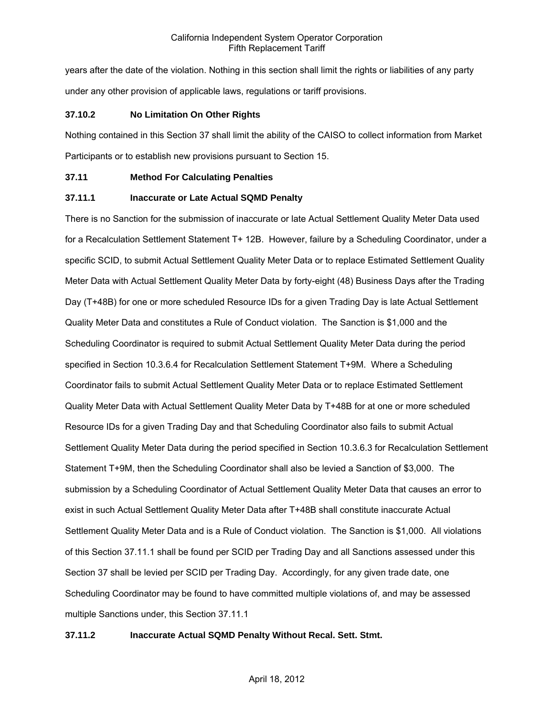years after the date of the violation. Nothing in this section shall limit the rights or liabilities of any party under any other provision of applicable laws, regulations or tariff provisions.

### **37.10.2 No Limitation On Other Rights**

Nothing contained in this Section 37 shall limit the ability of the CAISO to collect information from Market Participants or to establish new provisions pursuant to Section 15.

### **37.11 Method For Calculating Penalties**

### **37.11.1 Inaccurate or Late Actual SQMD Penalty**

There is no Sanction for the submission of inaccurate or late Actual Settlement Quality Meter Data used for a Recalculation Settlement Statement T+ 12B. However, failure by a Scheduling Coordinator, under a specific SCID, to submit Actual Settlement Quality Meter Data or to replace Estimated Settlement Quality Meter Data with Actual Settlement Quality Meter Data by forty-eight (48) Business Days after the Trading Day (T+48B) for one or more scheduled Resource IDs for a given Trading Day is late Actual Settlement Quality Meter Data and constitutes a Rule of Conduct violation. The Sanction is \$1,000 and the Scheduling Coordinator is required to submit Actual Settlement Quality Meter Data during the period specified in Section 10.3.6.4 for Recalculation Settlement Statement T+9M. Where a Scheduling Coordinator fails to submit Actual Settlement Quality Meter Data or to replace Estimated Settlement Quality Meter Data with Actual Settlement Quality Meter Data by T+48B for at one or more scheduled Resource IDs for a given Trading Day and that Scheduling Coordinator also fails to submit Actual Settlement Quality Meter Data during the period specified in Section 10.3.6.3 for Recalculation Settlement Statement T+9M, then the Scheduling Coordinator shall also be levied a Sanction of \$3,000. The submission by a Scheduling Coordinator of Actual Settlement Quality Meter Data that causes an error to exist in such Actual Settlement Quality Meter Data after T+48B shall constitute inaccurate Actual Settlement Quality Meter Data and is a Rule of Conduct violation. The Sanction is \$1,000. All violations of this Section 37.11.1 shall be found per SCID per Trading Day and all Sanctions assessed under this Section 37 shall be levied per SCID per Trading Day. Accordingly, for any given trade date, one Scheduling Coordinator may be found to have committed multiple violations of, and may be assessed multiple Sanctions under, this Section 37.11.1

## **37.11.2 Inaccurate Actual SQMD Penalty Without Recal. Sett. Stmt.**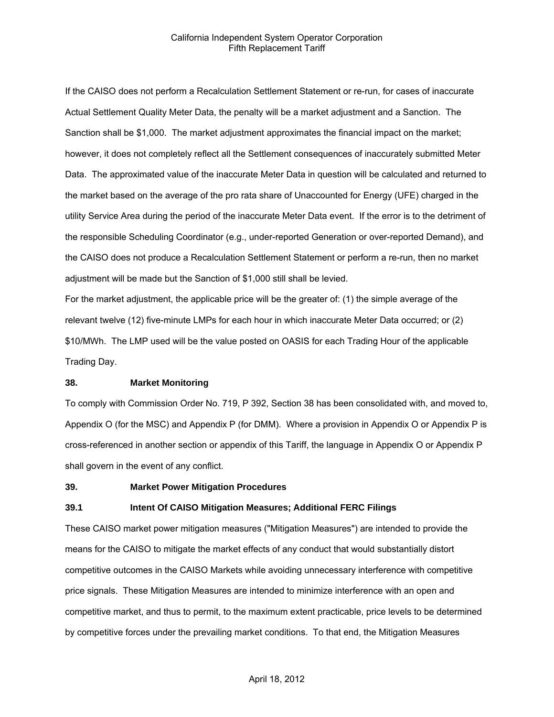If the CAISO does not perform a Recalculation Settlement Statement or re-run, for cases of inaccurate Actual Settlement Quality Meter Data, the penalty will be a market adjustment and a Sanction. The Sanction shall be \$1,000. The market adjustment approximates the financial impact on the market; however, it does not completely reflect all the Settlement consequences of inaccurately submitted Meter Data. The approximated value of the inaccurate Meter Data in question will be calculated and returned to the market based on the average of the pro rata share of Unaccounted for Energy (UFE) charged in the utility Service Area during the period of the inaccurate Meter Data event. If the error is to the detriment of the responsible Scheduling Coordinator (e.g., under-reported Generation or over-reported Demand), and the CAISO does not produce a Recalculation Settlement Statement or perform a re-run, then no market adjustment will be made but the Sanction of \$1,000 still shall be levied.

For the market adjustment, the applicable price will be the greater of: (1) the simple average of the relevant twelve (12) five-minute LMPs for each hour in which inaccurate Meter Data occurred; or (2) \$10/MWh. The LMP used will be the value posted on OASIS for each Trading Hour of the applicable Trading Day.

#### **38. Market Monitoring**

To comply with Commission Order No. 719, P 392, Section 38 has been consolidated with, and moved to, Appendix O (for the MSC) and Appendix P (for DMM). Where a provision in Appendix O or Appendix P is cross-referenced in another section or appendix of this Tariff, the language in Appendix O or Appendix P shall govern in the event of any conflict.

#### **39. Market Power Mitigation Procedures**

#### **39.1 Intent Of CAISO Mitigation Measures; Additional FERC Filings**

These CAISO market power mitigation measures ("Mitigation Measures") are intended to provide the means for the CAISO to mitigate the market effects of any conduct that would substantially distort competitive outcomes in the CAISO Markets while avoiding unnecessary interference with competitive price signals. These Mitigation Measures are intended to minimize interference with an open and competitive market, and thus to permit, to the maximum extent practicable, price levels to be determined by competitive forces under the prevailing market conditions. To that end, the Mitigation Measures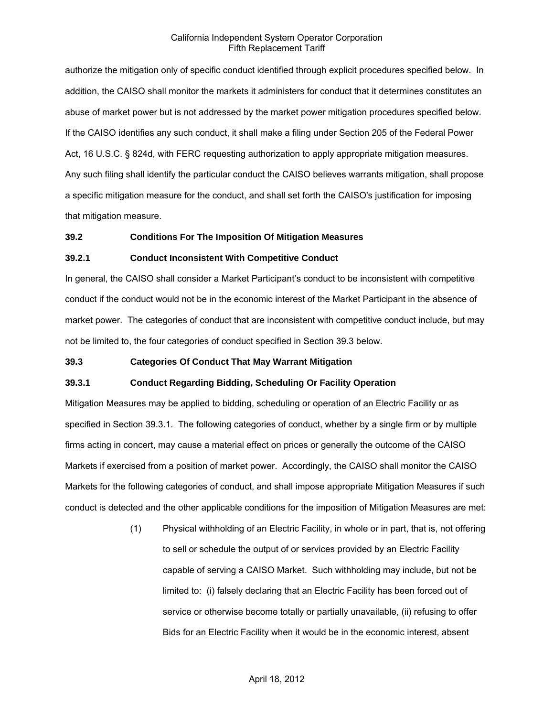authorize the mitigation only of specific conduct identified through explicit procedures specified below. In addition, the CAISO shall monitor the markets it administers for conduct that it determines constitutes an abuse of market power but is not addressed by the market power mitigation procedures specified below. If the CAISO identifies any such conduct, it shall make a filing under Section 205 of the Federal Power Act, 16 U.S.C. § 824d, with FERC requesting authorization to apply appropriate mitigation measures. Any such filing shall identify the particular conduct the CAISO believes warrants mitigation, shall propose a specific mitigation measure for the conduct, and shall set forth the CAISO's justification for imposing that mitigation measure.

#### **39.2 Conditions For The Imposition Of Mitigation Measures**

#### **39.2.1 Conduct Inconsistent With Competitive Conduct**

In general, the CAISO shall consider a Market Participant's conduct to be inconsistent with competitive conduct if the conduct would not be in the economic interest of the Market Participant in the absence of market power. The categories of conduct that are inconsistent with competitive conduct include, but may not be limited to, the four categories of conduct specified in Section 39.3 below.

#### **39.3 Categories Of Conduct That May Warrant Mitigation**

## **39.3.1 Conduct Regarding Bidding, Scheduling Or Facility Operation**

Mitigation Measures may be applied to bidding, scheduling or operation of an Electric Facility or as specified in Section 39.3.1. The following categories of conduct, whether by a single firm or by multiple firms acting in concert, may cause a material effect on prices or generally the outcome of the CAISO Markets if exercised from a position of market power. Accordingly, the CAISO shall monitor the CAISO Markets for the following categories of conduct, and shall impose appropriate Mitigation Measures if such conduct is detected and the other applicable conditions for the imposition of Mitigation Measures are met:

> (1) Physical withholding of an Electric Facility, in whole or in part, that is, not offering to sell or schedule the output of or services provided by an Electric Facility capable of serving a CAISO Market. Such withholding may include, but not be limited to: (i) falsely declaring that an Electric Facility has been forced out of service or otherwise become totally or partially unavailable, (ii) refusing to offer Bids for an Electric Facility when it would be in the economic interest, absent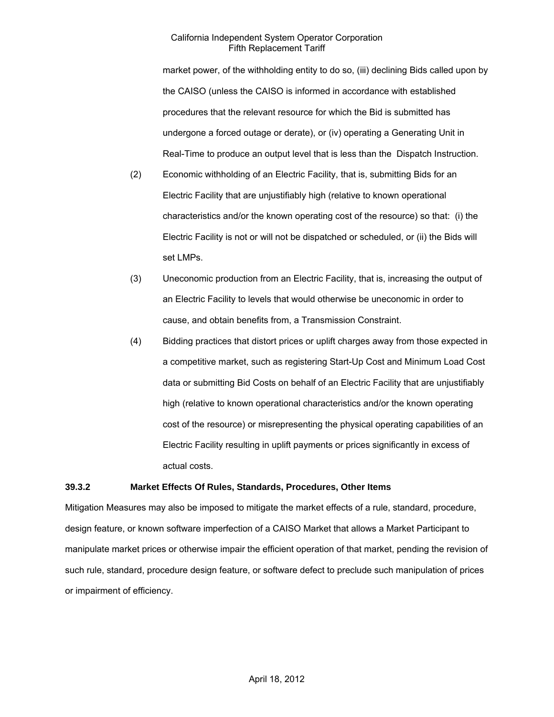market power, of the withholding entity to do so, (iii) declining Bids called upon by the CAISO (unless the CAISO is informed in accordance with established procedures that the relevant resource for which the Bid is submitted has undergone a forced outage or derate), or (iv) operating a Generating Unit in Real-Time to produce an output level that is less than the Dispatch Instruction.

- (2) Economic withholding of an Electric Facility, that is, submitting Bids for an Electric Facility that are unjustifiably high (relative to known operational characteristics and/or the known operating cost of the resource) so that: (i) the Electric Facility is not or will not be dispatched or scheduled, or (ii) the Bids will set LMPs.
- (3) Uneconomic production from an Electric Facility, that is, increasing the output of an Electric Facility to levels that would otherwise be uneconomic in order to cause, and obtain benefits from, a Transmission Constraint.
- (4) Bidding practices that distort prices or uplift charges away from those expected in a competitive market, such as registering Start-Up Cost and Minimum Load Cost data or submitting Bid Costs on behalf of an Electric Facility that are unjustifiably high (relative to known operational characteristics and/or the known operating cost of the resource) or misrepresenting the physical operating capabilities of an Electric Facility resulting in uplift payments or prices significantly in excess of actual costs.

#### **39.3.2 Market Effects Of Rules, Standards, Procedures, Other Items**

Mitigation Measures may also be imposed to mitigate the market effects of a rule, standard, procedure, design feature, or known software imperfection of a CAISO Market that allows a Market Participant to manipulate market prices or otherwise impair the efficient operation of that market, pending the revision of such rule, standard, procedure design feature, or software defect to preclude such manipulation of prices or impairment of efficiency.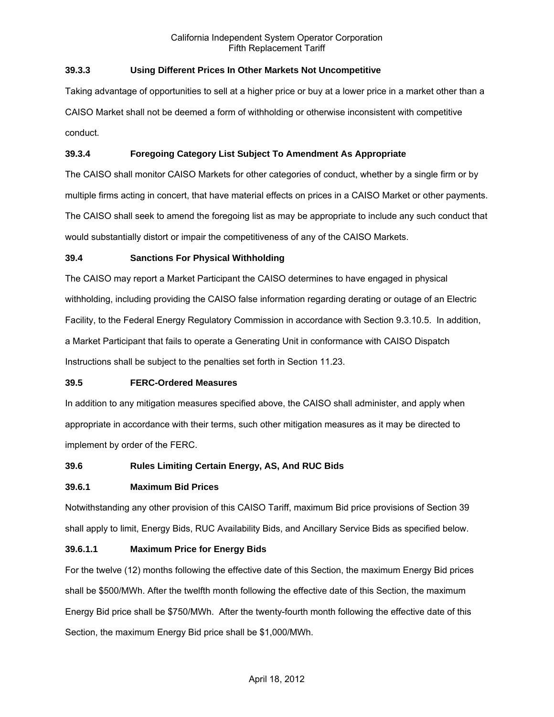## **39.3.3 Using Different Prices In Other Markets Not Uncompetitive**

Taking advantage of opportunities to sell at a higher price or buy at a lower price in a market other than a CAISO Market shall not be deemed a form of withholding or otherwise inconsistent with competitive conduct.

## **39.3.4 Foregoing Category List Subject To Amendment As Appropriate**

The CAISO shall monitor CAISO Markets for other categories of conduct, whether by a single firm or by multiple firms acting in concert, that have material effects on prices in a CAISO Market or other payments. The CAISO shall seek to amend the foregoing list as may be appropriate to include any such conduct that would substantially distort or impair the competitiveness of any of the CAISO Markets.

## **39.4 Sanctions For Physical Withholding**

The CAISO may report a Market Participant the CAISO determines to have engaged in physical withholding, including providing the CAISO false information regarding derating or outage of an Electric Facility, to the Federal Energy Regulatory Commission in accordance with Section 9.3.10.5. In addition, a Market Participant that fails to operate a Generating Unit in conformance with CAISO Dispatch Instructions shall be subject to the penalties set forth in Section 11.23.

## **39.5 FERC-Ordered Measures**

In addition to any mitigation measures specified above, the CAISO shall administer, and apply when appropriate in accordance with their terms, such other mitigation measures as it may be directed to implement by order of the FERC.

## **39.6 Rules Limiting Certain Energy, AS, And RUC Bids**

## **39.6.1 Maximum Bid Prices**

Notwithstanding any other provision of this CAISO Tariff, maximum Bid price provisions of Section 39 shall apply to limit, Energy Bids, RUC Availability Bids, and Ancillary Service Bids as specified below.

## **39.6.1.1 Maximum Price for Energy Bids**

For the twelve (12) months following the effective date of this Section, the maximum Energy Bid prices shall be \$500/MWh. After the twelfth month following the effective date of this Section, the maximum Energy Bid price shall be \$750/MWh. After the twenty-fourth month following the effective date of this Section, the maximum Energy Bid price shall be \$1,000/MWh.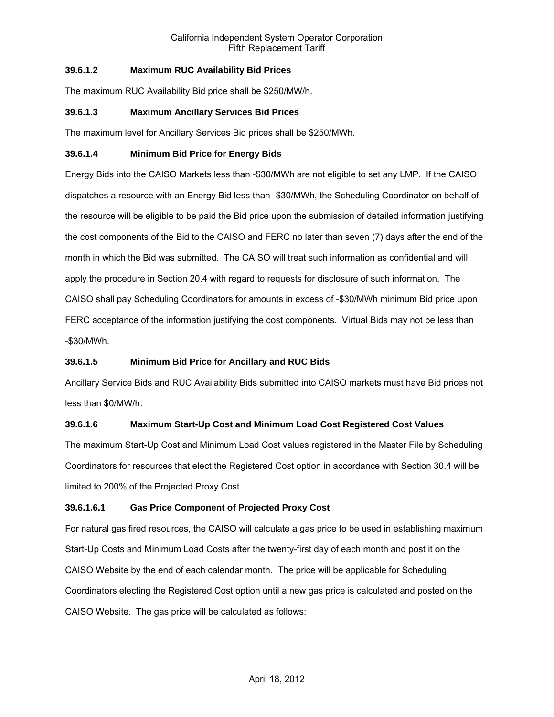## **39.6.1.2 Maximum RUC Availability Bid Prices**

The maximum RUC Availability Bid price shall be \$250/MW/h.

## **39.6.1.3 Maximum Ancillary Services Bid Prices**

The maximum level for Ancillary Services Bid prices shall be \$250/MWh.

## **39.6.1.4 Minimum Bid Price for Energy Bids**

Energy Bids into the CAISO Markets less than -\$30/MWh are not eligible to set any LMP. If the CAISO dispatches a resource with an Energy Bid less than -\$30/MWh, the Scheduling Coordinator on behalf of the resource will be eligible to be paid the Bid price upon the submission of detailed information justifying the cost components of the Bid to the CAISO and FERC no later than seven (7) days after the end of the month in which the Bid was submitted. The CAISO will treat such information as confidential and will apply the procedure in Section 20.4 with regard to requests for disclosure of such information. The CAISO shall pay Scheduling Coordinators for amounts in excess of -\$30/MWh minimum Bid price upon FERC acceptance of the information justifying the cost components. Virtual Bids may not be less than -\$30/MWh.

# **39.6.1.5 Minimum Bid Price for Ancillary and RUC Bids**

Ancillary Service Bids and RUC Availability Bids submitted into CAISO markets must have Bid prices not less than \$0/MW/h.

## **39.6.1.6 Maximum Start-Up Cost and Minimum Load Cost Registered Cost Values**

The maximum Start-Up Cost and Minimum Load Cost values registered in the Master File by Scheduling Coordinators for resources that elect the Registered Cost option in accordance with Section 30.4 will be limited to 200% of the Projected Proxy Cost.

## **39.6.1.6.1 Gas Price Component of Projected Proxy Cost**

For natural gas fired resources, the CAISO will calculate a gas price to be used in establishing maximum Start-Up Costs and Minimum Load Costs after the twenty-first day of each month and post it on the CAISO Website by the end of each calendar month. The price will be applicable for Scheduling Coordinators electing the Registered Cost option until a new gas price is calculated and posted on the CAISO Website. The gas price will be calculated as follows: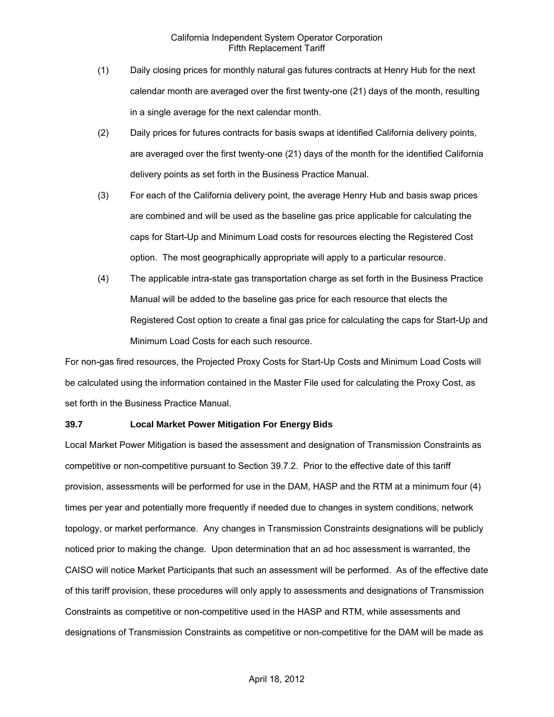- (1) Daily closing prices for monthly natural gas futures contracts at Henry Hub for the next calendar month are averaged over the first twenty-one (21) days of the month, resulting in a single average for the next calendar month.
- (2) Daily prices for futures contracts for basis swaps at identified California delivery points, are averaged over the first twenty-one (21) days of the month for the identified California delivery points as set forth in the Business Practice Manual.
- (3) For each of the California delivery point, the average Henry Hub and basis swap prices are combined and will be used as the baseline gas price applicable for calculating the caps for Start-Up and Minimum Load costs for resources electing the Registered Cost option. The most geographically appropriate will apply to a particular resource.
- (4) The applicable intra-state gas transportation charge as set forth in the Business Practice Manual will be added to the baseline gas price for each resource that elects the Registered Cost option to create a final gas price for calculating the caps for Start-Up and Minimum Load Costs for each such resource.

For non-gas fired resources, the Projected Proxy Costs for Start-Up Costs and Minimum Load Costs will be calculated using the information contained in the Master File used for calculating the Proxy Cost, as set forth in the Business Practice Manual.

#### **39.7 Local Market Power Mitigation For Energy Bids**

Local Market Power Mitigation is based the assessment and designation of Transmission Constraints as competitive or non-competitive pursuant to Section 39.7.2. Prior to the effective date of this tariff provision, assessments will be performed for use in the DAM, HASP and the RTM at a minimum four (4) times per year and potentially more frequently if needed due to changes in system conditions, network topology, or market performance. Any changes in Transmission Constraints designations will be publicly noticed prior to making the change. Upon determination that an ad hoc assessment is warranted, the CAISO will notice Market Participants that such an assessment will be performed. As of the effective date of this tariff provision, these procedures will only apply to assessments and designations of Transmission Constraints as competitive or non-competitive used in the HASP and RTM, while assessments and designations of Transmission Constraints as competitive or non-competitive for the DAM will be made as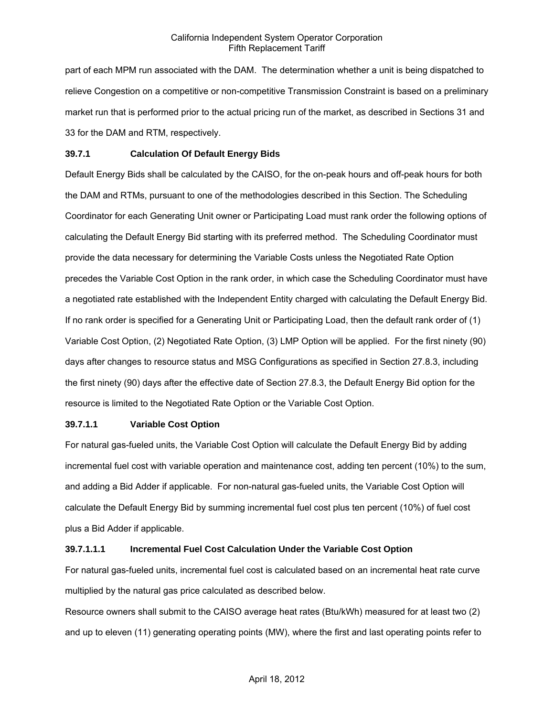part of each MPM run associated with the DAM. The determination whether a unit is being dispatched to relieve Congestion on a competitive or non-competitive Transmission Constraint is based on a preliminary market run that is performed prior to the actual pricing run of the market, as described in Sections 31 and 33 for the DAM and RTM, respectively.

### **39.7.1 Calculation Of Default Energy Bids**

Default Energy Bids shall be calculated by the CAISO, for the on-peak hours and off-peak hours for both the DAM and RTMs, pursuant to one of the methodologies described in this Section. The Scheduling Coordinator for each Generating Unit owner or Participating Load must rank order the following options of calculating the Default Energy Bid starting with its preferred method. The Scheduling Coordinator must provide the data necessary for determining the Variable Costs unless the Negotiated Rate Option precedes the Variable Cost Option in the rank order, in which case the Scheduling Coordinator must have a negotiated rate established with the Independent Entity charged with calculating the Default Energy Bid. If no rank order is specified for a Generating Unit or Participating Load, then the default rank order of (1) Variable Cost Option, (2) Negotiated Rate Option, (3) LMP Option will be applied. For the first ninety (90) days after changes to resource status and MSG Configurations as specified in Section 27.8.3, including the first ninety (90) days after the effective date of Section 27.8.3, the Default Energy Bid option for the resource is limited to the Negotiated Rate Option or the Variable Cost Option.

## **39.7.1.1 Variable Cost Option**

For natural gas-fueled units, the Variable Cost Option will calculate the Default Energy Bid by adding incremental fuel cost with variable operation and maintenance cost, adding ten percent (10%) to the sum, and adding a Bid Adder if applicable. For non-natural gas-fueled units, the Variable Cost Option will calculate the Default Energy Bid by summing incremental fuel cost plus ten percent (10%) of fuel cost plus a Bid Adder if applicable.

## **39.7.1.1.1 Incremental Fuel Cost Calculation Under the Variable Cost Option**

For natural gas-fueled units, incremental fuel cost is calculated based on an incremental heat rate curve multiplied by the natural gas price calculated as described below.

Resource owners shall submit to the CAISO average heat rates (Btu/kWh) measured for at least two (2) and up to eleven (11) generating operating points (MW), where the first and last operating points refer to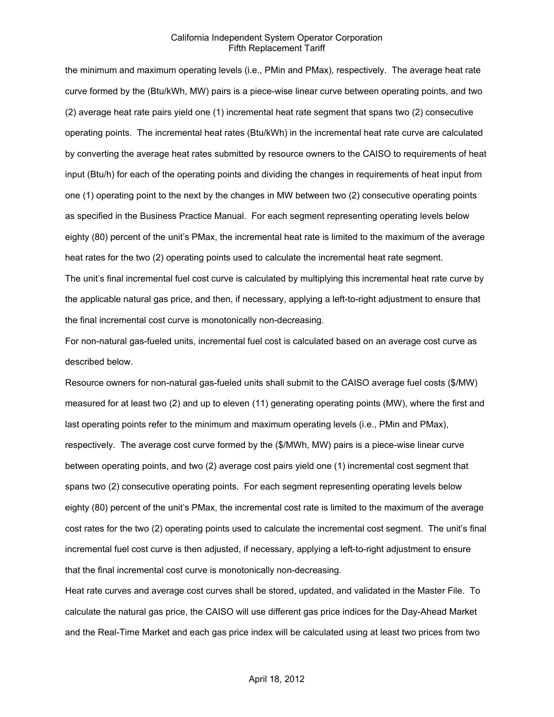the minimum and maximum operating levels (i.e., PMin and PMax), respectively. The average heat rate curve formed by the (Btu/kWh, MW) pairs is a piece-wise linear curve between operating points, and two (2) average heat rate pairs yield one (1) incremental heat rate segment that spans two (2) consecutive operating points. The incremental heat rates (Btu/kWh) in the incremental heat rate curve are calculated by converting the average heat rates submitted by resource owners to the CAISO to requirements of heat input (Btu/h) for each of the operating points and dividing the changes in requirements of heat input from one (1) operating point to the next by the changes in MW between two (2) consecutive operating points as specified in the Business Practice Manual. For each segment representing operating levels below eighty (80) percent of the unit's PMax, the incremental heat rate is limited to the maximum of the average heat rates for the two (2) operating points used to calculate the incremental heat rate segment.

The unit's final incremental fuel cost curve is calculated by multiplying this incremental heat rate curve by the applicable natural gas price, and then, if necessary, applying a left-to-right adjustment to ensure that the final incremental cost curve is monotonically non-decreasing.

For non-natural gas-fueled units, incremental fuel cost is calculated based on an average cost curve as described below.

Resource owners for non-natural gas-fueled units shall submit to the CAISO average fuel costs (\$/MW) measured for at least two (2) and up to eleven (11) generating operating points (MW), where the first and last operating points refer to the minimum and maximum operating levels (i.e., PMin and PMax), respectively. The average cost curve formed by the (\$/MWh, MW) pairs is a piece-wise linear curve between operating points, and two (2) average cost pairs yield one (1) incremental cost segment that spans two (2) consecutive operating points. For each segment representing operating levels below eighty (80) percent of the unit's PMax, the incremental cost rate is limited to the maximum of the average cost rates for the two (2) operating points used to calculate the incremental cost segment. The unit's final incremental fuel cost curve is then adjusted, if necessary, applying a left-to-right adjustment to ensure that the final incremental cost curve is monotonically non-decreasing.

Heat rate curves and average cost curves shall be stored, updated, and validated in the Master File. To calculate the natural gas price, the CAISO will use different gas price indices for the Day-Ahead Market and the Real-Time Market and each gas price index will be calculated using at least two prices from two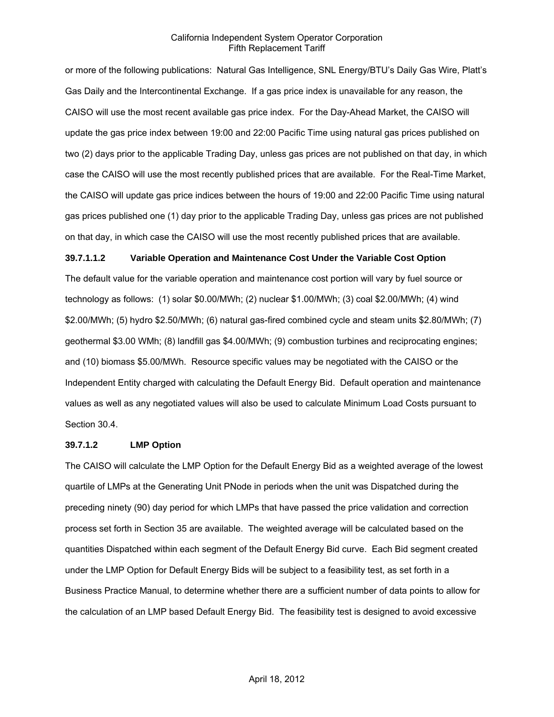or more of the following publications: Natural Gas Intelligence, SNL Energy/BTU's Daily Gas Wire, Platt's Gas Daily and the Intercontinental Exchange. If a gas price index is unavailable for any reason, the CAISO will use the most recent available gas price index. For the Day-Ahead Market, the CAISO will update the gas price index between 19:00 and 22:00 Pacific Time using natural gas prices published on two (2) days prior to the applicable Trading Day, unless gas prices are not published on that day, in which case the CAISO will use the most recently published prices that are available. For the Real-Time Market, the CAISO will update gas price indices between the hours of 19:00 and 22:00 Pacific Time using natural gas prices published one (1) day prior to the applicable Trading Day, unless gas prices are not published on that day, in which case the CAISO will use the most recently published prices that are available.

#### **39.7.1.1.2 Variable Operation and Maintenance Cost Under the Variable Cost Option**

The default value for the variable operation and maintenance cost portion will vary by fuel source or technology as follows: (1) solar \$0.00/MWh; (2) nuclear \$1.00/MWh; (3) coal \$2.00/MWh; (4) wind \$2.00/MWh; (5) hydro \$2.50/MWh; (6) natural gas-fired combined cycle and steam units \$2.80/MWh; (7) geothermal \$3.00 WMh; (8) landfill gas \$4.00/MWh; (9) combustion turbines and reciprocating engines; and (10) biomass \$5.00/MWh. Resource specific values may be negotiated with the CAISO or the Independent Entity charged with calculating the Default Energy Bid. Default operation and maintenance values as well as any negotiated values will also be used to calculate Minimum Load Costs pursuant to Section 30.4.

#### **39.7.1.2 LMP Option**

The CAISO will calculate the LMP Option for the Default Energy Bid as a weighted average of the lowest quartile of LMPs at the Generating Unit PNode in periods when the unit was Dispatched during the preceding ninety (90) day period for which LMPs that have passed the price validation and correction process set forth in Section 35 are available. The weighted average will be calculated based on the quantities Dispatched within each segment of the Default Energy Bid curve. Each Bid segment created under the LMP Option for Default Energy Bids will be subject to a feasibility test, as set forth in a Business Practice Manual, to determine whether there are a sufficient number of data points to allow for the calculation of an LMP based Default Energy Bid. The feasibility test is designed to avoid excessive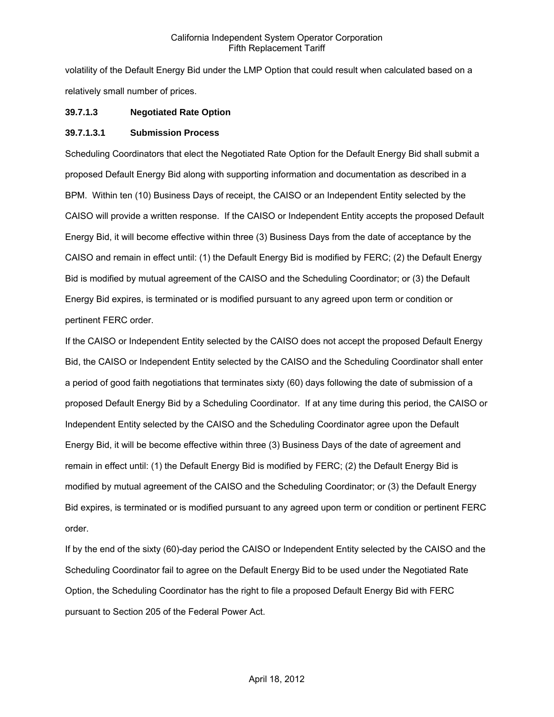volatility of the Default Energy Bid under the LMP Option that could result when calculated based on a relatively small number of prices.

## **39.7.1.3 Negotiated Rate Option**

#### **39.7.1.3.1 Submission Process**

Scheduling Coordinators that elect the Negotiated Rate Option for the Default Energy Bid shall submit a proposed Default Energy Bid along with supporting information and documentation as described in a BPM. Within ten (10) Business Days of receipt, the CAISO or an Independent Entity selected by the CAISO will provide a written response. If the CAISO or Independent Entity accepts the proposed Default Energy Bid, it will become effective within three (3) Business Days from the date of acceptance by the CAISO and remain in effect until: (1) the Default Energy Bid is modified by FERC; (2) the Default Energy Bid is modified by mutual agreement of the CAISO and the Scheduling Coordinator; or (3) the Default Energy Bid expires, is terminated or is modified pursuant to any agreed upon term or condition or pertinent FERC order.

If the CAISO or Independent Entity selected by the CAISO does not accept the proposed Default Energy Bid, the CAISO or Independent Entity selected by the CAISO and the Scheduling Coordinator shall enter a period of good faith negotiations that terminates sixty (60) days following the date of submission of a proposed Default Energy Bid by a Scheduling Coordinator. If at any time during this period, the CAISO or Independent Entity selected by the CAISO and the Scheduling Coordinator agree upon the Default Energy Bid, it will be become effective within three (3) Business Days of the date of agreement and remain in effect until: (1) the Default Energy Bid is modified by FERC; (2) the Default Energy Bid is modified by mutual agreement of the CAISO and the Scheduling Coordinator; or (3) the Default Energy Bid expires, is terminated or is modified pursuant to any agreed upon term or condition or pertinent FERC order.

If by the end of the sixty (60)-day period the CAISO or Independent Entity selected by the CAISO and the Scheduling Coordinator fail to agree on the Default Energy Bid to be used under the Negotiated Rate Option, the Scheduling Coordinator has the right to file a proposed Default Energy Bid with FERC pursuant to Section 205 of the Federal Power Act.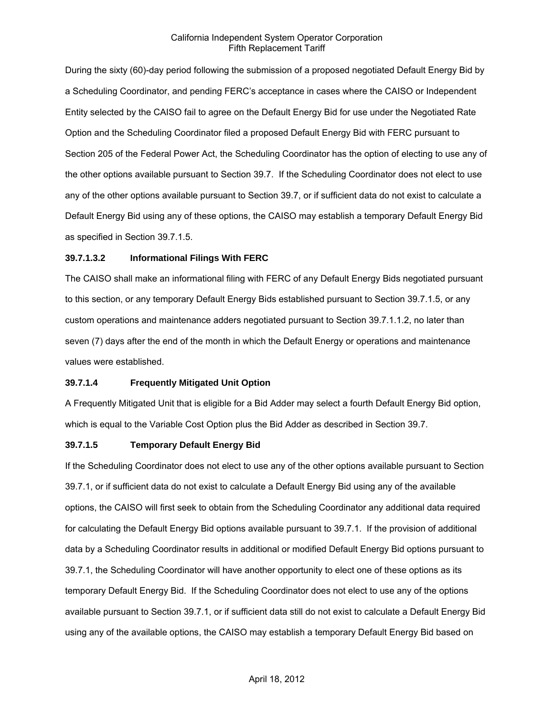During the sixty (60)-day period following the submission of a proposed negotiated Default Energy Bid by a Scheduling Coordinator, and pending FERC's acceptance in cases where the CAISO or Independent Entity selected by the CAISO fail to agree on the Default Energy Bid for use under the Negotiated Rate Option and the Scheduling Coordinator filed a proposed Default Energy Bid with FERC pursuant to Section 205 of the Federal Power Act, the Scheduling Coordinator has the option of electing to use any of the other options available pursuant to Section 39.7. If the Scheduling Coordinator does not elect to use any of the other options available pursuant to Section 39.7, or if sufficient data do not exist to calculate a Default Energy Bid using any of these options, the CAISO may establish a temporary Default Energy Bid as specified in Section 39.7.1.5.

### **39.7.1.3.2 Informational Filings With FERC**

The CAISO shall make an informational filing with FERC of any Default Energy Bids negotiated pursuant to this section, or any temporary Default Energy Bids established pursuant to Section 39.7.1.5, or any custom operations and maintenance adders negotiated pursuant to Section 39.7.1.1.2, no later than seven (7) days after the end of the month in which the Default Energy or operations and maintenance values were established.

#### **39.7.1.4 Frequently Mitigated Unit Option**

A Frequently Mitigated Unit that is eligible for a Bid Adder may select a fourth Default Energy Bid option, which is equal to the Variable Cost Option plus the Bid Adder as described in Section 39.7.

#### **39.7.1.5 Temporary Default Energy Bid**

If the Scheduling Coordinator does not elect to use any of the other options available pursuant to Section 39.7.1, or if sufficient data do not exist to calculate a Default Energy Bid using any of the available options, the CAISO will first seek to obtain from the Scheduling Coordinator any additional data required for calculating the Default Energy Bid options available pursuant to 39.7.1. If the provision of additional data by a Scheduling Coordinator results in additional or modified Default Energy Bid options pursuant to 39.7.1, the Scheduling Coordinator will have another opportunity to elect one of these options as its temporary Default Energy Bid. If the Scheduling Coordinator does not elect to use any of the options available pursuant to Section 39.7.1, or if sufficient data still do not exist to calculate a Default Energy Bid using any of the available options, the CAISO may establish a temporary Default Energy Bid based on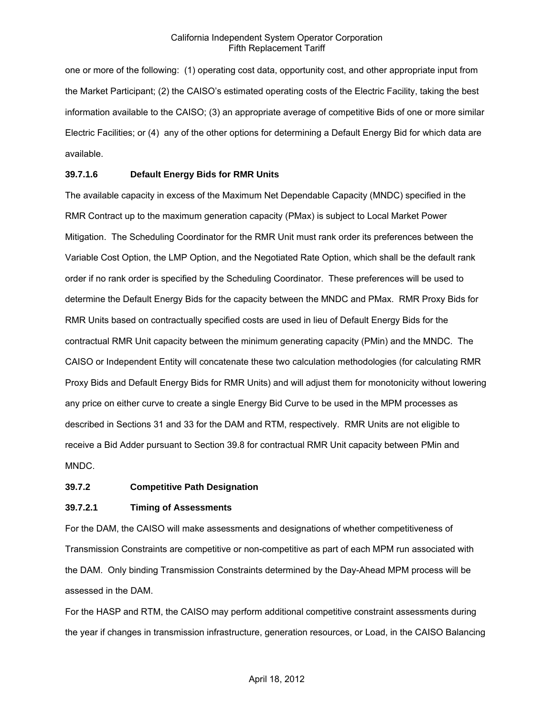one or more of the following: (1) operating cost data, opportunity cost, and other appropriate input from the Market Participant; (2) the CAISO's estimated operating costs of the Electric Facility, taking the best information available to the CAISO; (3) an appropriate average of competitive Bids of one or more similar Electric Facilities; or (4) any of the other options for determining a Default Energy Bid for which data are available.

#### **39.7.1.6 Default Energy Bids for RMR Units**

The available capacity in excess of the Maximum Net Dependable Capacity (MNDC) specified in the RMR Contract up to the maximum generation capacity (PMax) is subject to Local Market Power Mitigation. The Scheduling Coordinator for the RMR Unit must rank order its preferences between the Variable Cost Option, the LMP Option, and the Negotiated Rate Option, which shall be the default rank order if no rank order is specified by the Scheduling Coordinator. These preferences will be used to determine the Default Energy Bids for the capacity between the MNDC and PMax. RMR Proxy Bids for RMR Units based on contractually specified costs are used in lieu of Default Energy Bids for the contractual RMR Unit capacity between the minimum generating capacity (PMin) and the MNDC. The CAISO or Independent Entity will concatenate these two calculation methodologies (for calculating RMR Proxy Bids and Default Energy Bids for RMR Units) and will adjust them for monotonicity without lowering any price on either curve to create a single Energy Bid Curve to be used in the MPM processes as described in Sections 31 and 33 for the DAM and RTM, respectively. RMR Units are not eligible to receive a Bid Adder pursuant to Section 39.8 for contractual RMR Unit capacity between PMin and MNDC.

#### **39.7.2 Competitive Path Designation**

#### **39.7.2.1 Timing of Assessments**

For the DAM, the CAISO will make assessments and designations of whether competitiveness of Transmission Constraints are competitive or non-competitive as part of each MPM run associated with the DAM. Only binding Transmission Constraints determined by the Day-Ahead MPM process will be assessed in the DAM.

For the HASP and RTM, the CAISO may perform additional competitive constraint assessments during the year if changes in transmission infrastructure, generation resources, or Load, in the CAISO Balancing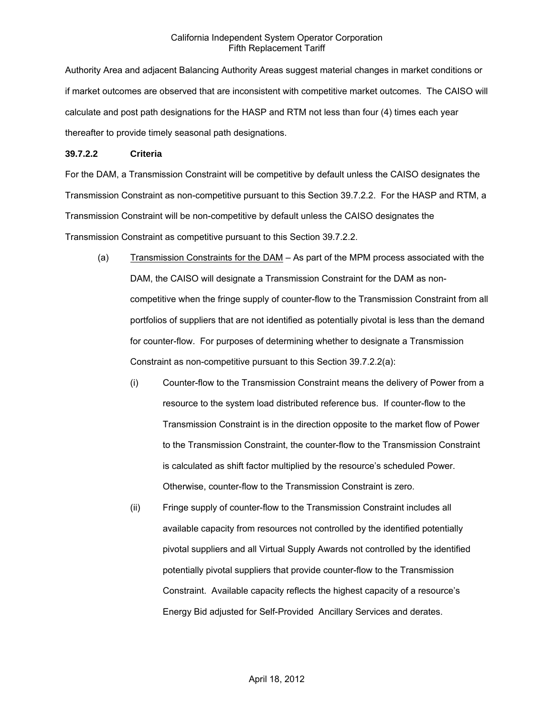Authority Area and adjacent Balancing Authority Areas suggest material changes in market conditions or if market outcomes are observed that are inconsistent with competitive market outcomes. The CAISO will calculate and post path designations for the HASP and RTM not less than four (4) times each year thereafter to provide timely seasonal path designations.

### **39.7.2.2 Criteria**

For the DAM, a Transmission Constraint will be competitive by default unless the CAISO designates the Transmission Constraint as non-competitive pursuant to this Section 39.7.2.2. For the HASP and RTM, a Transmission Constraint will be non-competitive by default unless the CAISO designates the Transmission Constraint as competitive pursuant to this Section 39.7.2.2.

- (a) Transmission Constraints for the DAM As part of the MPM process associated with the DAM, the CAISO will designate a Transmission Constraint for the DAM as noncompetitive when the fringe supply of counter-flow to the Transmission Constraint from all portfolios of suppliers that are not identified as potentially pivotal is less than the demand for counter-flow. For purposes of determining whether to designate a Transmission Constraint as non-competitive pursuant to this Section 39.7.2.2(a):
	- (i) Counter-flow to the Transmission Constraint means the delivery of Power from a resource to the system load distributed reference bus. If counter-flow to the Transmission Constraint is in the direction opposite to the market flow of Power to the Transmission Constraint, the counter-flow to the Transmission Constraint is calculated as shift factor multiplied by the resource's scheduled Power. Otherwise, counter-flow to the Transmission Constraint is zero.
	- (ii) Fringe supply of counter-flow to the Transmission Constraint includes all available capacity from resources not controlled by the identified potentially pivotal suppliers and all Virtual Supply Awards not controlled by the identified potentially pivotal suppliers that provide counter-flow to the Transmission Constraint. Available capacity reflects the highest capacity of a resource's Energy Bid adjusted for Self-Provided Ancillary Services and derates.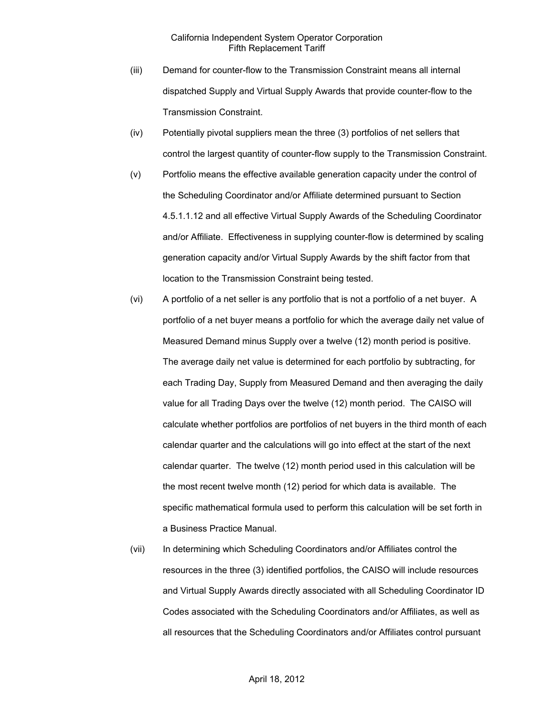- (iii) Demand for counter-flow to the Transmission Constraint means all internal dispatched Supply and Virtual Supply Awards that provide counter-flow to the Transmission Constraint.
- (iv) Potentially pivotal suppliers mean the three (3) portfolios of net sellers that control the largest quantity of counter-flow supply to the Transmission Constraint.
- (v) Portfolio means the effective available generation capacity under the control of the Scheduling Coordinator and/or Affiliate determined pursuant to Section 4.5.1.1.12 and all effective Virtual Supply Awards of the Scheduling Coordinator and/or Affiliate. Effectiveness in supplying counter-flow is determined by scaling generation capacity and/or Virtual Supply Awards by the shift factor from that location to the Transmission Constraint being tested.
- (vi) A portfolio of a net seller is any portfolio that is not a portfolio of a net buyer. A portfolio of a net buyer means a portfolio for which the average daily net value of Measured Demand minus Supply over a twelve (12) month period is positive. The average daily net value is determined for each portfolio by subtracting, for each Trading Day, Supply from Measured Demand and then averaging the daily value for all Trading Days over the twelve (12) month period. The CAISO will calculate whether portfolios are portfolios of net buyers in the third month of each calendar quarter and the calculations will go into effect at the start of the next calendar quarter. The twelve (12) month period used in this calculation will be the most recent twelve month (12) period for which data is available. The specific mathematical formula used to perform this calculation will be set forth in a Business Practice Manual.
- (vii) In determining which Scheduling Coordinators and/or Affiliates control the resources in the three (3) identified portfolios, the CAISO will include resources and Virtual Supply Awards directly associated with all Scheduling Coordinator ID Codes associated with the Scheduling Coordinators and/or Affiliates, as well as all resources that the Scheduling Coordinators and/or Affiliates control pursuant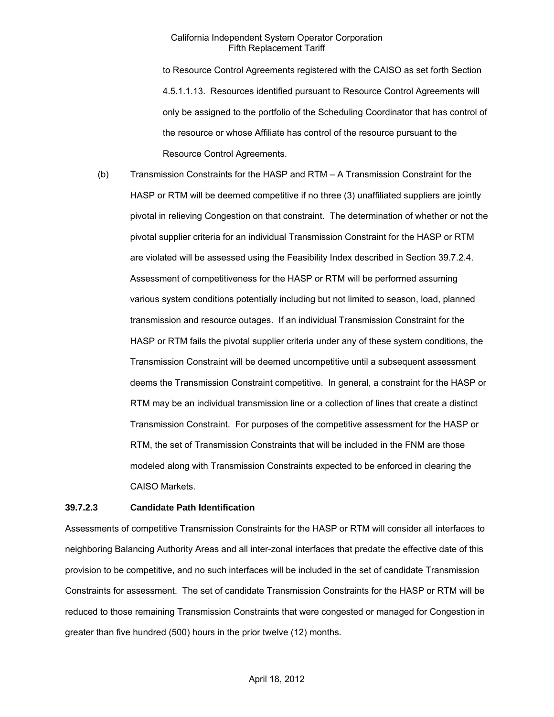to Resource Control Agreements registered with the CAISO as set forth Section 4.5.1.1.13. Resources identified pursuant to Resource Control Agreements will only be assigned to the portfolio of the Scheduling Coordinator that has control of the resource or whose Affiliate has control of the resource pursuant to the Resource Control Agreements.

(b) Transmission Constraints for the HASP and RTM - A Transmission Constraint for the HASP or RTM will be deemed competitive if no three (3) unaffiliated suppliers are jointly pivotal in relieving Congestion on that constraint. The determination of whether or not the pivotal supplier criteria for an individual Transmission Constraint for the HASP or RTM are violated will be assessed using the Feasibility Index described in Section 39.7.2.4. Assessment of competitiveness for the HASP or RTM will be performed assuming various system conditions potentially including but not limited to season, load, planned transmission and resource outages. If an individual Transmission Constraint for the HASP or RTM fails the pivotal supplier criteria under any of these system conditions, the Transmission Constraint will be deemed uncompetitive until a subsequent assessment deems the Transmission Constraint competitive. In general, a constraint for the HASP or RTM may be an individual transmission line or a collection of lines that create a distinct Transmission Constraint. For purposes of the competitive assessment for the HASP or RTM, the set of Transmission Constraints that will be included in the FNM are those modeled along with Transmission Constraints expected to be enforced in clearing the CAISO Markets.

#### **39.7.2.3 Candidate Path Identification**

Assessments of competitive Transmission Constraints for the HASP or RTM will consider all interfaces to neighboring Balancing Authority Areas and all inter-zonal interfaces that predate the effective date of this provision to be competitive, and no such interfaces will be included in the set of candidate Transmission Constraints for assessment. The set of candidate Transmission Constraints for the HASP or RTM will be reduced to those remaining Transmission Constraints that were congested or managed for Congestion in greater than five hundred (500) hours in the prior twelve (12) months.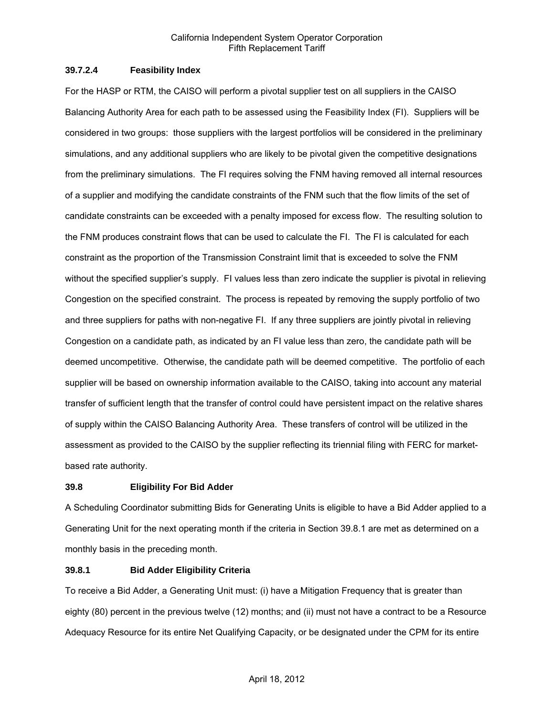### **39.7.2.4 Feasibility Index**

For the HASP or RTM, the CAISO will perform a pivotal supplier test on all suppliers in the CAISO Balancing Authority Area for each path to be assessed using the Feasibility Index (FI). Suppliers will be considered in two groups: those suppliers with the largest portfolios will be considered in the preliminary simulations, and any additional suppliers who are likely to be pivotal given the competitive designations from the preliminary simulations. The FI requires solving the FNM having removed all internal resources of a supplier and modifying the candidate constraints of the FNM such that the flow limits of the set of candidate constraints can be exceeded with a penalty imposed for excess flow. The resulting solution to the FNM produces constraint flows that can be used to calculate the FI. The FI is calculated for each constraint as the proportion of the Transmission Constraint limit that is exceeded to solve the FNM without the specified supplier's supply. FI values less than zero indicate the supplier is pivotal in relieving Congestion on the specified constraint. The process is repeated by removing the supply portfolio of two and three suppliers for paths with non-negative FI. If any three suppliers are jointly pivotal in relieving Congestion on a candidate path, as indicated by an FI value less than zero, the candidate path will be deemed uncompetitive. Otherwise, the candidate path will be deemed competitive. The portfolio of each supplier will be based on ownership information available to the CAISO, taking into account any material transfer of sufficient length that the transfer of control could have persistent impact on the relative shares of supply within the CAISO Balancing Authority Area. These transfers of control will be utilized in the assessment as provided to the CAISO by the supplier reflecting its triennial filing with FERC for marketbased rate authority.

### **39.8 Eligibility For Bid Adder**

A Scheduling Coordinator submitting Bids for Generating Units is eligible to have a Bid Adder applied to a Generating Unit for the next operating month if the criteria in Section 39.8.1 are met as determined on a monthly basis in the preceding month.

### **39.8.1 Bid Adder Eligibility Criteria**

To receive a Bid Adder, a Generating Unit must: (i) have a Mitigation Frequency that is greater than eighty (80) percent in the previous twelve (12) months; and (ii) must not have a contract to be a Resource Adequacy Resource for its entire Net Qualifying Capacity, or be designated under the CPM for its entire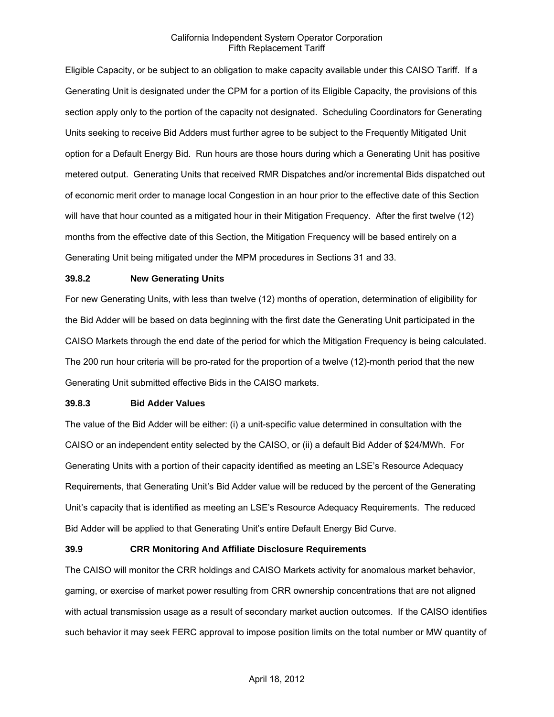Eligible Capacity, or be subject to an obligation to make capacity available under this CAISO Tariff. If a Generating Unit is designated under the CPM for a portion of its Eligible Capacity, the provisions of this section apply only to the portion of the capacity not designated. Scheduling Coordinators for Generating Units seeking to receive Bid Adders must further agree to be subject to the Frequently Mitigated Unit option for a Default Energy Bid. Run hours are those hours during which a Generating Unit has positive metered output. Generating Units that received RMR Dispatches and/or incremental Bids dispatched out of economic merit order to manage local Congestion in an hour prior to the effective date of this Section will have that hour counted as a mitigated hour in their Mitigation Frequency. After the first twelve (12) months from the effective date of this Section, the Mitigation Frequency will be based entirely on a Generating Unit being mitigated under the MPM procedures in Sections 31 and 33.

#### **39.8.2 New Generating Units**

For new Generating Units, with less than twelve (12) months of operation, determination of eligibility for the Bid Adder will be based on data beginning with the first date the Generating Unit participated in the CAISO Markets through the end date of the period for which the Mitigation Frequency is being calculated. The 200 run hour criteria will be pro-rated for the proportion of a twelve (12)-month period that the new Generating Unit submitted effective Bids in the CAISO markets.

#### **39.8.3 Bid Adder Values**

The value of the Bid Adder will be either: (i) a unit-specific value determined in consultation with the CAISO or an independent entity selected by the CAISO, or (ii) a default Bid Adder of \$24/MWh. For Generating Units with a portion of their capacity identified as meeting an LSE's Resource Adequacy Requirements, that Generating Unit's Bid Adder value will be reduced by the percent of the Generating Unit's capacity that is identified as meeting an LSE's Resource Adequacy Requirements. The reduced Bid Adder will be applied to that Generating Unit's entire Default Energy Bid Curve.

#### **39.9 CRR Monitoring And Affiliate Disclosure Requirements**

The CAISO will monitor the CRR holdings and CAISO Markets activity for anomalous market behavior, gaming, or exercise of market power resulting from CRR ownership concentrations that are not aligned with actual transmission usage as a result of secondary market auction outcomes. If the CAISO identifies such behavior it may seek FERC approval to impose position limits on the total number or MW quantity of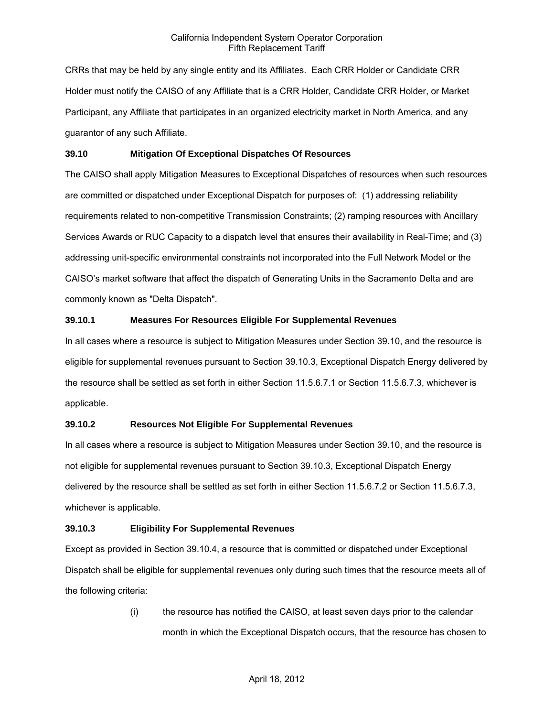CRRs that may be held by any single entity and its Affiliates. Each CRR Holder or Candidate CRR Holder must notify the CAISO of any Affiliate that is a CRR Holder, Candidate CRR Holder, or Market Participant, any Affiliate that participates in an organized electricity market in North America, and any guarantor of any such Affiliate.

### **39.10 Mitigation Of Exceptional Dispatches Of Resources**

The CAISO shall apply Mitigation Measures to Exceptional Dispatches of resources when such resources are committed or dispatched under Exceptional Dispatch for purposes of: (1) addressing reliability requirements related to non-competitive Transmission Constraints; (2) ramping resources with Ancillary Services Awards or RUC Capacity to a dispatch level that ensures their availability in Real-Time; and (3) addressing unit-specific environmental constraints not incorporated into the Full Network Model or the CAISO's market software that affect the dispatch of Generating Units in the Sacramento Delta and are commonly known as "Delta Dispatch".

## **39.10.1 Measures For Resources Eligible For Supplemental Revenues**

In all cases where a resource is subject to Mitigation Measures under Section 39.10, and the resource is eligible for supplemental revenues pursuant to Section 39.10.3, Exceptional Dispatch Energy delivered by the resource shall be settled as set forth in either Section 11.5.6.7.1 or Section 11.5.6.7.3, whichever is applicable.

## **39.10.2 Resources Not Eligible For Supplemental Revenues**

In all cases where a resource is subject to Mitigation Measures under Section 39.10, and the resource is not eligible for supplemental revenues pursuant to Section 39.10.3, Exceptional Dispatch Energy delivered by the resource shall be settled as set forth in either Section 11.5.6.7.2 or Section 11.5.6.7.3, whichever is applicable.

### **39.10.3 Eligibility For Supplemental Revenues**

Except as provided in Section 39.10.4, a resource that is committed or dispatched under Exceptional Dispatch shall be eligible for supplemental revenues only during such times that the resource meets all of the following criteria:

> (i) the resource has notified the CAISO, at least seven days prior to the calendar month in which the Exceptional Dispatch occurs, that the resource has chosen to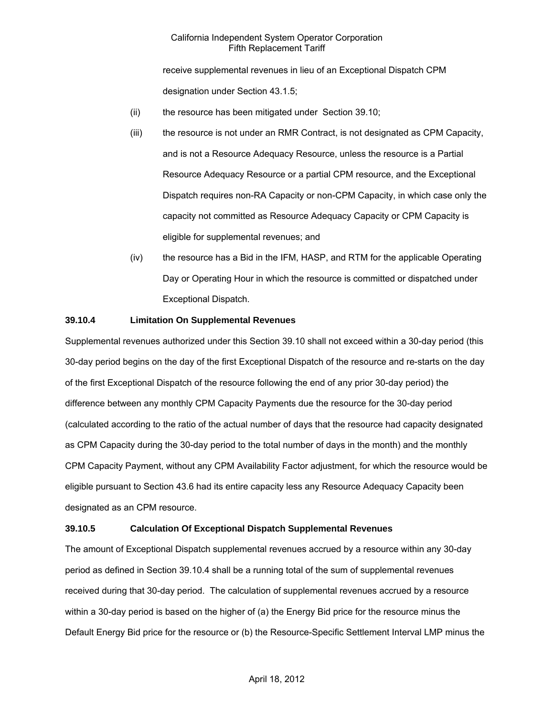receive supplemental revenues in lieu of an Exceptional Dispatch CPM designation under Section 43.1.5;

- (ii) the resource has been mitigated under Section 39.10;
- (iii) the resource is not under an RMR Contract, is not designated as CPM Capacity, and is not a Resource Adequacy Resource, unless the resource is a Partial Resource Adequacy Resource or a partial CPM resource, and the Exceptional Dispatch requires non-RA Capacity or non-CPM Capacity, in which case only the capacity not committed as Resource Adequacy Capacity or CPM Capacity is eligible for supplemental revenues; and
- (iv) the resource has a Bid in the IFM, HASP, and RTM for the applicable Operating Day or Operating Hour in which the resource is committed or dispatched under Exceptional Dispatch.

## **39.10.4 Limitation On Supplemental Revenues**

Supplemental revenues authorized under this Section 39.10 shall not exceed within a 30-day period (this 30-day period begins on the day of the first Exceptional Dispatch of the resource and re-starts on the day of the first Exceptional Dispatch of the resource following the end of any prior 30-day period) the difference between any monthly CPM Capacity Payments due the resource for the 30-day period (calculated according to the ratio of the actual number of days that the resource had capacity designated as CPM Capacity during the 30-day period to the total number of days in the month) and the monthly CPM Capacity Payment, without any CPM Availability Factor adjustment, for which the resource would be eligible pursuant to Section 43.6 had its entire capacity less any Resource Adequacy Capacity been designated as an CPM resource.

### **39.10.5 Calculation Of Exceptional Dispatch Supplemental Revenues**

The amount of Exceptional Dispatch supplemental revenues accrued by a resource within any 30-day period as defined in Section 39.10.4 shall be a running total of the sum of supplemental revenues received during that 30-day period. The calculation of supplemental revenues accrued by a resource within a 30-day period is based on the higher of (a) the Energy Bid price for the resource minus the Default Energy Bid price for the resource or (b) the Resource-Specific Settlement Interval LMP minus the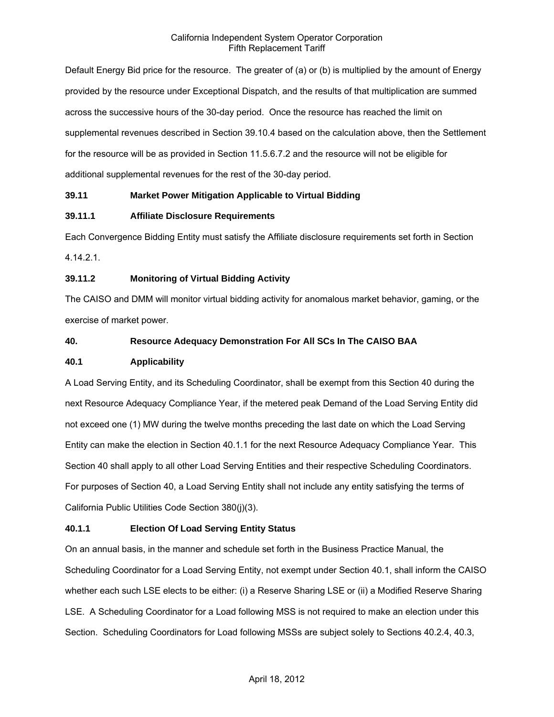Default Energy Bid price for the resource. The greater of (a) or (b) is multiplied by the amount of Energy provided by the resource under Exceptional Dispatch, and the results of that multiplication are summed across the successive hours of the 30-day period. Once the resource has reached the limit on supplemental revenues described in Section 39.10.4 based on the calculation above, then the Settlement for the resource will be as provided in Section 11.5.6.7.2 and the resource will not be eligible for additional supplemental revenues for the rest of the 30-day period.

## **39.11 Market Power Mitigation Applicable to Virtual Bidding**

## **39.11.1 Affiliate Disclosure Requirements**

Each Convergence Bidding Entity must satisfy the Affiliate disclosure requirements set forth in Section 4.14.2.1.

## **39.11.2 Monitoring of Virtual Bidding Activity**

The CAISO and DMM will monitor virtual bidding activity for anomalous market behavior, gaming, or the exercise of market power.

## **40. Resource Adequacy Demonstration For All SCs In The CAISO BAA**

## **40.1 Applicability**

A Load Serving Entity, and its Scheduling Coordinator, shall be exempt from this Section 40 during the next Resource Adequacy Compliance Year, if the metered peak Demand of the Load Serving Entity did not exceed one (1) MW during the twelve months preceding the last date on which the Load Serving Entity can make the election in Section 40.1.1 for the next Resource Adequacy Compliance Year. This Section 40 shall apply to all other Load Serving Entities and their respective Scheduling Coordinators. For purposes of Section 40, a Load Serving Entity shall not include any entity satisfying the terms of California Public Utilities Code Section 380(j)(3).

## **40.1.1 Election Of Load Serving Entity Status**

On an annual basis, in the manner and schedule set forth in the Business Practice Manual, the Scheduling Coordinator for a Load Serving Entity, not exempt under Section 40.1, shall inform the CAISO whether each such LSE elects to be either: (i) a Reserve Sharing LSE or (ii) a Modified Reserve Sharing LSE. A Scheduling Coordinator for a Load following MSS is not required to make an election under this Section. Scheduling Coordinators for Load following MSSs are subject solely to Sections 40.2.4, 40.3,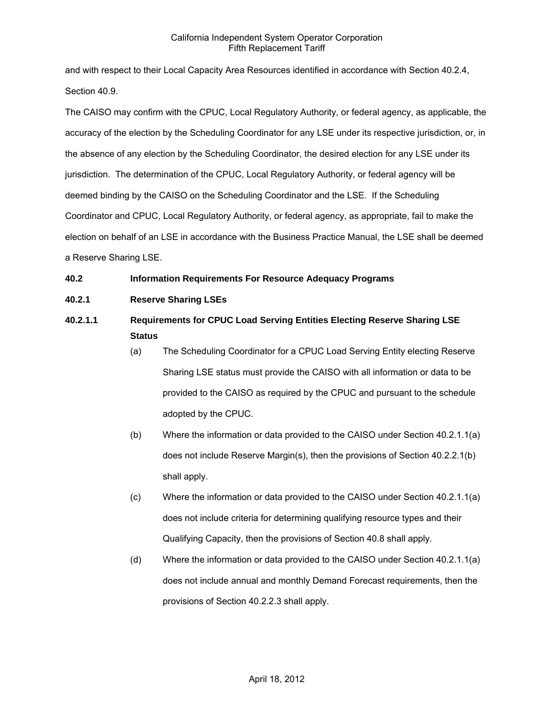and with respect to their Local Capacity Area Resources identified in accordance with Section 40.2.4, Section 40.9.

The CAISO may confirm with the CPUC, Local Regulatory Authority, or federal agency, as applicable, the accuracy of the election by the Scheduling Coordinator for any LSE under its respective jurisdiction, or, in the absence of any election by the Scheduling Coordinator, the desired election for any LSE under its jurisdiction. The determination of the CPUC, Local Regulatory Authority, or federal agency will be deemed binding by the CAISO on the Scheduling Coordinator and the LSE. If the Scheduling Coordinator and CPUC, Local Regulatory Authority, or federal agency, as appropriate, fail to make the election on behalf of an LSE in accordance with the Business Practice Manual, the LSE shall be deemed a Reserve Sharing LSE.

# **40.2 Information Requirements For Resource Adequacy Programs**

- **40.2.1 Reserve Sharing LSEs**
- **40.2.1.1 Requirements for CPUC Load Serving Entities Electing Reserve Sharing LSE Status**
	- (a) The Scheduling Coordinator for a CPUC Load Serving Entity electing Reserve Sharing LSE status must provide the CAISO with all information or data to be provided to the CAISO as required by the CPUC and pursuant to the schedule adopted by the CPUC.
	- (b) Where the information or data provided to the CAISO under Section 40.2.1.1(a) does not include Reserve Margin(s), then the provisions of Section 40.2.2.1(b) shall apply.
	- (c) Where the information or data provided to the CAISO under Section 40.2.1.1(a) does not include criteria for determining qualifying resource types and their Qualifying Capacity, then the provisions of Section 40.8 shall apply.
	- (d) Where the information or data provided to the CAISO under Section 40.2.1.1(a) does not include annual and monthly Demand Forecast requirements, then the provisions of Section 40.2.2.3 shall apply.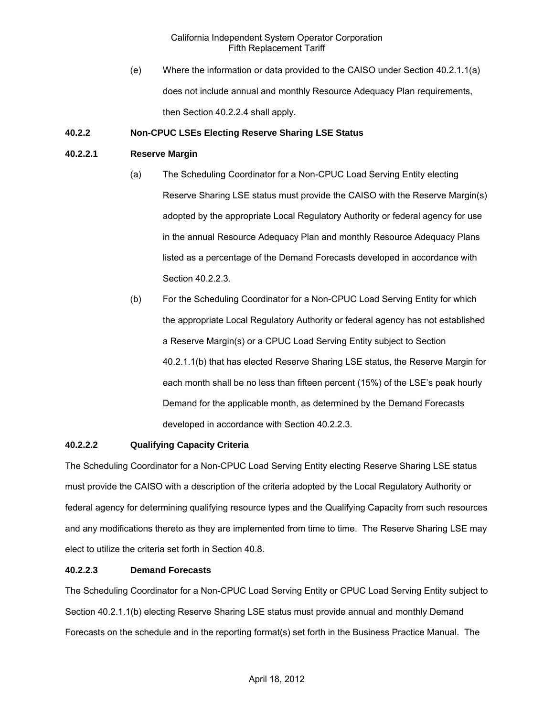(e) Where the information or data provided to the CAISO under Section 40.2.1.1(a) does not include annual and monthly Resource Adequacy Plan requirements, then Section 40.2.2.4 shall apply.

## **40.2.2 Non-CPUC LSEs Electing Reserve Sharing LSE Status**

### **40.2.2.1 Reserve Margin**

- (a) The Scheduling Coordinator for a Non-CPUC Load Serving Entity electing Reserve Sharing LSE status must provide the CAISO with the Reserve Margin(s) adopted by the appropriate Local Regulatory Authority or federal agency for use in the annual Resource Adequacy Plan and monthly Resource Adequacy Plans listed as a percentage of the Demand Forecasts developed in accordance with Section 40.2.2.3.
- (b) For the Scheduling Coordinator for a Non-CPUC Load Serving Entity for which the appropriate Local Regulatory Authority or federal agency has not established a Reserve Margin(s) or a CPUC Load Serving Entity subject to Section 40.2.1.1(b) that has elected Reserve Sharing LSE status, the Reserve Margin for each month shall be no less than fifteen percent (15%) of the LSE's peak hourly Demand for the applicable month, as determined by the Demand Forecasts developed in accordance with Section 40.2.2.3.

## **40.2.2.2 Qualifying Capacity Criteria**

The Scheduling Coordinator for a Non-CPUC Load Serving Entity electing Reserve Sharing LSE status must provide the CAISO with a description of the criteria adopted by the Local Regulatory Authority or federal agency for determining qualifying resource types and the Qualifying Capacity from such resources and any modifications thereto as they are implemented from time to time. The Reserve Sharing LSE may elect to utilize the criteria set forth in Section 40.8.

### **40.2.2.3 Demand Forecasts**

The Scheduling Coordinator for a Non-CPUC Load Serving Entity or CPUC Load Serving Entity subject to Section 40.2.1.1(b) electing Reserve Sharing LSE status must provide annual and monthly Demand Forecasts on the schedule and in the reporting format(s) set forth in the Business Practice Manual. The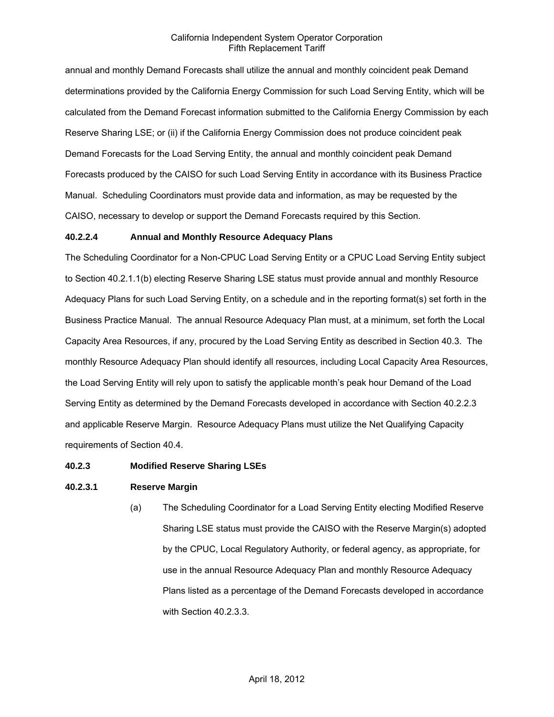annual and monthly Demand Forecasts shall utilize the annual and monthly coincident peak Demand determinations provided by the California Energy Commission for such Load Serving Entity, which will be calculated from the Demand Forecast information submitted to the California Energy Commission by each Reserve Sharing LSE; or (ii) if the California Energy Commission does not produce coincident peak Demand Forecasts for the Load Serving Entity, the annual and monthly coincident peak Demand Forecasts produced by the CAISO for such Load Serving Entity in accordance with its Business Practice Manual. Scheduling Coordinators must provide data and information, as may be requested by the CAISO, necessary to develop or support the Demand Forecasts required by this Section.

### **40.2.2.4 Annual and Monthly Resource Adequacy Plans**

The Scheduling Coordinator for a Non-CPUC Load Serving Entity or a CPUC Load Serving Entity subject to Section 40.2.1.1(b) electing Reserve Sharing LSE status must provide annual and monthly Resource Adequacy Plans for such Load Serving Entity, on a schedule and in the reporting format(s) set forth in the Business Practice Manual. The annual Resource Adequacy Plan must, at a minimum, set forth the Local Capacity Area Resources, if any, procured by the Load Serving Entity as described in Section 40.3. The monthly Resource Adequacy Plan should identify all resources, including Local Capacity Area Resources, the Load Serving Entity will rely upon to satisfy the applicable month's peak hour Demand of the Load Serving Entity as determined by the Demand Forecasts developed in accordance with Section 40.2.2.3 and applicable Reserve Margin. Resource Adequacy Plans must utilize the Net Qualifying Capacity requirements of Section 40.4.

### **40.2.3 Modified Reserve Sharing LSEs**

### **40.2.3.1 Reserve Margin**

(a) The Scheduling Coordinator for a Load Serving Entity electing Modified Reserve Sharing LSE status must provide the CAISO with the Reserve Margin(s) adopted by the CPUC, Local Regulatory Authority, or federal agency, as appropriate, for use in the annual Resource Adequacy Plan and monthly Resource Adequacy Plans listed as a percentage of the Demand Forecasts developed in accordance with Section 40.2.3.3.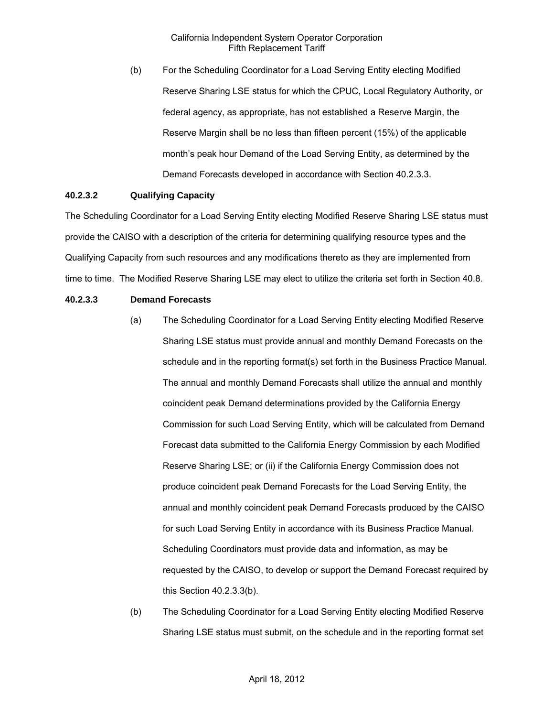(b) For the Scheduling Coordinator for a Load Serving Entity electing Modified Reserve Sharing LSE status for which the CPUC, Local Regulatory Authority, or federal agency, as appropriate, has not established a Reserve Margin, the Reserve Margin shall be no less than fifteen percent (15%) of the applicable month's peak hour Demand of the Load Serving Entity, as determined by the Demand Forecasts developed in accordance with Section 40.2.3.3.

## **40.2.3.2 Qualifying Capacity**

The Scheduling Coordinator for a Load Serving Entity electing Modified Reserve Sharing LSE status must provide the CAISO with a description of the criteria for determining qualifying resource types and the Qualifying Capacity from such resources and any modifications thereto as they are implemented from time to time. The Modified Reserve Sharing LSE may elect to utilize the criteria set forth in Section 40.8.

## **40.2.3.3 Demand Forecasts**

- (a) The Scheduling Coordinator for a Load Serving Entity electing Modified Reserve Sharing LSE status must provide annual and monthly Demand Forecasts on the schedule and in the reporting format(s) set forth in the Business Practice Manual. The annual and monthly Demand Forecasts shall utilize the annual and monthly coincident peak Demand determinations provided by the California Energy Commission for such Load Serving Entity, which will be calculated from Demand Forecast data submitted to the California Energy Commission by each Modified Reserve Sharing LSE; or (ii) if the California Energy Commission does not produce coincident peak Demand Forecasts for the Load Serving Entity, the annual and monthly coincident peak Demand Forecasts produced by the CAISO for such Load Serving Entity in accordance with its Business Practice Manual. Scheduling Coordinators must provide data and information, as may be requested by the CAISO, to develop or support the Demand Forecast required by this Section 40.2.3.3(b).
- (b) The Scheduling Coordinator for a Load Serving Entity electing Modified Reserve Sharing LSE status must submit, on the schedule and in the reporting format set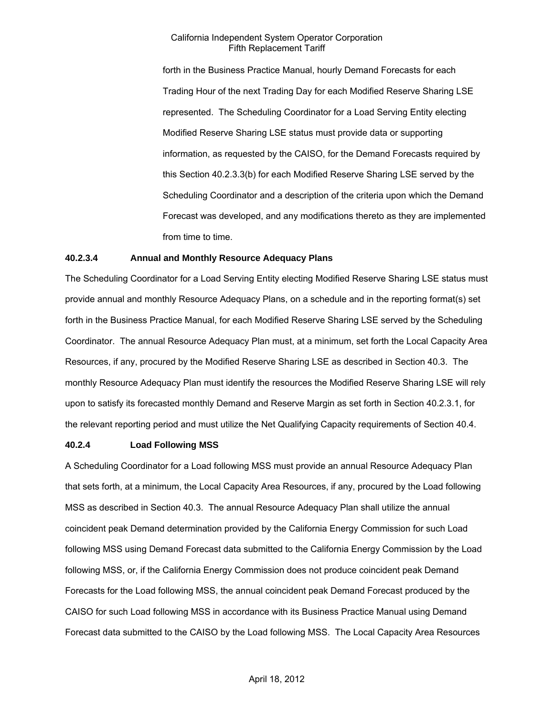forth in the Business Practice Manual, hourly Demand Forecasts for each Trading Hour of the next Trading Day for each Modified Reserve Sharing LSE represented. The Scheduling Coordinator for a Load Serving Entity electing Modified Reserve Sharing LSE status must provide data or supporting information, as requested by the CAISO, for the Demand Forecasts required by this Section 40.2.3.3(b) for each Modified Reserve Sharing LSE served by the Scheduling Coordinator and a description of the criteria upon which the Demand Forecast was developed, and any modifications thereto as they are implemented from time to time.

### **40.2.3.4 Annual and Monthly Resource Adequacy Plans**

The Scheduling Coordinator for a Load Serving Entity electing Modified Reserve Sharing LSE status must provide annual and monthly Resource Adequacy Plans, on a schedule and in the reporting format(s) set forth in the Business Practice Manual, for each Modified Reserve Sharing LSE served by the Scheduling Coordinator. The annual Resource Adequacy Plan must, at a minimum, set forth the Local Capacity Area Resources, if any, procured by the Modified Reserve Sharing LSE as described in Section 40.3. The monthly Resource Adequacy Plan must identify the resources the Modified Reserve Sharing LSE will rely upon to satisfy its forecasted monthly Demand and Reserve Margin as set forth in Section 40.2.3.1, for the relevant reporting period and must utilize the Net Qualifying Capacity requirements of Section 40.4.

#### **40.2.4 Load Following MSS**

A Scheduling Coordinator for a Load following MSS must provide an annual Resource Adequacy Plan that sets forth, at a minimum, the Local Capacity Area Resources, if any, procured by the Load following MSS as described in Section 40.3. The annual Resource Adequacy Plan shall utilize the annual coincident peak Demand determination provided by the California Energy Commission for such Load following MSS using Demand Forecast data submitted to the California Energy Commission by the Load following MSS, or, if the California Energy Commission does not produce coincident peak Demand Forecasts for the Load following MSS, the annual coincident peak Demand Forecast produced by the CAISO for such Load following MSS in accordance with its Business Practice Manual using Demand Forecast data submitted to the CAISO by the Load following MSS. The Local Capacity Area Resources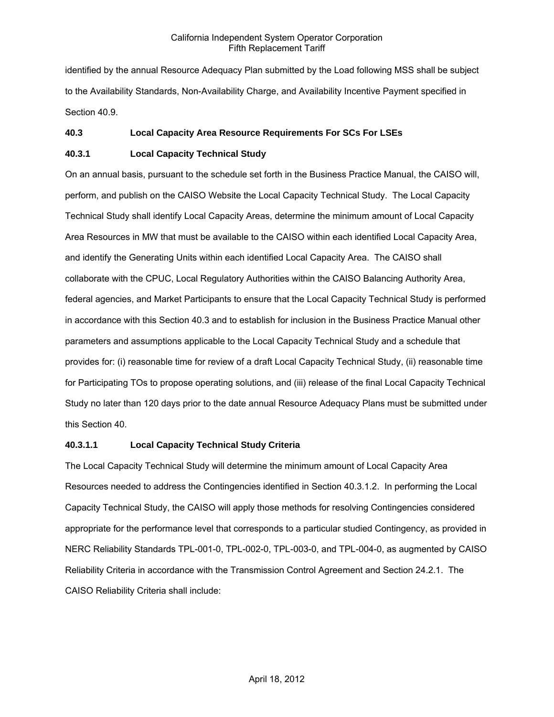identified by the annual Resource Adequacy Plan submitted by the Load following MSS shall be subject to the Availability Standards, Non-Availability Charge, and Availability Incentive Payment specified in Section 40.9.

## **40.3 Local Capacity Area Resource Requirements For SCs For LSEs**

## **40.3.1 Local Capacity Technical Study**

On an annual basis, pursuant to the schedule set forth in the Business Practice Manual, the CAISO will, perform, and publish on the CAISO Website the Local Capacity Technical Study. The Local Capacity Technical Study shall identify Local Capacity Areas, determine the minimum amount of Local Capacity Area Resources in MW that must be available to the CAISO within each identified Local Capacity Area, and identify the Generating Units within each identified Local Capacity Area. The CAISO shall collaborate with the CPUC, Local Regulatory Authorities within the CAISO Balancing Authority Area, federal agencies, and Market Participants to ensure that the Local Capacity Technical Study is performed in accordance with this Section 40.3 and to establish for inclusion in the Business Practice Manual other parameters and assumptions applicable to the Local Capacity Technical Study and a schedule that provides for: (i) reasonable time for review of a draft Local Capacity Technical Study, (ii) reasonable time for Participating TOs to propose operating solutions, and (iii) release of the final Local Capacity Technical Study no later than 120 days prior to the date annual Resource Adequacy Plans must be submitted under this Section 40.

### **40.3.1.1 Local Capacity Technical Study Criteria**

The Local Capacity Technical Study will determine the minimum amount of Local Capacity Area Resources needed to address the Contingencies identified in Section 40.3.1.2. In performing the Local Capacity Technical Study, the CAISO will apply those methods for resolving Contingencies considered appropriate for the performance level that corresponds to a particular studied Contingency, as provided in NERC Reliability Standards TPL-001-0, TPL-002-0, TPL-003-0, and TPL-004-0, as augmented by CAISO Reliability Criteria in accordance with the Transmission Control Agreement and Section 24.2.1. The CAISO Reliability Criteria shall include: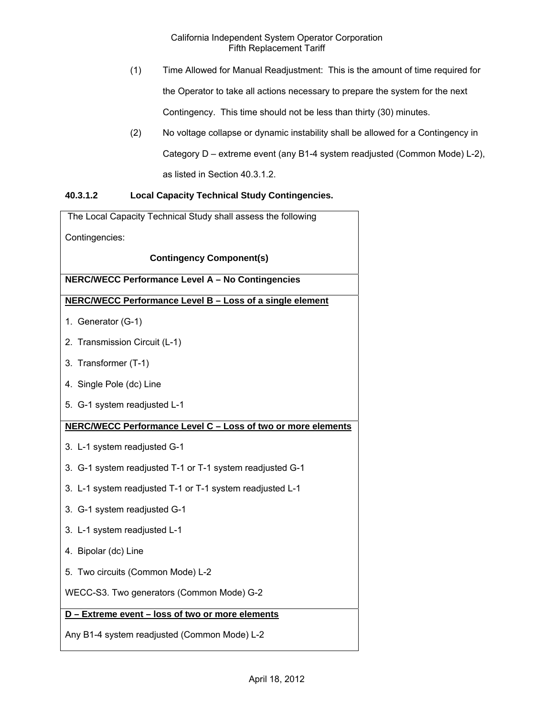- (1) Time Allowed for Manual Readjustment: This is the amount of time required for the Operator to take all actions necessary to prepare the system for the next Contingency. This time should not be less than thirty (30) minutes.
- (2) No voltage collapse or dynamic instability shall be allowed for a Contingency in Category D – extreme event (any B1-4 system readjusted (Common Mode) L-2), as listed in Section 40.3.1.2.

# **40.3.1.2 Local Capacity Technical Study Contingencies.**

| The Local Capacity Technical Study shall assess the following |
|---------------------------------------------------------------|
| Contingencies:                                                |
| <b>Contingency Component(s)</b>                               |
| NERC/WECC Performance Level A - No Contingencies              |
| NERC/WECC Performance Level B - Loss of a single element      |
| 1. Generator (G-1)                                            |
| 2. Transmission Circuit (L-1)                                 |
| 3. Transformer (T-1)                                          |
| 4. Single Pole (dc) Line                                      |
| 5. G-1 system readjusted L-1                                  |
| NERC/WECC Performance Level C - Loss of two or more elements  |
| 3. L-1 system readjusted G-1                                  |
| 3. G-1 system readjusted T-1 or T-1 system readjusted G-1     |
| 3. L-1 system readjusted T-1 or T-1 system readjusted L-1     |
| 3. G-1 system readjusted G-1                                  |
| 3. L-1 system readjusted L-1                                  |
| 4. Bipolar (dc) Line                                          |
| 5. Two circuits (Common Mode) L-2                             |
| WECC-S3. Two generators (Common Mode) G-2                     |
| D - Extreme event - loss of two or more elements              |
| Any B1-4 system readjusted (Common Mode) L-2                  |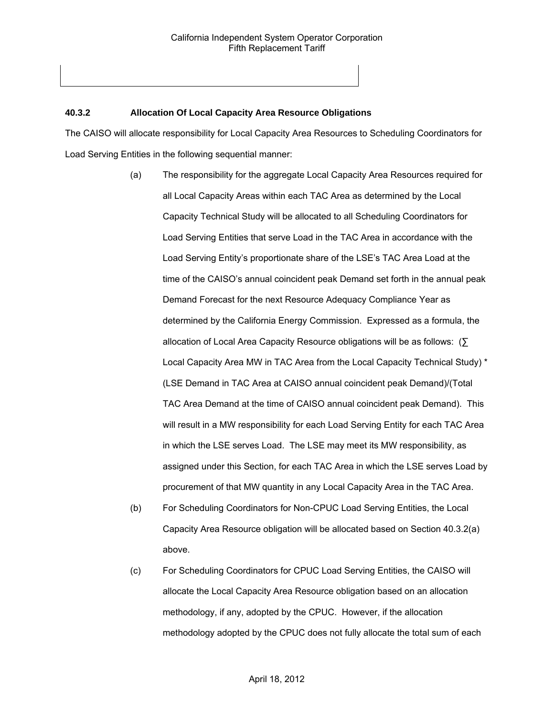## **40.3.2 Allocation Of Local Capacity Area Resource Obligations**

The CAISO will allocate responsibility for Local Capacity Area Resources to Scheduling Coordinators for Load Serving Entities in the following sequential manner:

- (a) The responsibility for the aggregate Local Capacity Area Resources required for all Local Capacity Areas within each TAC Area as determined by the Local Capacity Technical Study will be allocated to all Scheduling Coordinators for Load Serving Entities that serve Load in the TAC Area in accordance with the Load Serving Entity's proportionate share of the LSE's TAC Area Load at the time of the CAISO's annual coincident peak Demand set forth in the annual peak Demand Forecast for the next Resource Adequacy Compliance Year as determined by the California Energy Commission. Expressed as a formula, the allocation of Local Area Capacity Resource obligations will be as follows: (∑ Local Capacity Area MW in TAC Area from the Local Capacity Technical Study) \* (LSE Demand in TAC Area at CAISO annual coincident peak Demand)/(Total TAC Area Demand at the time of CAISO annual coincident peak Demand). This will result in a MW responsibility for each Load Serving Entity for each TAC Area in which the LSE serves Load. The LSE may meet its MW responsibility, as assigned under this Section, for each TAC Area in which the LSE serves Load by procurement of that MW quantity in any Local Capacity Area in the TAC Area.
- (b) For Scheduling Coordinators for Non-CPUC Load Serving Entities, the Local Capacity Area Resource obligation will be allocated based on Section 40.3.2(a) above.
- (c) For Scheduling Coordinators for CPUC Load Serving Entities, the CAISO will allocate the Local Capacity Area Resource obligation based on an allocation methodology, if any, adopted by the CPUC. However, if the allocation methodology adopted by the CPUC does not fully allocate the total sum of each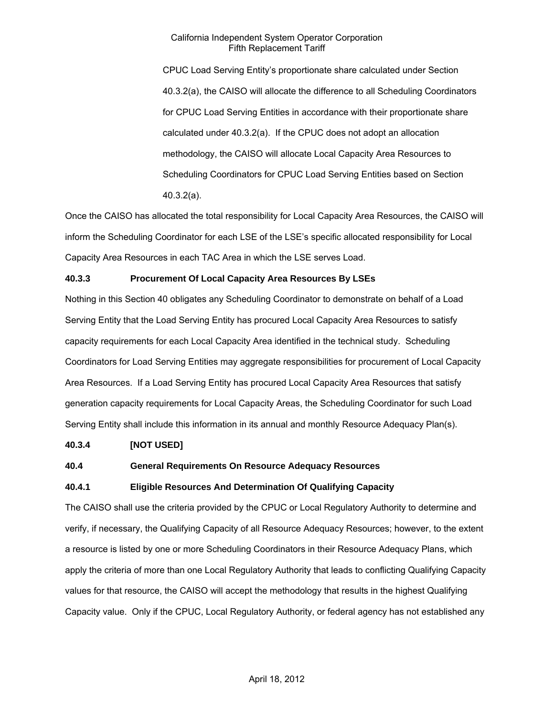CPUC Load Serving Entity's proportionate share calculated under Section 40.3.2(a), the CAISO will allocate the difference to all Scheduling Coordinators for CPUC Load Serving Entities in accordance with their proportionate share calculated under 40.3.2(a). If the CPUC does not adopt an allocation methodology, the CAISO will allocate Local Capacity Area Resources to Scheduling Coordinators for CPUC Load Serving Entities based on Section 40.3.2(a).

Once the CAISO has allocated the total responsibility for Local Capacity Area Resources, the CAISO will inform the Scheduling Coordinator for each LSE of the LSE's specific allocated responsibility for Local Capacity Area Resources in each TAC Area in which the LSE serves Load.

## **40.3.3 Procurement Of Local Capacity Area Resources By LSEs**

Nothing in this Section 40 obligates any Scheduling Coordinator to demonstrate on behalf of a Load Serving Entity that the Load Serving Entity has procured Local Capacity Area Resources to satisfy capacity requirements for each Local Capacity Area identified in the technical study. Scheduling Coordinators for Load Serving Entities may aggregate responsibilities for procurement of Local Capacity Area Resources. If a Load Serving Entity has procured Local Capacity Area Resources that satisfy generation capacity requirements for Local Capacity Areas, the Scheduling Coordinator for such Load Serving Entity shall include this information in its annual and monthly Resource Adequacy Plan(s).

### **40.3.4 [NOT USED]**

### **40.4 General Requirements On Resource Adequacy Resources**

### **40.4.1 Eligible Resources And Determination Of Qualifying Capacity**

The CAISO shall use the criteria provided by the CPUC or Local Regulatory Authority to determine and verify, if necessary, the Qualifying Capacity of all Resource Adequacy Resources; however, to the extent a resource is listed by one or more Scheduling Coordinators in their Resource Adequacy Plans, which apply the criteria of more than one Local Regulatory Authority that leads to conflicting Qualifying Capacity values for that resource, the CAISO will accept the methodology that results in the highest Qualifying Capacity value. Only if the CPUC, Local Regulatory Authority, or federal agency has not established any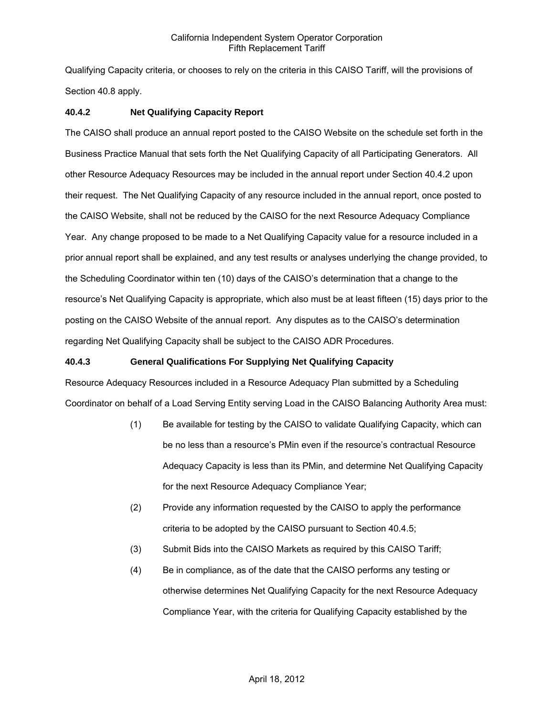Qualifying Capacity criteria, or chooses to rely on the criteria in this CAISO Tariff, will the provisions of Section 40.8 apply.

## **40.4.2 Net Qualifying Capacity Report**

The CAISO shall produce an annual report posted to the CAISO Website on the schedule set forth in the Business Practice Manual that sets forth the Net Qualifying Capacity of all Participating Generators. All other Resource Adequacy Resources may be included in the annual report under Section 40.4.2 upon their request. The Net Qualifying Capacity of any resource included in the annual report, once posted to the CAISO Website, shall not be reduced by the CAISO for the next Resource Adequacy Compliance Year. Any change proposed to be made to a Net Qualifying Capacity value for a resource included in a prior annual report shall be explained, and any test results or analyses underlying the change provided, to the Scheduling Coordinator within ten (10) days of the CAISO's determination that a change to the resource's Net Qualifying Capacity is appropriate, which also must be at least fifteen (15) days prior to the posting on the CAISO Website of the annual report. Any disputes as to the CAISO's determination regarding Net Qualifying Capacity shall be subject to the CAISO ADR Procedures.

## **40.4.3 General Qualifications For Supplying Net Qualifying Capacity**

Resource Adequacy Resources included in a Resource Adequacy Plan submitted by a Scheduling Coordinator on behalf of a Load Serving Entity serving Load in the CAISO Balancing Authority Area must:

- (1) Be available for testing by the CAISO to validate Qualifying Capacity, which can be no less than a resource's PMin even if the resource's contractual Resource Adequacy Capacity is less than its PMin, and determine Net Qualifying Capacity for the next Resource Adequacy Compliance Year;
- (2) Provide any information requested by the CAISO to apply the performance criteria to be adopted by the CAISO pursuant to Section 40.4.5;
- (3) Submit Bids into the CAISO Markets as required by this CAISO Tariff;
- (4) Be in compliance, as of the date that the CAISO performs any testing or otherwise determines Net Qualifying Capacity for the next Resource Adequacy Compliance Year, with the criteria for Qualifying Capacity established by the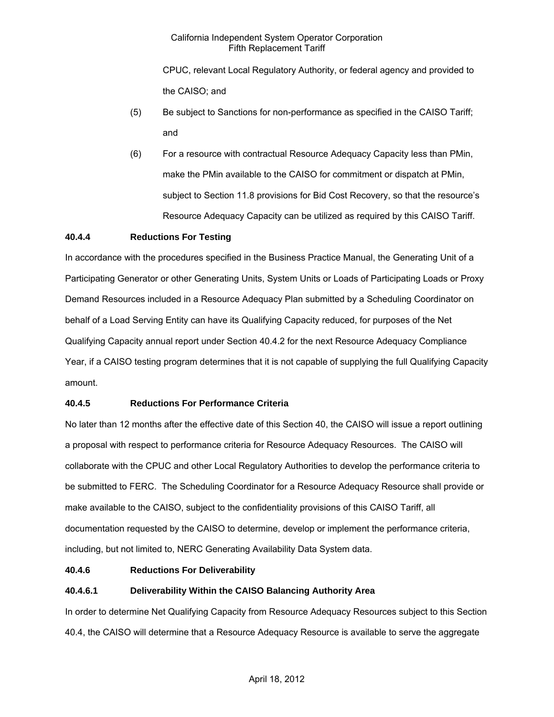CPUC, relevant Local Regulatory Authority, or federal agency and provided to the CAISO; and

- (5) Be subject to Sanctions for non-performance as specified in the CAISO Tariff; and
- (6) For a resource with contractual Resource Adequacy Capacity less than PMin, make the PMin available to the CAISO for commitment or dispatch at PMin, subject to Section 11.8 provisions for Bid Cost Recovery, so that the resource's Resource Adequacy Capacity can be utilized as required by this CAISO Tariff.

## **40.4.4 Reductions For Testing**

In accordance with the procedures specified in the Business Practice Manual, the Generating Unit of a Participating Generator or other Generating Units, System Units or Loads of Participating Loads or Proxy Demand Resources included in a Resource Adequacy Plan submitted by a Scheduling Coordinator on behalf of a Load Serving Entity can have its Qualifying Capacity reduced, for purposes of the Net Qualifying Capacity annual report under Section 40.4.2 for the next Resource Adequacy Compliance Year, if a CAISO testing program determines that it is not capable of supplying the full Qualifying Capacity amount.

# **40.4.5 Reductions For Performance Criteria**

No later than 12 months after the effective date of this Section 40, the CAISO will issue a report outlining a proposal with respect to performance criteria for Resource Adequacy Resources. The CAISO will collaborate with the CPUC and other Local Regulatory Authorities to develop the performance criteria to be submitted to FERC. The Scheduling Coordinator for a Resource Adequacy Resource shall provide or make available to the CAISO, subject to the confidentiality provisions of this CAISO Tariff, all documentation requested by the CAISO to determine, develop or implement the performance criteria, including, but not limited to, NERC Generating Availability Data System data.

## **40.4.6 Reductions For Deliverability**

# **40.4.6.1 Deliverability Within the CAISO Balancing Authority Area**

In order to determine Net Qualifying Capacity from Resource Adequacy Resources subject to this Section 40.4, the CAISO will determine that a Resource Adequacy Resource is available to serve the aggregate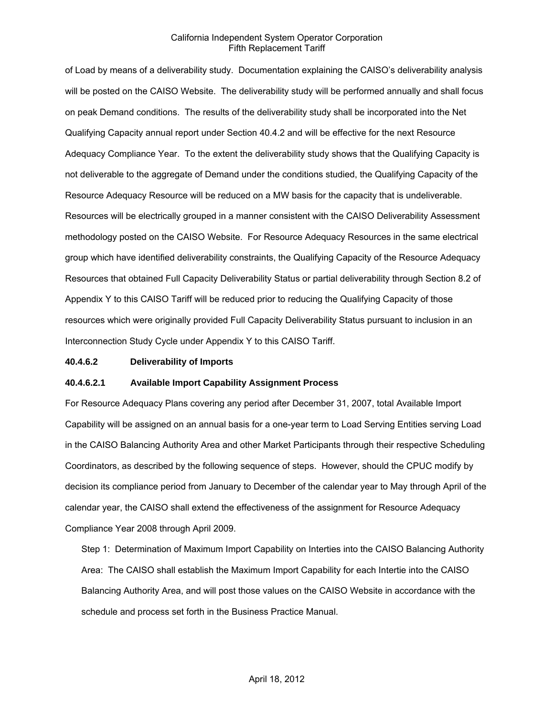of Load by means of a deliverability study. Documentation explaining the CAISO's deliverability analysis will be posted on the CAISO Website. The deliverability study will be performed annually and shall focus on peak Demand conditions. The results of the deliverability study shall be incorporated into the Net Qualifying Capacity annual report under Section 40.4.2 and will be effective for the next Resource Adequacy Compliance Year. To the extent the deliverability study shows that the Qualifying Capacity is not deliverable to the aggregate of Demand under the conditions studied, the Qualifying Capacity of the Resource Adequacy Resource will be reduced on a MW basis for the capacity that is undeliverable. Resources will be electrically grouped in a manner consistent with the CAISO Deliverability Assessment methodology posted on the CAISO Website. For Resource Adequacy Resources in the same electrical group which have identified deliverability constraints, the Qualifying Capacity of the Resource Adequacy Resources that obtained Full Capacity Deliverability Status or partial deliverability through Section 8.2 of Appendix Y to this CAISO Tariff will be reduced prior to reducing the Qualifying Capacity of those resources which were originally provided Full Capacity Deliverability Status pursuant to inclusion in an Interconnection Study Cycle under Appendix Y to this CAISO Tariff.

#### **40.4.6.2 Deliverability of Imports**

#### **40.4.6.2.1 Available Import Capability Assignment Process**

For Resource Adequacy Plans covering any period after December 31, 2007, total Available Import Capability will be assigned on an annual basis for a one-year term to Load Serving Entities serving Load in the CAISO Balancing Authority Area and other Market Participants through their respective Scheduling Coordinators, as described by the following sequence of steps. However, should the CPUC modify by decision its compliance period from January to December of the calendar year to May through April of the calendar year, the CAISO shall extend the effectiveness of the assignment for Resource Adequacy Compliance Year 2008 through April 2009.

Step 1: Determination of Maximum Import Capability on Interties into the CAISO Balancing Authority Area: The CAISO shall establish the Maximum Import Capability for each Intertie into the CAISO Balancing Authority Area, and will post those values on the CAISO Website in accordance with the schedule and process set forth in the Business Practice Manual.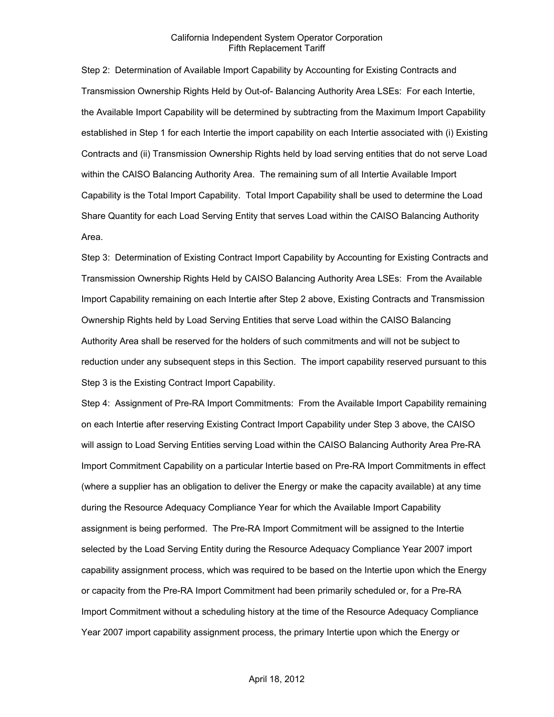Step 2: Determination of Available Import Capability by Accounting for Existing Contracts and Transmission Ownership Rights Held by Out-of- Balancing Authority Area LSEs: For each Intertie, the Available Import Capability will be determined by subtracting from the Maximum Import Capability established in Step 1 for each Intertie the import capability on each Intertie associated with (i) Existing Contracts and (ii) Transmission Ownership Rights held by load serving entities that do not serve Load within the CAISO Balancing Authority Area. The remaining sum of all Intertie Available Import Capability is the Total Import Capability. Total Import Capability shall be used to determine the Load Share Quantity for each Load Serving Entity that serves Load within the CAISO Balancing Authority Area.

Step 3: Determination of Existing Contract Import Capability by Accounting for Existing Contracts and Transmission Ownership Rights Held by CAISO Balancing Authority Area LSEs: From the Available Import Capability remaining on each Intertie after Step 2 above, Existing Contracts and Transmission Ownership Rights held by Load Serving Entities that serve Load within the CAISO Balancing Authority Area shall be reserved for the holders of such commitments and will not be subject to reduction under any subsequent steps in this Section. The import capability reserved pursuant to this Step 3 is the Existing Contract Import Capability.

Step 4: Assignment of Pre-RA Import Commitments: From the Available Import Capability remaining on each Intertie after reserving Existing Contract Import Capability under Step 3 above, the CAISO will assign to Load Serving Entities serving Load within the CAISO Balancing Authority Area Pre-RA Import Commitment Capability on a particular Intertie based on Pre-RA Import Commitments in effect (where a supplier has an obligation to deliver the Energy or make the capacity available) at any time during the Resource Adequacy Compliance Year for which the Available Import Capability assignment is being performed. The Pre-RA Import Commitment will be assigned to the Intertie selected by the Load Serving Entity during the Resource Adequacy Compliance Year 2007 import capability assignment process, which was required to be based on the Intertie upon which the Energy or capacity from the Pre-RA Import Commitment had been primarily scheduled or, for a Pre-RA Import Commitment without a scheduling history at the time of the Resource Adequacy Compliance Year 2007 import capability assignment process, the primary Intertie upon which the Energy or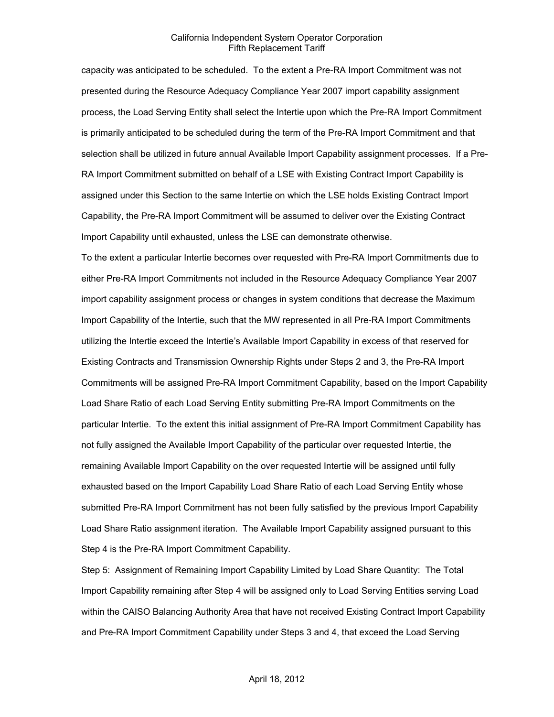capacity was anticipated to be scheduled. To the extent a Pre-RA Import Commitment was not presented during the Resource Adequacy Compliance Year 2007 import capability assignment process, the Load Serving Entity shall select the Intertie upon which the Pre-RA Import Commitment is primarily anticipated to be scheduled during the term of the Pre-RA Import Commitment and that selection shall be utilized in future annual Available Import Capability assignment processes. If a Pre-RA Import Commitment submitted on behalf of a LSE with Existing Contract Import Capability is assigned under this Section to the same Intertie on which the LSE holds Existing Contract Import Capability, the Pre-RA Import Commitment will be assumed to deliver over the Existing Contract Import Capability until exhausted, unless the LSE can demonstrate otherwise.

To the extent a particular Intertie becomes over requested with Pre-RA Import Commitments due to either Pre-RA Import Commitments not included in the Resource Adequacy Compliance Year 2007 import capability assignment process or changes in system conditions that decrease the Maximum Import Capability of the Intertie, such that the MW represented in all Pre-RA Import Commitments utilizing the Intertie exceed the Intertie's Available Import Capability in excess of that reserved for Existing Contracts and Transmission Ownership Rights under Steps 2 and 3, the Pre-RA Import Commitments will be assigned Pre-RA Import Commitment Capability, based on the Import Capability Load Share Ratio of each Load Serving Entity submitting Pre-RA Import Commitments on the particular Intertie. To the extent this initial assignment of Pre-RA Import Commitment Capability has not fully assigned the Available Import Capability of the particular over requested Intertie, the remaining Available Import Capability on the over requested Intertie will be assigned until fully exhausted based on the Import Capability Load Share Ratio of each Load Serving Entity whose submitted Pre-RA Import Commitment has not been fully satisfied by the previous Import Capability Load Share Ratio assignment iteration. The Available Import Capability assigned pursuant to this Step 4 is the Pre-RA Import Commitment Capability.

Step 5: Assignment of Remaining Import Capability Limited by Load Share Quantity: The Total Import Capability remaining after Step 4 will be assigned only to Load Serving Entities serving Load within the CAISO Balancing Authority Area that have not received Existing Contract Import Capability and Pre-RA Import Commitment Capability under Steps 3 and 4, that exceed the Load Serving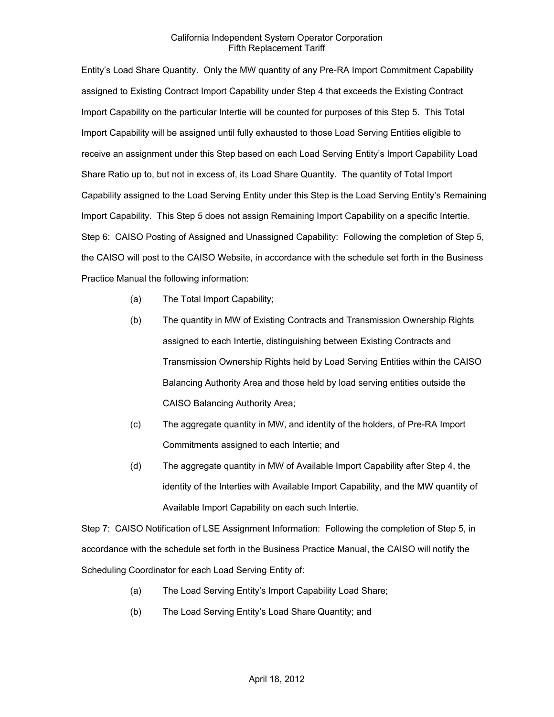Entity's Load Share Quantity. Only the MW quantity of any Pre-RA Import Commitment Capability assigned to Existing Contract Import Capability under Step 4 that exceeds the Existing Contract Import Capability on the particular Intertie will be counted for purposes of this Step 5. This Total Import Capability will be assigned until fully exhausted to those Load Serving Entities eligible to receive an assignment under this Step based on each Load Serving Entity's Import Capability Load Share Ratio up to, but not in excess of, its Load Share Quantity. The quantity of Total Import Capability assigned to the Load Serving Entity under this Step is the Load Serving Entity's Remaining Import Capability. This Step 5 does not assign Remaining Import Capability on a specific Intertie. Step 6: CAISO Posting of Assigned and Unassigned Capability: Following the completion of Step 5, the CAISO will post to the CAISO Website, in accordance with the schedule set forth in the Business Practice Manual the following information:

- (a) The Total Import Capability;
- (b) The quantity in MW of Existing Contracts and Transmission Ownership Rights assigned to each Intertie, distinguishing between Existing Contracts and Transmission Ownership Rights held by Load Serving Entities within the CAISO Balancing Authority Area and those held by load serving entities outside the CAISO Balancing Authority Area;
- (c) The aggregate quantity in MW, and identity of the holders, of Pre-RA Import Commitments assigned to each Intertie; and
- (d) The aggregate quantity in MW of Available Import Capability after Step 4, the identity of the Interties with Available Import Capability, and the MW quantity of Available Import Capability on each such Intertie.

Step 7: CAISO Notification of LSE Assignment Information: Following the completion of Step 5, in accordance with the schedule set forth in the Business Practice Manual, the CAISO will notify the Scheduling Coordinator for each Load Serving Entity of:

- (a) The Load Serving Entity's Import Capability Load Share;
- (b) The Load Serving Entity's Load Share Quantity; and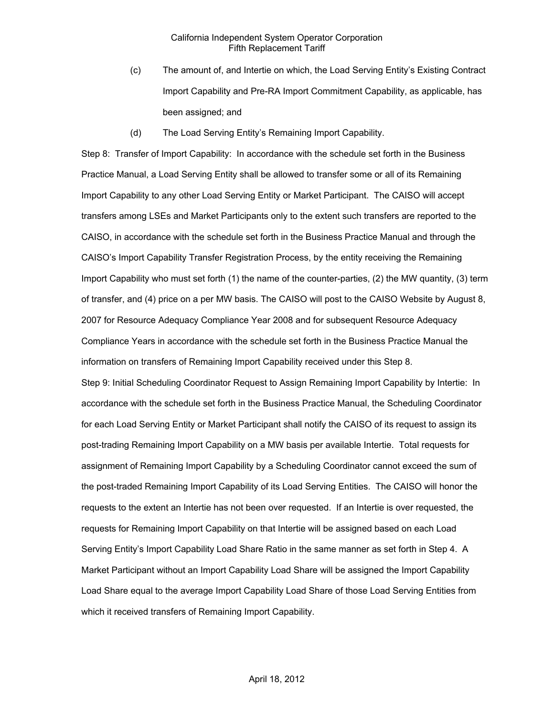- (c) The amount of, and Intertie on which, the Load Serving Entity's Existing Contract Import Capability and Pre-RA Import Commitment Capability, as applicable, has been assigned; and
- (d) The Load Serving Entity's Remaining Import Capability.

Step 8: Transfer of Import Capability: In accordance with the schedule set forth in the Business Practice Manual, a Load Serving Entity shall be allowed to transfer some or all of its Remaining Import Capability to any other Load Serving Entity or Market Participant. The CAISO will accept transfers among LSEs and Market Participants only to the extent such transfers are reported to the CAISO, in accordance with the schedule set forth in the Business Practice Manual and through the CAISO's Import Capability Transfer Registration Process, by the entity receiving the Remaining Import Capability who must set forth (1) the name of the counter-parties, (2) the MW quantity, (3) term of transfer, and (4) price on a per MW basis. The CAISO will post to the CAISO Website by August 8, 2007 for Resource Adequacy Compliance Year 2008 and for subsequent Resource Adequacy Compliance Years in accordance with the schedule set forth in the Business Practice Manual the information on transfers of Remaining Import Capability received under this Step 8. Step 9: Initial Scheduling Coordinator Request to Assign Remaining Import Capability by Intertie: In accordance with the schedule set forth in the Business Practice Manual, the Scheduling Coordinator for each Load Serving Entity or Market Participant shall notify the CAISO of its request to assign its post-trading Remaining Import Capability on a MW basis per available Intertie. Total requests for assignment of Remaining Import Capability by a Scheduling Coordinator cannot exceed the sum of the post-traded Remaining Import Capability of its Load Serving Entities. The CAISO will honor the requests to the extent an Intertie has not been over requested. If an Intertie is over requested, the requests for Remaining Import Capability on that Intertie will be assigned based on each Load Serving Entity's Import Capability Load Share Ratio in the same manner as set forth in Step 4. A Market Participant without an Import Capability Load Share will be assigned the Import Capability Load Share equal to the average Import Capability Load Share of those Load Serving Entities from which it received transfers of Remaining Import Capability.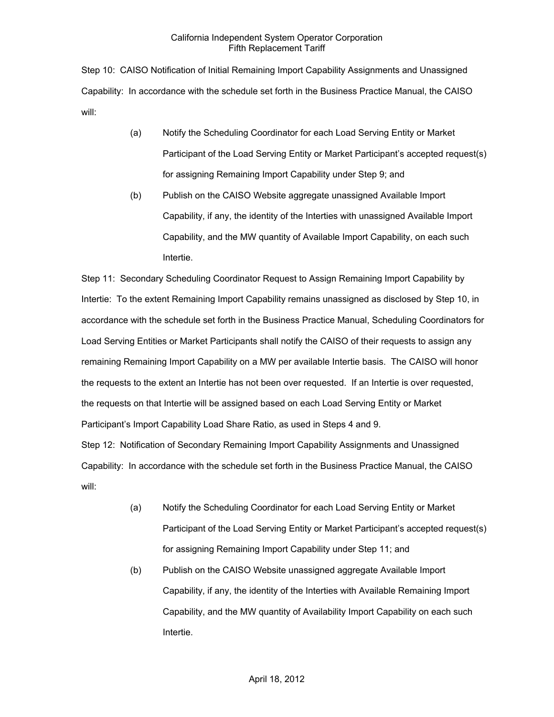Step 10: CAISO Notification of Initial Remaining Import Capability Assignments and Unassigned Capability: In accordance with the schedule set forth in the Business Practice Manual, the CAISO will:

- (a) Notify the Scheduling Coordinator for each Load Serving Entity or Market Participant of the Load Serving Entity or Market Participant's accepted request(s) for assigning Remaining Import Capability under Step 9; and
- (b) Publish on the CAISO Website aggregate unassigned Available Import Capability, if any, the identity of the Interties with unassigned Available Import Capability, and the MW quantity of Available Import Capability, on each such Intertie.

Step 11: Secondary Scheduling Coordinator Request to Assign Remaining Import Capability by Intertie: To the extent Remaining Import Capability remains unassigned as disclosed by Step 10, in accordance with the schedule set forth in the Business Practice Manual, Scheduling Coordinators for Load Serving Entities or Market Participants shall notify the CAISO of their requests to assign any remaining Remaining Import Capability on a MW per available Intertie basis. The CAISO will honor the requests to the extent an Intertie has not been over requested. If an Intertie is over requested, the requests on that Intertie will be assigned based on each Load Serving Entity or Market Participant's Import Capability Load Share Ratio, as used in Steps 4 and 9.

Step 12: Notification of Secondary Remaining Import Capability Assignments and Unassigned Capability: In accordance with the schedule set forth in the Business Practice Manual, the CAISO will:

- (a) Notify the Scheduling Coordinator for each Load Serving Entity or Market Participant of the Load Serving Entity or Market Participant's accepted request(s) for assigning Remaining Import Capability under Step 11; and
- (b) Publish on the CAISO Website unassigned aggregate Available Import Capability, if any, the identity of the Interties with Available Remaining Import Capability, and the MW quantity of Availability Import Capability on each such Intertie.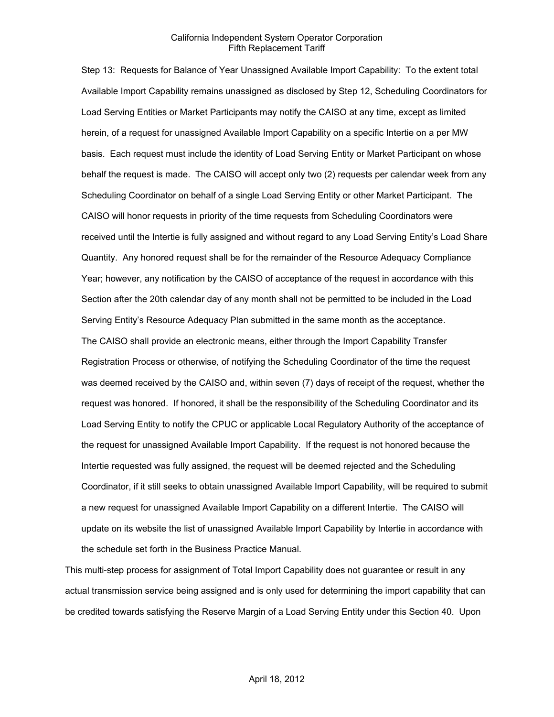Step 13: Requests for Balance of Year Unassigned Available Import Capability: To the extent total Available Import Capability remains unassigned as disclosed by Step 12, Scheduling Coordinators for Load Serving Entities or Market Participants may notify the CAISO at any time, except as limited herein, of a request for unassigned Available Import Capability on a specific Intertie on a per MW basis. Each request must include the identity of Load Serving Entity or Market Participant on whose behalf the request is made. The CAISO will accept only two (2) requests per calendar week from any Scheduling Coordinator on behalf of a single Load Serving Entity or other Market Participant. The CAISO will honor requests in priority of the time requests from Scheduling Coordinators were received until the Intertie is fully assigned and without regard to any Load Serving Entity's Load Share Quantity. Any honored request shall be for the remainder of the Resource Adequacy Compliance Year; however, any notification by the CAISO of acceptance of the request in accordance with this Section after the 20th calendar day of any month shall not be permitted to be included in the Load Serving Entity's Resource Adequacy Plan submitted in the same month as the acceptance. The CAISO shall provide an electronic means, either through the Import Capability Transfer Registration Process or otherwise, of notifying the Scheduling Coordinator of the time the request was deemed received by the CAISO and, within seven (7) days of receipt of the request, whether the request was honored. If honored, it shall be the responsibility of the Scheduling Coordinator and its Load Serving Entity to notify the CPUC or applicable Local Regulatory Authority of the acceptance of the request for unassigned Available Import Capability. If the request is not honored because the Intertie requested was fully assigned, the request will be deemed rejected and the Scheduling Coordinator, if it still seeks to obtain unassigned Available Import Capability, will be required to submit a new request for unassigned Available Import Capability on a different Intertie. The CAISO will update on its website the list of unassigned Available Import Capability by Intertie in accordance with the schedule set forth in the Business Practice Manual.

This multi-step process for assignment of Total Import Capability does not guarantee or result in any actual transmission service being assigned and is only used for determining the import capability that can be credited towards satisfying the Reserve Margin of a Load Serving Entity under this Section 40. Upon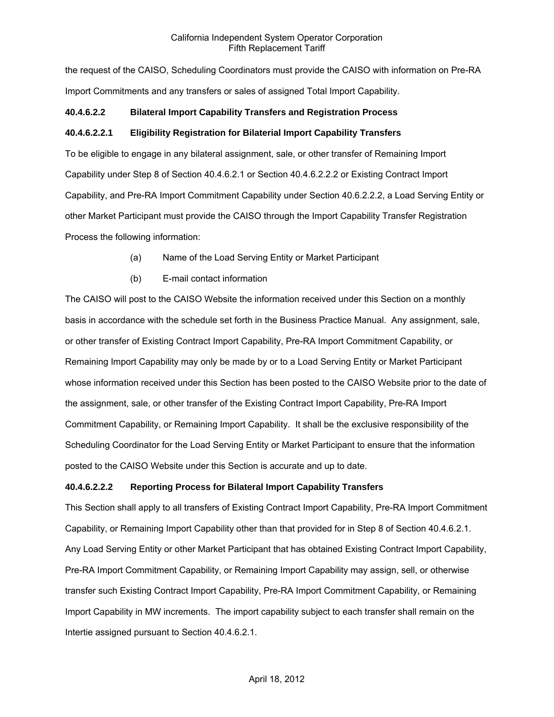the request of the CAISO, Scheduling Coordinators must provide the CAISO with information on Pre-RA Import Commitments and any transfers or sales of assigned Total Import Capability.

## **40.4.6.2.2 Bilateral Import Capability Transfers and Registration Process**

## **40.4.6.2.2.1 Eligibility Registration for Bilaterial Import Capability Transfers**

To be eligible to engage in any bilateral assignment, sale, or other transfer of Remaining Import Capability under Step 8 of Section 40.4.6.2.1 or Section 40.4.6.2.2.2 or Existing Contract Import Capability, and Pre-RA Import Commitment Capability under Section 40.6.2.2.2, a Load Serving Entity or other Market Participant must provide the CAISO through the Import Capability Transfer Registration Process the following information:

- (a) Name of the Load Serving Entity or Market Participant
- (b) E-mail contact information

The CAISO will post to the CAISO Website the information received under this Section on a monthly basis in accordance with the schedule set forth in the Business Practice Manual. Any assignment, sale, or other transfer of Existing Contract Import Capability, Pre-RA Import Commitment Capability, or Remaining Import Capability may only be made by or to a Load Serving Entity or Market Participant whose information received under this Section has been posted to the CAISO Website prior to the date of the assignment, sale, or other transfer of the Existing Contract Import Capability, Pre-RA Import Commitment Capability, or Remaining Import Capability. It shall be the exclusive responsibility of the Scheduling Coordinator for the Load Serving Entity or Market Participant to ensure that the information posted to the CAISO Website under this Section is accurate and up to date.

## **40.4.6.2.2.2 Reporting Process for Bilateral Import Capability Transfers**

This Section shall apply to all transfers of Existing Contract Import Capability, Pre-RA Import Commitment Capability, or Remaining Import Capability other than that provided for in Step 8 of Section 40.4.6.2.1. Any Load Serving Entity or other Market Participant that has obtained Existing Contract Import Capability, Pre-RA Import Commitment Capability, or Remaining Import Capability may assign, sell, or otherwise transfer such Existing Contract Import Capability, Pre-RA Import Commitment Capability, or Remaining Import Capability in MW increments. The import capability subject to each transfer shall remain on the Intertie assigned pursuant to Section 40.4.6.2.1.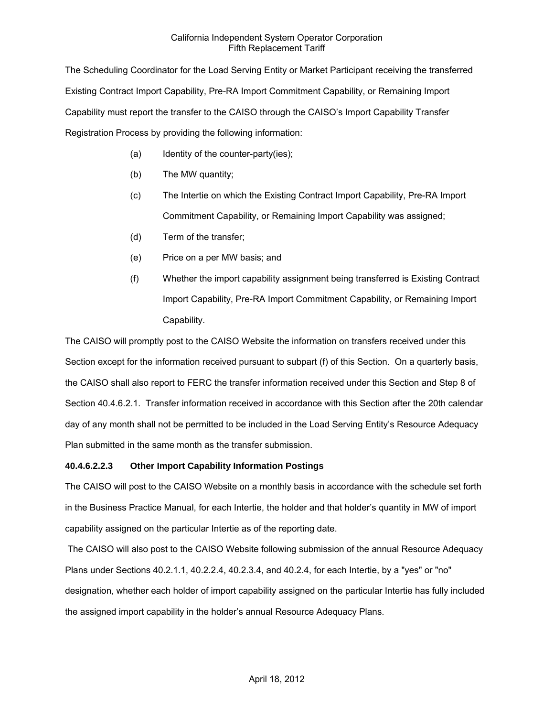The Scheduling Coordinator for the Load Serving Entity or Market Participant receiving the transferred Existing Contract Import Capability, Pre-RA Import Commitment Capability, or Remaining Import Capability must report the transfer to the CAISO through the CAISO's Import Capability Transfer Registration Process by providing the following information:

- (a) Identity of the counter-party(ies);
- (b) The MW quantity;
- (c) The Intertie on which the Existing Contract Import Capability, Pre-RA Import Commitment Capability, or Remaining Import Capability was assigned;
- (d) Term of the transfer;
- (e) Price on a per MW basis; and
- (f) Whether the import capability assignment being transferred is Existing Contract Import Capability, Pre-RA Import Commitment Capability, or Remaining Import Capability.

The CAISO will promptly post to the CAISO Website the information on transfers received under this Section except for the information received pursuant to subpart (f) of this Section. On a quarterly basis, the CAISO shall also report to FERC the transfer information received under this Section and Step 8 of Section 40.4.6.2.1. Transfer information received in accordance with this Section after the 20th calendar day of any month shall not be permitted to be included in the Load Serving Entity's Resource Adequacy Plan submitted in the same month as the transfer submission.

## **40.4.6.2.2.3 Other Import Capability Information Postings**

The CAISO will post to the CAISO Website on a monthly basis in accordance with the schedule set forth in the Business Practice Manual, for each Intertie, the holder and that holder's quantity in MW of import capability assigned on the particular Intertie as of the reporting date.

 The CAISO will also post to the CAISO Website following submission of the annual Resource Adequacy Plans under Sections 40.2.1.1, 40.2.2.4, 40.2.3.4, and 40.2.4, for each Intertie, by a "yes" or "no" designation, whether each holder of import capability assigned on the particular Intertie has fully included the assigned import capability in the holder's annual Resource Adequacy Plans.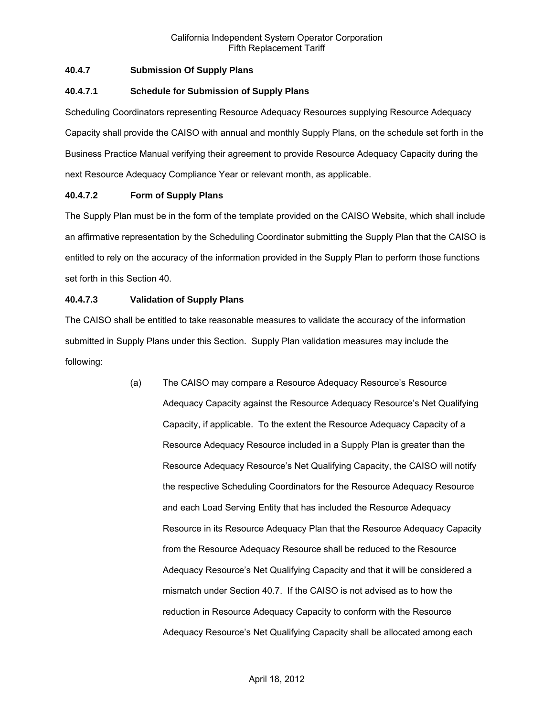## **40.4.7 Submission Of Supply Plans**

## **40.4.7.1 Schedule for Submission of Supply Plans**

Scheduling Coordinators representing Resource Adequacy Resources supplying Resource Adequacy Capacity shall provide the CAISO with annual and monthly Supply Plans, on the schedule set forth in the Business Practice Manual verifying their agreement to provide Resource Adequacy Capacity during the next Resource Adequacy Compliance Year or relevant month, as applicable.

## **40.4.7.2 Form of Supply Plans**

The Supply Plan must be in the form of the template provided on the CAISO Website, which shall include an affirmative representation by the Scheduling Coordinator submitting the Supply Plan that the CAISO is entitled to rely on the accuracy of the information provided in the Supply Plan to perform those functions set forth in this Section 40.

## **40.4.7.3 Validation of Supply Plans**

The CAISO shall be entitled to take reasonable measures to validate the accuracy of the information submitted in Supply Plans under this Section. Supply Plan validation measures may include the following:

> (a) The CAISO may compare a Resource Adequacy Resource's Resource Adequacy Capacity against the Resource Adequacy Resource's Net Qualifying Capacity, if applicable. To the extent the Resource Adequacy Capacity of a Resource Adequacy Resource included in a Supply Plan is greater than the Resource Adequacy Resource's Net Qualifying Capacity, the CAISO will notify the respective Scheduling Coordinators for the Resource Adequacy Resource and each Load Serving Entity that has included the Resource Adequacy Resource in its Resource Adequacy Plan that the Resource Adequacy Capacity from the Resource Adequacy Resource shall be reduced to the Resource Adequacy Resource's Net Qualifying Capacity and that it will be considered a mismatch under Section 40.7. If the CAISO is not advised as to how the reduction in Resource Adequacy Capacity to conform with the Resource Adequacy Resource's Net Qualifying Capacity shall be allocated among each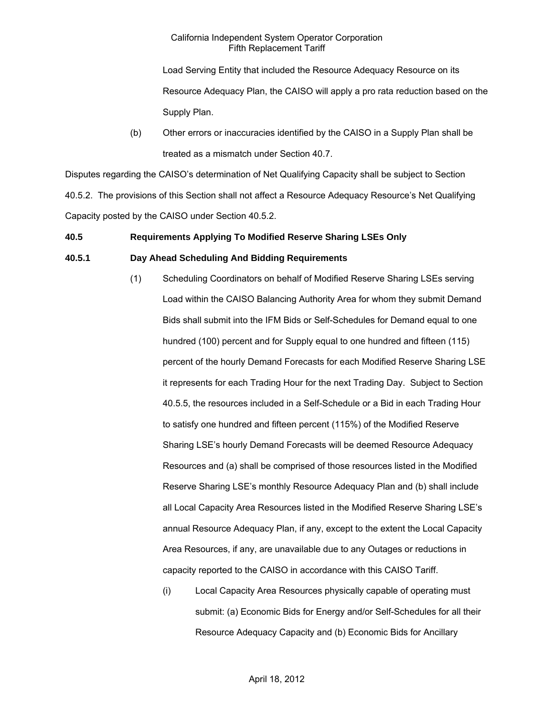Load Serving Entity that included the Resource Adequacy Resource on its Resource Adequacy Plan, the CAISO will apply a pro rata reduction based on the Supply Plan.

(b) Other errors or inaccuracies identified by the CAISO in a Supply Plan shall be treated as a mismatch under Section 40.7.

Disputes regarding the CAISO's determination of Net Qualifying Capacity shall be subject to Section 40.5.2. The provisions of this Section shall not affect a Resource Adequacy Resource's Net Qualifying Capacity posted by the CAISO under Section 40.5.2.

## **40.5 Requirements Applying To Modified Reserve Sharing LSEs Only**

## **40.5.1 Day Ahead Scheduling And Bidding Requirements**

- (1) Scheduling Coordinators on behalf of Modified Reserve Sharing LSEs serving Load within the CAISO Balancing Authority Area for whom they submit Demand Bids shall submit into the IFM Bids or Self-Schedules for Demand equal to one hundred (100) percent and for Supply equal to one hundred and fifteen (115) percent of the hourly Demand Forecasts for each Modified Reserve Sharing LSE it represents for each Trading Hour for the next Trading Day. Subject to Section 40.5.5, the resources included in a Self-Schedule or a Bid in each Trading Hour to satisfy one hundred and fifteen percent (115%) of the Modified Reserve Sharing LSE's hourly Demand Forecasts will be deemed Resource Adequacy Resources and (a) shall be comprised of those resources listed in the Modified Reserve Sharing LSE's monthly Resource Adequacy Plan and (b) shall include all Local Capacity Area Resources listed in the Modified Reserve Sharing LSE's annual Resource Adequacy Plan, if any, except to the extent the Local Capacity Area Resources, if any, are unavailable due to any Outages or reductions in capacity reported to the CAISO in accordance with this CAISO Tariff.
	- (i) Local Capacity Area Resources physically capable of operating must submit: (a) Economic Bids for Energy and/or Self-Schedules for all their Resource Adequacy Capacity and (b) Economic Bids for Ancillary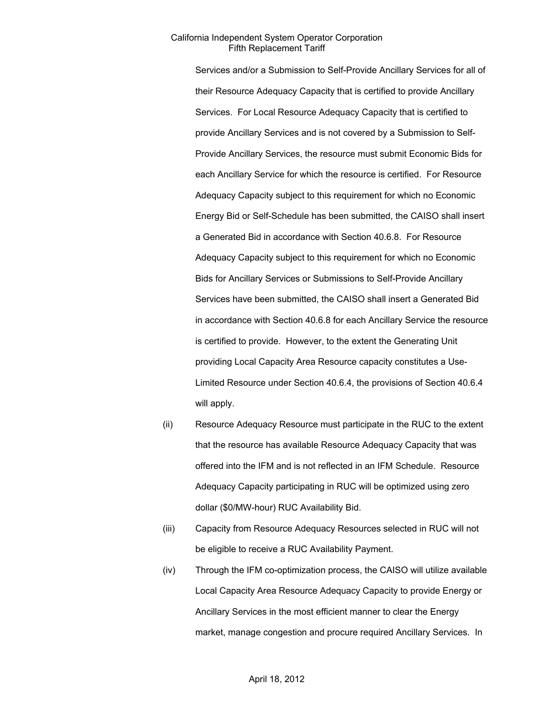Services and/or a Submission to Self-Provide Ancillary Services for all of their Resource Adequacy Capacity that is certified to provide Ancillary Services. For Local Resource Adequacy Capacity that is certified to provide Ancillary Services and is not covered by a Submission to Self-Provide Ancillary Services, the resource must submit Economic Bids for each Ancillary Service for which the resource is certified. For Resource Adequacy Capacity subject to this requirement for which no Economic Energy Bid or Self-Schedule has been submitted, the CAISO shall insert a Generated Bid in accordance with Section 40.6.8. For Resource Adequacy Capacity subject to this requirement for which no Economic Bids for Ancillary Services or Submissions to Self-Provide Ancillary Services have been submitted, the CAISO shall insert a Generated Bid in accordance with Section 40.6.8 for each Ancillary Service the resource is certified to provide. However, to the extent the Generating Unit providing Local Capacity Area Resource capacity constitutes a Use-Limited Resource under Section 40.6.4, the provisions of Section 40.6.4 will apply.

- (ii) Resource Adequacy Resource must participate in the RUC to the extent that the resource has available Resource Adequacy Capacity that was offered into the IFM and is not reflected in an IFM Schedule. Resource Adequacy Capacity participating in RUC will be optimized using zero dollar (\$0/MW-hour) RUC Availability Bid.
- (iii) Capacity from Resource Adequacy Resources selected in RUC will not be eligible to receive a RUC Availability Payment.
- (iv) Through the IFM co-optimization process, the CAISO will utilize available Local Capacity Area Resource Adequacy Capacity to provide Energy or Ancillary Services in the most efficient manner to clear the Energy market, manage congestion and procure required Ancillary Services. In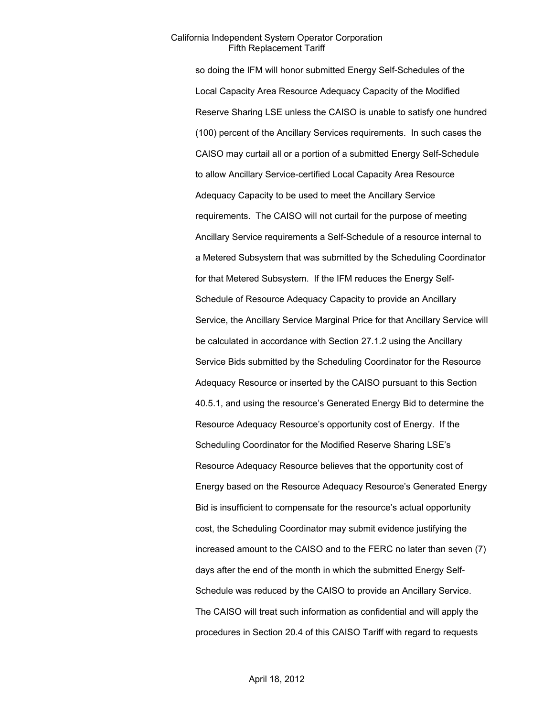so doing the IFM will honor submitted Energy Self-Schedules of the Local Capacity Area Resource Adequacy Capacity of the Modified Reserve Sharing LSE unless the CAISO is unable to satisfy one hundred (100) percent of the Ancillary Services requirements. In such cases the CAISO may curtail all or a portion of a submitted Energy Self-Schedule to allow Ancillary Service-certified Local Capacity Area Resource Adequacy Capacity to be used to meet the Ancillary Service requirements. The CAISO will not curtail for the purpose of meeting Ancillary Service requirements a Self-Schedule of a resource internal to a Metered Subsystem that was submitted by the Scheduling Coordinator for that Metered Subsystem. If the IFM reduces the Energy Self-Schedule of Resource Adequacy Capacity to provide an Ancillary Service, the Ancillary Service Marginal Price for that Ancillary Service will be calculated in accordance with Section 27.1.2 using the Ancillary Service Bids submitted by the Scheduling Coordinator for the Resource Adequacy Resource or inserted by the CAISO pursuant to this Section 40.5.1, and using the resource's Generated Energy Bid to determine the Resource Adequacy Resource's opportunity cost of Energy. If the Scheduling Coordinator for the Modified Reserve Sharing LSE's Resource Adequacy Resource believes that the opportunity cost of Energy based on the Resource Adequacy Resource's Generated Energy Bid is insufficient to compensate for the resource's actual opportunity cost, the Scheduling Coordinator may submit evidence justifying the increased amount to the CAISO and to the FERC no later than seven (7) days after the end of the month in which the submitted Energy Self-Schedule was reduced by the CAISO to provide an Ancillary Service. The CAISO will treat such information as confidential and will apply the procedures in Section 20.4 of this CAISO Tariff with regard to requests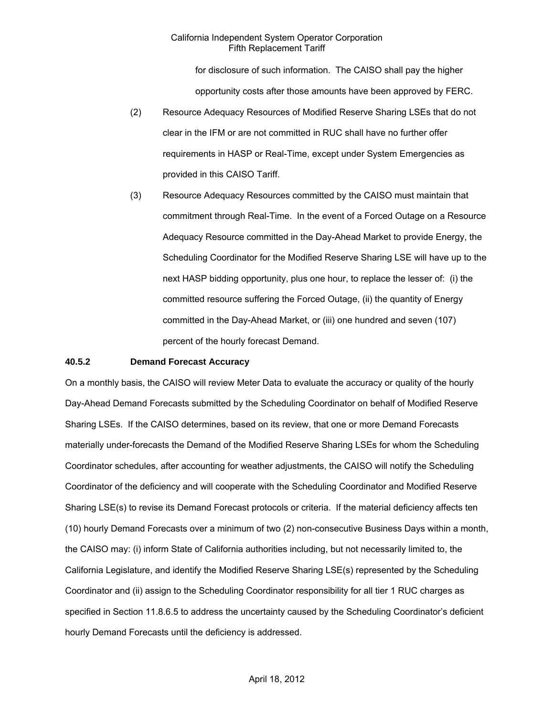for disclosure of such information. The CAISO shall pay the higher opportunity costs after those amounts have been approved by FERC.

- (2) Resource Adequacy Resources of Modified Reserve Sharing LSEs that do not clear in the IFM or are not committed in RUC shall have no further offer requirements in HASP or Real-Time, except under System Emergencies as provided in this CAISO Tariff.
- (3) Resource Adequacy Resources committed by the CAISO must maintain that commitment through Real-Time. In the event of a Forced Outage on a Resource Adequacy Resource committed in the Day-Ahead Market to provide Energy, the Scheduling Coordinator for the Modified Reserve Sharing LSE will have up to the next HASP bidding opportunity, plus one hour, to replace the lesser of: (i) the committed resource suffering the Forced Outage, (ii) the quantity of Energy committed in the Day-Ahead Market, or (iii) one hundred and seven (107) percent of the hourly forecast Demand.

### **40.5.2 Demand Forecast Accuracy**

On a monthly basis, the CAISO will review Meter Data to evaluate the accuracy or quality of the hourly Day-Ahead Demand Forecasts submitted by the Scheduling Coordinator on behalf of Modified Reserve Sharing LSEs. If the CAISO determines, based on its review, that one or more Demand Forecasts materially under-forecasts the Demand of the Modified Reserve Sharing LSEs for whom the Scheduling Coordinator schedules, after accounting for weather adjustments, the CAISO will notify the Scheduling Coordinator of the deficiency and will cooperate with the Scheduling Coordinator and Modified Reserve Sharing LSE(s) to revise its Demand Forecast protocols or criteria. If the material deficiency affects ten (10) hourly Demand Forecasts over a minimum of two (2) non-consecutive Business Days within a month, the CAISO may: (i) inform State of California authorities including, but not necessarily limited to, the California Legislature, and identify the Modified Reserve Sharing LSE(s) represented by the Scheduling Coordinator and (ii) assign to the Scheduling Coordinator responsibility for all tier 1 RUC charges as specified in Section 11.8.6.5 to address the uncertainty caused by the Scheduling Coordinator's deficient hourly Demand Forecasts until the deficiency is addressed.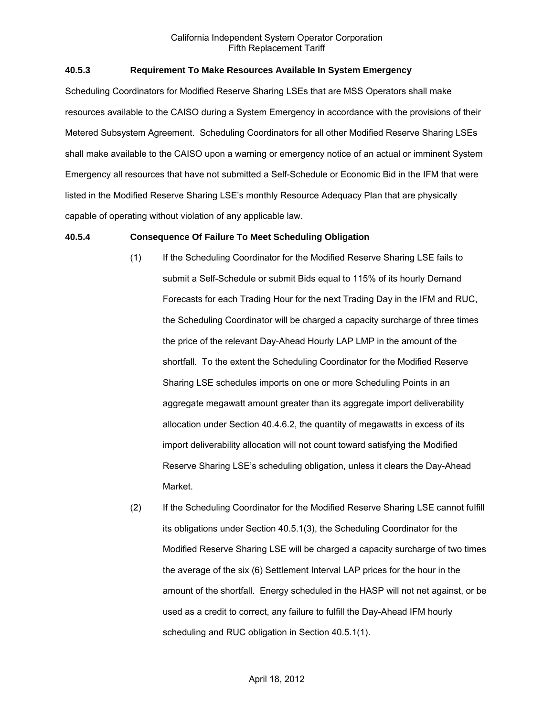## **40.5.3 Requirement To Make Resources Available In System Emergency**

Scheduling Coordinators for Modified Reserve Sharing LSEs that are MSS Operators shall make resources available to the CAISO during a System Emergency in accordance with the provisions of their Metered Subsystem Agreement. Scheduling Coordinators for all other Modified Reserve Sharing LSEs shall make available to the CAISO upon a warning or emergency notice of an actual or imminent System Emergency all resources that have not submitted a Self-Schedule or Economic Bid in the IFM that were listed in the Modified Reserve Sharing LSE's monthly Resource Adequacy Plan that are physically capable of operating without violation of any applicable law.

### **40.5.4 Consequence Of Failure To Meet Scheduling Obligation**

- (1) If the Scheduling Coordinator for the Modified Reserve Sharing LSE fails to submit a Self-Schedule or submit Bids equal to 115% of its hourly Demand Forecasts for each Trading Hour for the next Trading Day in the IFM and RUC, the Scheduling Coordinator will be charged a capacity surcharge of three times the price of the relevant Day-Ahead Hourly LAP LMP in the amount of the shortfall. To the extent the Scheduling Coordinator for the Modified Reserve Sharing LSE schedules imports on one or more Scheduling Points in an aggregate megawatt amount greater than its aggregate import deliverability allocation under Section 40.4.6.2, the quantity of megawatts in excess of its import deliverability allocation will not count toward satisfying the Modified Reserve Sharing LSE's scheduling obligation, unless it clears the Day-Ahead Market.
- (2) If the Scheduling Coordinator for the Modified Reserve Sharing LSE cannot fulfill its obligations under Section 40.5.1(3), the Scheduling Coordinator for the Modified Reserve Sharing LSE will be charged a capacity surcharge of two times the average of the six (6) Settlement Interval LAP prices for the hour in the amount of the shortfall. Energy scheduled in the HASP will not net against, or be used as a credit to correct, any failure to fulfill the Day-Ahead IFM hourly scheduling and RUC obligation in Section 40.5.1(1).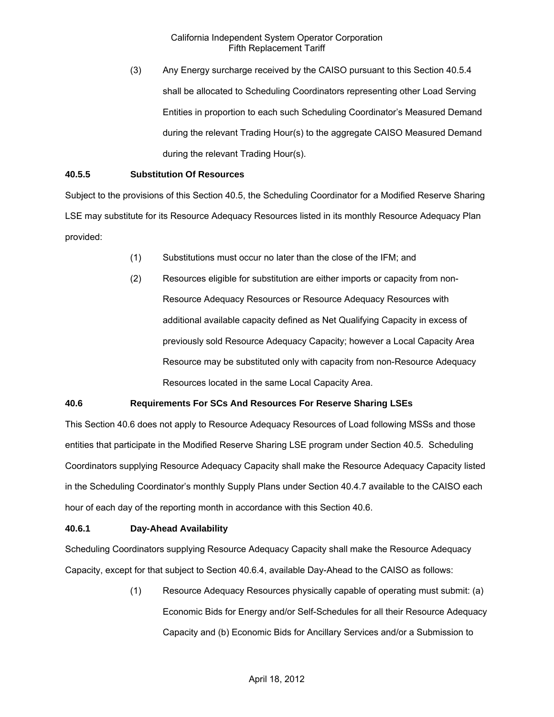(3) Any Energy surcharge received by the CAISO pursuant to this Section 40.5.4 shall be allocated to Scheduling Coordinators representing other Load Serving Entities in proportion to each such Scheduling Coordinator's Measured Demand during the relevant Trading Hour(s) to the aggregate CAISO Measured Demand during the relevant Trading Hour(s).

## **40.5.5 Substitution Of Resources**

Subject to the provisions of this Section 40.5, the Scheduling Coordinator for a Modified Reserve Sharing LSE may substitute for its Resource Adequacy Resources listed in its monthly Resource Adequacy Plan provided:

- (1) Substitutions must occur no later than the close of the IFM; and
- (2) Resources eligible for substitution are either imports or capacity from non-Resource Adequacy Resources or Resource Adequacy Resources with additional available capacity defined as Net Qualifying Capacity in excess of previously sold Resource Adequacy Capacity; however a Local Capacity Area Resource may be substituted only with capacity from non-Resource Adequacy Resources located in the same Local Capacity Area.

## **40.6 Requirements For SCs And Resources For Reserve Sharing LSEs**

This Section 40.6 does not apply to Resource Adequacy Resources of Load following MSSs and those entities that participate in the Modified Reserve Sharing LSE program under Section 40.5. Scheduling Coordinators supplying Resource Adequacy Capacity shall make the Resource Adequacy Capacity listed in the Scheduling Coordinator's monthly Supply Plans under Section 40.4.7 available to the CAISO each hour of each day of the reporting month in accordance with this Section 40.6.

## **40.6.1 Day-Ahead Availability**

Scheduling Coordinators supplying Resource Adequacy Capacity shall make the Resource Adequacy Capacity, except for that subject to Section 40.6.4, available Day-Ahead to the CAISO as follows:

> (1) Resource Adequacy Resources physically capable of operating must submit: (a) Economic Bids for Energy and/or Self-Schedules for all their Resource Adequacy Capacity and (b) Economic Bids for Ancillary Services and/or a Submission to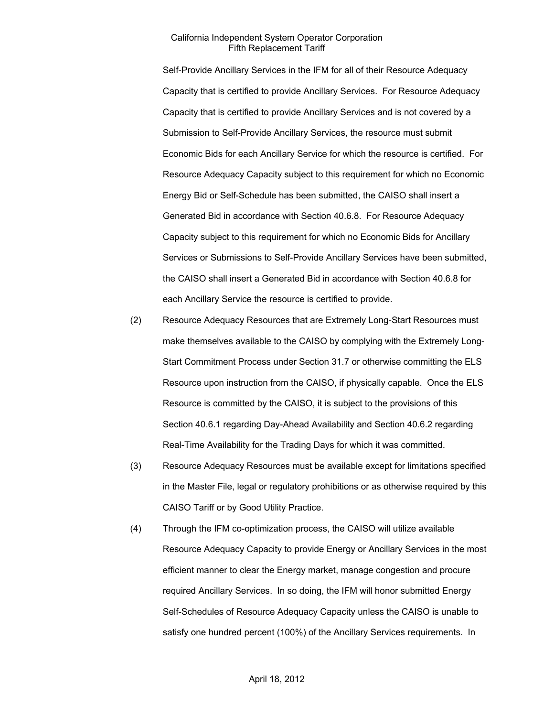Self-Provide Ancillary Services in the IFM for all of their Resource Adequacy Capacity that is certified to provide Ancillary Services. For Resource Adequacy Capacity that is certified to provide Ancillary Services and is not covered by a Submission to Self-Provide Ancillary Services, the resource must submit Economic Bids for each Ancillary Service for which the resource is certified. For Resource Adequacy Capacity subject to this requirement for which no Economic Energy Bid or Self-Schedule has been submitted, the CAISO shall insert a Generated Bid in accordance with Section 40.6.8. For Resource Adequacy Capacity subject to this requirement for which no Economic Bids for Ancillary Services or Submissions to Self-Provide Ancillary Services have been submitted, the CAISO shall insert a Generated Bid in accordance with Section 40.6.8 for each Ancillary Service the resource is certified to provide.

- (2) Resource Adequacy Resources that are Extremely Long-Start Resources must make themselves available to the CAISO by complying with the Extremely Long-Start Commitment Process under Section 31.7 or otherwise committing the ELS Resource upon instruction from the CAISO, if physically capable. Once the ELS Resource is committed by the CAISO, it is subject to the provisions of this Section 40.6.1 regarding Day-Ahead Availability and Section 40.6.2 regarding Real-Time Availability for the Trading Days for which it was committed.
- (3) Resource Adequacy Resources must be available except for limitations specified in the Master File, legal or regulatory prohibitions or as otherwise required by this CAISO Tariff or by Good Utility Practice.
- (4) Through the IFM co-optimization process, the CAISO will utilize available Resource Adequacy Capacity to provide Energy or Ancillary Services in the most efficient manner to clear the Energy market, manage congestion and procure required Ancillary Services. In so doing, the IFM will honor submitted Energy Self-Schedules of Resource Adequacy Capacity unless the CAISO is unable to satisfy one hundred percent (100%) of the Ancillary Services requirements. In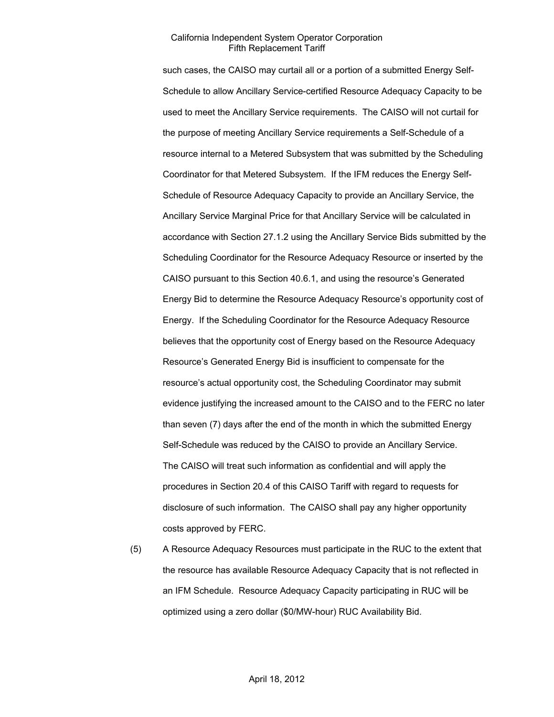such cases, the CAISO may curtail all or a portion of a submitted Energy Self-Schedule to allow Ancillary Service-certified Resource Adequacy Capacity to be used to meet the Ancillary Service requirements. The CAISO will not curtail for the purpose of meeting Ancillary Service requirements a Self-Schedule of a resource internal to a Metered Subsystem that was submitted by the Scheduling Coordinator for that Metered Subsystem. If the IFM reduces the Energy Self-Schedule of Resource Adequacy Capacity to provide an Ancillary Service, the Ancillary Service Marginal Price for that Ancillary Service will be calculated in accordance with Section 27.1.2 using the Ancillary Service Bids submitted by the Scheduling Coordinator for the Resource Adequacy Resource or inserted by the CAISO pursuant to this Section 40.6.1, and using the resource's Generated Energy Bid to determine the Resource Adequacy Resource's opportunity cost of Energy. If the Scheduling Coordinator for the Resource Adequacy Resource believes that the opportunity cost of Energy based on the Resource Adequacy Resource's Generated Energy Bid is insufficient to compensate for the resource's actual opportunity cost, the Scheduling Coordinator may submit evidence justifying the increased amount to the CAISO and to the FERC no later than seven (7) days after the end of the month in which the submitted Energy Self-Schedule was reduced by the CAISO to provide an Ancillary Service. The CAISO will treat such information as confidential and will apply the procedures in Section 20.4 of this CAISO Tariff with regard to requests for disclosure of such information. The CAISO shall pay any higher opportunity costs approved by FERC.

(5) A Resource Adequacy Resources must participate in the RUC to the extent that the resource has available Resource Adequacy Capacity that is not reflected in an IFM Schedule. Resource Adequacy Capacity participating in RUC will be optimized using a zero dollar (\$0/MW-hour) RUC Availability Bid.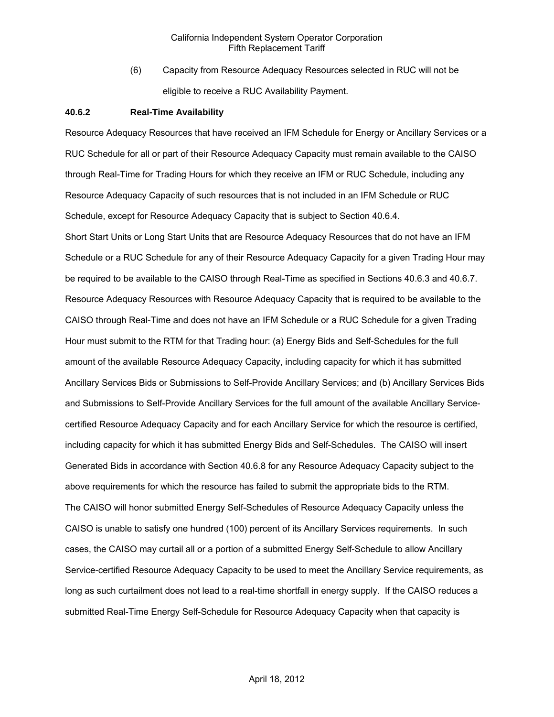(6) Capacity from Resource Adequacy Resources selected in RUC will not be eligible to receive a RUC Availability Payment.

#### **40.6.2 Real-Time Availability**

Resource Adequacy Resources that have received an IFM Schedule for Energy or Ancillary Services or a RUC Schedule for all or part of their Resource Adequacy Capacity must remain available to the CAISO through Real-Time for Trading Hours for which they receive an IFM or RUC Schedule, including any Resource Adequacy Capacity of such resources that is not included in an IFM Schedule or RUC Schedule, except for Resource Adequacy Capacity that is subject to Section 40.6.4.

Short Start Units or Long Start Units that are Resource Adequacy Resources that do not have an IFM Schedule or a RUC Schedule for any of their Resource Adequacy Capacity for a given Trading Hour may be required to be available to the CAISO through Real-Time as specified in Sections 40.6.3 and 40.6.7. Resource Adequacy Resources with Resource Adequacy Capacity that is required to be available to the CAISO through Real-Time and does not have an IFM Schedule or a RUC Schedule for a given Trading Hour must submit to the RTM for that Trading hour: (a) Energy Bids and Self-Schedules for the full amount of the available Resource Adequacy Capacity, including capacity for which it has submitted Ancillary Services Bids or Submissions to Self-Provide Ancillary Services; and (b) Ancillary Services Bids and Submissions to Self-Provide Ancillary Services for the full amount of the available Ancillary Servicecertified Resource Adequacy Capacity and for each Ancillary Service for which the resource is certified, including capacity for which it has submitted Energy Bids and Self-Schedules. The CAISO will insert Generated Bids in accordance with Section 40.6.8 for any Resource Adequacy Capacity subject to the above requirements for which the resource has failed to submit the appropriate bids to the RTM. The CAISO will honor submitted Energy Self-Schedules of Resource Adequacy Capacity unless the CAISO is unable to satisfy one hundred (100) percent of its Ancillary Services requirements. In such cases, the CAISO may curtail all or a portion of a submitted Energy Self-Schedule to allow Ancillary Service-certified Resource Adequacy Capacity to be used to meet the Ancillary Service requirements, as long as such curtailment does not lead to a real-time shortfall in energy supply. If the CAISO reduces a submitted Real-Time Energy Self-Schedule for Resource Adequacy Capacity when that capacity is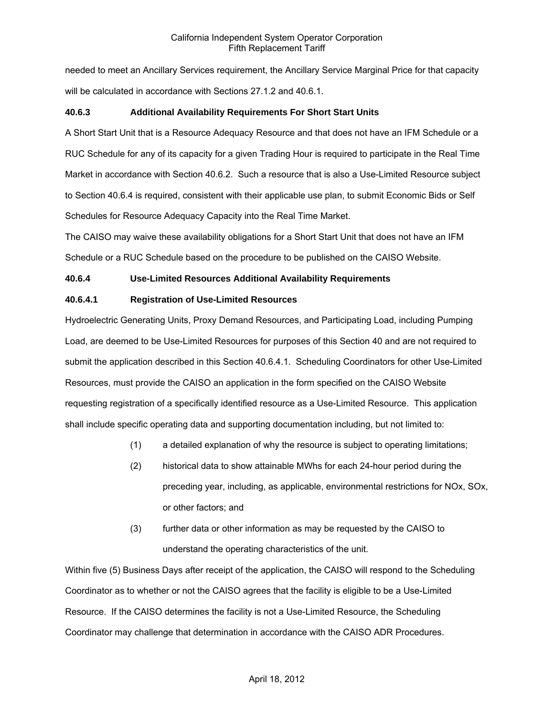needed to meet an Ancillary Services requirement, the Ancillary Service Marginal Price for that capacity will be calculated in accordance with Sections 27.1.2 and 40.6.1.

## **40.6.3 Additional Availability Requirements For Short Start Units**

A Short Start Unit that is a Resource Adequacy Resource and that does not have an IFM Schedule or a RUC Schedule for any of its capacity for a given Trading Hour is required to participate in the Real Time Market in accordance with Section 40.6.2. Such a resource that is also a Use-Limited Resource subject to Section 40.6.4 is required, consistent with their applicable use plan, to submit Economic Bids or Self Schedules for Resource Adequacy Capacity into the Real Time Market.

The CAISO may waive these availability obligations for a Short Start Unit that does not have an IFM Schedule or a RUC Schedule based on the procedure to be published on the CAISO Website.

## **40.6.4 Use-Limited Resources Additional Availability Requirements**

## **40.6.4.1 Registration of Use-Limited Resources**

Hydroelectric Generating Units, Proxy Demand Resources, and Participating Load, including Pumping Load, are deemed to be Use-Limited Resources for purposes of this Section 40 and are not required to submit the application described in this Section 40.6.4.1. Scheduling Coordinators for other Use-Limited Resources, must provide the CAISO an application in the form specified on the CAISO Website requesting registration of a specifically identified resource as a Use-Limited Resource. This application shall include specific operating data and supporting documentation including, but not limited to:

- (1) a detailed explanation of why the resource is subject to operating limitations;
- (2) historical data to show attainable MWhs for each 24-hour period during the preceding year, including, as applicable, environmental restrictions for NOx, SOx, or other factors; and
- (3) further data or other information as may be requested by the CAISO to understand the operating characteristics of the unit.

Within five (5) Business Days after receipt of the application, the CAISO will respond to the Scheduling Coordinator as to whether or not the CAISO agrees that the facility is eligible to be a Use-Limited Resource. If the CAISO determines the facility is not a Use-Limited Resource, the Scheduling Coordinator may challenge that determination in accordance with the CAISO ADR Procedures.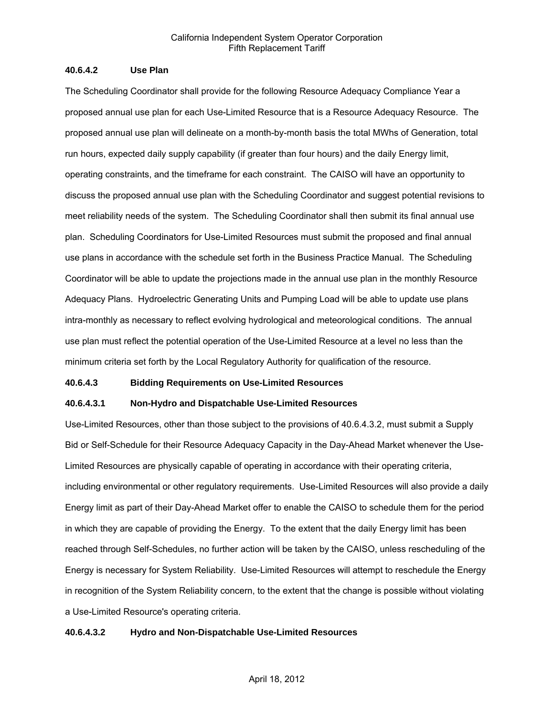### **40.6.4.2 Use Plan**

The Scheduling Coordinator shall provide for the following Resource Adequacy Compliance Year a proposed annual use plan for each Use-Limited Resource that is a Resource Adequacy Resource. The proposed annual use plan will delineate on a month-by-month basis the total MWhs of Generation, total run hours, expected daily supply capability (if greater than four hours) and the daily Energy limit, operating constraints, and the timeframe for each constraint. The CAISO will have an opportunity to discuss the proposed annual use plan with the Scheduling Coordinator and suggest potential revisions to meet reliability needs of the system. The Scheduling Coordinator shall then submit its final annual use plan. Scheduling Coordinators for Use-Limited Resources must submit the proposed and final annual use plans in accordance with the schedule set forth in the Business Practice Manual. The Scheduling Coordinator will be able to update the projections made in the annual use plan in the monthly Resource Adequacy Plans. Hydroelectric Generating Units and Pumping Load will be able to update use plans intra-monthly as necessary to reflect evolving hydrological and meteorological conditions. The annual use plan must reflect the potential operation of the Use-Limited Resource at a level no less than the minimum criteria set forth by the Local Regulatory Authority for qualification of the resource.

#### **40.6.4.3 Bidding Requirements on Use-Limited Resources**

### **40.6.4.3.1 Non-Hydro and Dispatchable Use-Limited Resources**

Use-Limited Resources, other than those subject to the provisions of 40.6.4.3.2, must submit a Supply Bid or Self-Schedule for their Resource Adequacy Capacity in the Day-Ahead Market whenever the Use-Limited Resources are physically capable of operating in accordance with their operating criteria, including environmental or other regulatory requirements. Use-Limited Resources will also provide a daily Energy limit as part of their Day-Ahead Market offer to enable the CAISO to schedule them for the period in which they are capable of providing the Energy. To the extent that the daily Energy limit has been reached through Self-Schedules, no further action will be taken by the CAISO, unless rescheduling of the Energy is necessary for System Reliability. Use-Limited Resources will attempt to reschedule the Energy in recognition of the System Reliability concern, to the extent that the change is possible without violating a Use-Limited Resource's operating criteria.

### **40.6.4.3.2 Hydro and Non-Dispatchable Use-Limited Resources**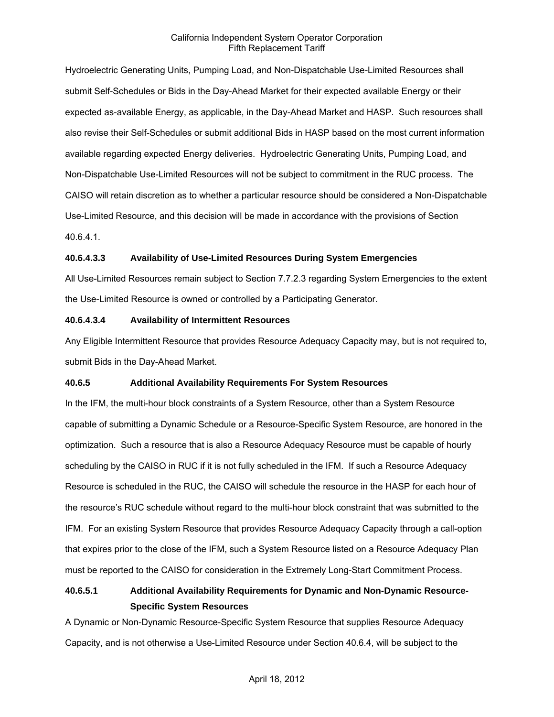Hydroelectric Generating Units, Pumping Load, and Non-Dispatchable Use-Limited Resources shall submit Self-Schedules or Bids in the Day-Ahead Market for their expected available Energy or their expected as-available Energy, as applicable, in the Day-Ahead Market and HASP. Such resources shall also revise their Self-Schedules or submit additional Bids in HASP based on the most current information available regarding expected Energy deliveries. Hydroelectric Generating Units, Pumping Load, and Non-Dispatchable Use-Limited Resources will not be subject to commitment in the RUC process. The CAISO will retain discretion as to whether a particular resource should be considered a Non-Dispatchable Use-Limited Resource, and this decision will be made in accordance with the provisions of Section 40.6.4.1.

### **40.6.4.3.3 Availability of Use-Limited Resources During System Emergencies**

All Use-Limited Resources remain subject to Section 7.7.2.3 regarding System Emergencies to the extent the Use-Limited Resource is owned or controlled by a Participating Generator.

### **40.6.4.3.4 Availability of Intermittent Resources**

Any Eligible Intermittent Resource that provides Resource Adequacy Capacity may, but is not required to, submit Bids in the Day-Ahead Market.

### **40.6.5 Additional Availability Requirements For System Resources**

In the IFM, the multi-hour block constraints of a System Resource, other than a System Resource capable of submitting a Dynamic Schedule or a Resource-Specific System Resource, are honored in the optimization. Such a resource that is also a Resource Adequacy Resource must be capable of hourly scheduling by the CAISO in RUC if it is not fully scheduled in the IFM. If such a Resource Adequacy Resource is scheduled in the RUC, the CAISO will schedule the resource in the HASP for each hour of the resource's RUC schedule without regard to the multi-hour block constraint that was submitted to the IFM. For an existing System Resource that provides Resource Adequacy Capacity through a call-option that expires prior to the close of the IFM, such a System Resource listed on a Resource Adequacy Plan must be reported to the CAISO for consideration in the Extremely Long-Start Commitment Process.

# **40.6.5.1 Additional Availability Requirements for Dynamic and Non-Dynamic Resource-Specific System Resources**

A Dynamic or Non-Dynamic Resource-Specific System Resource that supplies Resource Adequacy Capacity, and is not otherwise a Use-Limited Resource under Section 40.6.4, will be subject to the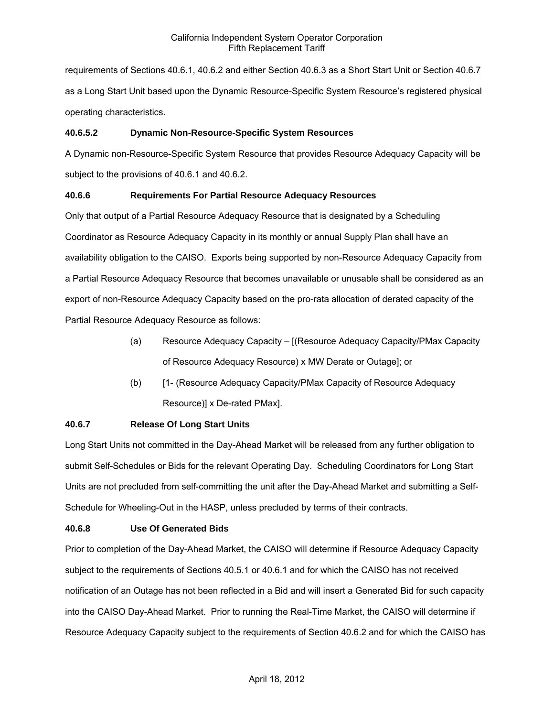requirements of Sections 40.6.1, 40.6.2 and either Section 40.6.3 as a Short Start Unit or Section 40.6.7 as a Long Start Unit based upon the Dynamic Resource-Specific System Resource's registered physical operating characteristics.

### **40.6.5.2 Dynamic Non-Resource-Specific System Resources**

A Dynamic non-Resource-Specific System Resource that provides Resource Adequacy Capacity will be subject to the provisions of 40.6.1 and 40.6.2.

### **40.6.6 Requirements For Partial Resource Adequacy Resources**

Only that output of a Partial Resource Adequacy Resource that is designated by a Scheduling Coordinator as Resource Adequacy Capacity in its monthly or annual Supply Plan shall have an availability obligation to the CAISO. Exports being supported by non-Resource Adequacy Capacity from a Partial Resource Adequacy Resource that becomes unavailable or unusable shall be considered as an export of non-Resource Adequacy Capacity based on the pro-rata allocation of derated capacity of the Partial Resource Adequacy Resource as follows:

- (a) Resource Adequacy Capacity [(Resource Adequacy Capacity/PMax Capacity of Resource Adequacy Resource) x MW Derate or Outage]; or
- (b) [1- (Resource Adequacy Capacity/PMax Capacity of Resource Adequacy Resource)] x De-rated PMax].

### **40.6.7 Release Of Long Start Units**

Long Start Units not committed in the Day-Ahead Market will be released from any further obligation to submit Self-Schedules or Bids for the relevant Operating Day. Scheduling Coordinators for Long Start Units are not precluded from self-committing the unit after the Day-Ahead Market and submitting a Self-Schedule for Wheeling-Out in the HASP, unless precluded by terms of their contracts.

### **40.6.8 Use Of Generated Bids**

Prior to completion of the Day-Ahead Market, the CAISO will determine if Resource Adequacy Capacity subject to the requirements of Sections 40.5.1 or 40.6.1 and for which the CAISO has not received notification of an Outage has not been reflected in a Bid and will insert a Generated Bid for such capacity into the CAISO Day-Ahead Market. Prior to running the Real-Time Market, the CAISO will determine if Resource Adequacy Capacity subject to the requirements of Section 40.6.2 and for which the CAISO has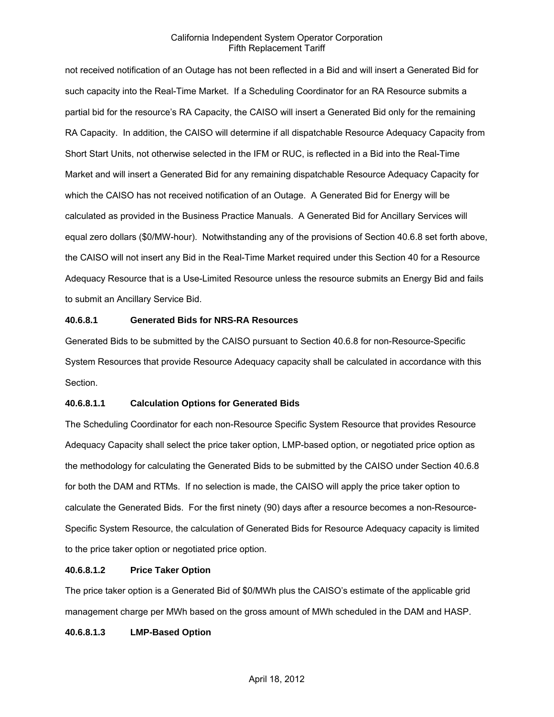not received notification of an Outage has not been reflected in a Bid and will insert a Generated Bid for such capacity into the Real-Time Market. If a Scheduling Coordinator for an RA Resource submits a partial bid for the resource's RA Capacity, the CAISO will insert a Generated Bid only for the remaining RA Capacity. In addition, the CAISO will determine if all dispatchable Resource Adequacy Capacity from Short Start Units, not otherwise selected in the IFM or RUC, is reflected in a Bid into the Real-Time Market and will insert a Generated Bid for any remaining dispatchable Resource Adequacy Capacity for which the CAISO has not received notification of an Outage. A Generated Bid for Energy will be calculated as provided in the Business Practice Manuals. A Generated Bid for Ancillary Services will equal zero dollars (\$0/MW-hour). Notwithstanding any of the provisions of Section 40.6.8 set forth above, the CAISO will not insert any Bid in the Real-Time Market required under this Section 40 for a Resource Adequacy Resource that is a Use-Limited Resource unless the resource submits an Energy Bid and fails to submit an Ancillary Service Bid.

### **40.6.8.1 Generated Bids for NRS-RA Resources**

Generated Bids to be submitted by the CAISO pursuant to Section 40.6.8 for non-Resource-Specific System Resources that provide Resource Adequacy capacity shall be calculated in accordance with this Section.

#### **40.6.8.1.1 Calculation Options for Generated Bids**

The Scheduling Coordinator for each non-Resource Specific System Resource that provides Resource Adequacy Capacity shall select the price taker option, LMP-based option, or negotiated price option as the methodology for calculating the Generated Bids to be submitted by the CAISO under Section 40.6.8 for both the DAM and RTMs. If no selection is made, the CAISO will apply the price taker option to calculate the Generated Bids. For the first ninety (90) days after a resource becomes a non-Resource-Specific System Resource, the calculation of Generated Bids for Resource Adequacy capacity is limited to the price taker option or negotiated price option.

### **40.6.8.1.2 Price Taker Option**

The price taker option is a Generated Bid of \$0/MWh plus the CAISO's estimate of the applicable grid management charge per MWh based on the gross amount of MWh scheduled in the DAM and HASP.

### **40.6.8.1.3 LMP-Based Option**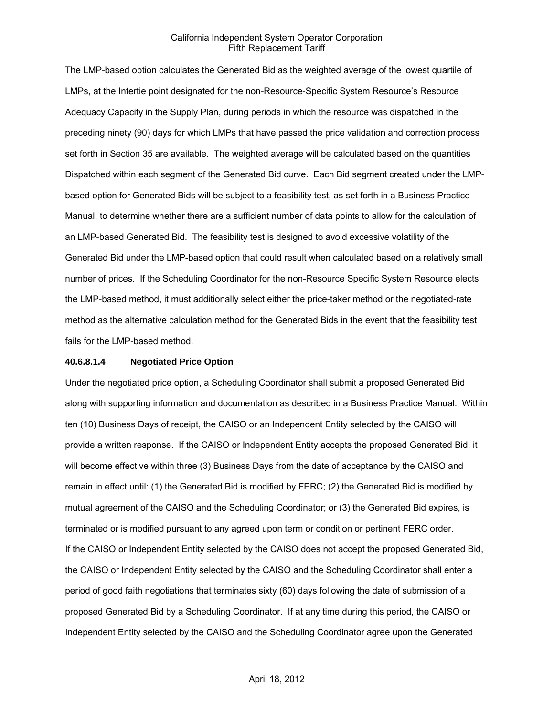The LMP-based option calculates the Generated Bid as the weighted average of the lowest quartile of LMPs, at the Intertie point designated for the non-Resource-Specific System Resource's Resource Adequacy Capacity in the Supply Plan, during periods in which the resource was dispatched in the preceding ninety (90) days for which LMPs that have passed the price validation and correction process set forth in Section 35 are available. The weighted average will be calculated based on the quantities Dispatched within each segment of the Generated Bid curve. Each Bid segment created under the LMPbased option for Generated Bids will be subject to a feasibility test, as set forth in a Business Practice Manual, to determine whether there are a sufficient number of data points to allow for the calculation of an LMP-based Generated Bid. The feasibility test is designed to avoid excessive volatility of the Generated Bid under the LMP-based option that could result when calculated based on a relatively small number of prices. If the Scheduling Coordinator for the non-Resource Specific System Resource elects the LMP-based method, it must additionally select either the price-taker method or the negotiated-rate method as the alternative calculation method for the Generated Bids in the event that the feasibility test fails for the LMP-based method.

#### **40.6.8.1.4 Negotiated Price Option**

Under the negotiated price option, a Scheduling Coordinator shall submit a proposed Generated Bid along with supporting information and documentation as described in a Business Practice Manual. Within ten (10) Business Days of receipt, the CAISO or an Independent Entity selected by the CAISO will provide a written response. If the CAISO or Independent Entity accepts the proposed Generated Bid, it will become effective within three (3) Business Days from the date of acceptance by the CAISO and remain in effect until: (1) the Generated Bid is modified by FERC; (2) the Generated Bid is modified by mutual agreement of the CAISO and the Scheduling Coordinator; or (3) the Generated Bid expires, is terminated or is modified pursuant to any agreed upon term or condition or pertinent FERC order. If the CAISO or Independent Entity selected by the CAISO does not accept the proposed Generated Bid, the CAISO or Independent Entity selected by the CAISO and the Scheduling Coordinator shall enter a period of good faith negotiations that terminates sixty (60) days following the date of submission of a proposed Generated Bid by a Scheduling Coordinator. If at any time during this period, the CAISO or Independent Entity selected by the CAISO and the Scheduling Coordinator agree upon the Generated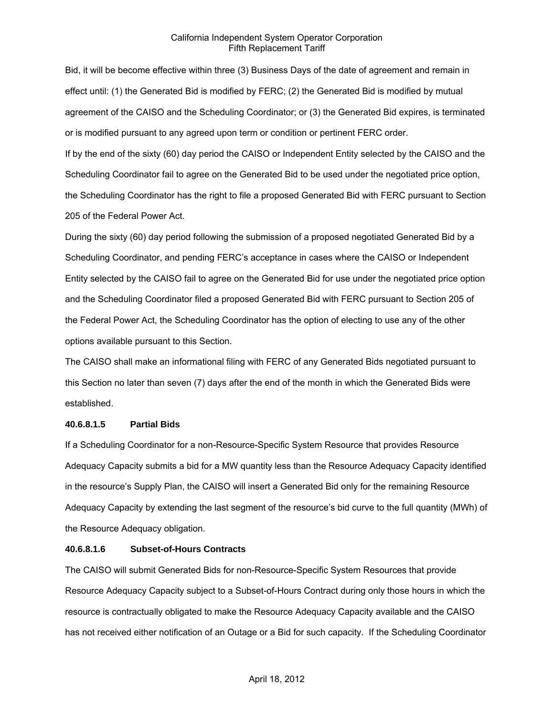Bid, it will be become effective within three (3) Business Days of the date of agreement and remain in effect until: (1) the Generated Bid is modified by FERC; (2) the Generated Bid is modified by mutual agreement of the CAISO and the Scheduling Coordinator; or (3) the Generated Bid expires, is terminated or is modified pursuant to any agreed upon term or condition or pertinent FERC order.

If by the end of the sixty (60) day period the CAISO or Independent Entity selected by the CAISO and the Scheduling Coordinator fail to agree on the Generated Bid to be used under the negotiated price option, the Scheduling Coordinator has the right to file a proposed Generated Bid with FERC pursuant to Section 205 of the Federal Power Act.

During the sixty (60) day period following the submission of a proposed negotiated Generated Bid by a Scheduling Coordinator, and pending FERC's acceptance in cases where the CAISO or Independent Entity selected by the CAISO fail to agree on the Generated Bid for use under the negotiated price option and the Scheduling Coordinator filed a proposed Generated Bid with FERC pursuant to Section 205 of the Federal Power Act, the Scheduling Coordinator has the option of electing to use any of the other options available pursuant to this Section.

The CAISO shall make an informational filing with FERC of any Generated Bids negotiated pursuant to this Section no later than seven (7) days after the end of the month in which the Generated Bids were established.

### **40.6.8.1.5 Partial Bids**

If a Scheduling Coordinator for a non-Resource-Specific System Resource that provides Resource Adequacy Capacity submits a bid for a MW quantity less than the Resource Adequacy Capacity identified in the resource's Supply Plan, the CAISO will insert a Generated Bid only for the remaining Resource Adequacy Capacity by extending the last segment of the resource's bid curve to the full quantity (MWh) of the Resource Adequacy obligation.

### **40.6.8.1.6 Subset-of-Hours Contracts**

The CAISO will submit Generated Bids for non-Resource-Specific System Resources that provide Resource Adequacy Capacity subject to a Subset-of-Hours Contract during only those hours in which the resource is contractually obligated to make the Resource Adequacy Capacity available and the CAISO has not received either notification of an Outage or a Bid for such capacity. If the Scheduling Coordinator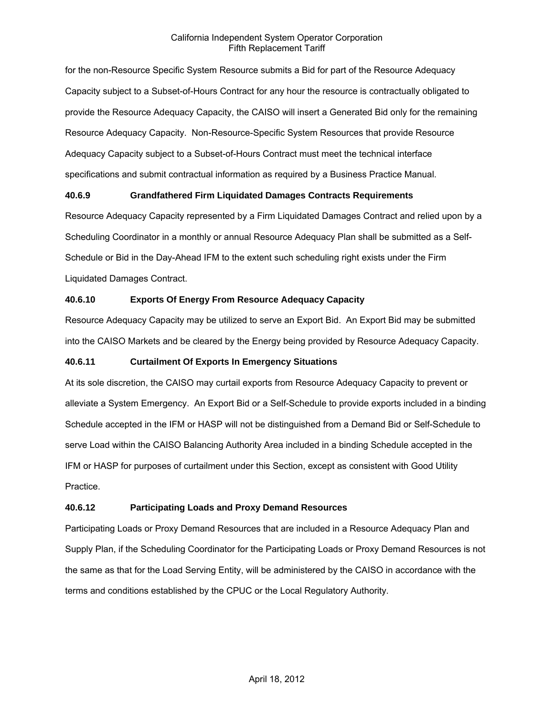for the non-Resource Specific System Resource submits a Bid for part of the Resource Adequacy Capacity subject to a Subset-of-Hours Contract for any hour the resource is contractually obligated to provide the Resource Adequacy Capacity, the CAISO will insert a Generated Bid only for the remaining Resource Adequacy Capacity. Non-Resource-Specific System Resources that provide Resource Adequacy Capacity subject to a Subset-of-Hours Contract must meet the technical interface specifications and submit contractual information as required by a Business Practice Manual.

### **40.6.9 Grandfathered Firm Liquidated Damages Contracts Requirements**

Resource Adequacy Capacity represented by a Firm Liquidated Damages Contract and relied upon by a Scheduling Coordinator in a monthly or annual Resource Adequacy Plan shall be submitted as a Self-Schedule or Bid in the Day-Ahead IFM to the extent such scheduling right exists under the Firm Liquidated Damages Contract.

### **40.6.10 Exports Of Energy From Resource Adequacy Capacity**

Resource Adequacy Capacity may be utilized to serve an Export Bid. An Export Bid may be submitted into the CAISO Markets and be cleared by the Energy being provided by Resource Adequacy Capacity.

### **40.6.11 Curtailment Of Exports In Emergency Situations**

At its sole discretion, the CAISO may curtail exports from Resource Adequacy Capacity to prevent or alleviate a System Emergency. An Export Bid or a Self-Schedule to provide exports included in a binding Schedule accepted in the IFM or HASP will not be distinguished from a Demand Bid or Self-Schedule to serve Load within the CAISO Balancing Authority Area included in a binding Schedule accepted in the IFM or HASP for purposes of curtailment under this Section, except as consistent with Good Utility Practice.

### **40.6.12 Participating Loads and Proxy Demand Resources**

Participating Loads or Proxy Demand Resources that are included in a Resource Adequacy Plan and Supply Plan, if the Scheduling Coordinator for the Participating Loads or Proxy Demand Resources is not the same as that for the Load Serving Entity, will be administered by the CAISO in accordance with the terms and conditions established by the CPUC or the Local Regulatory Authority.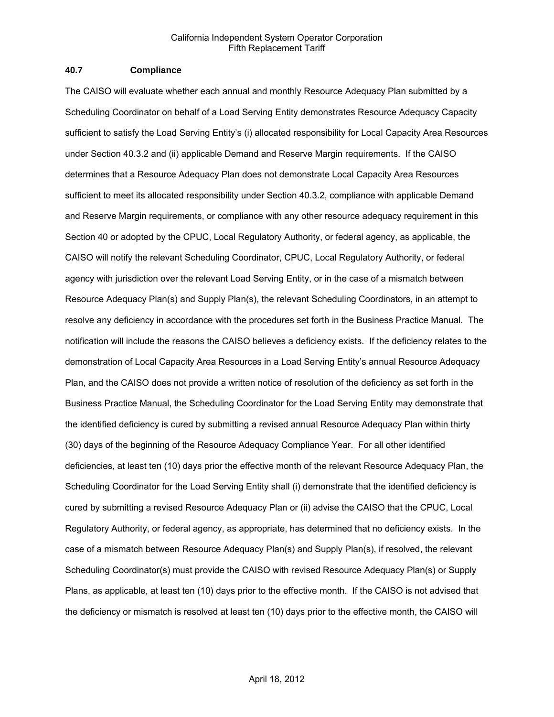### **40.7 Compliance**

The CAISO will evaluate whether each annual and monthly Resource Adequacy Plan submitted by a Scheduling Coordinator on behalf of a Load Serving Entity demonstrates Resource Adequacy Capacity sufficient to satisfy the Load Serving Entity's (i) allocated responsibility for Local Capacity Area Resources under Section 40.3.2 and (ii) applicable Demand and Reserve Margin requirements. If the CAISO determines that a Resource Adequacy Plan does not demonstrate Local Capacity Area Resources sufficient to meet its allocated responsibility under Section 40.3.2, compliance with applicable Demand and Reserve Margin requirements, or compliance with any other resource adequacy requirement in this Section 40 or adopted by the CPUC, Local Regulatory Authority, or federal agency, as applicable, the CAISO will notify the relevant Scheduling Coordinator, CPUC, Local Regulatory Authority, or federal agency with jurisdiction over the relevant Load Serving Entity, or in the case of a mismatch between Resource Adequacy Plan(s) and Supply Plan(s), the relevant Scheduling Coordinators, in an attempt to resolve any deficiency in accordance with the procedures set forth in the Business Practice Manual. The notification will include the reasons the CAISO believes a deficiency exists. If the deficiency relates to the demonstration of Local Capacity Area Resources in a Load Serving Entity's annual Resource Adequacy Plan, and the CAISO does not provide a written notice of resolution of the deficiency as set forth in the Business Practice Manual, the Scheduling Coordinator for the Load Serving Entity may demonstrate that the identified deficiency is cured by submitting a revised annual Resource Adequacy Plan within thirty (30) days of the beginning of the Resource Adequacy Compliance Year. For all other identified deficiencies, at least ten (10) days prior the effective month of the relevant Resource Adequacy Plan, the Scheduling Coordinator for the Load Serving Entity shall (i) demonstrate that the identified deficiency is cured by submitting a revised Resource Adequacy Plan or (ii) advise the CAISO that the CPUC, Local Regulatory Authority, or federal agency, as appropriate, has determined that no deficiency exists. In the case of a mismatch between Resource Adequacy Plan(s) and Supply Plan(s), if resolved, the relevant Scheduling Coordinator(s) must provide the CAISO with revised Resource Adequacy Plan(s) or Supply Plans, as applicable, at least ten (10) days prior to the effective month. If the CAISO is not advised that the deficiency or mismatch is resolved at least ten (10) days prior to the effective month, the CAISO will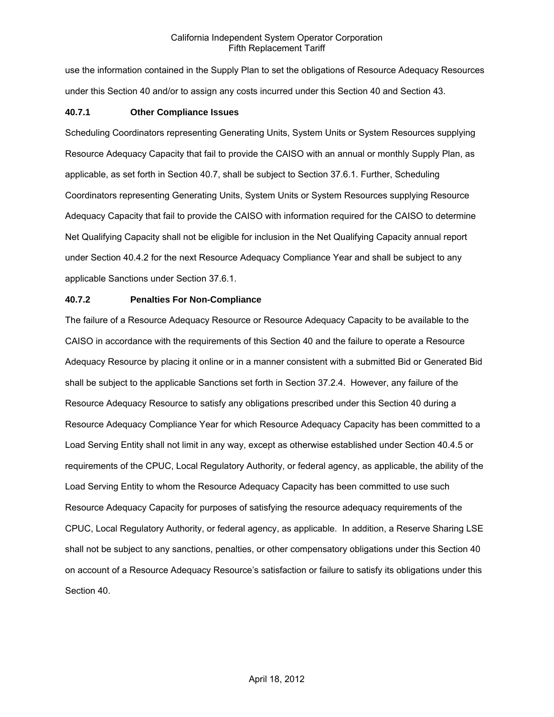use the information contained in the Supply Plan to set the obligations of Resource Adequacy Resources under this Section 40 and/or to assign any costs incurred under this Section 40 and Section 43.

### **40.7.1 Other Compliance Issues**

Scheduling Coordinators representing Generating Units, System Units or System Resources supplying Resource Adequacy Capacity that fail to provide the CAISO with an annual or monthly Supply Plan, as applicable, as set forth in Section 40.7, shall be subject to Section 37.6.1. Further, Scheduling Coordinators representing Generating Units, System Units or System Resources supplying Resource Adequacy Capacity that fail to provide the CAISO with information required for the CAISO to determine Net Qualifying Capacity shall not be eligible for inclusion in the Net Qualifying Capacity annual report under Section 40.4.2 for the next Resource Adequacy Compliance Year and shall be subject to any applicable Sanctions under Section 37.6.1.

### **40.7.2 Penalties For Non-Compliance**

The failure of a Resource Adequacy Resource or Resource Adequacy Capacity to be available to the CAISO in accordance with the requirements of this Section 40 and the failure to operate a Resource Adequacy Resource by placing it online or in a manner consistent with a submitted Bid or Generated Bid shall be subject to the applicable Sanctions set forth in Section 37.2.4. However, any failure of the Resource Adequacy Resource to satisfy any obligations prescribed under this Section 40 during a Resource Adequacy Compliance Year for which Resource Adequacy Capacity has been committed to a Load Serving Entity shall not limit in any way, except as otherwise established under Section 40.4.5 or requirements of the CPUC, Local Regulatory Authority, or federal agency, as applicable, the ability of the Load Serving Entity to whom the Resource Adequacy Capacity has been committed to use such Resource Adequacy Capacity for purposes of satisfying the resource adequacy requirements of the CPUC, Local Regulatory Authority, or federal agency, as applicable. In addition, a Reserve Sharing LSE shall not be subject to any sanctions, penalties, or other compensatory obligations under this Section 40 on account of a Resource Adequacy Resource's satisfaction or failure to satisfy its obligations under this Section 40.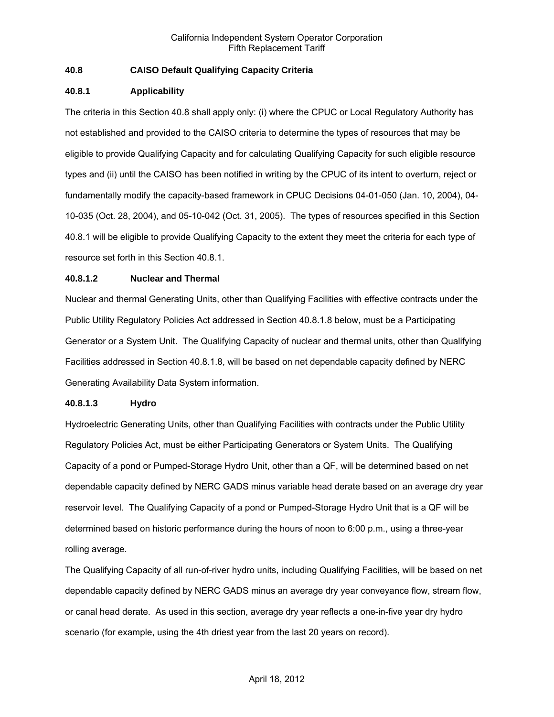### **40.8 CAISO Default Qualifying Capacity Criteria**

### **40.8.1 Applicability**

The criteria in this Section 40.8 shall apply only: (i) where the CPUC or Local Regulatory Authority has not established and provided to the CAISO criteria to determine the types of resources that may be eligible to provide Qualifying Capacity and for calculating Qualifying Capacity for such eligible resource types and (ii) until the CAISO has been notified in writing by the CPUC of its intent to overturn, reject or fundamentally modify the capacity-based framework in CPUC Decisions 04-01-050 (Jan. 10, 2004), 04- 10-035 (Oct. 28, 2004), and 05-10-042 (Oct. 31, 2005). The types of resources specified in this Section 40.8.1 will be eligible to provide Qualifying Capacity to the extent they meet the criteria for each type of resource set forth in this Section 40.8.1.

### **40.8.1.2 Nuclear and Thermal**

Nuclear and thermal Generating Units, other than Qualifying Facilities with effective contracts under the Public Utility Regulatory Policies Act addressed in Section 40.8.1.8 below, must be a Participating Generator or a System Unit. The Qualifying Capacity of nuclear and thermal units, other than Qualifying Facilities addressed in Section 40.8.1.8, will be based on net dependable capacity defined by NERC Generating Availability Data System information.

### **40.8.1.3 Hydro**

Hydroelectric Generating Units, other than Qualifying Facilities with contracts under the Public Utility Regulatory Policies Act, must be either Participating Generators or System Units. The Qualifying Capacity of a pond or Pumped-Storage Hydro Unit, other than a QF, will be determined based on net dependable capacity defined by NERC GADS minus variable head derate based on an average dry year reservoir level. The Qualifying Capacity of a pond or Pumped-Storage Hydro Unit that is a QF will be determined based on historic performance during the hours of noon to 6:00 p.m., using a three-year rolling average.

The Qualifying Capacity of all run-of-river hydro units, including Qualifying Facilities, will be based on net dependable capacity defined by NERC GADS minus an average dry year conveyance flow, stream flow, or canal head derate. As used in this section, average dry year reflects a one-in-five year dry hydro scenario (for example, using the 4th driest year from the last 20 years on record).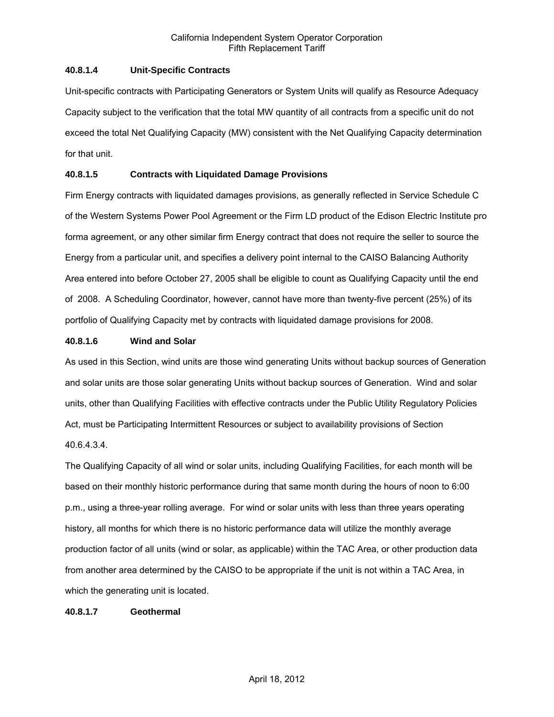### **40.8.1.4 Unit-Specific Contracts**

Unit-specific contracts with Participating Generators or System Units will qualify as Resource Adequacy Capacity subject to the verification that the total MW quantity of all contracts from a specific unit do not exceed the total Net Qualifying Capacity (MW) consistent with the Net Qualifying Capacity determination for that unit.

### **40.8.1.5 Contracts with Liquidated Damage Provisions**

Firm Energy contracts with liquidated damages provisions, as generally reflected in Service Schedule C of the Western Systems Power Pool Agreement or the Firm LD product of the Edison Electric Institute pro forma agreement, or any other similar firm Energy contract that does not require the seller to source the Energy from a particular unit, and specifies a delivery point internal to the CAISO Balancing Authority Area entered into before October 27, 2005 shall be eligible to count as Qualifying Capacity until the end of 2008. A Scheduling Coordinator, however, cannot have more than twenty-five percent (25%) of its portfolio of Qualifying Capacity met by contracts with liquidated damage provisions for 2008.

### **40.8.1.6 Wind and Solar**

As used in this Section, wind units are those wind generating Units without backup sources of Generation and solar units are those solar generating Units without backup sources of Generation. Wind and solar units, other than Qualifying Facilities with effective contracts under the Public Utility Regulatory Policies Act, must be Participating Intermittent Resources or subject to availability provisions of Section 40.6.4.3.4.

The Qualifying Capacity of all wind or solar units, including Qualifying Facilities, for each month will be based on their monthly historic performance during that same month during the hours of noon to 6:00 p.m., using a three-year rolling average. For wind or solar units with less than three years operating history, all months for which there is no historic performance data will utilize the monthly average production factor of all units (wind or solar, as applicable) within the TAC Area, or other production data from another area determined by the CAISO to be appropriate if the unit is not within a TAC Area, in which the generating unit is located.

### **40.8.1.7 Geothermal**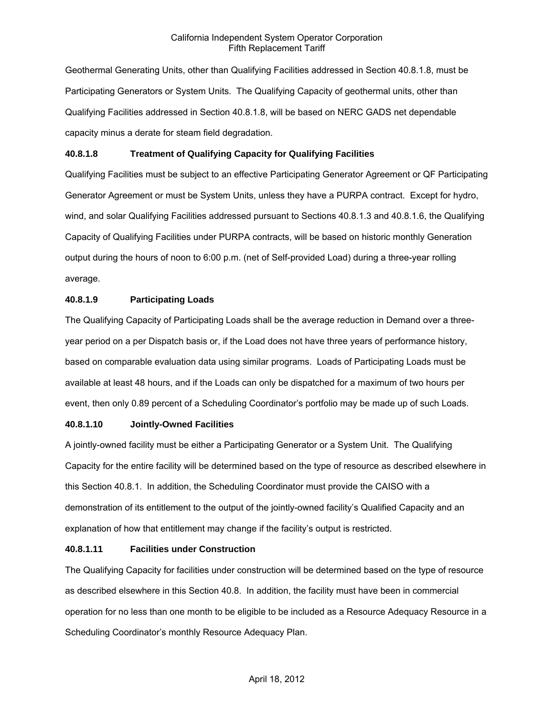Geothermal Generating Units, other than Qualifying Facilities addressed in Section 40.8.1.8, must be Participating Generators or System Units. The Qualifying Capacity of geothermal units, other than Qualifying Facilities addressed in Section 40.8.1.8, will be based on NERC GADS net dependable capacity minus a derate for steam field degradation.

### **40.8.1.8 Treatment of Qualifying Capacity for Qualifying Facilities**

Qualifying Facilities must be subject to an effective Participating Generator Agreement or QF Participating Generator Agreement or must be System Units, unless they have a PURPA contract. Except for hydro, wind, and solar Qualifying Facilities addressed pursuant to Sections 40.8.1.3 and 40.8.1.6, the Qualifying Capacity of Qualifying Facilities under PURPA contracts, will be based on historic monthly Generation output during the hours of noon to 6:00 p.m. (net of Self-provided Load) during a three-year rolling average.

### **40.8.1.9 Participating Loads**

The Qualifying Capacity of Participating Loads shall be the average reduction in Demand over a threeyear period on a per Dispatch basis or, if the Load does not have three years of performance history, based on comparable evaluation data using similar programs. Loads of Participating Loads must be available at least 48 hours, and if the Loads can only be dispatched for a maximum of two hours per event, then only 0.89 percent of a Scheduling Coordinator's portfolio may be made up of such Loads.

### **40.8.1.10 Jointly-Owned Facilities**

A jointly-owned facility must be either a Participating Generator or a System Unit. The Qualifying Capacity for the entire facility will be determined based on the type of resource as described elsewhere in this Section 40.8.1. In addition, the Scheduling Coordinator must provide the CAISO with a demonstration of its entitlement to the output of the jointly-owned facility's Qualified Capacity and an explanation of how that entitlement may change if the facility's output is restricted.

### **40.8.1.11 Facilities under Construction**

The Qualifying Capacity for facilities under construction will be determined based on the type of resource as described elsewhere in this Section 40.8. In addition, the facility must have been in commercial operation for no less than one month to be eligible to be included as a Resource Adequacy Resource in a Scheduling Coordinator's monthly Resource Adequacy Plan.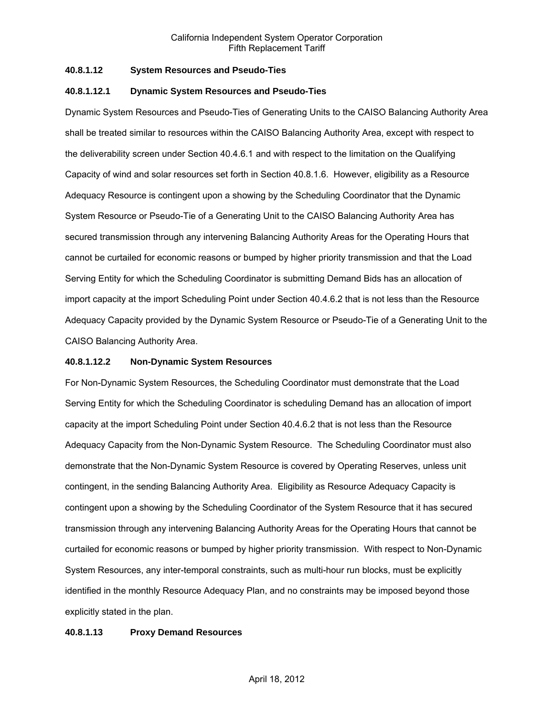### **40.8.1.12 System Resources and Pseudo-Ties**

### **40.8.1.12.1 Dynamic System Resources and Pseudo-Ties**

Dynamic System Resources and Pseudo-Ties of Generating Units to the CAISO Balancing Authority Area shall be treated similar to resources within the CAISO Balancing Authority Area, except with respect to the deliverability screen under Section 40.4.6.1 and with respect to the limitation on the Qualifying Capacity of wind and solar resources set forth in Section 40.8.1.6. However, eligibility as a Resource Adequacy Resource is contingent upon a showing by the Scheduling Coordinator that the Dynamic System Resource or Pseudo-Tie of a Generating Unit to the CAISO Balancing Authority Area has secured transmission through any intervening Balancing Authority Areas for the Operating Hours that cannot be curtailed for economic reasons or bumped by higher priority transmission and that the Load Serving Entity for which the Scheduling Coordinator is submitting Demand Bids has an allocation of import capacity at the import Scheduling Point under Section 40.4.6.2 that is not less than the Resource Adequacy Capacity provided by the Dynamic System Resource or Pseudo-Tie of a Generating Unit to the CAISO Balancing Authority Area.

### **40.8.1.12.2 Non-Dynamic System Resources**

For Non-Dynamic System Resources, the Scheduling Coordinator must demonstrate that the Load Serving Entity for which the Scheduling Coordinator is scheduling Demand has an allocation of import capacity at the import Scheduling Point under Section 40.4.6.2 that is not less than the Resource Adequacy Capacity from the Non-Dynamic System Resource. The Scheduling Coordinator must also demonstrate that the Non-Dynamic System Resource is covered by Operating Reserves, unless unit contingent, in the sending Balancing Authority Area. Eligibility as Resource Adequacy Capacity is contingent upon a showing by the Scheduling Coordinator of the System Resource that it has secured transmission through any intervening Balancing Authority Areas for the Operating Hours that cannot be curtailed for economic reasons or bumped by higher priority transmission. With respect to Non-Dynamic System Resources, any inter-temporal constraints, such as multi-hour run blocks, must be explicitly identified in the monthly Resource Adequacy Plan, and no constraints may be imposed beyond those explicitly stated in the plan.

### **40.8.1.13 Proxy Demand Resources**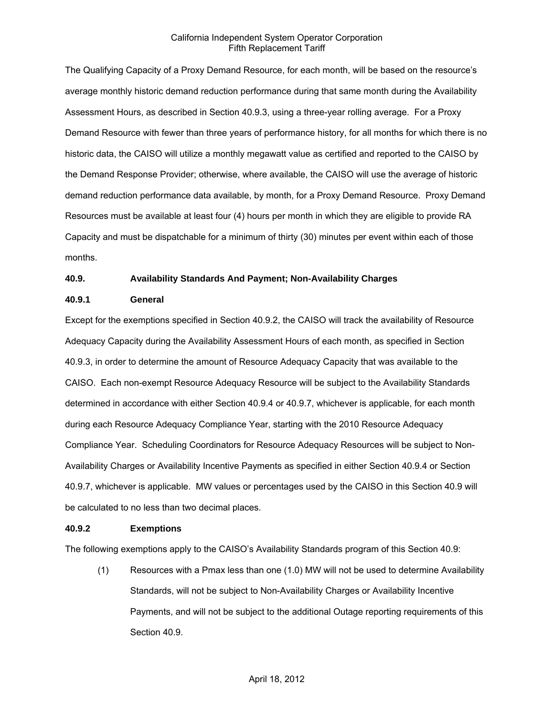The Qualifying Capacity of a Proxy Demand Resource, for each month, will be based on the resource's average monthly historic demand reduction performance during that same month during the Availability Assessment Hours, as described in Section 40.9.3, using a three-year rolling average. For a Proxy Demand Resource with fewer than three years of performance history, for all months for which there is no historic data, the CAISO will utilize a monthly megawatt value as certified and reported to the CAISO by the Demand Response Provider; otherwise, where available, the CAISO will use the average of historic demand reduction performance data available, by month, for a Proxy Demand Resource. Proxy Demand Resources must be available at least four (4) hours per month in which they are eligible to provide RA Capacity and must be dispatchable for a minimum of thirty (30) minutes per event within each of those months.

### **40.9. Availability Standards And Payment; Non-Availability Charges**

#### **40.9.1 General**

Except for the exemptions specified in Section 40.9.2, the CAISO will track the availability of Resource Adequacy Capacity during the Availability Assessment Hours of each month, as specified in Section 40.9.3, in order to determine the amount of Resource Adequacy Capacity that was available to the CAISO. Each non-exempt Resource Adequacy Resource will be subject to the Availability Standards determined in accordance with either Section 40.9.4 or 40.9.7, whichever is applicable, for each month during each Resource Adequacy Compliance Year, starting with the 2010 Resource Adequacy Compliance Year. Scheduling Coordinators for Resource Adequacy Resources will be subject to Non-Availability Charges or Availability Incentive Payments as specified in either Section 40.9.4 or Section 40.9.7, whichever is applicable. MW values or percentages used by the CAISO in this Section 40.9 will be calculated to no less than two decimal places.

### **40.9.2 Exemptions**

The following exemptions apply to the CAISO's Availability Standards program of this Section 40.9:

(1) Resources with a Pmax less than one (1.0) MW will not be used to determine Availability Standards, will not be subject to Non-Availability Charges or Availability Incentive Payments, and will not be subject to the additional Outage reporting requirements of this Section 40.9.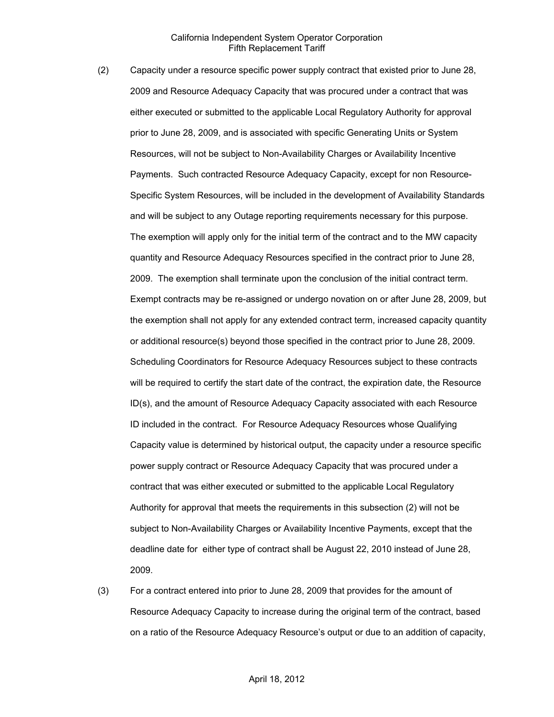- (2) Capacity under a resource specific power supply contract that existed prior to June 28, 2009 and Resource Adequacy Capacity that was procured under a contract that was either executed or submitted to the applicable Local Regulatory Authority for approval prior to June 28, 2009, and is associated with specific Generating Units or System Resources, will not be subject to Non-Availability Charges or Availability Incentive Payments. Such contracted Resource Adequacy Capacity, except for non Resource-Specific System Resources, will be included in the development of Availability Standards and will be subject to any Outage reporting requirements necessary for this purpose. The exemption will apply only for the initial term of the contract and to the MW capacity quantity and Resource Adequacy Resources specified in the contract prior to June 28, 2009. The exemption shall terminate upon the conclusion of the initial contract term. Exempt contracts may be re-assigned or undergo novation on or after June 28, 2009, but the exemption shall not apply for any extended contract term, increased capacity quantity or additional resource(s) beyond those specified in the contract prior to June 28, 2009. Scheduling Coordinators for Resource Adequacy Resources subject to these contracts will be required to certify the start date of the contract, the expiration date, the Resource ID(s), and the amount of Resource Adequacy Capacity associated with each Resource ID included in the contract. For Resource Adequacy Resources whose Qualifying Capacity value is determined by historical output, the capacity under a resource specific power supply contract or Resource Adequacy Capacity that was procured under a contract that was either executed or submitted to the applicable Local Regulatory Authority for approval that meets the requirements in this subsection (2) will not be subject to Non-Availability Charges or Availability Incentive Payments, except that the deadline date for either type of contract shall be August 22, 2010 instead of June 28, 2009.
- (3) For a contract entered into prior to June 28, 2009 that provides for the amount of Resource Adequacy Capacity to increase during the original term of the contract, based on a ratio of the Resource Adequacy Resource's output or due to an addition of capacity,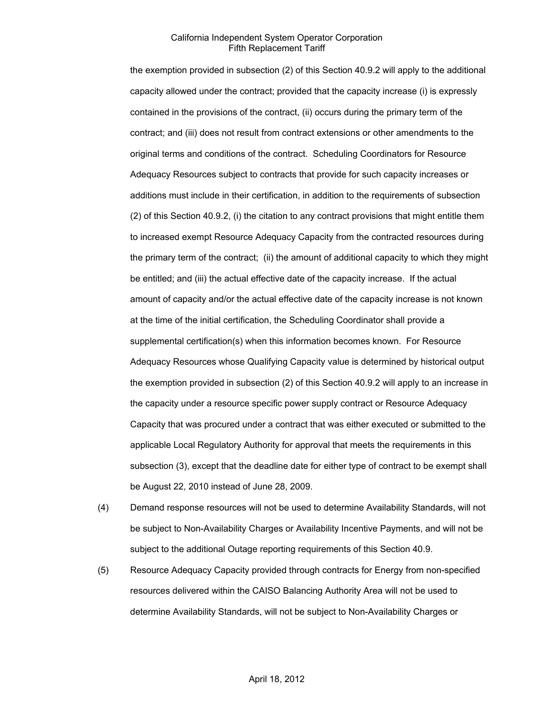the exemption provided in subsection (2) of this Section 40.9.2 will apply to the additional capacity allowed under the contract; provided that the capacity increase (i) is expressly contained in the provisions of the contract, (ii) occurs during the primary term of the contract; and (iii) does not result from contract extensions or other amendments to the original terms and conditions of the contract. Scheduling Coordinators for Resource Adequacy Resources subject to contracts that provide for such capacity increases or additions must include in their certification, in addition to the requirements of subsection (2) of this Section 40.9.2, (i) the citation to any contract provisions that might entitle them to increased exempt Resource Adequacy Capacity from the contracted resources during the primary term of the contract; (ii) the amount of additional capacity to which they might be entitled; and (iii) the actual effective date of the capacity increase. If the actual amount of capacity and/or the actual effective date of the capacity increase is not known at the time of the initial certification, the Scheduling Coordinator shall provide a supplemental certification(s) when this information becomes known. For Resource Adequacy Resources whose Qualifying Capacity value is determined by historical output the exemption provided in subsection (2) of this Section 40.9.2 will apply to an increase in the capacity under a resource specific power supply contract or Resource Adequacy Capacity that was procured under a contract that was either executed or submitted to the applicable Local Regulatory Authority for approval that meets the requirements in this subsection (3), except that the deadline date for either type of contract to be exempt shall be August 22, 2010 instead of June 28, 2009.

- (4) Demand response resources will not be used to determine Availability Standards, will not be subject to Non-Availability Charges or Availability Incentive Payments, and will not be subject to the additional Outage reporting requirements of this Section 40.9.
- (5) Resource Adequacy Capacity provided through contracts for Energy from non-specified resources delivered within the CAISO Balancing Authority Area will not be used to determine Availability Standards, will not be subject to Non-Availability Charges or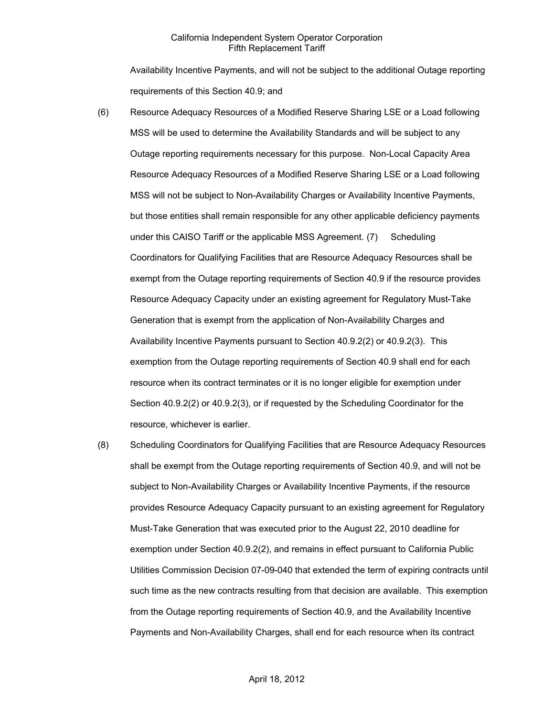Availability Incentive Payments, and will not be subject to the additional Outage reporting requirements of this Section 40.9; and

- (6) Resource Adequacy Resources of a Modified Reserve Sharing LSE or a Load following MSS will be used to determine the Availability Standards and will be subject to any Outage reporting requirements necessary for this purpose. Non-Local Capacity Area Resource Adequacy Resources of a Modified Reserve Sharing LSE or a Load following MSS will not be subject to Non-Availability Charges or Availability Incentive Payments, but those entities shall remain responsible for any other applicable deficiency payments under this CAISO Tariff or the applicable MSS Agreement. (7) Scheduling Coordinators for Qualifying Facilities that are Resource Adequacy Resources shall be exempt from the Outage reporting requirements of Section 40.9 if the resource provides Resource Adequacy Capacity under an existing agreement for Regulatory Must-Take Generation that is exempt from the application of Non-Availability Charges and Availability Incentive Payments pursuant to Section 40.9.2(2) or 40.9.2(3). This exemption from the Outage reporting requirements of Section 40.9 shall end for each resource when its contract terminates or it is no longer eligible for exemption under Section 40.9.2(2) or 40.9.2(3), or if requested by the Scheduling Coordinator for the resource, whichever is earlier.
- (8) Scheduling Coordinators for Qualifying Facilities that are Resource Adequacy Resources shall be exempt from the Outage reporting requirements of Section 40.9, and will not be subject to Non-Availability Charges or Availability Incentive Payments, if the resource provides Resource Adequacy Capacity pursuant to an existing agreement for Regulatory Must-Take Generation that was executed prior to the August 22, 2010 deadline for exemption under Section 40.9.2(2), and remains in effect pursuant to California Public Utilities Commission Decision 07-09-040 that extended the term of expiring contracts until such time as the new contracts resulting from that decision are available. This exemption from the Outage reporting requirements of Section 40.9, and the Availability Incentive Payments and Non-Availability Charges, shall end for each resource when its contract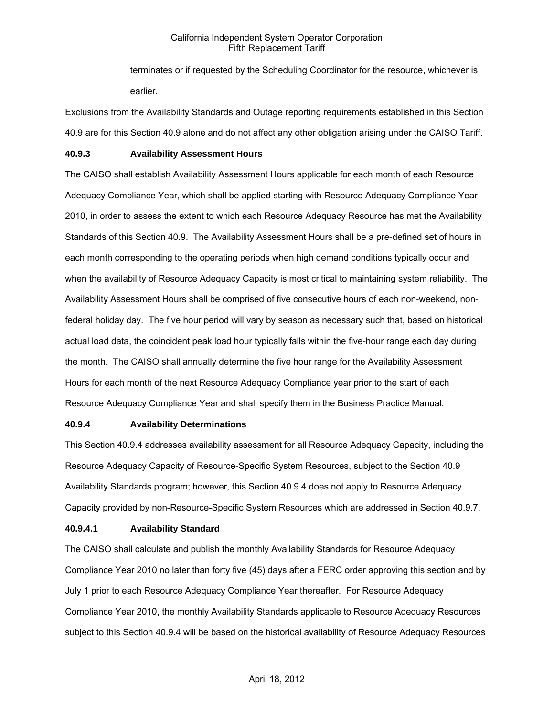terminates or if requested by the Scheduling Coordinator for the resource, whichever is earlier.

Exclusions from the Availability Standards and Outage reporting requirements established in this Section 40.9 are for this Section 40.9 alone and do not affect any other obligation arising under the CAISO Tariff.

### **40.9.3 Availability Assessment Hours**

The CAISO shall establish Availability Assessment Hours applicable for each month of each Resource Adequacy Compliance Year, which shall be applied starting with Resource Adequacy Compliance Year 2010, in order to assess the extent to which each Resource Adequacy Resource has met the Availability Standards of this Section 40.9. The Availability Assessment Hours shall be a pre-defined set of hours in each month corresponding to the operating periods when high demand conditions typically occur and when the availability of Resource Adequacy Capacity is most critical to maintaining system reliability. The Availability Assessment Hours shall be comprised of five consecutive hours of each non-weekend, nonfederal holiday day. The five hour period will vary by season as necessary such that, based on historical actual load data, the coincident peak load hour typically falls within the five-hour range each day during the month. The CAISO shall annually determine the five hour range for the Availability Assessment Hours for each month of the next Resource Adequacy Compliance year prior to the start of each Resource Adequacy Compliance Year and shall specify them in the Business Practice Manual.

### **40.9.4 Availability Determinations**

This Section 40.9.4 addresses availability assessment for all Resource Adequacy Capacity, including the Resource Adequacy Capacity of Resource-Specific System Resources, subject to the Section 40.9 Availability Standards program; however, this Section 40.9.4 does not apply to Resource Adequacy Capacity provided by non-Resource-Specific System Resources which are addressed in Section 40.9.7.

### **40.9.4.1 Availability Standard**

The CAISO shall calculate and publish the monthly Availability Standards for Resource Adequacy Compliance Year 2010 no later than forty five (45) days after a FERC order approving this section and by July 1 prior to each Resource Adequacy Compliance Year thereafter. For Resource Adequacy Compliance Year 2010, the monthly Availability Standards applicable to Resource Adequacy Resources subject to this Section 40.9.4 will be based on the historical availability of Resource Adequacy Resources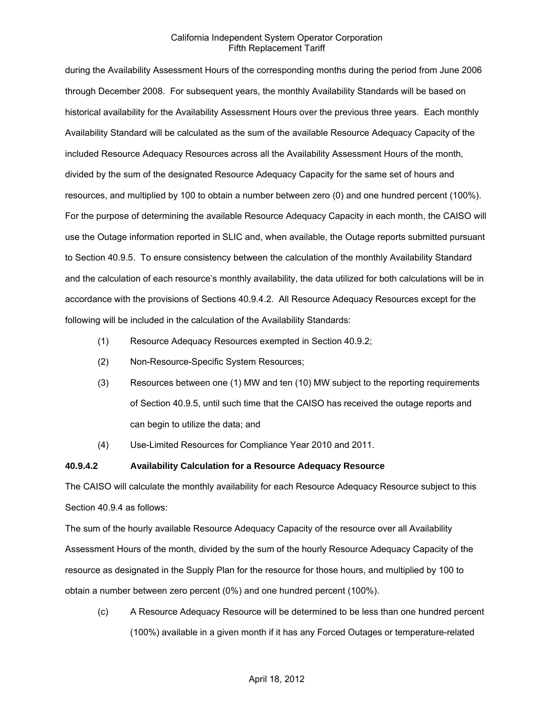during the Availability Assessment Hours of the corresponding months during the period from June 2006 through December 2008. For subsequent years, the monthly Availability Standards will be based on historical availability for the Availability Assessment Hours over the previous three years. Each monthly Availability Standard will be calculated as the sum of the available Resource Adequacy Capacity of the included Resource Adequacy Resources across all the Availability Assessment Hours of the month, divided by the sum of the designated Resource Adequacy Capacity for the same set of hours and resources, and multiplied by 100 to obtain a number between zero (0) and one hundred percent (100%). For the purpose of determining the available Resource Adequacy Capacity in each month, the CAISO will use the Outage information reported in SLIC and, when available, the Outage reports submitted pursuant to Section 40.9.5. To ensure consistency between the calculation of the monthly Availability Standard and the calculation of each resource's monthly availability, the data utilized for both calculations will be in accordance with the provisions of Sections 40.9.4.2. All Resource Adequacy Resources except for the following will be included in the calculation of the Availability Standards:

- (1) Resource Adequacy Resources exempted in Section 40.9.2;
- (2) Non-Resource-Specific System Resources;
- (3) Resources between one (1) MW and ten (10) MW subject to the reporting requirements of Section 40.9.5, until such time that the CAISO has received the outage reports and can begin to utilize the data; and
- (4) Use-Limited Resources for Compliance Year 2010 and 2011.

#### **40.9.4.2 Availability Calculation for a Resource Adequacy Resource**

The CAISO will calculate the monthly availability for each Resource Adequacy Resource subject to this Section 40.9.4 as follows:

The sum of the hourly available Resource Adequacy Capacity of the resource over all Availability Assessment Hours of the month, divided by the sum of the hourly Resource Adequacy Capacity of the resource as designated in the Supply Plan for the resource for those hours, and multiplied by 100 to obtain a number between zero percent (0%) and one hundred percent (100%).

(c) A Resource Adequacy Resource will be determined to be less than one hundred percent (100%) available in a given month if it has any Forced Outages or temperature-related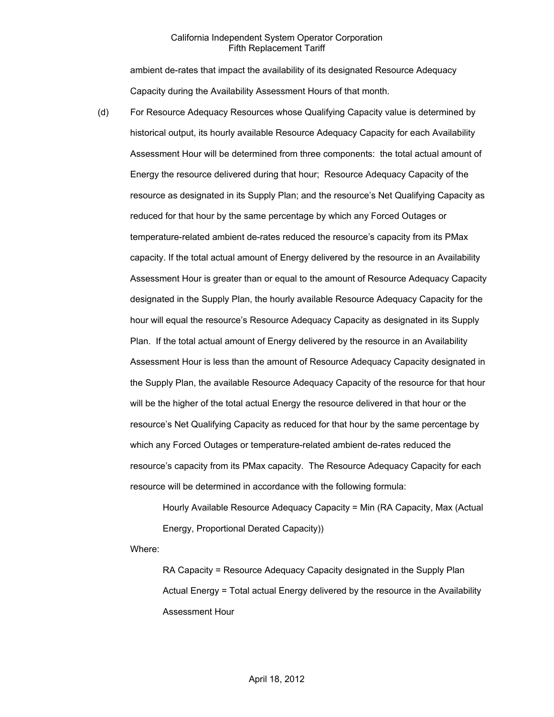ambient de-rates that impact the availability of its designated Resource Adequacy Capacity during the Availability Assessment Hours of that month.

(d) For Resource Adequacy Resources whose Qualifying Capacity value is determined by historical output, its hourly available Resource Adequacy Capacity for each Availability Assessment Hour will be determined from three components: the total actual amount of Energy the resource delivered during that hour; Resource Adequacy Capacity of the resource as designated in its Supply Plan; and the resource's Net Qualifying Capacity as reduced for that hour by the same percentage by which any Forced Outages or temperature-related ambient de-rates reduced the resource's capacity from its PMax capacity. If the total actual amount of Energy delivered by the resource in an Availability Assessment Hour is greater than or equal to the amount of Resource Adequacy Capacity designated in the Supply Plan, the hourly available Resource Adequacy Capacity for the hour will equal the resource's Resource Adequacy Capacity as designated in its Supply Plan. If the total actual amount of Energy delivered by the resource in an Availability Assessment Hour is less than the amount of Resource Adequacy Capacity designated in the Supply Plan, the available Resource Adequacy Capacity of the resource for that hour will be the higher of the total actual Energy the resource delivered in that hour or the resource's Net Qualifying Capacity as reduced for that hour by the same percentage by which any Forced Outages or temperature-related ambient de-rates reduced the resource's capacity from its PMax capacity. The Resource Adequacy Capacity for each resource will be determined in accordance with the following formula:

> Hourly Available Resource Adequacy Capacity = Min (RA Capacity, Max (Actual Energy, Proportional Derated Capacity))

Where:

RA Capacity = Resource Adequacy Capacity designated in the Supply Plan Actual Energy = Total actual Energy delivered by the resource in the Availability Assessment Hour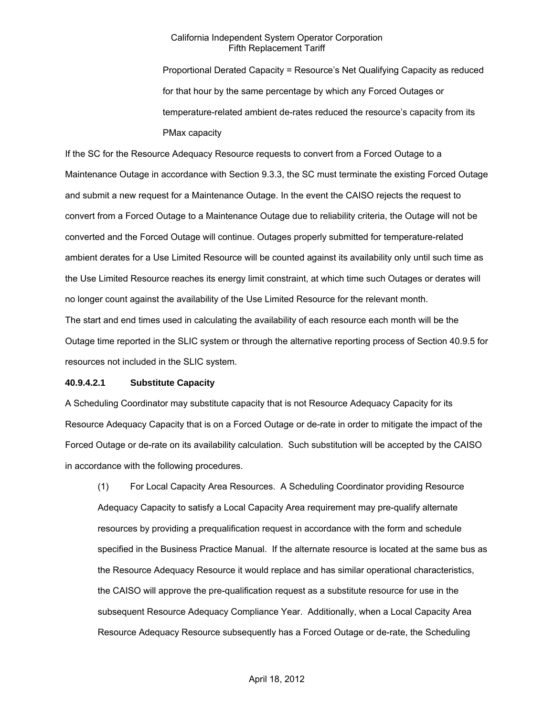Proportional Derated Capacity = Resource's Net Qualifying Capacity as reduced for that hour by the same percentage by which any Forced Outages or temperature-related ambient de-rates reduced the resource's capacity from its PMax capacity

If the SC for the Resource Adequacy Resource requests to convert from a Forced Outage to a Maintenance Outage in accordance with Section 9.3.3, the SC must terminate the existing Forced Outage and submit a new request for a Maintenance Outage. In the event the CAISO rejects the request to convert from a Forced Outage to a Maintenance Outage due to reliability criteria, the Outage will not be converted and the Forced Outage will continue. Outages properly submitted for temperature-related ambient derates for a Use Limited Resource will be counted against its availability only until such time as the Use Limited Resource reaches its energy limit constraint, at which time such Outages or derates will no longer count against the availability of the Use Limited Resource for the relevant month. The start and end times used in calculating the availability of each resource each month will be the Outage time reported in the SLIC system or through the alternative reporting process of Section 40.9.5 for resources not included in the SLIC system.

#### **40.9.4.2.1 Substitute Capacity**

A Scheduling Coordinator may substitute capacity that is not Resource Adequacy Capacity for its Resource Adequacy Capacity that is on a Forced Outage or de-rate in order to mitigate the impact of the Forced Outage or de-rate on its availability calculation. Such substitution will be accepted by the CAISO in accordance with the following procedures.

(1) For Local Capacity Area Resources. A Scheduling Coordinator providing Resource Adequacy Capacity to satisfy a Local Capacity Area requirement may pre-qualify alternate resources by providing a prequalification request in accordance with the form and schedule specified in the Business Practice Manual. If the alternate resource is located at the same bus as the Resource Adequacy Resource it would replace and has similar operational characteristics, the CAISO will approve the pre-qualification request as a substitute resource for use in the subsequent Resource Adequacy Compliance Year. Additionally, when a Local Capacity Area Resource Adequacy Resource subsequently has a Forced Outage or de-rate, the Scheduling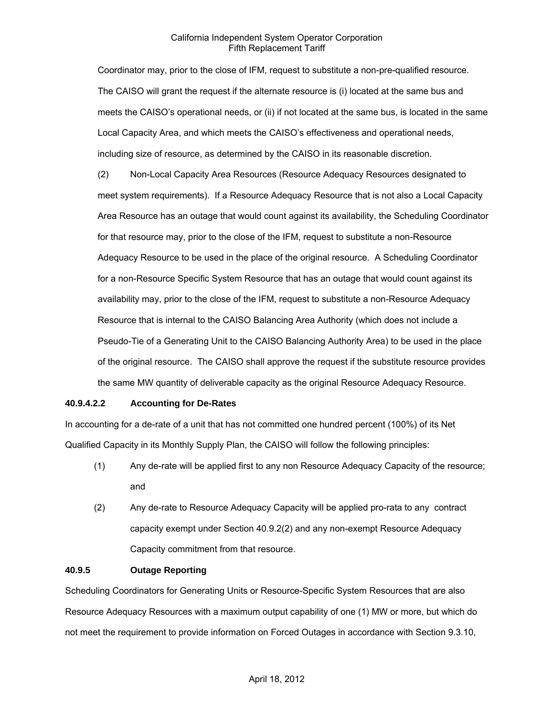Coordinator may, prior to the close of IFM, request to substitute a non-pre-qualified resource. The CAISO will grant the request if the alternate resource is (i) located at the same bus and meets the CAISO's operational needs, or (ii) if not located at the same bus, is located in the same Local Capacity Area, and which meets the CAISO's effectiveness and operational needs, including size of resource, as determined by the CAISO in its reasonable discretion.

(2) Non-Local Capacity Area Resources (Resource Adequacy Resources designated to meet system requirements). If a Resource Adequacy Resource that is not also a Local Capacity Area Resource has an outage that would count against its availability, the Scheduling Coordinator for that resource may, prior to the close of the IFM, request to substitute a non-Resource Adequacy Resource to be used in the place of the original resource. A Scheduling Coordinator for a non-Resource Specific System Resource that has an outage that would count against its availability may, prior to the close of the IFM, request to substitute a non-Resource Adequacy Resource that is internal to the CAISO Balancing Area Authority (which does not include a Pseudo-Tie of a Generating Unit to the CAISO Balancing Authority Area) to be used in the place of the original resource. The CAISO shall approve the request if the substitute resource provides the same MW quantity of deliverable capacity as the original Resource Adequacy Resource.

### **40.9.4.2.2 Accounting for De-Rates**

In accounting for a de-rate of a unit that has not committed one hundred percent (100%) of its Net Qualified Capacity in its Monthly Supply Plan, the CAISO will follow the following principles:

- (1) Any de-rate will be applied first to any non Resource Adequacy Capacity of the resource; and
- (2) Any de-rate to Resource Adequacy Capacity will be applied pro-rata to any contract capacity exempt under Section 40.9.2(2) and any non-exempt Resource Adequacy Capacity commitment from that resource.

### **40.9.5 Outage Reporting**

Scheduling Coordinators for Generating Units or Resource-Specific System Resources that are also Resource Adequacy Resources with a maximum output capability of one (1) MW or more, but which do not meet the requirement to provide information on Forced Outages in accordance with Section 9.3.10,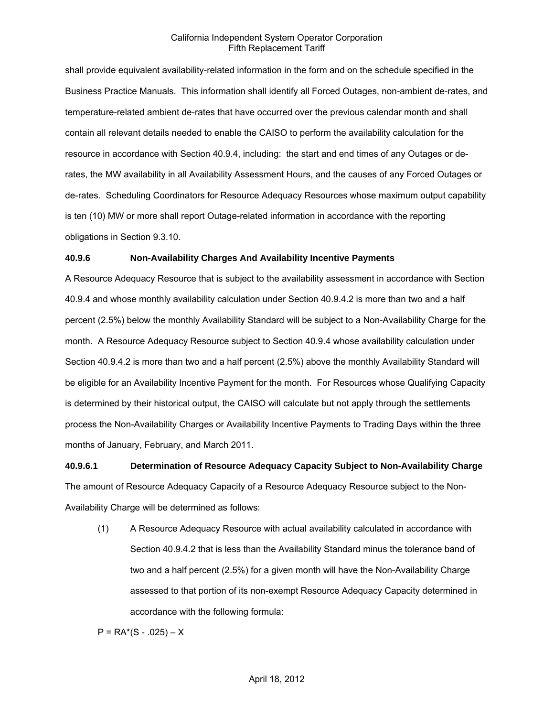shall provide equivalent availability-related information in the form and on the schedule specified in the Business Practice Manuals. This information shall identify all Forced Outages, non-ambient de-rates, and temperature-related ambient de-rates that have occurred over the previous calendar month and shall contain all relevant details needed to enable the CAISO to perform the availability calculation for the resource in accordance with Section 40.9.4, including: the start and end times of any Outages or derates, the MW availability in all Availability Assessment Hours, and the causes of any Forced Outages or de-rates. Scheduling Coordinators for Resource Adequacy Resources whose maximum output capability is ten (10) MW or more shall report Outage-related information in accordance with the reporting obligations in Section 9.3.10.

### **40.9.6 Non-Availability Charges And Availability Incentive Payments**

A Resource Adequacy Resource that is subject to the availability assessment in accordance with Section 40.9.4 and whose monthly availability calculation under Section 40.9.4.2 is more than two and a half percent (2.5%) below the monthly Availability Standard will be subject to a Non-Availability Charge for the month. A Resource Adequacy Resource subject to Section 40.9.4 whose availability calculation under Section 40.9.4.2 is more than two and a half percent (2.5%) above the monthly Availability Standard will be eligible for an Availability Incentive Payment for the month. For Resources whose Qualifying Capacity is determined by their historical output, the CAISO will calculate but not apply through the settlements process the Non-Availability Charges or Availability Incentive Payments to Trading Days within the three months of January, February, and March 2011.

# **40.9.6.1 Determination of Resource Adequacy Capacity Subject to Non-Availability Charge** The amount of Resource Adequacy Capacity of a Resource Adequacy Resource subject to the Non-Availability Charge will be determined as follows:

(1) A Resource Adequacy Resource with actual availability calculated in accordance with Section 40.9.4.2 that is less than the Availability Standard minus the tolerance band of two and a half percent (2.5%) for a given month will have the Non-Availability Charge assessed to that portion of its non-exempt Resource Adequacy Capacity determined in accordance with the following formula:

 $P = RA*(S - .025) - X$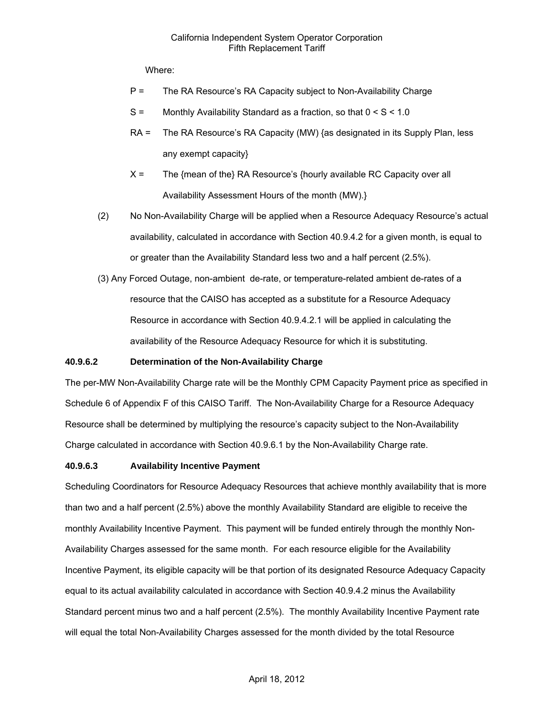Where:

- P = The RA Resource's RA Capacity subject to Non-Availability Charge
- $S =$  Monthly Availability Standard as a fraction, so that  $0 < S < 1.0$
- RA = The RA Resource's RA Capacity (MW) {as designated in its Supply Plan, less any exempt capacity}
- $X =$  The {mean of the} RA Resource's {hourly available RC Capacity over all Availability Assessment Hours of the month (MW).}
- (2) No Non-Availability Charge will be applied when a Resource Adequacy Resource's actual availability, calculated in accordance with Section 40.9.4.2 for a given month, is equal to or greater than the Availability Standard less two and a half percent (2.5%).
- (3) Any Forced Outage, non-ambient de-rate, or temperature-related ambient de-rates of a resource that the CAISO has accepted as a substitute for a Resource Adequacy Resource in accordance with Section 40.9.4.2.1 will be applied in calculating the availability of the Resource Adequacy Resource for which it is substituting.

### **40.9.6.2 Determination of the Non-Availability Charge**

The per-MW Non-Availability Charge rate will be the Monthly CPM Capacity Payment price as specified in Schedule 6 of Appendix F of this CAISO Tariff. The Non-Availability Charge for a Resource Adequacy Resource shall be determined by multiplying the resource's capacity subject to the Non-Availability Charge calculated in accordance with Section 40.9.6.1 by the Non-Availability Charge rate.

### **40.9.6.3 Availability Incentive Payment**

Scheduling Coordinators for Resource Adequacy Resources that achieve monthly availability that is more than two and a half percent (2.5%) above the monthly Availability Standard are eligible to receive the monthly Availability Incentive Payment. This payment will be funded entirely through the monthly Non-Availability Charges assessed for the same month. For each resource eligible for the Availability Incentive Payment, its eligible capacity will be that portion of its designated Resource Adequacy Capacity equal to its actual availability calculated in accordance with Section 40.9.4.2 minus the Availability Standard percent minus two and a half percent (2.5%). The monthly Availability Incentive Payment rate will equal the total Non-Availability Charges assessed for the month divided by the total Resource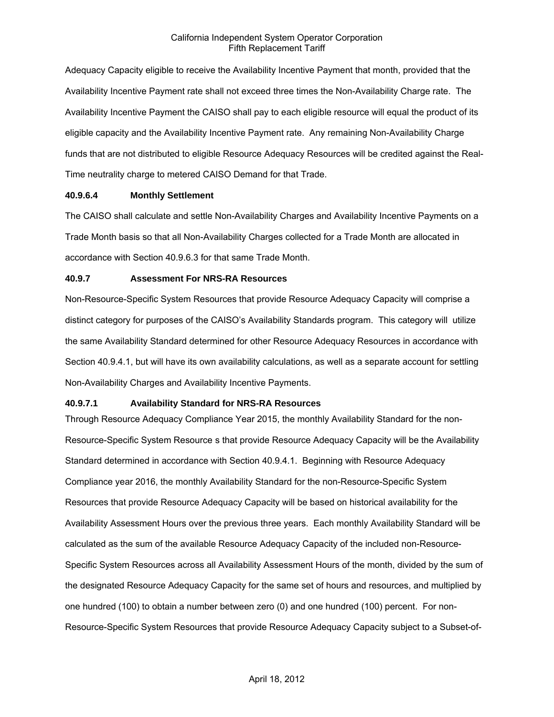Adequacy Capacity eligible to receive the Availability Incentive Payment that month, provided that the Availability Incentive Payment rate shall not exceed three times the Non-Availability Charge rate. The Availability Incentive Payment the CAISO shall pay to each eligible resource will equal the product of its eligible capacity and the Availability Incentive Payment rate. Any remaining Non-Availability Charge funds that are not distributed to eligible Resource Adequacy Resources will be credited against the Real-Time neutrality charge to metered CAISO Demand for that Trade.

### **40.9.6.4 Monthly Settlement**

The CAISO shall calculate and settle Non-Availability Charges and Availability Incentive Payments on a Trade Month basis so that all Non-Availability Charges collected for a Trade Month are allocated in accordance with Section 40.9.6.3 for that same Trade Month.

### **40.9.7 Assessment For NRS-RA Resources**

Non-Resource-Specific System Resources that provide Resource Adequacy Capacity will comprise a distinct category for purposes of the CAISO's Availability Standards program. This category will utilize the same Availability Standard determined for other Resource Adequacy Resources in accordance with Section 40.9.4.1, but will have its own availability calculations, as well as a separate account for settling Non-Availability Charges and Availability Incentive Payments.

### **40.9.7.1 Availability Standard for NRS-RA Resources**

Through Resource Adequacy Compliance Year 2015, the monthly Availability Standard for the non-Resource-Specific System Resource s that provide Resource Adequacy Capacity will be the Availability Standard determined in accordance with Section 40.9.4.1. Beginning with Resource Adequacy Compliance year 2016, the monthly Availability Standard for the non-Resource-Specific System Resources that provide Resource Adequacy Capacity will be based on historical availability for the Availability Assessment Hours over the previous three years. Each monthly Availability Standard will be calculated as the sum of the available Resource Adequacy Capacity of the included non-Resource-Specific System Resources across all Availability Assessment Hours of the month, divided by the sum of the designated Resource Adequacy Capacity for the same set of hours and resources, and multiplied by one hundred (100) to obtain a number between zero (0) and one hundred (100) percent. For non-Resource-Specific System Resources that provide Resource Adequacy Capacity subject to a Subset-of-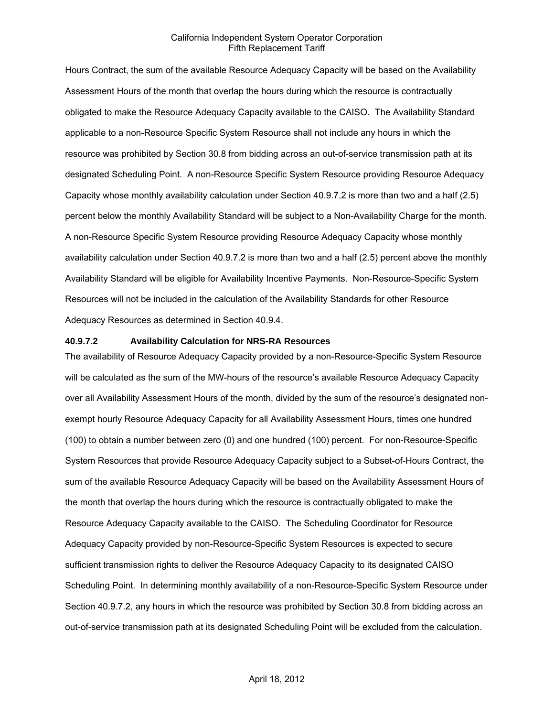Hours Contract, the sum of the available Resource Adequacy Capacity will be based on the Availability Assessment Hours of the month that overlap the hours during which the resource is contractually obligated to make the Resource Adequacy Capacity available to the CAISO. The Availability Standard applicable to a non-Resource Specific System Resource shall not include any hours in which the resource was prohibited by Section 30.8 from bidding across an out-of-service transmission path at its designated Scheduling Point. A non-Resource Specific System Resource providing Resource Adequacy Capacity whose monthly availability calculation under Section 40.9.7.2 is more than two and a half (2.5) percent below the monthly Availability Standard will be subject to a Non-Availability Charge for the month. A non-Resource Specific System Resource providing Resource Adequacy Capacity whose monthly availability calculation under Section 40.9.7.2 is more than two and a half (2.5) percent above the monthly Availability Standard will be eligible for Availability Incentive Payments. Non-Resource-Specific System Resources will not be included in the calculation of the Availability Standards for other Resource Adequacy Resources as determined in Section 40.9.4.

#### **40.9.7.2 Availability Calculation for NRS-RA Resources**

The availability of Resource Adequacy Capacity provided by a non-Resource-Specific System Resource will be calculated as the sum of the MW-hours of the resource's available Resource Adequacy Capacity over all Availability Assessment Hours of the month, divided by the sum of the resource's designated nonexempt hourly Resource Adequacy Capacity for all Availability Assessment Hours, times one hundred (100) to obtain a number between zero (0) and one hundred (100) percent. For non-Resource-Specific System Resources that provide Resource Adequacy Capacity subject to a Subset-of-Hours Contract, the sum of the available Resource Adequacy Capacity will be based on the Availability Assessment Hours of the month that overlap the hours during which the resource is contractually obligated to make the Resource Adequacy Capacity available to the CAISO. The Scheduling Coordinator for Resource Adequacy Capacity provided by non-Resource-Specific System Resources is expected to secure sufficient transmission rights to deliver the Resource Adequacy Capacity to its designated CAISO Scheduling Point. In determining monthly availability of a non-Resource-Specific System Resource under Section 40.9.7.2, any hours in which the resource was prohibited by Section 30.8 from bidding across an out-of-service transmission path at its designated Scheduling Point will be excluded from the calculation.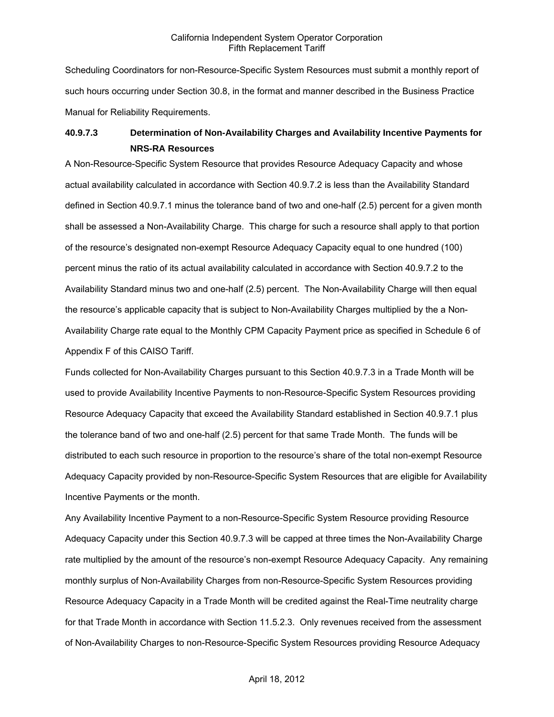Scheduling Coordinators for non-Resource-Specific System Resources must submit a monthly report of such hours occurring under Section 30.8, in the format and manner described in the Business Practice Manual for Reliability Requirements.

# **40.9.7.3 Determination of Non-Availability Charges and Availability Incentive Payments for NRS-RA Resources**

A Non-Resource-Specific System Resource that provides Resource Adequacy Capacity and whose actual availability calculated in accordance with Section 40.9.7.2 is less than the Availability Standard defined in Section 40.9.7.1 minus the tolerance band of two and one-half (2.5) percent for a given month shall be assessed a Non-Availability Charge. This charge for such a resource shall apply to that portion of the resource's designated non-exempt Resource Adequacy Capacity equal to one hundred (100) percent minus the ratio of its actual availability calculated in accordance with Section 40.9.7.2 to the Availability Standard minus two and one-half (2.5) percent. The Non-Availability Charge will then equal the resource's applicable capacity that is subject to Non-Availability Charges multiplied by the a Non-Availability Charge rate equal to the Monthly CPM Capacity Payment price as specified in Schedule 6 of Appendix F of this CAISO Tariff.

Funds collected for Non-Availability Charges pursuant to this Section 40.9.7.3 in a Trade Month will be used to provide Availability Incentive Payments to non-Resource-Specific System Resources providing Resource Adequacy Capacity that exceed the Availability Standard established in Section 40.9.7.1 plus the tolerance band of two and one-half (2.5) percent for that same Trade Month. The funds will be distributed to each such resource in proportion to the resource's share of the total non-exempt Resource Adequacy Capacity provided by non-Resource-Specific System Resources that are eligible for Availability Incentive Payments or the month.

Any Availability Incentive Payment to a non-Resource-Specific System Resource providing Resource Adequacy Capacity under this Section 40.9.7.3 will be capped at three times the Non-Availability Charge rate multiplied by the amount of the resource's non-exempt Resource Adequacy Capacity. Any remaining monthly surplus of Non-Availability Charges from non-Resource-Specific System Resources providing Resource Adequacy Capacity in a Trade Month will be credited against the Real-Time neutrality charge for that Trade Month in accordance with Section 11.5.2.3. Only revenues received from the assessment of Non-Availability Charges to non-Resource-Specific System Resources providing Resource Adequacy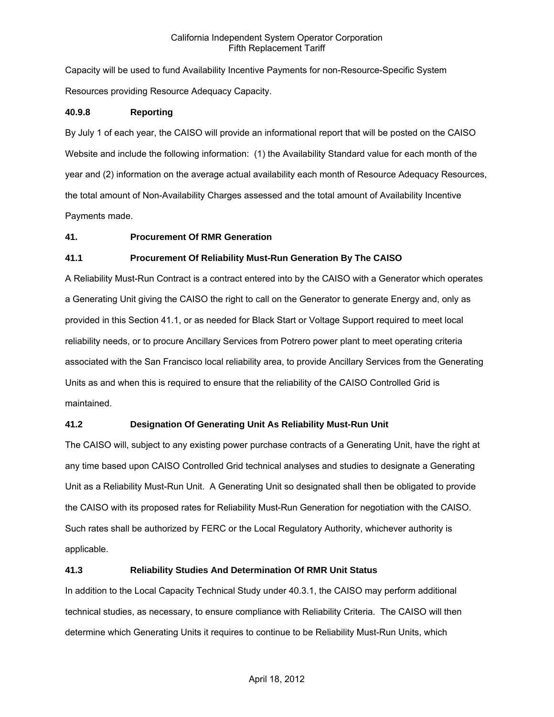Capacity will be used to fund Availability Incentive Payments for non-Resource-Specific System Resources providing Resource Adequacy Capacity.

### **40.9.8 Reporting**

By July 1 of each year, the CAISO will provide an informational report that will be posted on the CAISO Website and include the following information: (1) the Availability Standard value for each month of the year and (2) information on the average actual availability each month of Resource Adequacy Resources, the total amount of Non-Availability Charges assessed and the total amount of Availability Incentive Payments made.

### **41. Procurement Of RMR Generation**

### **41.1 Procurement Of Reliability Must-Run Generation By The CAISO**

A Reliability Must-Run Contract is a contract entered into by the CAISO with a Generator which operates a Generating Unit giving the CAISO the right to call on the Generator to generate Energy and, only as provided in this Section 41.1, or as needed for Black Start or Voltage Support required to meet local reliability needs, or to procure Ancillary Services from Potrero power plant to meet operating criteria associated with the San Francisco local reliability area, to provide Ancillary Services from the Generating Units as and when this is required to ensure that the reliability of the CAISO Controlled Grid is maintained.

### **41.2 Designation Of Generating Unit As Reliability Must-Run Unit**

The CAISO will, subject to any existing power purchase contracts of a Generating Unit, have the right at any time based upon CAISO Controlled Grid technical analyses and studies to designate a Generating Unit as a Reliability Must-Run Unit. A Generating Unit so designated shall then be obligated to provide the CAISO with its proposed rates for Reliability Must-Run Generation for negotiation with the CAISO. Such rates shall be authorized by FERC or the Local Regulatory Authority, whichever authority is applicable.

### **41.3 Reliability Studies And Determination Of RMR Unit Status**

In addition to the Local Capacity Technical Study under 40.3.1, the CAISO may perform additional technical studies, as necessary, to ensure compliance with Reliability Criteria. The CAISO will then determine which Generating Units it requires to continue to be Reliability Must-Run Units, which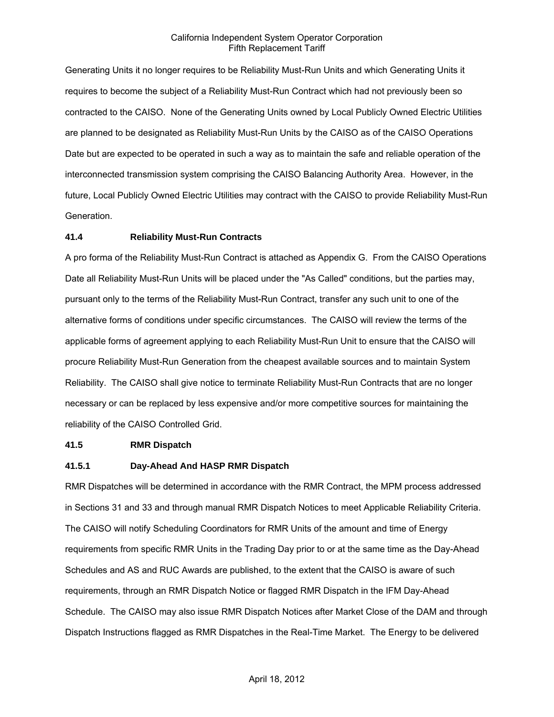Generating Units it no longer requires to be Reliability Must-Run Units and which Generating Units it requires to become the subject of a Reliability Must-Run Contract which had not previously been so contracted to the CAISO. None of the Generating Units owned by Local Publicly Owned Electric Utilities are planned to be designated as Reliability Must-Run Units by the CAISO as of the CAISO Operations Date but are expected to be operated in such a way as to maintain the safe and reliable operation of the interconnected transmission system comprising the CAISO Balancing Authority Area. However, in the future, Local Publicly Owned Electric Utilities may contract with the CAISO to provide Reliability Must-Run Generation.

### **41.4 Reliability Must-Run Contracts**

A pro forma of the Reliability Must-Run Contract is attached as Appendix G. From the CAISO Operations Date all Reliability Must-Run Units will be placed under the "As Called" conditions, but the parties may, pursuant only to the terms of the Reliability Must-Run Contract, transfer any such unit to one of the alternative forms of conditions under specific circumstances. The CAISO will review the terms of the applicable forms of agreement applying to each Reliability Must-Run Unit to ensure that the CAISO will procure Reliability Must-Run Generation from the cheapest available sources and to maintain System Reliability. The CAISO shall give notice to terminate Reliability Must-Run Contracts that are no longer necessary or can be replaced by less expensive and/or more competitive sources for maintaining the reliability of the CAISO Controlled Grid.

### **41.5 RMR Dispatch**

### **41.5.1 Day-Ahead And HASP RMR Dispatch**

RMR Dispatches will be determined in accordance with the RMR Contract, the MPM process addressed in Sections 31 and 33 and through manual RMR Dispatch Notices to meet Applicable Reliability Criteria. The CAISO will notify Scheduling Coordinators for RMR Units of the amount and time of Energy requirements from specific RMR Units in the Trading Day prior to or at the same time as the Day-Ahead Schedules and AS and RUC Awards are published, to the extent that the CAISO is aware of such requirements, through an RMR Dispatch Notice or flagged RMR Dispatch in the IFM Day-Ahead Schedule. The CAISO may also issue RMR Dispatch Notices after Market Close of the DAM and through Dispatch Instructions flagged as RMR Dispatches in the Real-Time Market. The Energy to be delivered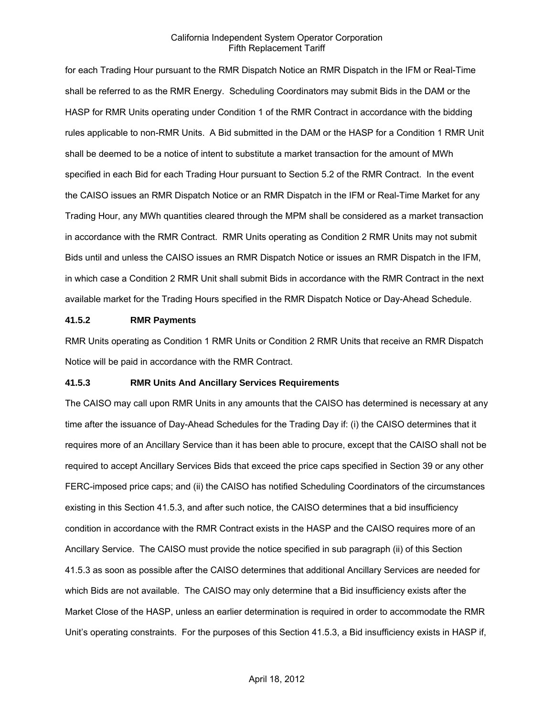for each Trading Hour pursuant to the RMR Dispatch Notice an RMR Dispatch in the IFM or Real-Time shall be referred to as the RMR Energy. Scheduling Coordinators may submit Bids in the DAM or the HASP for RMR Units operating under Condition 1 of the RMR Contract in accordance with the bidding rules applicable to non-RMR Units. A Bid submitted in the DAM or the HASP for a Condition 1 RMR Unit shall be deemed to be a notice of intent to substitute a market transaction for the amount of MWh specified in each Bid for each Trading Hour pursuant to Section 5.2 of the RMR Contract. In the event the CAISO issues an RMR Dispatch Notice or an RMR Dispatch in the IFM or Real-Time Market for any Trading Hour, any MWh quantities cleared through the MPM shall be considered as a market transaction in accordance with the RMR Contract. RMR Units operating as Condition 2 RMR Units may not submit Bids until and unless the CAISO issues an RMR Dispatch Notice or issues an RMR Dispatch in the IFM, in which case a Condition 2 RMR Unit shall submit Bids in accordance with the RMR Contract in the next available market for the Trading Hours specified in the RMR Dispatch Notice or Day-Ahead Schedule.

#### **41.5.2 RMR Payments**

RMR Units operating as Condition 1 RMR Units or Condition 2 RMR Units that receive an RMR Dispatch Notice will be paid in accordance with the RMR Contract.

#### **41.5.3 RMR Units And Ancillary Services Requirements**

The CAISO may call upon RMR Units in any amounts that the CAISO has determined is necessary at any time after the issuance of Day-Ahead Schedules for the Trading Day if: (i) the CAISO determines that it requires more of an Ancillary Service than it has been able to procure, except that the CAISO shall not be required to accept Ancillary Services Bids that exceed the price caps specified in Section 39 or any other FERC-imposed price caps; and (ii) the CAISO has notified Scheduling Coordinators of the circumstances existing in this Section 41.5.3, and after such notice, the CAISO determines that a bid insufficiency condition in accordance with the RMR Contract exists in the HASP and the CAISO requires more of an Ancillary Service. The CAISO must provide the notice specified in sub paragraph (ii) of this Section 41.5.3 as soon as possible after the CAISO determines that additional Ancillary Services are needed for which Bids are not available. The CAISO may only determine that a Bid insufficiency exists after the Market Close of the HASP, unless an earlier determination is required in order to accommodate the RMR Unit's operating constraints. For the purposes of this Section 41.5.3, a Bid insufficiency exists in HASP if,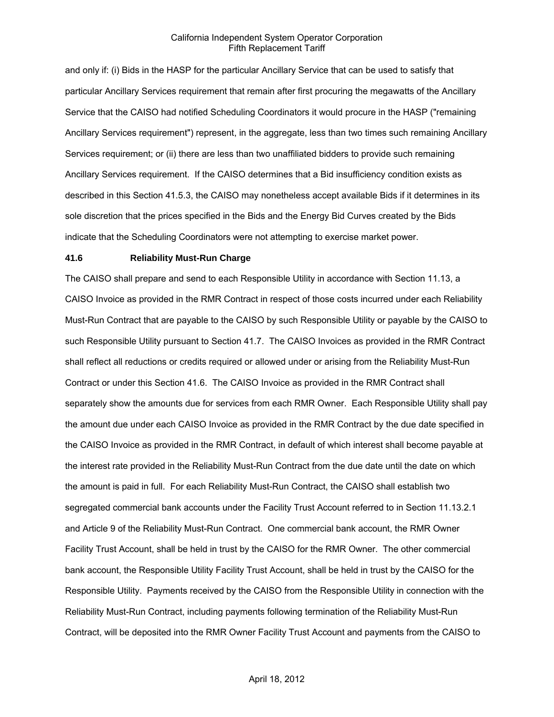and only if: (i) Bids in the HASP for the particular Ancillary Service that can be used to satisfy that particular Ancillary Services requirement that remain after first procuring the megawatts of the Ancillary Service that the CAISO had notified Scheduling Coordinators it would procure in the HASP ("remaining Ancillary Services requirement") represent, in the aggregate, less than two times such remaining Ancillary Services requirement; or (ii) there are less than two unaffiliated bidders to provide such remaining Ancillary Services requirement. If the CAISO determines that a Bid insufficiency condition exists as described in this Section 41.5.3, the CAISO may nonetheless accept available Bids if it determines in its sole discretion that the prices specified in the Bids and the Energy Bid Curves created by the Bids indicate that the Scheduling Coordinators were not attempting to exercise market power.

#### **41.6 Reliability Must-Run Charge**

The CAISO shall prepare and send to each Responsible Utility in accordance with Section 11.13, a CAISO Invoice as provided in the RMR Contract in respect of those costs incurred under each Reliability Must-Run Contract that are payable to the CAISO by such Responsible Utility or payable by the CAISO to such Responsible Utility pursuant to Section 41.7. The CAISO Invoices as provided in the RMR Contract shall reflect all reductions or credits required or allowed under or arising from the Reliability Must-Run Contract or under this Section 41.6. The CAISO Invoice as provided in the RMR Contract shall separately show the amounts due for services from each RMR Owner. Each Responsible Utility shall pay the amount due under each CAISO Invoice as provided in the RMR Contract by the due date specified in the CAISO Invoice as provided in the RMR Contract, in default of which interest shall become payable at the interest rate provided in the Reliability Must-Run Contract from the due date until the date on which the amount is paid in full. For each Reliability Must-Run Contract, the CAISO shall establish two segregated commercial bank accounts under the Facility Trust Account referred to in Section 11.13.2.1 and Article 9 of the Reliability Must-Run Contract. One commercial bank account, the RMR Owner Facility Trust Account, shall be held in trust by the CAISO for the RMR Owner. The other commercial bank account, the Responsible Utility Facility Trust Account, shall be held in trust by the CAISO for the Responsible Utility. Payments received by the CAISO from the Responsible Utility in connection with the Reliability Must-Run Contract, including payments following termination of the Reliability Must-Run Contract, will be deposited into the RMR Owner Facility Trust Account and payments from the CAISO to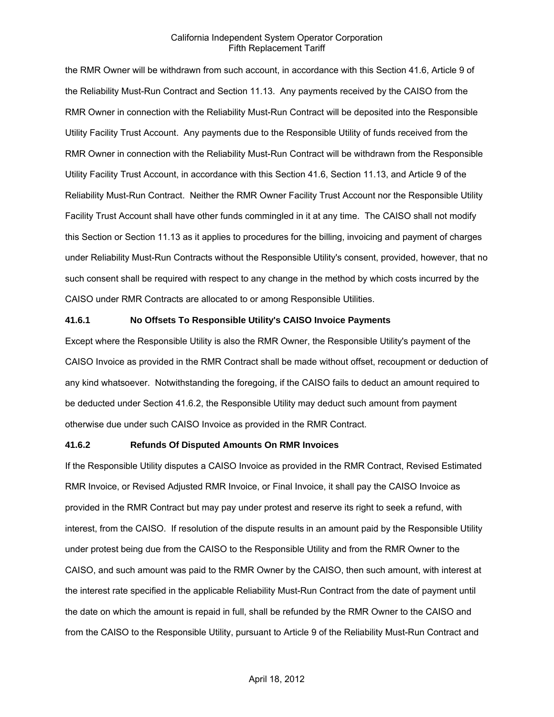the RMR Owner will be withdrawn from such account, in accordance with this Section 41.6, Article 9 of the Reliability Must-Run Contract and Section 11.13. Any payments received by the CAISO from the RMR Owner in connection with the Reliability Must-Run Contract will be deposited into the Responsible Utility Facility Trust Account. Any payments due to the Responsible Utility of funds received from the RMR Owner in connection with the Reliability Must-Run Contract will be withdrawn from the Responsible Utility Facility Trust Account, in accordance with this Section 41.6, Section 11.13, and Article 9 of the Reliability Must-Run Contract. Neither the RMR Owner Facility Trust Account nor the Responsible Utility Facility Trust Account shall have other funds commingled in it at any time. The CAISO shall not modify this Section or Section 11.13 as it applies to procedures for the billing, invoicing and payment of charges under Reliability Must-Run Contracts without the Responsible Utility's consent, provided, however, that no such consent shall be required with respect to any change in the method by which costs incurred by the CAISO under RMR Contracts are allocated to or among Responsible Utilities.

#### **41.6.1 No Offsets To Responsible Utility's CAISO Invoice Payments**

Except where the Responsible Utility is also the RMR Owner, the Responsible Utility's payment of the CAISO Invoice as provided in the RMR Contract shall be made without offset, recoupment or deduction of any kind whatsoever. Notwithstanding the foregoing, if the CAISO fails to deduct an amount required to be deducted under Section 41.6.2, the Responsible Utility may deduct such amount from payment otherwise due under such CAISO Invoice as provided in the RMR Contract.

#### **41.6.2 Refunds Of Disputed Amounts On RMR Invoices**

If the Responsible Utility disputes a CAISO Invoice as provided in the RMR Contract, Revised Estimated RMR Invoice, or Revised Adjusted RMR Invoice, or Final Invoice, it shall pay the CAISO Invoice as provided in the RMR Contract but may pay under protest and reserve its right to seek a refund, with interest, from the CAISO. If resolution of the dispute results in an amount paid by the Responsible Utility under protest being due from the CAISO to the Responsible Utility and from the RMR Owner to the CAISO, and such amount was paid to the RMR Owner by the CAISO, then such amount, with interest at the interest rate specified in the applicable Reliability Must-Run Contract from the date of payment until the date on which the amount is repaid in full, shall be refunded by the RMR Owner to the CAISO and from the CAISO to the Responsible Utility, pursuant to Article 9 of the Reliability Must-Run Contract and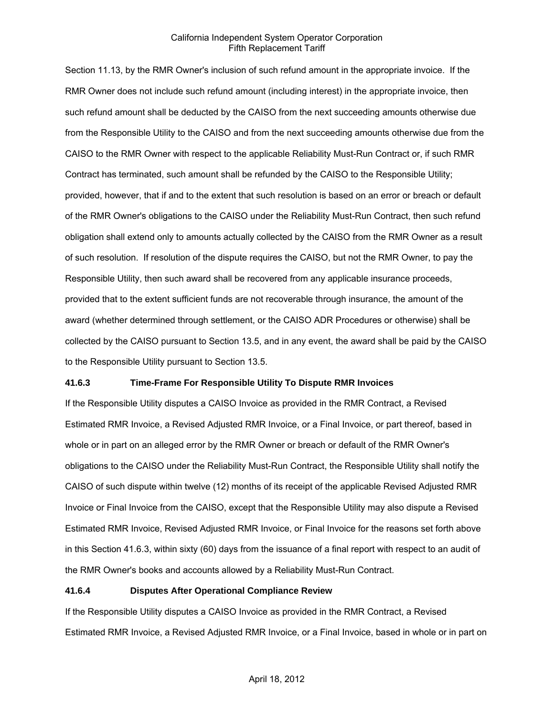Section 11.13, by the RMR Owner's inclusion of such refund amount in the appropriate invoice. If the RMR Owner does not include such refund amount (including interest) in the appropriate invoice, then such refund amount shall be deducted by the CAISO from the next succeeding amounts otherwise due from the Responsible Utility to the CAISO and from the next succeeding amounts otherwise due from the CAISO to the RMR Owner with respect to the applicable Reliability Must-Run Contract or, if such RMR Contract has terminated, such amount shall be refunded by the CAISO to the Responsible Utility; provided, however, that if and to the extent that such resolution is based on an error or breach or default of the RMR Owner's obligations to the CAISO under the Reliability Must-Run Contract, then such refund obligation shall extend only to amounts actually collected by the CAISO from the RMR Owner as a result of such resolution. If resolution of the dispute requires the CAISO, but not the RMR Owner, to pay the Responsible Utility, then such award shall be recovered from any applicable insurance proceeds, provided that to the extent sufficient funds are not recoverable through insurance, the amount of the award (whether determined through settlement, or the CAISO ADR Procedures or otherwise) shall be collected by the CAISO pursuant to Section 13.5, and in any event, the award shall be paid by the CAISO to the Responsible Utility pursuant to Section 13.5.

### **41.6.3 Time-Frame For Responsible Utility To Dispute RMR Invoices**

If the Responsible Utility disputes a CAISO Invoice as provided in the RMR Contract, a Revised Estimated RMR Invoice, a Revised Adjusted RMR Invoice, or a Final Invoice, or part thereof, based in whole or in part on an alleged error by the RMR Owner or breach or default of the RMR Owner's obligations to the CAISO under the Reliability Must-Run Contract, the Responsible Utility shall notify the CAISO of such dispute within twelve (12) months of its receipt of the applicable Revised Adjusted RMR Invoice or Final Invoice from the CAISO, except that the Responsible Utility may also dispute a Revised Estimated RMR Invoice, Revised Adjusted RMR Invoice, or Final Invoice for the reasons set forth above in this Section 41.6.3, within sixty (60) days from the issuance of a final report with respect to an audit of the RMR Owner's books and accounts allowed by a Reliability Must-Run Contract.

### **41.6.4 Disputes After Operational Compliance Review**

If the Responsible Utility disputes a CAISO Invoice as provided in the RMR Contract, a Revised Estimated RMR Invoice, a Revised Adjusted RMR Invoice, or a Final Invoice, based in whole or in part on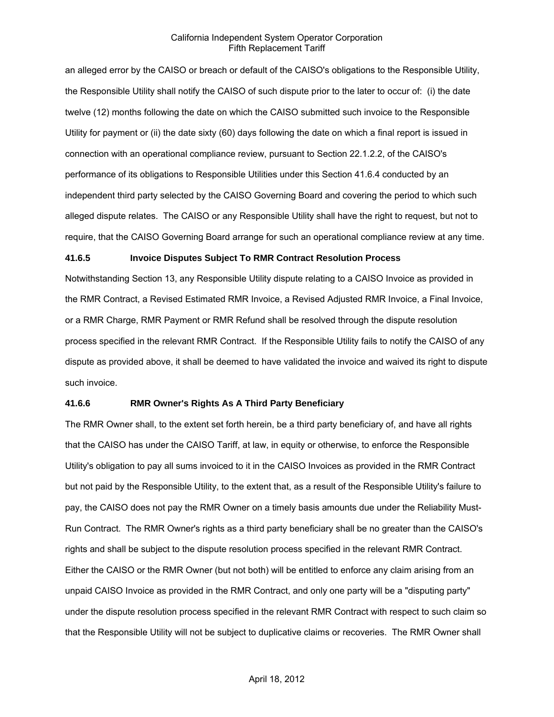an alleged error by the CAISO or breach or default of the CAISO's obligations to the Responsible Utility, the Responsible Utility shall notify the CAISO of such dispute prior to the later to occur of: (i) the date twelve (12) months following the date on which the CAISO submitted such invoice to the Responsible Utility for payment or (ii) the date sixty (60) days following the date on which a final report is issued in connection with an operational compliance review, pursuant to Section 22.1.2.2, of the CAISO's performance of its obligations to Responsible Utilities under this Section 41.6.4 conducted by an independent third party selected by the CAISO Governing Board and covering the period to which such alleged dispute relates. The CAISO or any Responsible Utility shall have the right to request, but not to require, that the CAISO Governing Board arrange for such an operational compliance review at any time.

#### **41.6.5 Invoice Disputes Subject To RMR Contract Resolution Process**

Notwithstanding Section 13, any Responsible Utility dispute relating to a CAISO Invoice as provided in the RMR Contract, a Revised Estimated RMR Invoice, a Revised Adjusted RMR Invoice, a Final Invoice, or a RMR Charge, RMR Payment or RMR Refund shall be resolved through the dispute resolution process specified in the relevant RMR Contract. If the Responsible Utility fails to notify the CAISO of any dispute as provided above, it shall be deemed to have validated the invoice and waived its right to dispute such invoice.

#### **41.6.6 RMR Owner's Rights As A Third Party Beneficiary**

The RMR Owner shall, to the extent set forth herein, be a third party beneficiary of, and have all rights that the CAISO has under the CAISO Tariff, at law, in equity or otherwise, to enforce the Responsible Utility's obligation to pay all sums invoiced to it in the CAISO Invoices as provided in the RMR Contract but not paid by the Responsible Utility, to the extent that, as a result of the Responsible Utility's failure to pay, the CAISO does not pay the RMR Owner on a timely basis amounts due under the Reliability Must-Run Contract. The RMR Owner's rights as a third party beneficiary shall be no greater than the CAISO's rights and shall be subject to the dispute resolution process specified in the relevant RMR Contract. Either the CAISO or the RMR Owner (but not both) will be entitled to enforce any claim arising from an unpaid CAISO Invoice as provided in the RMR Contract, and only one party will be a "disputing party" under the dispute resolution process specified in the relevant RMR Contract with respect to such claim so that the Responsible Utility will not be subject to duplicative claims or recoveries. The RMR Owner shall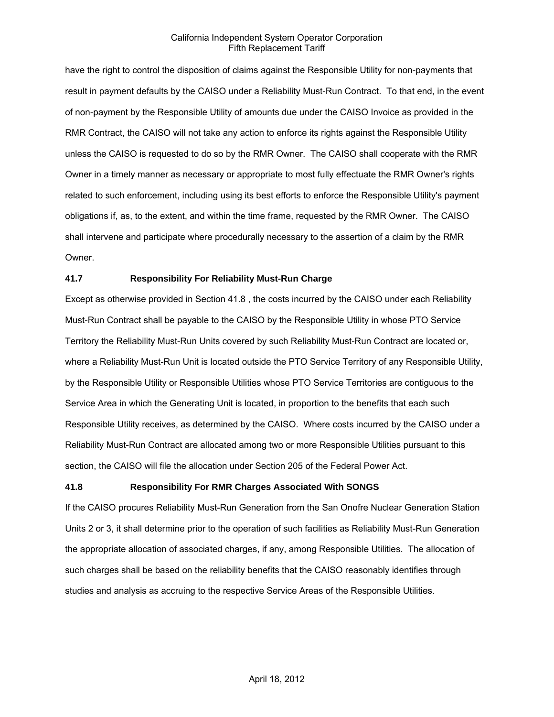have the right to control the disposition of claims against the Responsible Utility for non-payments that result in payment defaults by the CAISO under a Reliability Must-Run Contract. To that end, in the event of non-payment by the Responsible Utility of amounts due under the CAISO Invoice as provided in the RMR Contract, the CAISO will not take any action to enforce its rights against the Responsible Utility unless the CAISO is requested to do so by the RMR Owner. The CAISO shall cooperate with the RMR Owner in a timely manner as necessary or appropriate to most fully effectuate the RMR Owner's rights related to such enforcement, including using its best efforts to enforce the Responsible Utility's payment obligations if, as, to the extent, and within the time frame, requested by the RMR Owner. The CAISO shall intervene and participate where procedurally necessary to the assertion of a claim by the RMR Owner.

### **41.7 Responsibility For Reliability Must-Run Charge**

Except as otherwise provided in Section 41.8 , the costs incurred by the CAISO under each Reliability Must-Run Contract shall be payable to the CAISO by the Responsible Utility in whose PTO Service Territory the Reliability Must-Run Units covered by such Reliability Must-Run Contract are located or, where a Reliability Must-Run Unit is located outside the PTO Service Territory of any Responsible Utility, by the Responsible Utility or Responsible Utilities whose PTO Service Territories are contiguous to the Service Area in which the Generating Unit is located, in proportion to the benefits that each such Responsible Utility receives, as determined by the CAISO. Where costs incurred by the CAISO under a Reliability Must-Run Contract are allocated among two or more Responsible Utilities pursuant to this section, the CAISO will file the allocation under Section 205 of the Federal Power Act.

### **41.8 Responsibility For RMR Charges Associated With SONGS**

If the CAISO procures Reliability Must-Run Generation from the San Onofre Nuclear Generation Station Units 2 or 3, it shall determine prior to the operation of such facilities as Reliability Must-Run Generation the appropriate allocation of associated charges, if any, among Responsible Utilities. The allocation of such charges shall be based on the reliability benefits that the CAISO reasonably identifies through studies and analysis as accruing to the respective Service Areas of the Responsible Utilities.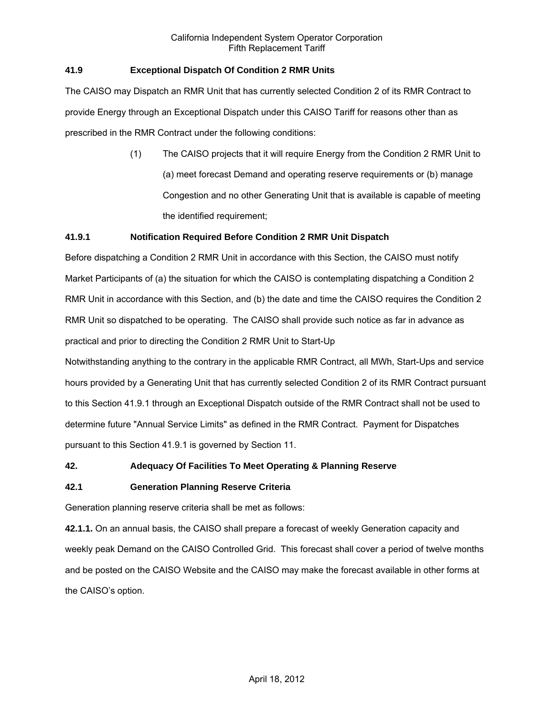## **41.9 Exceptional Dispatch Of Condition 2 RMR Units**

The CAISO may Dispatch an RMR Unit that has currently selected Condition 2 of its RMR Contract to provide Energy through an Exceptional Dispatch under this CAISO Tariff for reasons other than as prescribed in the RMR Contract under the following conditions:

> (1) The CAISO projects that it will require Energy from the Condition 2 RMR Unit to (a) meet forecast Demand and operating reserve requirements or (b) manage Congestion and no other Generating Unit that is available is capable of meeting the identified requirement;

### **41.9.1 Notification Required Before Condition 2 RMR Unit Dispatch**

Before dispatching a Condition 2 RMR Unit in accordance with this Section, the CAISO must notify Market Participants of (a) the situation for which the CAISO is contemplating dispatching a Condition 2 RMR Unit in accordance with this Section, and (b) the date and time the CAISO requires the Condition 2 RMR Unit so dispatched to be operating. The CAISO shall provide such notice as far in advance as practical and prior to directing the Condition 2 RMR Unit to Start-Up

Notwithstanding anything to the contrary in the applicable RMR Contract, all MWh, Start-Ups and service hours provided by a Generating Unit that has currently selected Condition 2 of its RMR Contract pursuant to this Section 41.9.1 through an Exceptional Dispatch outside of the RMR Contract shall not be used to determine future "Annual Service Limits" as defined in the RMR Contract. Payment for Dispatches pursuant to this Section 41.9.1 is governed by Section 11.

### **42. Adequacy Of Facilities To Meet Operating & Planning Reserve**

### **42.1 Generation Planning Reserve Criteria**

Generation planning reserve criteria shall be met as follows:

**42.1.1.** On an annual basis, the CAISO shall prepare a forecast of weekly Generation capacity and weekly peak Demand on the CAISO Controlled Grid. This forecast shall cover a period of twelve months and be posted on the CAISO Website and the CAISO may make the forecast available in other forms at the CAISO's option.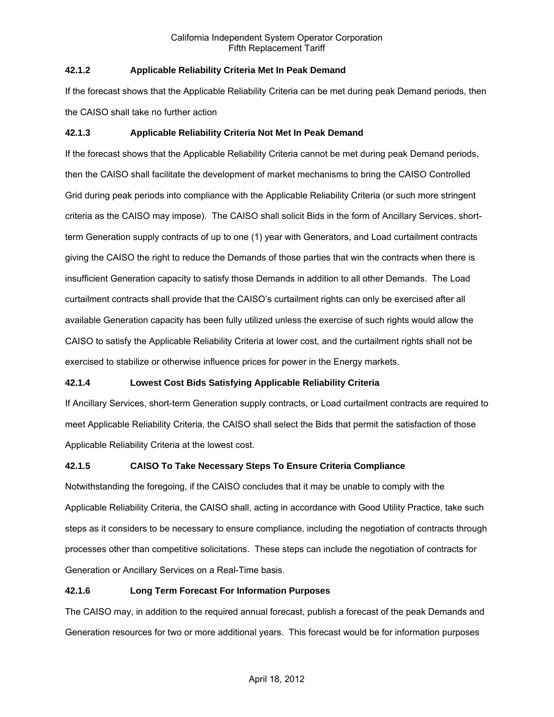# **42.1.2 Applicable Reliability Criteria Met In Peak Demand**

If the forecast shows that the Applicable Reliability Criteria can be met during peak Demand periods, then the CAISO shall take no further action

# **42.1.3 Applicable Reliability Criteria Not Met In Peak Demand**

If the forecast shows that the Applicable Reliability Criteria cannot be met during peak Demand periods, then the CAISO shall facilitate the development of market mechanisms to bring the CAISO Controlled Grid during peak periods into compliance with the Applicable Reliability Criteria (or such more stringent criteria as the CAISO may impose). The CAISO shall solicit Bids in the form of Ancillary Services, shortterm Generation supply contracts of up to one (1) year with Generators, and Load curtailment contracts giving the CAISO the right to reduce the Demands of those parties that win the contracts when there is insufficient Generation capacity to satisfy those Demands in addition to all other Demands. The Load curtailment contracts shall provide that the CAISO's curtailment rights can only be exercised after all available Generation capacity has been fully utilized unless the exercise of such rights would allow the CAISO to satisfy the Applicable Reliability Criteria at lower cost, and the curtailment rights shall not be exercised to stabilize or otherwise influence prices for power in the Energy markets.

# **42.1.4 Lowest Cost Bids Satisfying Applicable Reliability Criteria**

If Ancillary Services, short-term Generation supply contracts, or Load curtailment contracts are required to meet Applicable Reliability Criteria, the CAISO shall select the Bids that permit the satisfaction of those Applicable Reliability Criteria at the lowest cost.

# **42.1.5 CAISO To Take Necessary Steps To Ensure Criteria Compliance**

Notwithstanding the foregoing, if the CAISO concludes that it may be unable to comply with the Applicable Reliability Criteria, the CAISO shall, acting in accordance with Good Utility Practice, take such steps as it considers to be necessary to ensure compliance, including the negotiation of contracts through processes other than competitive solicitations. These steps can include the negotiation of contracts for Generation or Ancillary Services on a Real-Time basis.

# **42.1.6 Long Term Forecast For Information Purposes**

The CAISO may, in addition to the required annual forecast, publish a forecast of the peak Demands and Generation resources for two or more additional years. This forecast would be for information purposes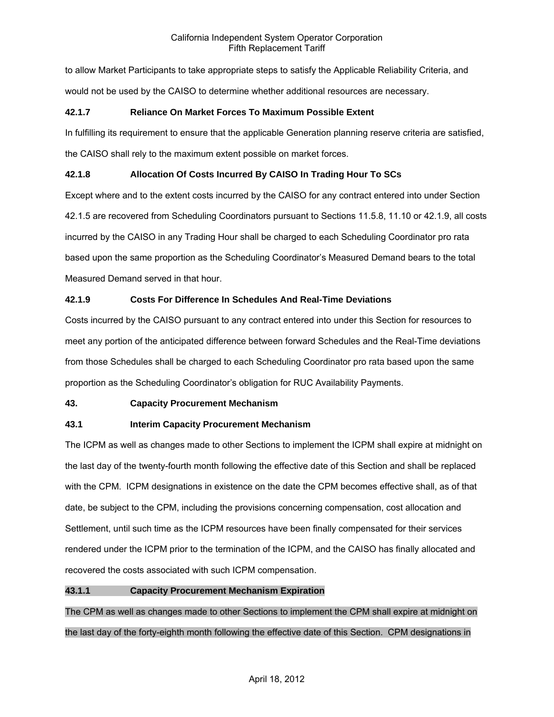to allow Market Participants to take appropriate steps to satisfy the Applicable Reliability Criteria, and would not be used by the CAISO to determine whether additional resources are necessary.

# **42.1.7 Reliance On Market Forces To Maximum Possible Extent**

In fulfilling its requirement to ensure that the applicable Generation planning reserve criteria are satisfied, the CAISO shall rely to the maximum extent possible on market forces.

# **42.1.8 Allocation Of Costs Incurred By CAISO In Trading Hour To SCs**

Except where and to the extent costs incurred by the CAISO for any contract entered into under Section 42.1.5 are recovered from Scheduling Coordinators pursuant to Sections 11.5.8, 11.10 or 42.1.9, all costs incurred by the CAISO in any Trading Hour shall be charged to each Scheduling Coordinator pro rata based upon the same proportion as the Scheduling Coordinator's Measured Demand bears to the total Measured Demand served in that hour.

# **42.1.9 Costs For Difference In Schedules And Real-Time Deviations**

Costs incurred by the CAISO pursuant to any contract entered into under this Section for resources to meet any portion of the anticipated difference between forward Schedules and the Real-Time deviations from those Schedules shall be charged to each Scheduling Coordinator pro rata based upon the same proportion as the Scheduling Coordinator's obligation for RUC Availability Payments.

# **43. Capacity Procurement Mechanism**

# **43.1 Interim Capacity Procurement Mechanism**

The ICPM as well as changes made to other Sections to implement the ICPM shall expire at midnight on the last day of the twenty-fourth month following the effective date of this Section and shall be replaced with the CPM. ICPM designations in existence on the date the CPM becomes effective shall, as of that date, be subject to the CPM, including the provisions concerning compensation, cost allocation and Settlement, until such time as the ICPM resources have been finally compensated for their services rendered under the ICPM prior to the termination of the ICPM, and the CAISO has finally allocated and recovered the costs associated with such ICPM compensation.

# **43.1.1 Capacity Procurement Mechanism Expiration**

The CPM as well as changes made to other Sections to implement the CPM shall expire at midnight on the last day of the forty-eighth month following the effective date of this Section. CPM designations in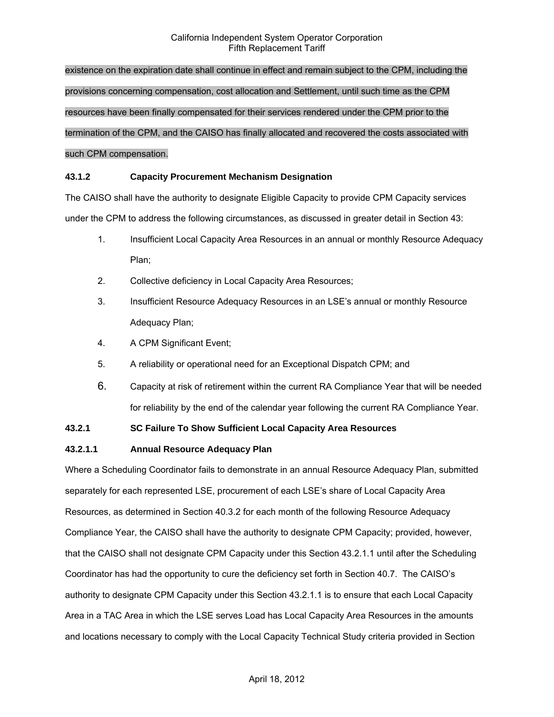existence on the expiration date shall continue in effect and remain subject to the CPM, including the provisions concerning compensation, cost allocation and Settlement, until such time as the CPM resources have been finally compensated for their services rendered under the CPM prior to the termination of the CPM, and the CAISO has finally allocated and recovered the costs associated with such CPM compensation.

### **43.1.2 Capacity Procurement Mechanism Designation**

The CAISO shall have the authority to designate Eligible Capacity to provide CPM Capacity services under the CPM to address the following circumstances, as discussed in greater detail in Section 43:

- 1. Insufficient Local Capacity Area Resources in an annual or monthly Resource Adequacy Plan;
- 2. Collective deficiency in Local Capacity Area Resources;
- 3. Insufficient Resource Adequacy Resources in an LSE's annual or monthly Resource Adequacy Plan;
- 4. A CPM Significant Event;
- 5. A reliability or operational need for an Exceptional Dispatch CPM; and
- 6. Capacity at risk of retirement within the current RA Compliance Year that will be needed for reliability by the end of the calendar year following the current RA Compliance Year.

# **43.2.1 SC Failure To Show Sufficient Local Capacity Area Resources**

#### **43.2.1.1 Annual Resource Adequacy Plan**

Where a Scheduling Coordinator fails to demonstrate in an annual Resource Adequacy Plan, submitted separately for each represented LSE, procurement of each LSE's share of Local Capacity Area Resources, as determined in Section 40.3.2 for each month of the following Resource Adequacy Compliance Year, the CAISO shall have the authority to designate CPM Capacity; provided, however, that the CAISO shall not designate CPM Capacity under this Section 43.2.1.1 until after the Scheduling Coordinator has had the opportunity to cure the deficiency set forth in Section 40.7. The CAISO's authority to designate CPM Capacity under this Section 43.2.1.1 is to ensure that each Local Capacity Area in a TAC Area in which the LSE serves Load has Local Capacity Area Resources in the amounts and locations necessary to comply with the Local Capacity Technical Study criteria provided in Section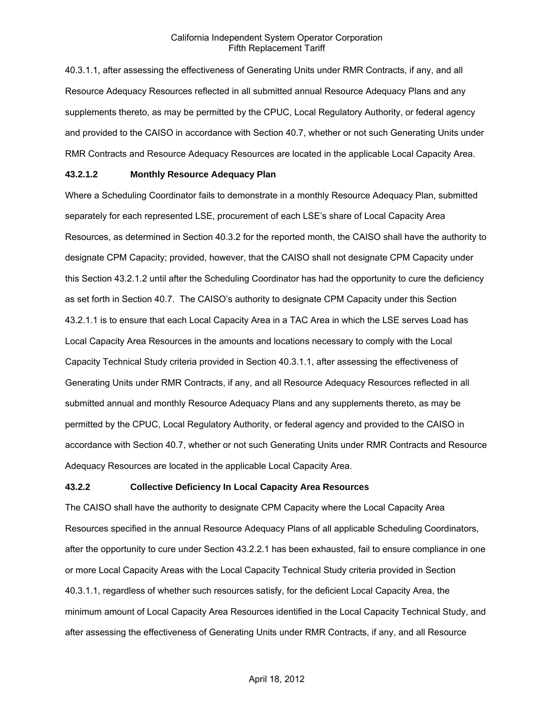40.3.1.1, after assessing the effectiveness of Generating Units under RMR Contracts, if any, and all Resource Adequacy Resources reflected in all submitted annual Resource Adequacy Plans and any supplements thereto, as may be permitted by the CPUC, Local Regulatory Authority, or federal agency and provided to the CAISO in accordance with Section 40.7, whether or not such Generating Units under RMR Contracts and Resource Adequacy Resources are located in the applicable Local Capacity Area.

#### **43.2.1.2 Monthly Resource Adequacy Plan**

Where a Scheduling Coordinator fails to demonstrate in a monthly Resource Adequacy Plan, submitted separately for each represented LSE, procurement of each LSE's share of Local Capacity Area Resources, as determined in Section 40.3.2 for the reported month, the CAISO shall have the authority to designate CPM Capacity; provided, however, that the CAISO shall not designate CPM Capacity under this Section 43.2.1.2 until after the Scheduling Coordinator has had the opportunity to cure the deficiency as set forth in Section 40.7. The CAISO's authority to designate CPM Capacity under this Section 43.2.1.1 is to ensure that each Local Capacity Area in a TAC Area in which the LSE serves Load has Local Capacity Area Resources in the amounts and locations necessary to comply with the Local Capacity Technical Study criteria provided in Section 40.3.1.1, after assessing the effectiveness of Generating Units under RMR Contracts, if any, and all Resource Adequacy Resources reflected in all submitted annual and monthly Resource Adequacy Plans and any supplements thereto, as may be permitted by the CPUC, Local Regulatory Authority, or federal agency and provided to the CAISO in accordance with Section 40.7, whether or not such Generating Units under RMR Contracts and Resource Adequacy Resources are located in the applicable Local Capacity Area.

#### **43.2.2 Collective Deficiency In Local Capacity Area Resources**

The CAISO shall have the authority to designate CPM Capacity where the Local Capacity Area Resources specified in the annual Resource Adequacy Plans of all applicable Scheduling Coordinators, after the opportunity to cure under Section 43.2.2.1 has been exhausted, fail to ensure compliance in one or more Local Capacity Areas with the Local Capacity Technical Study criteria provided in Section 40.3.1.1, regardless of whether such resources satisfy, for the deficient Local Capacity Area, the minimum amount of Local Capacity Area Resources identified in the Local Capacity Technical Study, and after assessing the effectiveness of Generating Units under RMR Contracts, if any, and all Resource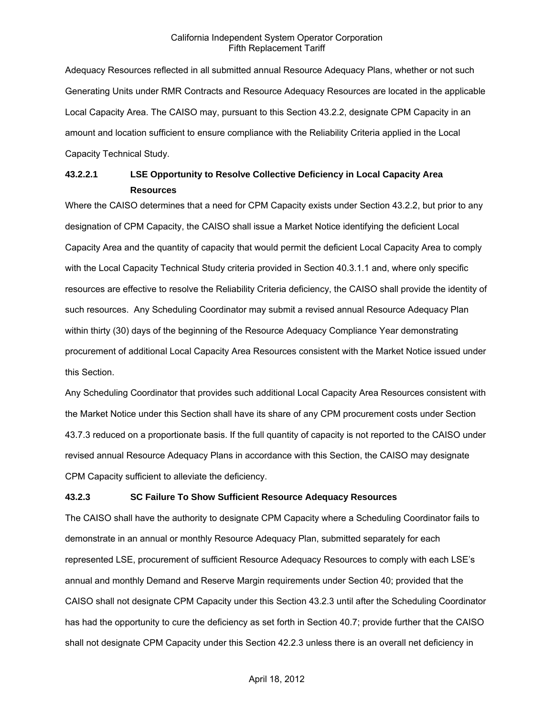Adequacy Resources reflected in all submitted annual Resource Adequacy Plans, whether or not such Generating Units under RMR Contracts and Resource Adequacy Resources are located in the applicable Local Capacity Area. The CAISO may, pursuant to this Section 43.2.2, designate CPM Capacity in an amount and location sufficient to ensure compliance with the Reliability Criteria applied in the Local Capacity Technical Study.

# **43.2.2.1 LSE Opportunity to Resolve Collective Deficiency in Local Capacity Area Resources**

Where the CAISO determines that a need for CPM Capacity exists under Section 43.2.2, but prior to any designation of CPM Capacity, the CAISO shall issue a Market Notice identifying the deficient Local Capacity Area and the quantity of capacity that would permit the deficient Local Capacity Area to comply with the Local Capacity Technical Study criteria provided in Section 40.3.1.1 and, where only specific resources are effective to resolve the Reliability Criteria deficiency, the CAISO shall provide the identity of such resources. Any Scheduling Coordinator may submit a revised annual Resource Adequacy Plan within thirty (30) days of the beginning of the Resource Adequacy Compliance Year demonstrating procurement of additional Local Capacity Area Resources consistent with the Market Notice issued under this Section.

Any Scheduling Coordinator that provides such additional Local Capacity Area Resources consistent with the Market Notice under this Section shall have its share of any CPM procurement costs under Section 43.7.3 reduced on a proportionate basis. If the full quantity of capacity is not reported to the CAISO under revised annual Resource Adequacy Plans in accordance with this Section, the CAISO may designate CPM Capacity sufficient to alleviate the deficiency.

# **43.2.3 SC Failure To Show Sufficient Resource Adequacy Resources**

The CAISO shall have the authority to designate CPM Capacity where a Scheduling Coordinator fails to demonstrate in an annual or monthly Resource Adequacy Plan, submitted separately for each represented LSE, procurement of sufficient Resource Adequacy Resources to comply with each LSE's annual and monthly Demand and Reserve Margin requirements under Section 40; provided that the CAISO shall not designate CPM Capacity under this Section 43.2.3 until after the Scheduling Coordinator has had the opportunity to cure the deficiency as set forth in Section 40.7; provide further that the CAISO shall not designate CPM Capacity under this Section 42.2.3 unless there is an overall net deficiency in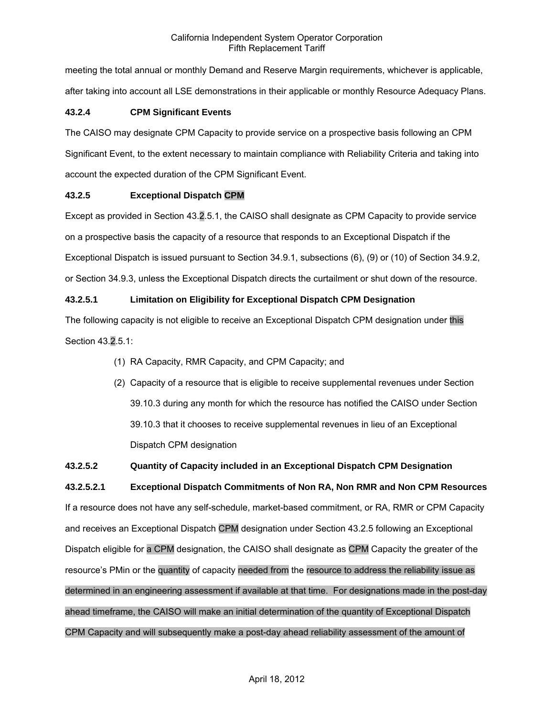meeting the total annual or monthly Demand and Reserve Margin requirements, whichever is applicable, after taking into account all LSE demonstrations in their applicable or monthly Resource Adequacy Plans.

# **43.2.4 CPM Significant Events**

The CAISO may designate CPM Capacity to provide service on a prospective basis following an CPM Significant Event, to the extent necessary to maintain compliance with Reliability Criteria and taking into account the expected duration of the CPM Significant Event.

# **43.2.5 Exceptional Dispatch CPM**

Except as provided in Section 43.2.5.1, the CAISO shall designate as CPM Capacity to provide service on a prospective basis the capacity of a resource that responds to an Exceptional Dispatch if the Exceptional Dispatch is issued pursuant to Section 34.9.1, subsections (6), (9) or (10) of Section 34.9.2, or Section 34.9.3, unless the Exceptional Dispatch directs the curtailment or shut down of the resource.

# **43.2.5.1 Limitation on Eligibility for Exceptional Dispatch CPM Designation**

The following capacity is not eligible to receive an Exceptional Dispatch CPM designation under this Section 43.2.5.1:

- (1) RA Capacity, RMR Capacity, and CPM Capacity; and
- (2) Capacity of a resource that is eligible to receive supplemental revenues under Section 39.10.3 during any month for which the resource has notified the CAISO under Section 39.10.3 that it chooses to receive supplemental revenues in lieu of an Exceptional Dispatch CPM designation

# **43.2.5.2 Quantity of Capacity included in an Exceptional Dispatch CPM Designation**

**43.2.5.2.1 Exceptional Dispatch Commitments of Non RA, Non RMR and Non CPM Resources**  If a resource does not have any self-schedule, market-based commitment, or RA, RMR or CPM Capacity and receives an Exceptional Dispatch CPM designation under Section 43.2.5 following an Exceptional Dispatch eligible for a CPM designation, the CAISO shall designate as CPM Capacity the greater of the resource's PMin or the quantity of capacity needed from the resource to address the reliability issue as determined in an engineering assessment if available at that time. For designations made in the post-day ahead timeframe, the CAISO will make an initial determination of the quantity of Exceptional Dispatch CPM Capacity and will subsequently make a post-day ahead reliability assessment of the amount of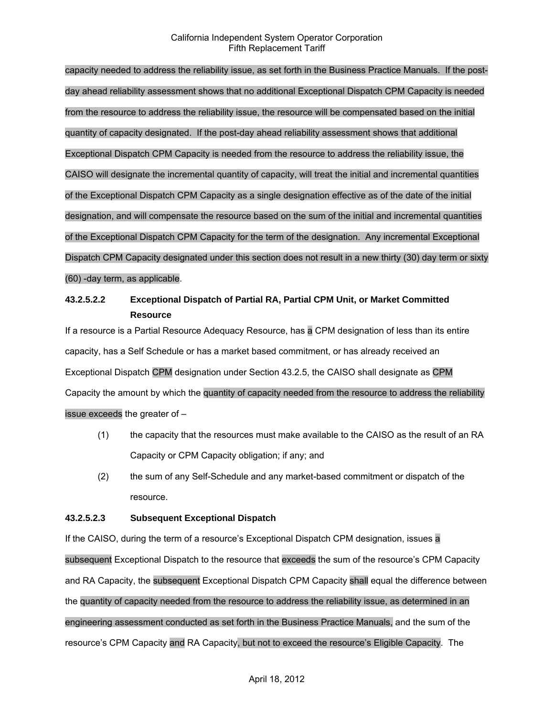capacity needed to address the reliability issue, as set forth in the Business Practice Manuals. If the postday ahead reliability assessment shows that no additional Exceptional Dispatch CPM Capacity is needed from the resource to address the reliability issue, the resource will be compensated based on the initial quantity of capacity designated. If the post-day ahead reliability assessment shows that additional Exceptional Dispatch CPM Capacity is needed from the resource to address the reliability issue, the CAISO will designate the incremental quantity of capacity, will treat the initial and incremental quantities of the Exceptional Dispatch CPM Capacity as a single designation effective as of the date of the initial designation, and will compensate the resource based on the sum of the initial and incremental quantities of the Exceptional Dispatch CPM Capacity for the term of the designation. Any incremental Exceptional Dispatch CPM Capacity designated under this section does not result in a new thirty (30) day term or sixty (60) -day term, as applicable.

# **43.2.5.2.2 Exceptional Dispatch of Partial RA, Partial CPM Unit, or Market Committed Resource**

If a resource is a Partial Resource Adequacy Resource, has a CPM designation of less than its entire capacity, has a Self Schedule or has a market based commitment, or has already received an Exceptional Dispatch CPM designation under Section 43.2.5, the CAISO shall designate as CPM Capacity the amount by which the quantity of capacity needed from the resource to address the reliability issue exceeds the greater of –

- (1) the capacity that the resources must make available to the CAISO as the result of an RA Capacity or CPM Capacity obligation; if any; and
- (2) the sum of any Self-Schedule and any market-based commitment or dispatch of the resource.

# **43.2.5.2.3 Subsequent Exceptional Dispatch**

If the CAISO, during the term of a resource's Exceptional Dispatch CPM designation, issues a subsequent Exceptional Dispatch to the resource that exceeds the sum of the resource's CPM Capacity and RA Capacity, the subsequent Exceptional Dispatch CPM Capacity shall equal the difference between the quantity of capacity needed from the resource to address the reliability issue, as determined in an engineering assessment conducted as set forth in the Business Practice Manuals, and the sum of the resource's CPM Capacity and RA Capacity, but not to exceed the resource's Eligible Capacity. The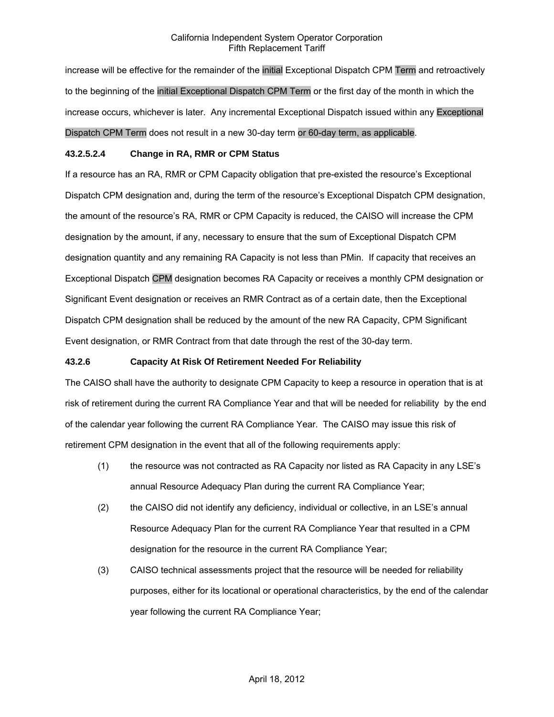increase will be effective for the remainder of the initial Exceptional Dispatch CPM Term and retroactively to the beginning of the initial Exceptional Dispatch CPM Term or the first day of the month in which the increase occurs, whichever is later. Any incremental Exceptional Dispatch issued within any Exceptional Dispatch CPM Term does not result in a new 30-day term or 60-day term, as applicable.

### **43.2.5.2.4 Change in RA, RMR or CPM Status**

If a resource has an RA, RMR or CPM Capacity obligation that pre-existed the resource's Exceptional Dispatch CPM designation and, during the term of the resource's Exceptional Dispatch CPM designation, the amount of the resource's RA, RMR or CPM Capacity is reduced, the CAISO will increase the CPM designation by the amount, if any, necessary to ensure that the sum of Exceptional Dispatch CPM designation quantity and any remaining RA Capacity is not less than PMin. If capacity that receives an Exceptional Dispatch CPM designation becomes RA Capacity or receives a monthly CPM designation or Significant Event designation or receives an RMR Contract as of a certain date, then the Exceptional Dispatch CPM designation shall be reduced by the amount of the new RA Capacity, CPM Significant Event designation, or RMR Contract from that date through the rest of the 30-day term.

#### **43.2.6 Capacity At Risk Of Retirement Needed For Reliability**

The CAISO shall have the authority to designate CPM Capacity to keep a resource in operation that is at risk of retirement during the current RA Compliance Year and that will be needed for reliability by the end of the calendar year following the current RA Compliance Year. The CAISO may issue this risk of retirement CPM designation in the event that all of the following requirements apply:

- (1) the resource was not contracted as RA Capacity nor listed as RA Capacity in any LSE's annual Resource Adequacy Plan during the current RA Compliance Year;
- (2) the CAISO did not identify any deficiency, individual or collective, in an LSE's annual Resource Adequacy Plan for the current RA Compliance Year that resulted in a CPM designation for the resource in the current RA Compliance Year;
- (3) CAISO technical assessments project that the resource will be needed for reliability purposes, either for its locational or operational characteristics, by the end of the calendar year following the current RA Compliance Year;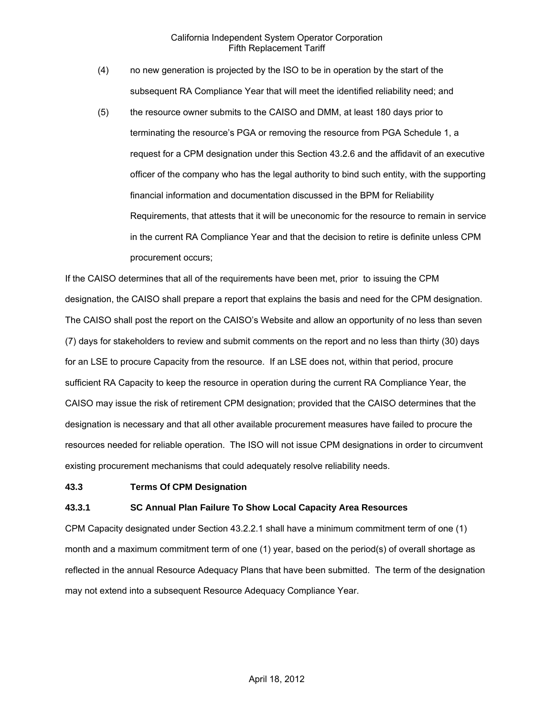- (4) no new generation is projected by the ISO to be in operation by the start of the subsequent RA Compliance Year that will meet the identified reliability need; and
- (5) the resource owner submits to the CAISO and DMM, at least 180 days prior to terminating the resource's PGA or removing the resource from PGA Schedule 1, a request for a CPM designation under this Section 43.2.6 and the affidavit of an executive officer of the company who has the legal authority to bind such entity, with the supporting financial information and documentation discussed in the BPM for Reliability Requirements, that attests that it will be uneconomic for the resource to remain in service in the current RA Compliance Year and that the decision to retire is definite unless CPM procurement occurs;

If the CAISO determines that all of the requirements have been met, prior to issuing the CPM designation, the CAISO shall prepare a report that explains the basis and need for the CPM designation. The CAISO shall post the report on the CAISO's Website and allow an opportunity of no less than seven (7) days for stakeholders to review and submit comments on the report and no less than thirty (30) days for an LSE to procure Capacity from the resource. If an LSE does not, within that period, procure sufficient RA Capacity to keep the resource in operation during the current RA Compliance Year, the CAISO may issue the risk of retirement CPM designation; provided that the CAISO determines that the designation is necessary and that all other available procurement measures have failed to procure the resources needed for reliable operation. The ISO will not issue CPM designations in order to circumvent existing procurement mechanisms that could adequately resolve reliability needs.

#### **43.3 Terms Of CPM Designation**

#### **43.3.1 SC Annual Plan Failure To Show Local Capacity Area Resources**

CPM Capacity designated under Section 43.2.2.1 shall have a minimum commitment term of one (1) month and a maximum commitment term of one (1) year, based on the period(s) of overall shortage as reflected in the annual Resource Adequacy Plans that have been submitted. The term of the designation may not extend into a subsequent Resource Adequacy Compliance Year.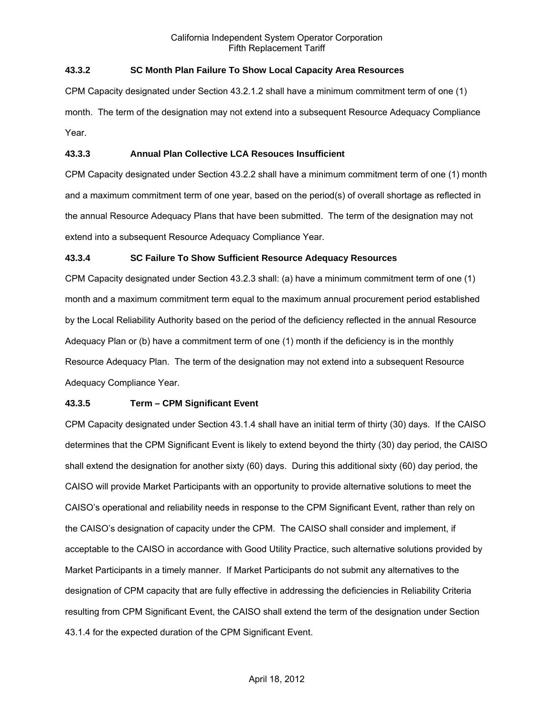# **43.3.2 SC Month Plan Failure To Show Local Capacity Area Resources**

CPM Capacity designated under Section 43.2.1.2 shall have a minimum commitment term of one (1) month. The term of the designation may not extend into a subsequent Resource Adequacy Compliance Year.

#### **43.3.3 Annual Plan Collective LCA Resouces Insufficient**

CPM Capacity designated under Section 43.2.2 shall have a minimum commitment term of one (1) month and a maximum commitment term of one year, based on the period(s) of overall shortage as reflected in the annual Resource Adequacy Plans that have been submitted. The term of the designation may not extend into a subsequent Resource Adequacy Compliance Year.

#### **43.3.4 SC Failure To Show Sufficient Resource Adequacy Resources**

CPM Capacity designated under Section 43.2.3 shall: (a) have a minimum commitment term of one (1) month and a maximum commitment term equal to the maximum annual procurement period established by the Local Reliability Authority based on the period of the deficiency reflected in the annual Resource Adequacy Plan or (b) have a commitment term of one (1) month if the deficiency is in the monthly Resource Adequacy Plan. The term of the designation may not extend into a subsequent Resource Adequacy Compliance Year.

#### **43.3.5 Term – CPM Significant Event**

CPM Capacity designated under Section 43.1.4 shall have an initial term of thirty (30) days. If the CAISO determines that the CPM Significant Event is likely to extend beyond the thirty (30) day period, the CAISO shall extend the designation for another sixty (60) days. During this additional sixty (60) day period, the CAISO will provide Market Participants with an opportunity to provide alternative solutions to meet the CAISO's operational and reliability needs in response to the CPM Significant Event, rather than rely on the CAISO's designation of capacity under the CPM. The CAISO shall consider and implement, if acceptable to the CAISO in accordance with Good Utility Practice, such alternative solutions provided by Market Participants in a timely manner. If Market Participants do not submit any alternatives to the designation of CPM capacity that are fully effective in addressing the deficiencies in Reliability Criteria resulting from CPM Significant Event, the CAISO shall extend the term of the designation under Section 43.1.4 for the expected duration of the CPM Significant Event.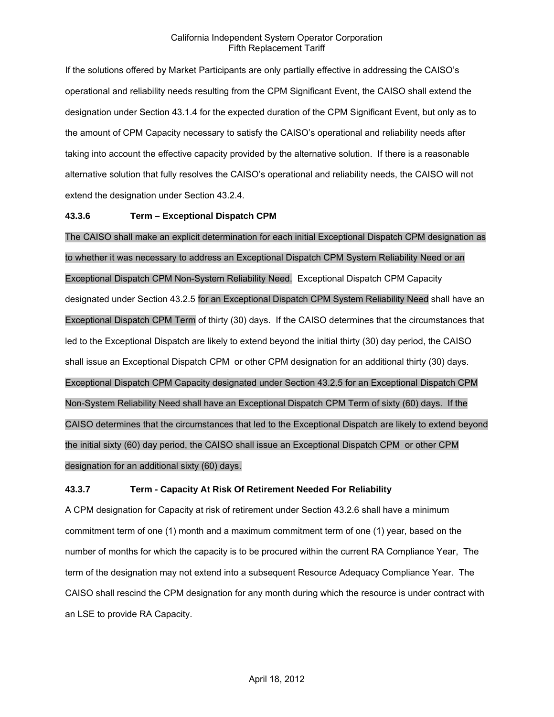If the solutions offered by Market Participants are only partially effective in addressing the CAISO's operational and reliability needs resulting from the CPM Significant Event, the CAISO shall extend the designation under Section 43.1.4 for the expected duration of the CPM Significant Event, but only as to the amount of CPM Capacity necessary to satisfy the CAISO's operational and reliability needs after taking into account the effective capacity provided by the alternative solution. If there is a reasonable alternative solution that fully resolves the CAISO's operational and reliability needs, the CAISO will not extend the designation under Section 43.2.4.

### **43.3.6 Term – Exceptional Dispatch CPM**

The CAISO shall make an explicit determination for each initial Exceptional Dispatch CPM designation as to whether it was necessary to address an Exceptional Dispatch CPM System Reliability Need or an Exceptional Dispatch CPM Non-System Reliability Need. Exceptional Dispatch CPM Capacity designated under Section 43.2.5 for an Exceptional Dispatch CPM System Reliability Need shall have an Exceptional Dispatch CPM Term of thirty (30) days. If the CAISO determines that the circumstances that led to the Exceptional Dispatch are likely to extend beyond the initial thirty (30) day period, the CAISO shall issue an Exceptional Dispatch CPM or other CPM designation for an additional thirty (30) days. Exceptional Dispatch CPM Capacity designated under Section 43.2.5 for an Exceptional Dispatch CPM Non-System Reliability Need shall have an Exceptional Dispatch CPM Term of sixty (60) days. If the CAISO determines that the circumstances that led to the Exceptional Dispatch are likely to extend beyond the initial sixty (60) day period, the CAISO shall issue an Exceptional Dispatch CPM or other CPM designation for an additional sixty (60) days.

# **43.3.7 Term - Capacity At Risk Of Retirement Needed For Reliability**

A CPM designation for Capacity at risk of retirement under Section 43.2.6 shall have a minimum commitment term of one (1) month and a maximum commitment term of one (1) year, based on the number of months for which the capacity is to be procured within the current RA Compliance Year, The term of the designation may not extend into a subsequent Resource Adequacy Compliance Year. The CAISO shall rescind the CPM designation for any month during which the resource is under contract with an LSE to provide RA Capacity.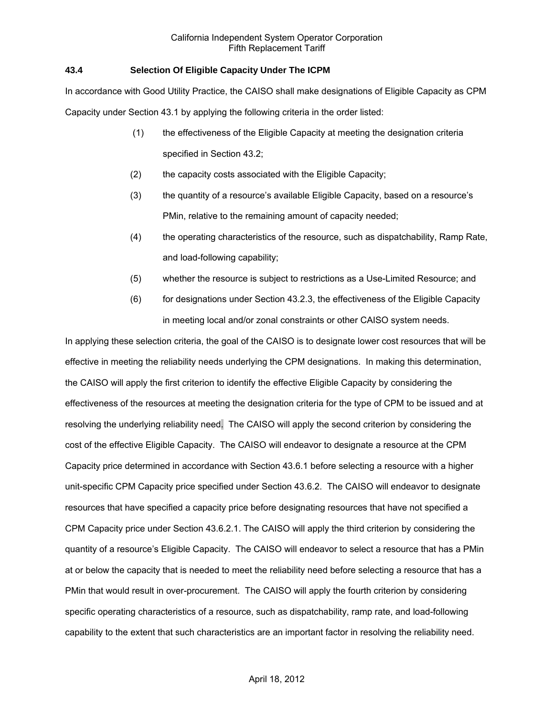# **43.4 Selection Of Eligible Capacity Under The ICPM**

In accordance with Good Utility Practice, the CAISO shall make designations of Eligible Capacity as CPM Capacity under Section 43.1 by applying the following criteria in the order listed:

- (1) the effectiveness of the Eligible Capacity at meeting the designation criteria specified in Section 43.2;
- (2) the capacity costs associated with the Eligible Capacity;
- (3) the quantity of a resource's available Eligible Capacity, based on a resource's PMin, relative to the remaining amount of capacity needed;
- (4) the operating characteristics of the resource, such as dispatchability, Ramp Rate, and load-following capability;
- (5) whether the resource is subject to restrictions as a Use-Limited Resource; and
- (6) for designations under Section 43.2.3, the effectiveness of the Eligible Capacity in meeting local and/or zonal constraints or other CAISO system needs.

In applying these selection criteria, the goal of the CAISO is to designate lower cost resources that will be effective in meeting the reliability needs underlying the CPM designations. In making this determination, the CAISO will apply the first criterion to identify the effective Eligible Capacity by considering the effectiveness of the resources at meeting the designation criteria for the type of CPM to be issued and at resolving the underlying reliability need. The CAISO will apply the second criterion by considering the cost of the effective Eligible Capacity. The CAISO will endeavor to designate a resource at the CPM Capacity price determined in accordance with Section 43.6.1 before selecting a resource with a higher unit-specific CPM Capacity price specified under Section 43.6.2. The CAISO will endeavor to designate resources that have specified a capacity price before designating resources that have not specified a CPM Capacity price under Section 43.6.2.1. The CAISO will apply the third criterion by considering the quantity of a resource's Eligible Capacity. The CAISO will endeavor to select a resource that has a PMin at or below the capacity that is needed to meet the reliability need before selecting a resource that has a PMin that would result in over-procurement. The CAISO will apply the fourth criterion by considering specific operating characteristics of a resource, such as dispatchability, ramp rate, and load-following capability to the extent that such characteristics are an important factor in resolving the reliability need.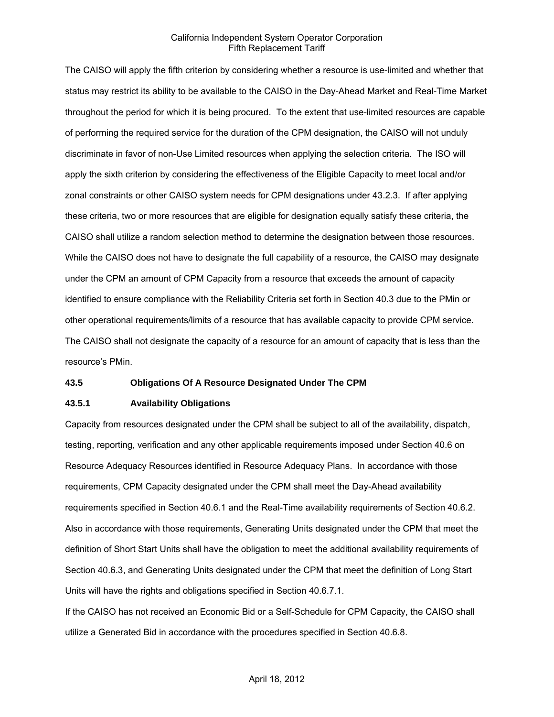The CAISO will apply the fifth criterion by considering whether a resource is use-limited and whether that status may restrict its ability to be available to the CAISO in the Day-Ahead Market and Real-Time Market throughout the period for which it is being procured. To the extent that use-limited resources are capable of performing the required service for the duration of the CPM designation, the CAISO will not unduly discriminate in favor of non-Use Limited resources when applying the selection criteria. The ISO will apply the sixth criterion by considering the effectiveness of the Eligible Capacity to meet local and/or zonal constraints or other CAISO system needs for CPM designations under 43.2.3. If after applying these criteria, two or more resources that are eligible for designation equally satisfy these criteria, the CAISO shall utilize a random selection method to determine the designation between those resources. While the CAISO does not have to designate the full capability of a resource, the CAISO may designate under the CPM an amount of CPM Capacity from a resource that exceeds the amount of capacity identified to ensure compliance with the Reliability Criteria set forth in Section 40.3 due to the PMin or other operational requirements/limits of a resource that has available capacity to provide CPM service. The CAISO shall not designate the capacity of a resource for an amount of capacity that is less than the resource's PMin.

#### **43.5 Obligations Of A Resource Designated Under The CPM**

#### **43.5.1 Availability Obligations**

Capacity from resources designated under the CPM shall be subject to all of the availability, dispatch, testing, reporting, verification and any other applicable requirements imposed under Section 40.6 on Resource Adequacy Resources identified in Resource Adequacy Plans. In accordance with those requirements, CPM Capacity designated under the CPM shall meet the Day-Ahead availability requirements specified in Section 40.6.1 and the Real-Time availability requirements of Section 40.6.2. Also in accordance with those requirements, Generating Units designated under the CPM that meet the definition of Short Start Units shall have the obligation to meet the additional availability requirements of Section 40.6.3, and Generating Units designated under the CPM that meet the definition of Long Start Units will have the rights and obligations specified in Section 40.6.7.1.

If the CAISO has not received an Economic Bid or a Self-Schedule for CPM Capacity, the CAISO shall utilize a Generated Bid in accordance with the procedures specified in Section 40.6.8.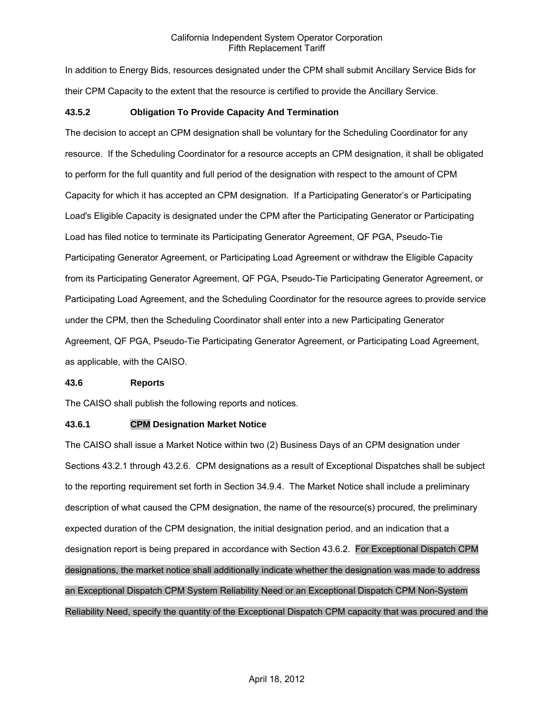In addition to Energy Bids, resources designated under the CPM shall submit Ancillary Service Bids for their CPM Capacity to the extent that the resource is certified to provide the Ancillary Service.

# **43.5.2 Obligation To Provide Capacity And Termination**

The decision to accept an CPM designation shall be voluntary for the Scheduling Coordinator for any resource. If the Scheduling Coordinator for a resource accepts an CPM designation, it shall be obligated to perform for the full quantity and full period of the designation with respect to the amount of CPM Capacity for which it has accepted an CPM designation. If a Participating Generator's or Participating Load's Eligible Capacity is designated under the CPM after the Participating Generator or Participating Load has filed notice to terminate its Participating Generator Agreement, QF PGA, Pseudo-Tie Participating Generator Agreement, or Participating Load Agreement or withdraw the Eligible Capacity from its Participating Generator Agreement, QF PGA, Pseudo-Tie Participating Generator Agreement, or Participating Load Agreement, and the Scheduling Coordinator for the resource agrees to provide service under the CPM, then the Scheduling Coordinator shall enter into a new Participating Generator Agreement, QF PGA, Pseudo-Tie Participating Generator Agreement, or Participating Load Agreement, as applicable, with the CAISO.

#### **43.6 Reports**

The CAISO shall publish the following reports and notices.

# **43.6.1 CPM Designation Market Notice**

The CAISO shall issue a Market Notice within two (2) Business Days of an CPM designation under Sections 43.2.1 through 43.2.6. CPM designations as a result of Exceptional Dispatches shall be subject to the reporting requirement set forth in Section 34.9.4. The Market Notice shall include a preliminary description of what caused the CPM designation, the name of the resource(s) procured, the preliminary expected duration of the CPM designation, the initial designation period, and an indication that a designation report is being prepared in accordance with Section 43.6.2. For Exceptional Dispatch CPM designations, the market notice shall additionally indicate whether the designation was made to address an Exceptional Dispatch CPM System Reliability Need or an Exceptional Dispatch CPM Non-System Reliability Need, specify the quantity of the Exceptional Dispatch CPM capacity that was procured and the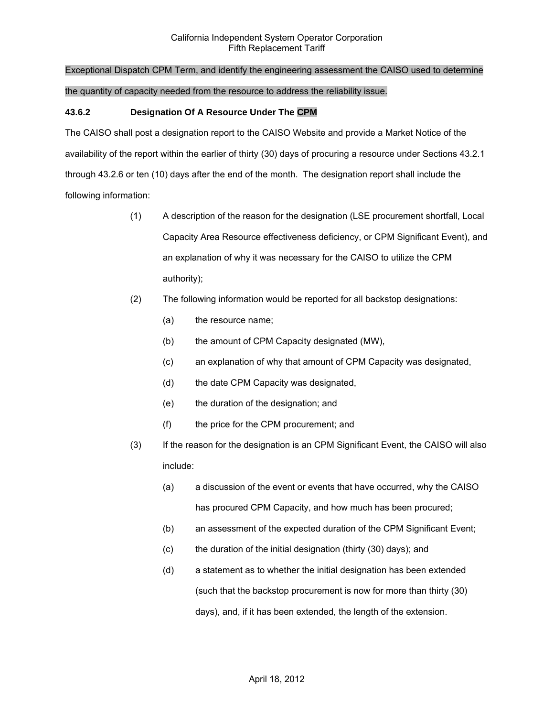# Exceptional Dispatch CPM Term, and identify the engineering assessment the CAISO used to determine

#### the quantity of capacity needed from the resource to address the reliability issue.

#### **43.6.2 Designation Of A Resource Under The CPM**

The CAISO shall post a designation report to the CAISO Website and provide a Market Notice of the availability of the report within the earlier of thirty (30) days of procuring a resource under Sections 43.2.1 through 43.2.6 or ten (10) days after the end of the month. The designation report shall include the following information:

- (1) A description of the reason for the designation (LSE procurement shortfall, Local Capacity Area Resource effectiveness deficiency, or CPM Significant Event), and an explanation of why it was necessary for the CAISO to utilize the CPM authority);
- (2) The following information would be reported for all backstop designations:
	- (a) the resource name;
	- (b) the amount of CPM Capacity designated (MW),
	- (c) an explanation of why that amount of CPM Capacity was designated,
	- (d) the date CPM Capacity was designated,
	- (e) the duration of the designation; and
	- (f) the price for the CPM procurement; and
- (3) If the reason for the designation is an CPM Significant Event, the CAISO will also include:
	- (a) a discussion of the event or events that have occurred, why the CAISO has procured CPM Capacity, and how much has been procured;
	- (b) an assessment of the expected duration of the CPM Significant Event;
	- (c) the duration of the initial designation (thirty (30) days); and
	- (d) a statement as to whether the initial designation has been extended (such that the backstop procurement is now for more than thirty (30) days), and, if it has been extended, the length of the extension.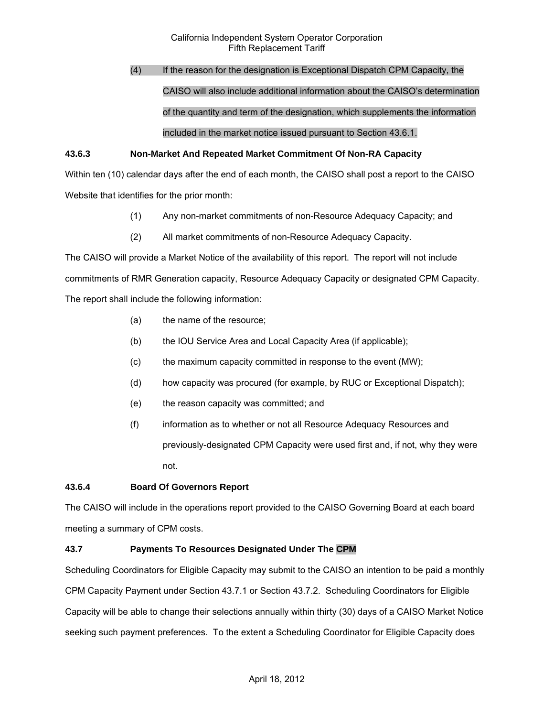# (4) If the reason for the designation is Exceptional Dispatch CPM Capacity, the CAISO will also include additional information about the CAISO's determination of the quantity and term of the designation, which supplements the information included in the market notice issued pursuant to Section 43.6.1.

# **43.6.3 Non-Market And Repeated Market Commitment Of Non-RA Capacity**

Within ten (10) calendar days after the end of each month, the CAISO shall post a report to the CAISO Website that identifies for the prior month:

- (1) Any non-market commitments of non-Resource Adequacy Capacity; and
- (2) All market commitments of non-Resource Adequacy Capacity.

The CAISO will provide a Market Notice of the availability of this report. The report will not include commitments of RMR Generation capacity, Resource Adequacy Capacity or designated CPM Capacity. The report shall include the following information:

- (a) the name of the resource;
- (b) the IOU Service Area and Local Capacity Area (if applicable);
- (c) the maximum capacity committed in response to the event (MW);
- (d) how capacity was procured (for example, by RUC or Exceptional Dispatch);
- (e) the reason capacity was committed; and
- (f) information as to whether or not all Resource Adequacy Resources and previously-designated CPM Capacity were used first and, if not, why they were not.

# **43.6.4 Board Of Governors Report**

The CAISO will include in the operations report provided to the CAISO Governing Board at each board meeting a summary of CPM costs.

# **43.7 Payments To Resources Designated Under The CPM**

Scheduling Coordinators for Eligible Capacity may submit to the CAISO an intention to be paid a monthly CPM Capacity Payment under Section 43.7.1 or Section 43.7.2. Scheduling Coordinators for Eligible Capacity will be able to change their selections annually within thirty (30) days of a CAISO Market Notice seeking such payment preferences. To the extent a Scheduling Coordinator for Eligible Capacity does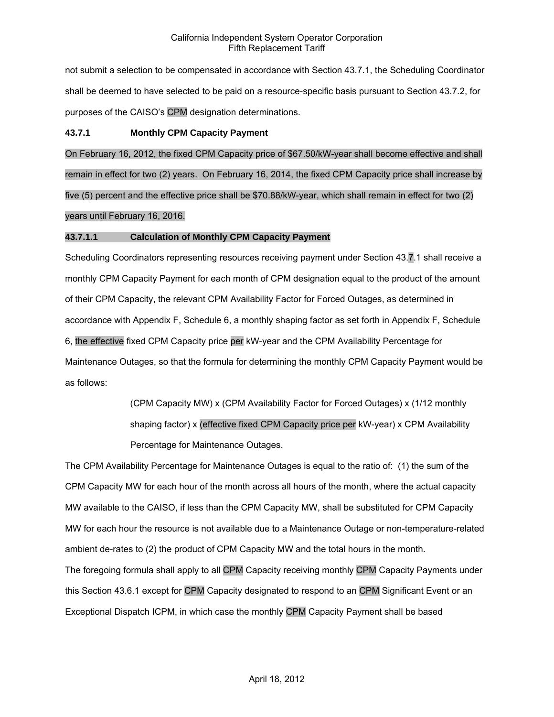not submit a selection to be compensated in accordance with Section 43.7.1, the Scheduling Coordinator shall be deemed to have selected to be paid on a resource-specific basis pursuant to Section 43.7.2, for purposes of the CAISO's CPM designation determinations.

### **43.7.1 Monthly CPM Capacity Payment**

On February 16, 2012, the fixed CPM Capacity price of \$67.50/kW-year shall become effective and shall remain in effect for two (2) years. On February 16, 2014, the fixed CPM Capacity price shall increase by five (5) percent and the effective price shall be \$70.88/kW-year, which shall remain in effect for two (2) years until February 16, 2016.

### **43.7.1.1 Calculation of Monthly CPM Capacity Payment**

Scheduling Coordinators representing resources receiving payment under Section 43.7.1 shall receive a monthly CPM Capacity Payment for each month of CPM designation equal to the product of the amount of their CPM Capacity, the relevant CPM Availability Factor for Forced Outages, as determined in accordance with Appendix F, Schedule 6, a monthly shaping factor as set forth in Appendix F, Schedule 6, the effective fixed CPM Capacity price per kW-year and the CPM Availability Percentage for Maintenance Outages, so that the formula for determining the monthly CPM Capacity Payment would be as follows:

> (CPM Capacity MW) x (CPM Availability Factor for Forced Outages) x (1/12 monthly shaping factor) x (effective fixed CPM Capacity price per kW-year) x CPM Availability Percentage for Maintenance Outages.

The CPM Availability Percentage for Maintenance Outages is equal to the ratio of: (1) the sum of the CPM Capacity MW for each hour of the month across all hours of the month, where the actual capacity MW available to the CAISO, if less than the CPM Capacity MW, shall be substituted for CPM Capacity MW for each hour the resource is not available due to a Maintenance Outage or non-temperature-related ambient de-rates to (2) the product of CPM Capacity MW and the total hours in the month. The foregoing formula shall apply to all CPM Capacity receiving monthly CPM Capacity Payments under this Section 43.6.1 except for CPM Capacity designated to respond to an CPM Significant Event or an Exceptional Dispatch ICPM, in which case the monthly CPM Capacity Payment shall be based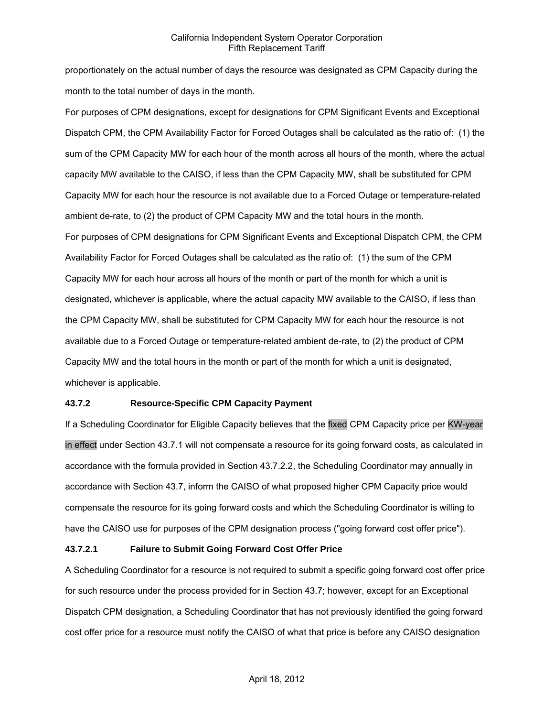proportionately on the actual number of days the resource was designated as CPM Capacity during the month to the total number of days in the month.

For purposes of CPM designations, except for designations for CPM Significant Events and Exceptional Dispatch CPM, the CPM Availability Factor for Forced Outages shall be calculated as the ratio of: (1) the sum of the CPM Capacity MW for each hour of the month across all hours of the month, where the actual capacity MW available to the CAISO, if less than the CPM Capacity MW, shall be substituted for CPM Capacity MW for each hour the resource is not available due to a Forced Outage or temperature-related ambient de-rate, to (2) the product of CPM Capacity MW and the total hours in the month. For purposes of CPM designations for CPM Significant Events and Exceptional Dispatch CPM, the CPM Availability Factor for Forced Outages shall be calculated as the ratio of: (1) the sum of the CPM Capacity MW for each hour across all hours of the month or part of the month for which a unit is designated, whichever is applicable, where the actual capacity MW available to the CAISO, if less than the CPM Capacity MW, shall be substituted for CPM Capacity MW for each hour the resource is not available due to a Forced Outage or temperature-related ambient de-rate, to (2) the product of CPM Capacity MW and the total hours in the month or part of the month for which a unit is designated, whichever is applicable.

#### **43.7.2 Resource-Specific CPM Capacity Payment**

If a Scheduling Coordinator for Eligible Capacity believes that the fixed CPM Capacity price per KW-year in effect under Section 43.7.1 will not compensate a resource for its going forward costs, as calculated in accordance with the formula provided in Section 43.7.2.2, the Scheduling Coordinator may annually in accordance with Section 43.7, inform the CAISO of what proposed higher CPM Capacity price would compensate the resource for its going forward costs and which the Scheduling Coordinator is willing to have the CAISO use for purposes of the CPM designation process ("going forward cost offer price").

# **43.7.2.1 Failure to Submit Going Forward Cost Offer Price**

A Scheduling Coordinator for a resource is not required to submit a specific going forward cost offer price for such resource under the process provided for in Section 43.7; however, except for an Exceptional Dispatch CPM designation, a Scheduling Coordinator that has not previously identified the going forward cost offer price for a resource must notify the CAISO of what that price is before any CAISO designation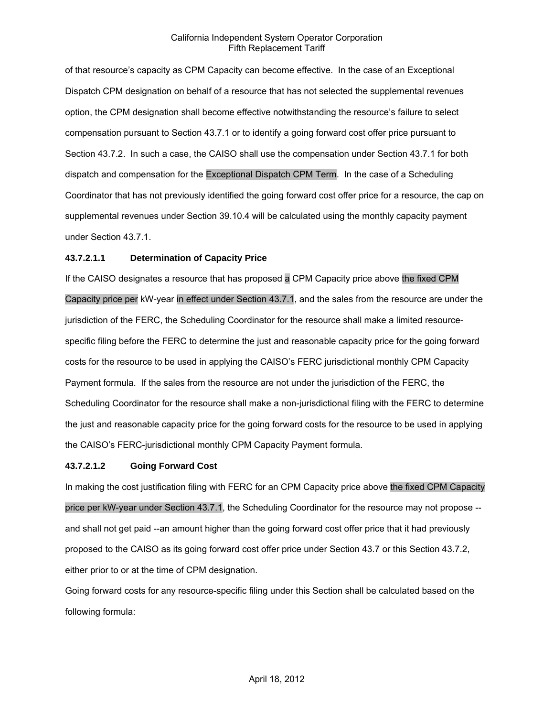of that resource's capacity as CPM Capacity can become effective. In the case of an Exceptional Dispatch CPM designation on behalf of a resource that has not selected the supplemental revenues option, the CPM designation shall become effective notwithstanding the resource's failure to select compensation pursuant to Section 43.7.1 or to identify a going forward cost offer price pursuant to Section 43.7.2. In such a case, the CAISO shall use the compensation under Section 43.7.1 for both dispatch and compensation for the Exceptional Dispatch CPM Term. In the case of a Scheduling Coordinator that has not previously identified the going forward cost offer price for a resource, the cap on supplemental revenues under Section 39.10.4 will be calculated using the monthly capacity payment under Section 43.7.1.

#### **43.7.2.1.1 Determination of Capacity Price**

If the CAISO designates a resource that has proposed a CPM Capacity price above the fixed CPM Capacity price per kW-year in effect under Section 43.7.1, and the sales from the resource are under the jurisdiction of the FERC, the Scheduling Coordinator for the resource shall make a limited resourcespecific filing before the FERC to determine the just and reasonable capacity price for the going forward costs for the resource to be used in applying the CAISO's FERC jurisdictional monthly CPM Capacity Payment formula. If the sales from the resource are not under the jurisdiction of the FERC, the Scheduling Coordinator for the resource shall make a non-jurisdictional filing with the FERC to determine the just and reasonable capacity price for the going forward costs for the resource to be used in applying the CAISO's FERC-jurisdictional monthly CPM Capacity Payment formula.

#### **43.7.2.1.2 Going Forward Cost**

In making the cost justification filing with FERC for an CPM Capacity price above the fixed CPM Capacity price per kW-year under Section 43.7.1, the Scheduling Coordinator for the resource may not propose - and shall not get paid --an amount higher than the going forward cost offer price that it had previously proposed to the CAISO as its going forward cost offer price under Section 43.7 or this Section 43.7.2, either prior to or at the time of CPM designation.

Going forward costs for any resource-specific filing under this Section shall be calculated based on the following formula: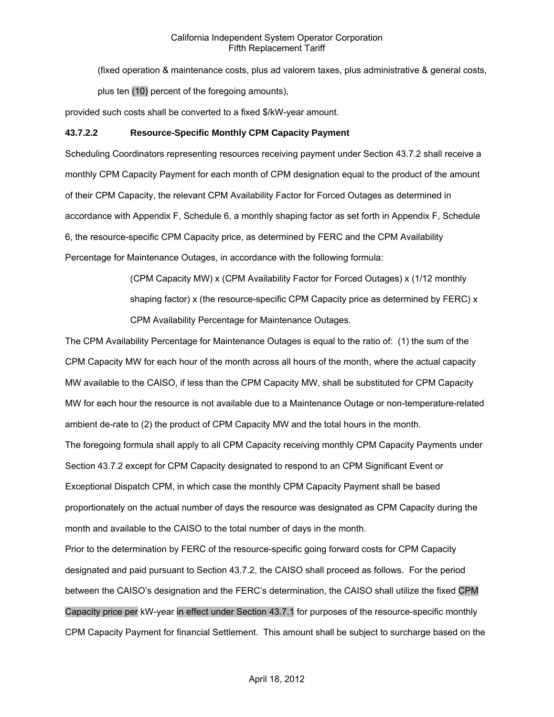(fixed operation & maintenance costs, plus ad valorem taxes, plus administrative & general costs,

plus ten (10) percent of the foregoing amounts),

provided such costs shall be converted to a fixed \$/kW-year amount.

# **43.7.2.2 Resource-Specific Monthly CPM Capacity Payment**

Scheduling Coordinators representing resources receiving payment under Section 43.7.2 shall receive a monthly CPM Capacity Payment for each month of CPM designation equal to the product of the amount of their CPM Capacity, the relevant CPM Availability Factor for Forced Outages as determined in accordance with Appendix F, Schedule 6, a monthly shaping factor as set forth in Appendix F, Schedule 6, the resource-specific CPM Capacity price, as determined by FERC and the CPM Availability Percentage for Maintenance Outages, in accordance with the following formula:

> (CPM Capacity MW) x (CPM Availability Factor for Forced Outages) x (1/12 monthly shaping factor) x (the resource-specific CPM Capacity price as determined by FERC) x CPM Availability Percentage for Maintenance Outages.

The CPM Availability Percentage for Maintenance Outages is equal to the ratio of: (1) the sum of the CPM Capacity MW for each hour of the month across all hours of the month, where the actual capacity MW available to the CAISO, if less than the CPM Capacity MW, shall be substituted for CPM Capacity MW for each hour the resource is not available due to a Maintenance Outage or non-temperature-related ambient de-rate to (2) the product of CPM Capacity MW and the total hours in the month. The foregoing formula shall apply to all CPM Capacity receiving monthly CPM Capacity Payments under Section 43.7.2 except for CPM Capacity designated to respond to an CPM Significant Event or Exceptional Dispatch CPM, in which case the monthly CPM Capacity Payment shall be based proportionately on the actual number of days the resource was designated as CPM Capacity during the month and available to the CAISO to the total number of days in the month.

Prior to the determination by FERC of the resource-specific going forward costs for CPM Capacity designated and paid pursuant to Section 43.7.2, the CAISO shall proceed as follows. For the period between the CAISO's designation and the FERC's determination, the CAISO shall utilize the fixed CPM Capacity price per kW-year in effect under Section 43.7.1 for purposes of the resource-specific monthly CPM Capacity Payment for financial Settlement. This amount shall be subject to surcharge based on the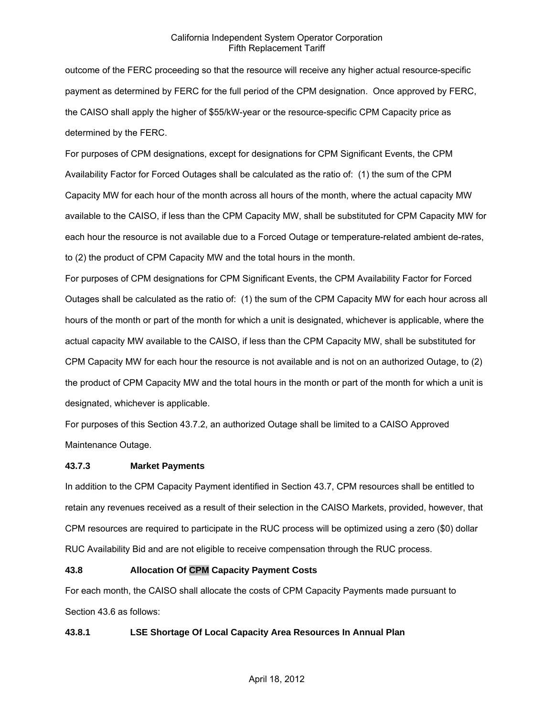outcome of the FERC proceeding so that the resource will receive any higher actual resource-specific payment as determined by FERC for the full period of the CPM designation. Once approved by FERC, the CAISO shall apply the higher of \$55/kW-year or the resource-specific CPM Capacity price as determined by the FERC.

For purposes of CPM designations, except for designations for CPM Significant Events, the CPM Availability Factor for Forced Outages shall be calculated as the ratio of: (1) the sum of the CPM Capacity MW for each hour of the month across all hours of the month, where the actual capacity MW available to the CAISO, if less than the CPM Capacity MW, shall be substituted for CPM Capacity MW for each hour the resource is not available due to a Forced Outage or temperature-related ambient de-rates, to (2) the product of CPM Capacity MW and the total hours in the month.

For purposes of CPM designations for CPM Significant Events, the CPM Availability Factor for Forced Outages shall be calculated as the ratio of: (1) the sum of the CPM Capacity MW for each hour across all hours of the month or part of the month for which a unit is designated, whichever is applicable, where the actual capacity MW available to the CAISO, if less than the CPM Capacity MW, shall be substituted for CPM Capacity MW for each hour the resource is not available and is not on an authorized Outage, to (2) the product of CPM Capacity MW and the total hours in the month or part of the month for which a unit is designated, whichever is applicable.

For purposes of this Section 43.7.2, an authorized Outage shall be limited to a CAISO Approved Maintenance Outage.

#### **43.7.3 Market Payments**

In addition to the CPM Capacity Payment identified in Section 43.7, CPM resources shall be entitled to retain any revenues received as a result of their selection in the CAISO Markets, provided, however, that CPM resources are required to participate in the RUC process will be optimized using a zero (\$0) dollar RUC Availability Bid and are not eligible to receive compensation through the RUC process.

#### **43.8 Allocation Of CPM Capacity Payment Costs**

For each month, the CAISO shall allocate the costs of CPM Capacity Payments made pursuant to Section 43.6 as follows:

#### **43.8.1 LSE Shortage Of Local Capacity Area Resources In Annual Plan**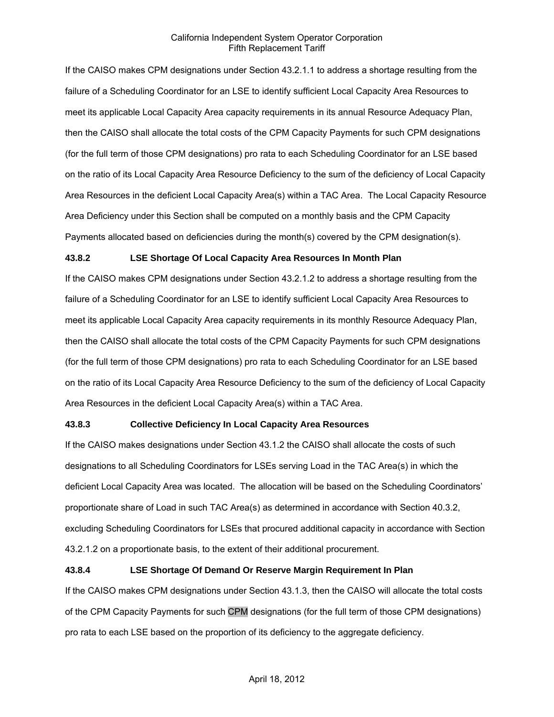If the CAISO makes CPM designations under Section 43.2.1.1 to address a shortage resulting from the failure of a Scheduling Coordinator for an LSE to identify sufficient Local Capacity Area Resources to meet its applicable Local Capacity Area capacity requirements in its annual Resource Adequacy Plan, then the CAISO shall allocate the total costs of the CPM Capacity Payments for such CPM designations (for the full term of those CPM designations) pro rata to each Scheduling Coordinator for an LSE based on the ratio of its Local Capacity Area Resource Deficiency to the sum of the deficiency of Local Capacity Area Resources in the deficient Local Capacity Area(s) within a TAC Area. The Local Capacity Resource Area Deficiency under this Section shall be computed on a monthly basis and the CPM Capacity Payments allocated based on deficiencies during the month(s) covered by the CPM designation(s).

#### **43.8.2 LSE Shortage Of Local Capacity Area Resources In Month Plan**

If the CAISO makes CPM designations under Section 43.2.1.2 to address a shortage resulting from the failure of a Scheduling Coordinator for an LSE to identify sufficient Local Capacity Area Resources to meet its applicable Local Capacity Area capacity requirements in its monthly Resource Adequacy Plan, then the CAISO shall allocate the total costs of the CPM Capacity Payments for such CPM designations (for the full term of those CPM designations) pro rata to each Scheduling Coordinator for an LSE based on the ratio of its Local Capacity Area Resource Deficiency to the sum of the deficiency of Local Capacity Area Resources in the deficient Local Capacity Area(s) within a TAC Area.

#### **43.8.3 Collective Deficiency In Local Capacity Area Resources**

If the CAISO makes designations under Section 43.1.2 the CAISO shall allocate the costs of such designations to all Scheduling Coordinators for LSEs serving Load in the TAC Area(s) in which the deficient Local Capacity Area was located. The allocation will be based on the Scheduling Coordinators' proportionate share of Load in such TAC Area(s) as determined in accordance with Section 40.3.2, excluding Scheduling Coordinators for LSEs that procured additional capacity in accordance with Section 43.2.1.2 on a proportionate basis, to the extent of their additional procurement.

# **43.8.4 LSE Shortage Of Demand Or Reserve Margin Requirement In Plan**

If the CAISO makes CPM designations under Section 43.1.3, then the CAISO will allocate the total costs of the CPM Capacity Payments for such CPM designations (for the full term of those CPM designations) pro rata to each LSE based on the proportion of its deficiency to the aggregate deficiency.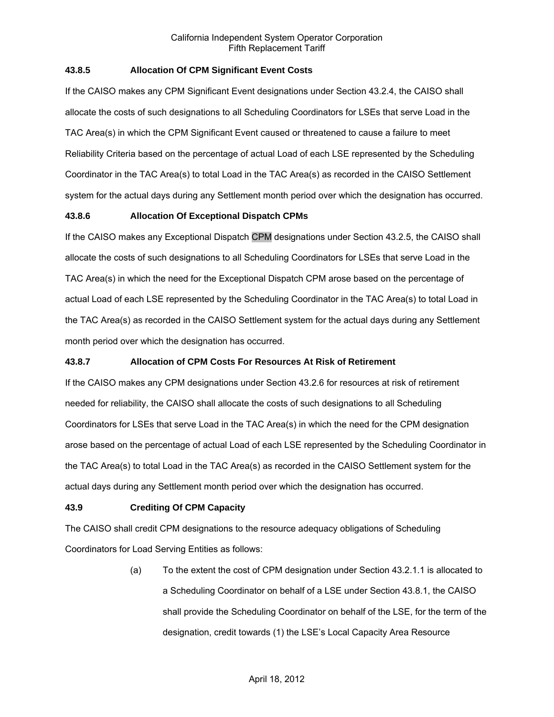# **43.8.5 Allocation Of CPM Significant Event Costs**

If the CAISO makes any CPM Significant Event designations under Section 43.2.4, the CAISO shall allocate the costs of such designations to all Scheduling Coordinators for LSEs that serve Load in the TAC Area(s) in which the CPM Significant Event caused or threatened to cause a failure to meet Reliability Criteria based on the percentage of actual Load of each LSE represented by the Scheduling Coordinator in the TAC Area(s) to total Load in the TAC Area(s) as recorded in the CAISO Settlement system for the actual days during any Settlement month period over which the designation has occurred.

# **43.8.6 Allocation Of Exceptional Dispatch CPMs**

If the CAISO makes any Exceptional Dispatch CPM designations under Section 43.2.5, the CAISO shall allocate the costs of such designations to all Scheduling Coordinators for LSEs that serve Load in the TAC Area(s) in which the need for the Exceptional Dispatch CPM arose based on the percentage of actual Load of each LSE represented by the Scheduling Coordinator in the TAC Area(s) to total Load in the TAC Area(s) as recorded in the CAISO Settlement system for the actual days during any Settlement month period over which the designation has occurred.

#### **43.8.7 Allocation of CPM Costs For Resources At Risk of Retirement**

If the CAISO makes any CPM designations under Section 43.2.6 for resources at risk of retirement needed for reliability, the CAISO shall allocate the costs of such designations to all Scheduling Coordinators for LSEs that serve Load in the TAC Area(s) in which the need for the CPM designation arose based on the percentage of actual Load of each LSE represented by the Scheduling Coordinator in the TAC Area(s) to total Load in the TAC Area(s) as recorded in the CAISO Settlement system for the actual days during any Settlement month period over which the designation has occurred.

# **43.9 Crediting Of CPM Capacity**

The CAISO shall credit CPM designations to the resource adequacy obligations of Scheduling Coordinators for Load Serving Entities as follows:

> (a) To the extent the cost of CPM designation under Section 43.2.1.1 is allocated to a Scheduling Coordinator on behalf of a LSE under Section 43.8.1, the CAISO shall provide the Scheduling Coordinator on behalf of the LSE, for the term of the designation, credit towards (1) the LSE's Local Capacity Area Resource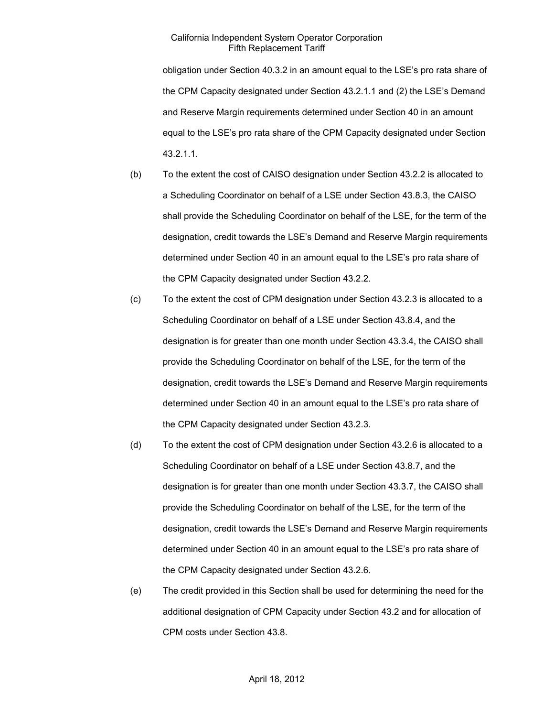obligation under Section 40.3.2 in an amount equal to the LSE's pro rata share of the CPM Capacity designated under Section 43.2.1.1 and (2) the LSE's Demand and Reserve Margin requirements determined under Section 40 in an amount equal to the LSE's pro rata share of the CPM Capacity designated under Section 43.2.1.1.

- (b) To the extent the cost of CAISO designation under Section 43.2.2 is allocated to a Scheduling Coordinator on behalf of a LSE under Section 43.8.3, the CAISO shall provide the Scheduling Coordinator on behalf of the LSE, for the term of the designation, credit towards the LSE's Demand and Reserve Margin requirements determined under Section 40 in an amount equal to the LSE's pro rata share of the CPM Capacity designated under Section 43.2.2.
- (c) To the extent the cost of CPM designation under Section 43.2.3 is allocated to a Scheduling Coordinator on behalf of a LSE under Section 43.8.4, and the designation is for greater than one month under Section 43.3.4, the CAISO shall provide the Scheduling Coordinator on behalf of the LSE, for the term of the designation, credit towards the LSE's Demand and Reserve Margin requirements determined under Section 40 in an amount equal to the LSE's pro rata share of the CPM Capacity designated under Section 43.2.3.
- (d) To the extent the cost of CPM designation under Section 43.2.6 is allocated to a Scheduling Coordinator on behalf of a LSE under Section 43.8.7, and the designation is for greater than one month under Section 43.3.7, the CAISO shall provide the Scheduling Coordinator on behalf of the LSE, for the term of the designation, credit towards the LSE's Demand and Reserve Margin requirements determined under Section 40 in an amount equal to the LSE's pro rata share of the CPM Capacity designated under Section 43.2.6.
- (e) The credit provided in this Section shall be used for determining the need for the additional designation of CPM Capacity under Section 43.2 and for allocation of CPM costs under Section 43.8.